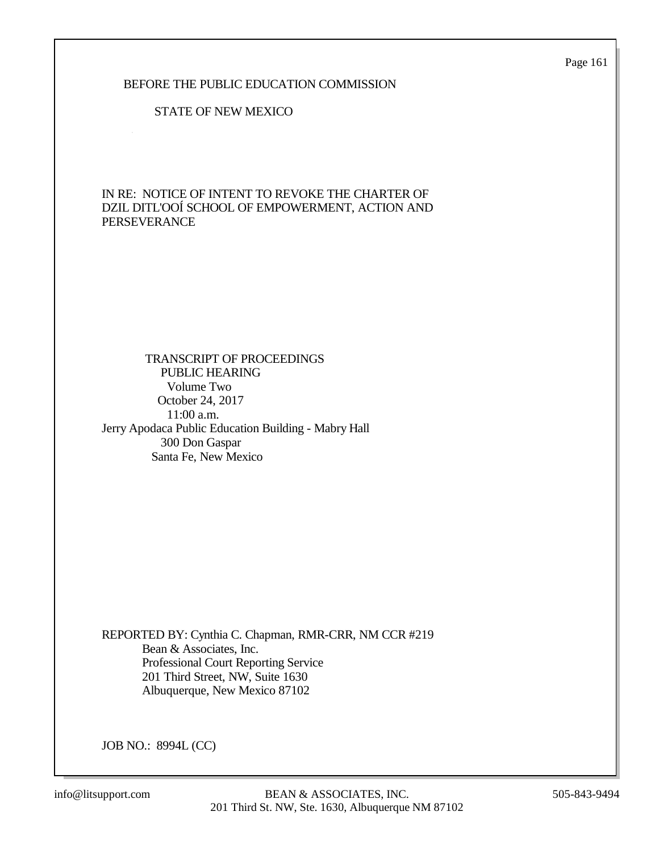Page 161

## BEFORE THE PUBLIC EDUCATION COMMISSION

### STATE OF NEW MEXICO

IN RE: NOTICE OF INTENT TO REVOKE THE CHARTER OF DZIL DITL'OOÍ SCHOOL OF EMPOWERMENT, ACTION AND PERSEVERANCE

## TRANSCRIPT OF PROCEEDINGS PUBLIC HEARING Volume Two October 24, 2017 11:00 a.m. Jerry Apodaca Public Education Building - Mabry Hall 300 Don Gaspar Santa Fe, New Mexico

REPORTED BY: Cynthia C. Chapman, RMR-CRR, NM CCR #219 Bean & Associates, Inc. Professional Court Reporting Service 201 Third Street, NW, Suite 1630 Albuquerque, New Mexico 87102

JOB NO.: 8994L (CC)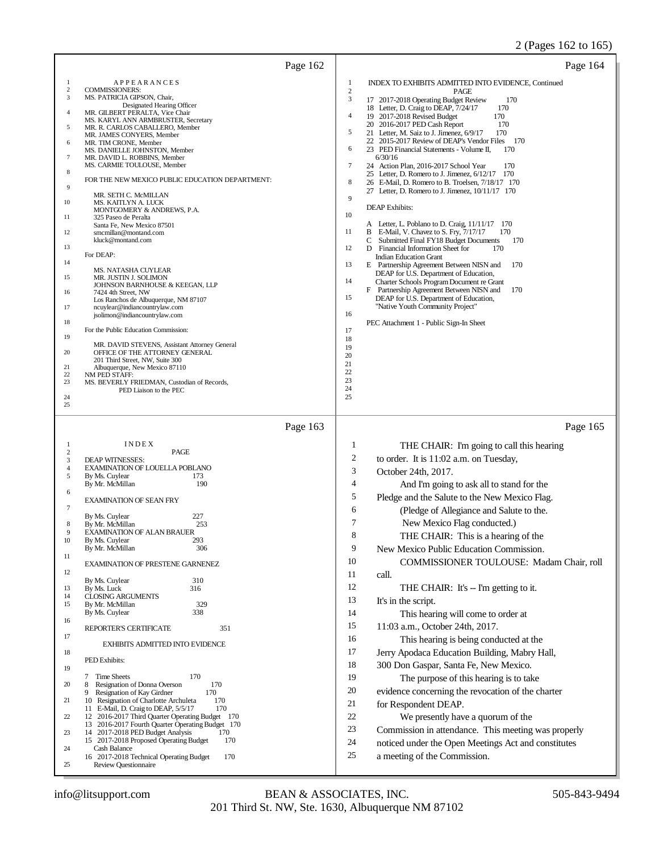|                                                                                                                                                     | Page 162                                                                                                                                                                                                                                                                                                                                                                                                                                                                                                                                                                                                                                                                                                                                                                                                                                                                                                                                                                                                                                                                                                                                  |                                                                                                                                                                 | Page 164                                                                                                                                                                                                                                                                                                                                                                                                                                                                                                                                                                                                                                                                                                                                                                                                                                                                                                                                                                                                                                                                                                                                                                                                       |
|-----------------------------------------------------------------------------------------------------------------------------------------------------|-------------------------------------------------------------------------------------------------------------------------------------------------------------------------------------------------------------------------------------------------------------------------------------------------------------------------------------------------------------------------------------------------------------------------------------------------------------------------------------------------------------------------------------------------------------------------------------------------------------------------------------------------------------------------------------------------------------------------------------------------------------------------------------------------------------------------------------------------------------------------------------------------------------------------------------------------------------------------------------------------------------------------------------------------------------------------------------------------------------------------------------------|-----------------------------------------------------------------------------------------------------------------------------------------------------------------|----------------------------------------------------------------------------------------------------------------------------------------------------------------------------------------------------------------------------------------------------------------------------------------------------------------------------------------------------------------------------------------------------------------------------------------------------------------------------------------------------------------------------------------------------------------------------------------------------------------------------------------------------------------------------------------------------------------------------------------------------------------------------------------------------------------------------------------------------------------------------------------------------------------------------------------------------------------------------------------------------------------------------------------------------------------------------------------------------------------------------------------------------------------------------------------------------------------|
| $\boldsymbol{2}$<br>3<br>4<br>5<br>6<br>7<br>8<br>9<br>10<br>11<br>12<br>13<br>14<br>15<br>16<br>17<br>18<br>19<br>20<br>21<br>22<br>23<br>24<br>25 | <b>APPEARANCES</b><br><b>COMMISSIONERS:</b><br>MS. PATRICIA GIPSON, Chair,<br>Designated Hearing Officer<br>MR. GILBERT PERALTA, Vice Chair<br>MS. KARYL ANN ARMBRUSTER, Secretary<br>MR. R. CARLOS CABALLERO, Member<br>MR. JAMES CONYERS, Member<br>MR. TIM CRONE, Member<br>MS. DANIELLE JOHNSTON, Member<br>MR. DAVID L. ROBBINS, Member<br>MS. CARMIE TOULOUSE, Member<br>FOR THE NEW MEXICO PUBLIC EDUCATION DEPARTMENT:<br>MR. SETH C. McMILLAN<br>MS. KAITLYN A. LUCK<br>MONTGOMERY & ANDREWS, P.A.<br>325 Paseo de Peralta<br>Santa Fe, New Mexico 87501<br>smcmillan@montand.com<br>kluck@montand.com<br>For DEAP:<br>MS. NATASHA CUYLEAR<br>MR. JUSTIN J. SOLIMON<br>JOHNSON BARNHOUSE & KEEGAN, LLP<br>7424 4th Street, NW<br>Los Ranchos de Albuquerque, NM 87107<br>ncuylear@indiancountrylaw.com<br>jsolimon@indiancountrylaw.com<br>For the Public Education Commission:<br>MR. DAVID STEVENS, Assistant Attorney General<br>OFFICE OF THE ATTORNEY GENERAL<br>201 Third Street, NW, Suite 300<br>Albuquerque, New Mexico 87110<br>NM PED STAFF:<br>MS. BEVERLY FRIEDMAN, Custodian of Records,<br>PED Liaison to the PEC | 1<br>$\sqrt{2}$<br>3<br>4<br>5<br>6<br>$\overline{7}$<br>8<br>9<br>10<br>11<br>12<br>13<br>14<br>15<br>16<br>17<br>18<br>19<br>20<br>21<br>22<br>23<br>24<br>25 | INDEX TO EXHIBITS ADMITTED INTO EVIDENCE, Continued<br>PAGE<br>17 2017-2018 Operating Budget Review<br>170<br>18 Letter, D. Craig to DEAP, 7/24/17<br>170<br>19 2017-2018 Revised Budget<br>170<br>20 2016-2017 PED Cash Report<br>170<br>21 Letter, M. Saiz to J. Jimenez, 6/9/17<br>170<br>22 2015-2017 Review of DEAP's Vendor Files<br>170<br>23 PED Financial Statements - Volume II,<br>170<br>6/30/16<br>170<br>24 Action Plan, 2016-2017 School Year<br>25 Letter, D. Romero to J. Jimenez, 6/12/17 170<br>26 E-Mail, D. Romero to B. Troelsen, 7/18/17 170<br>27 Letter, D. Romero to J. Jimenez, 10/11/17 170<br><b>DEAP</b> Exhibits:<br>A Letter, L. Poblano to D. Craig, 11/11/17 170<br>B E-Mail, V. Chavez to S. Fry, 7/17/17<br>170<br>Submitted Final FY18 Budget Documents<br>С<br>170<br>D Financial Information Sheet for<br>170<br><b>Indian Education Grant</b><br>170<br>E Partnership Agreement Between NISN and<br>DEAP for U.S. Department of Education,<br>Charter Schools Program Document re Grant<br>Partnership Agreement Between NISN and<br>170<br>F<br>DEAP for U.S. Department of Education,<br>"Native Youth Community Project"<br>PEC Attachment 1 - Public Sign-In Sheet |
|                                                                                                                                                     |                                                                                                                                                                                                                                                                                                                                                                                                                                                                                                                                                                                                                                                                                                                                                                                                                                                                                                                                                                                                                                                                                                                                           |                                                                                                                                                                 |                                                                                                                                                                                                                                                                                                                                                                                                                                                                                                                                                                                                                                                                                                                                                                                                                                                                                                                                                                                                                                                                                                                                                                                                                |
|                                                                                                                                                     | Page 163                                                                                                                                                                                                                                                                                                                                                                                                                                                                                                                                                                                                                                                                                                                                                                                                                                                                                                                                                                                                                                                                                                                                  |                                                                                                                                                                 | Page 165                                                                                                                                                                                                                                                                                                                                                                                                                                                                                                                                                                                                                                                                                                                                                                                                                                                                                                                                                                                                                                                                                                                                                                                                       |
| 1<br>$\sqrt{2}$<br>3<br>$\overline{4}$<br>5<br>6                                                                                                    | INDEX<br>PAGE<br><b>DEAP WITNESSES:</b><br>EXAMINATION OF LOUELLA POBLANO<br>By Ms. Cuylear<br>173<br>By Mr. McMillan<br>190<br>EXAMINATION OF SEAN FRY                                                                                                                                                                                                                                                                                                                                                                                                                                                                                                                                                                                                                                                                                                                                                                                                                                                                                                                                                                                   | 1<br>$\overline{c}$<br>3<br>$\overline{4}$<br>5                                                                                                                 | THE CHAIR: I'm going to call this hearing<br>to order. It is 11:02 a.m. on Tuesday,<br>October 24th, 2017.<br>And I'm going to ask all to stand for the<br>Pledge and the Salute to the New Mexico Flag.                                                                                                                                                                                                                                                                                                                                                                                                                                                                                                                                                                                                                                                                                                                                                                                                                                                                                                                                                                                                       |
| 7<br>8<br>9<br>10<br>11                                                                                                                             | By Ms. Cuylear<br>227<br>By Mr. McMillan<br>253<br><b>EXAMINATION OF ALAN BRAUER</b><br>By Ms. Cuylear<br>293<br>By Mr. McMillan<br>306<br>EXAMINATION OF PRESTENE GARNENEZ                                                                                                                                                                                                                                                                                                                                                                                                                                                                                                                                                                                                                                                                                                                                                                                                                                                                                                                                                               | 6<br>7<br>8<br>9<br>10                                                                                                                                          | (Pledge of Allegiance and Salute to the.<br>New Mexico Flag conducted.)<br>THE CHAIR: This is a hearing of the<br>New Mexico Public Education Commission.<br>COMMISSIONER TOULOUSE: Madam Chair, roll                                                                                                                                                                                                                                                                                                                                                                                                                                                                                                                                                                                                                                                                                                                                                                                                                                                                                                                                                                                                          |
| 12<br>13<br>14<br>15<br>16                                                                                                                          | 310<br>By Ms. Cuylear<br>By Ms. Luck<br>316<br><b>CLOSING ARGUMENTS</b><br>329<br>By Mr. McMillan<br>By Ms. Cuylear<br>338                                                                                                                                                                                                                                                                                                                                                                                                                                                                                                                                                                                                                                                                                                                                                                                                                                                                                                                                                                                                                | 11<br>12<br>13<br>14<br>15                                                                                                                                      | call.<br>THE CHAIR: It's -- I'm getting to it.<br>It's in the script.<br>This hearing will come to order at                                                                                                                                                                                                                                                                                                                                                                                                                                                                                                                                                                                                                                                                                                                                                                                                                                                                                                                                                                                                                                                                                                    |
| 17<br>18<br>19<br>20                                                                                                                                | 351<br>REPORTER'S CERTIFICATE<br><b>EXHIBITS ADMITTED INTO EVIDENCE</b><br>PED Exhibits:<br><b>Time Sheets</b><br>170<br>7<br>Resignation of Donna Overson<br>170<br>8<br>170<br>9 Resignation of Kay Girdner                                                                                                                                                                                                                                                                                                                                                                                                                                                                                                                                                                                                                                                                                                                                                                                                                                                                                                                             | 16<br>17<br>18<br>19<br>20                                                                                                                                      | 11:03 a.m., October 24th, 2017.<br>This hearing is being conducted at the<br>Jerry Apodaca Education Building, Mabry Hall,<br>300 Don Gaspar, Santa Fe, New Mexico.<br>The purpose of this hearing is to take<br>evidence concerning the revocation of the charter                                                                                                                                                                                                                                                                                                                                                                                                                                                                                                                                                                                                                                                                                                                                                                                                                                                                                                                                             |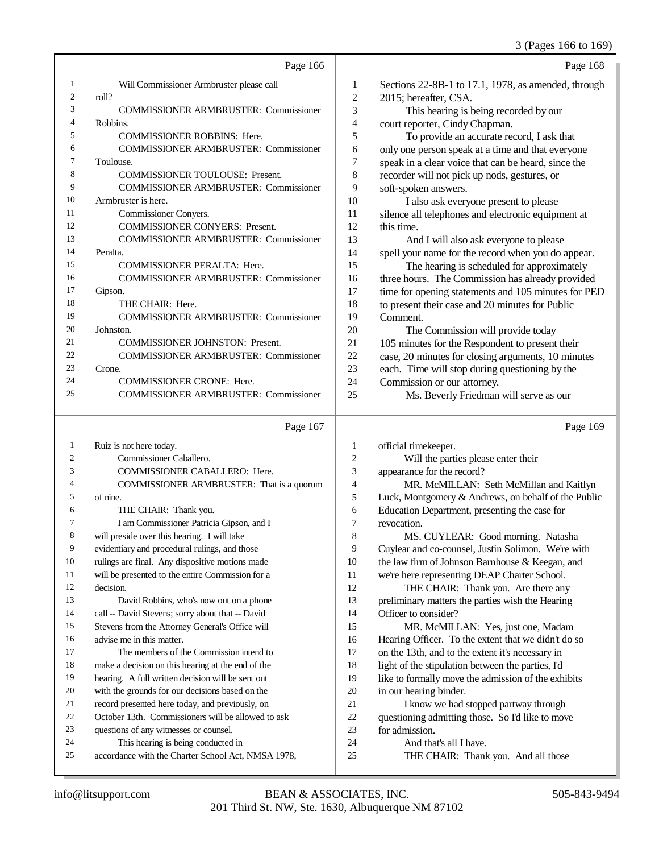#### 3 (Pages 166 to 169)

|                | Page 166                                        |                | Page 168                                            |
|----------------|-------------------------------------------------|----------------|-----------------------------------------------------|
| 1              | Will Commissioner Armbruster please call        | 1              | Sections 22-8B-1 to 17.1, 1978, as amended, through |
| $\overline{c}$ | roll?                                           | $\overline{c}$ | 2015; hereafter, CSA.                               |
| 3              | <b>COMMISSIONER ARMBRUSTER: Commissioner</b>    | 3              | This hearing is being recorded by our               |
| 4              | Robbins.                                        | 4              | court reporter, Cindy Chapman.                      |
| 5              | <b>COMMISSIONER ROBBINS: Here.</b>              | 5              | To provide an accurate record, I ask that           |
| 6              | <b>COMMISSIONER ARMBRUSTER: Commissioner</b>    | 6              | only one person speak at a time and that everyone   |
| 7              | Toulouse.                                       | 7              | speak in a clear voice that can be heard, since the |
| 8              | COMMISSIONER TOULOUSE: Present.                 | 8              | recorder will not pick up nods, gestures, or        |
| 9              | <b>COMMISSIONER ARMBRUSTER: Commissioner</b>    | 9              | soft-spoken answers.                                |
| 10             | Armbruster is here.                             | 10             | I also ask everyone present to please               |
| 11             | Commissioner Conyers.                           | 11             | silence all telephones and electronic equipment at  |
| 12             | <b>COMMISSIONER CONYERS: Present.</b>           | 12             | this time.                                          |
| 13             | COMMISSIONER ARMBRUSTER: Commissioner           | 13             | And I will also ask everyone to please              |
| 14             | Peralta.                                        | 14             | spell your name for the record when you do appear.  |
| 15             | <b>COMMISSIONER PERALTA: Here.</b>              | 15             | The hearing is scheduled for approximately          |
| 16             | <b>COMMISSIONER ARMBRUSTER: Commissioner</b>    | 16             | three hours. The Commission has already provided    |
| 17             | Gipson.                                         | 17             | time for opening statements and 105 minutes for PED |
| 18             | THE CHAIR: Here.                                | 18             | to present their case and 20 minutes for Public     |
| 19             | <b>COMMISSIONER ARMBRUSTER: Commissioner</b>    | 19             | Comment.                                            |
| 20             | Johnston.                                       | 20             | The Commission will provide today                   |
| 21             | <b>COMMISSIONER JOHNSTON: Present.</b>          | 21             | 105 minutes for the Respondent to present their     |
| 22             | <b>COMMISSIONER ARMBRUSTER: Commissioner</b>    | 22             | case, 20 minutes for closing arguments, 10 minutes  |
| 23             | Crone.                                          | 23             | each. Time will stop during questioning by the      |
| 24             | <b>COMMISSIONER CRONE: Here.</b>                | 24             | Commission or our attorney.                         |
| 25             | <b>COMMISSIONER ARMBRUSTER: Commissioner</b>    | 25             | Ms. Beverly Friedman will serve as our              |
|                | Page 167                                        |                | Page 169                                            |
| 1              | Ruiz is not here today.                         | 1              | official timekeeper.                                |
| $\overline{c}$ | Commissioner Caballero.                         | $\overline{c}$ | Will the parties please enter their                 |
| 3              | COMMISSIONER CABALLERO: Here.                   | 3              | appearance for the record?                          |
| 4              | COMMISSIONER ARMBRUSTER: That is a quorum       | $\overline{4}$ | MR. McMILLAN: Seth McMillan and Kaitlyn             |
| 5              | of nine.                                        | 5              | Luck, Montgomery & Andrews, on behalf of the Public |
| 6              | THE CHAIR: Thank you.                           | 6              | Education Department, presenting the case for       |
| 7              | I am Commissioner Patricia Gipson, and I        | 7              | revocation.                                         |
| 8              | will preside over this hearing. I will take     | 8              | MS. CUYLEAR: Good morning. Natasha                  |
| 9              | evidentiary and procedural rulings, and those   | 9              | Cuylear and co-counsel, Justin Solimon. We're with  |
| 10             | rulings are final. Any dispositive motions made | 10             | the law firm of Johnson Barnhouse & Keegan, and     |

will be presented to the entire Commission for a

- decision. David Robbins, who's now out on a phone call -- David Stevens; sorry about that -- David
- Stevens from the Attorney General's Office will advise me in this matter.
- The members of the Commission intend to make a decision on this hearing at the end of the hearing. A full written decision will be sent out
- with the grounds for our decisions based on the
- record presented here today, and previously, on
- October 13th. Commissioners will be allowed to ask
- questions of any witnesses or counsel.
- This hearing is being conducted in
- accordance with the Charter School Act, NMSA 1978,
- the law firm of Johnson Barnhouse & Keegan, and we're here representing DEAP Charter School. 12 THE CHAIR: Thank you. Are there any
- preliminary matters the parties wish the Hearing Officer to consider?
- MR. McMILLAN: Yes, just one, Madam Hearing Officer. To the extent that we didn't do so on the 13th, and to the extent it's necessary in light of the stipulation between the parties, I'd like to formally move the admission of the exhibits
- in our hearing binder. 21 I know we had stopped partway through
- questioning admitting those. So I'd like to move
- for admission.
- And that's all I have.
- THE CHAIR: Thank you. And all those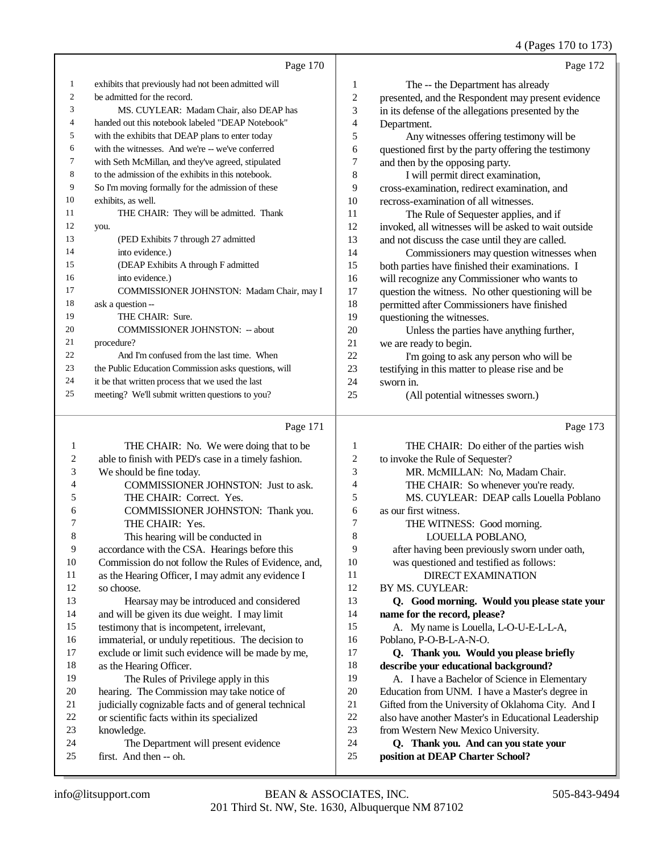4 (Pages 170 to 173)

|    |                                                      |    | (1.4)                                                |
|----|------------------------------------------------------|----|------------------------------------------------------|
|    | Page 170                                             |    | Page 172                                             |
| 1  | exhibits that previously had not been admitted will  | 1  | The -- the Department has already                    |
| 2  | be admitted for the record.                          | 2  | presented, and the Respondent may present evidence   |
| 3  | MS. CUYLEAR: Madam Chair, also DEAP has              | 3  | in its defense of the allegations presented by the   |
| 4  | handed out this notebook labeled "DEAP Notebook"     | 4  | Department.                                          |
| 5  | with the exhibits that DEAP plans to enter today     | 5  | Any witnesses offering testimony will be             |
| 6  | with the witnesses. And we're -- we've conferred     | 6  | questioned first by the party offering the testimony |
| 7  | with Seth McMillan, and they've agreed, stipulated   | 7  | and then by the opposing party.                      |
| 8  | to the admission of the exhibits in this notebook.   | 8  | I will permit direct examination,                    |
| 9  | So I'm moving formally for the admission of these    | 9  | cross-examination, redirect examination, and         |
| 10 | exhibits, as well.                                   | 10 | recross-examination of all witnesses.                |
| 11 | THE CHAIR: They will be admitted. Thank              | 11 | The Rule of Sequester applies, and if                |
| 12 | you.                                                 | 12 | invoked, all witnesses will be asked to wait outside |
| 13 | (PED Exhibits 7 through 27 admitted                  | 13 | and not discuss the case until they are called.      |
| 14 | into evidence.)                                      | 14 | Commissioners may question witnesses when            |
| 15 | (DEAP Exhibits A through F admitted                  | 15 | both parties have finished their examinations. I     |
| 16 | into evidence.)                                      | 16 | will recognize any Commissioner who wants to         |
| 17 | COMMISSIONER JOHNSTON: Madam Chair, may I            | 17 | question the witness. No other questioning will be   |
| 18 | ask a question --                                    | 18 | permitted after Commissioners have finished          |
| 19 | THE CHAIR: Sure.                                     | 19 | questioning the witnesses.                           |
| 20 | <b>COMMISSIONER JOHNSTON: -- about</b>               | 20 | Unless the parties have anything further,            |
| 21 | procedure?                                           | 21 | we are ready to begin.                               |
| 22 | And I'm confused from the last time. When            | 22 | I'm going to ask any person who will be              |
| 23 | the Public Education Commission asks questions, will | 23 | testifying in this matter to please rise and be      |
| 24 | it be that written process that we used the last     | 24 | sworn in.                                            |
| 25 | meeting? We'll submit written questions to you?      | 25 | (All potential witnesses sworn.)                     |
|    |                                                      |    |                                                      |

## Page 171

|    | Page 171                                             |    | Page 173                                             |
|----|------------------------------------------------------|----|------------------------------------------------------|
| 1  | THE CHAIR: No. We were doing that to be              | 1  | THE CHAIR: Do either of the parties wish             |
| 2  | able to finish with PED's case in a timely fashion.  | 2  | to invoke the Rule of Sequester?                     |
| 3  | We should be fine today.                             | 3  | MR. McMILLAN: No, Madam Chair.                       |
| 4  | COMMISSIONER JOHNSTON: Just to ask.                  | 4  | THE CHAIR: So whenever you're ready.                 |
| 5  | THE CHAIR: Correct. Yes.                             | 5  | MS. CUYLEAR: DEAP calls Louella Poblano              |
| 6  | COMMISSIONER JOHNSTON: Thank you.                    | 6  | as our first witness.                                |
| 7  | THE CHAIR: Yes.                                      | 7  | THE WITNESS: Good morning.                           |
| 8  | This hearing will be conducted in                    | 8  | LOUELLA POBLANO,                                     |
| 9  | accordance with the CSA. Hearings before this        | 9  | after having been previously sworn under oath,       |
| 10 | Commission do not follow the Rules of Evidence, and, | 10 | was questioned and testified as follows:             |
| 11 | as the Hearing Officer, I may admit any evidence I   | 11 | <b>DIRECT EXAMINATION</b>                            |
| 12 | so choose.                                           | 12 | BY MS. CUYLEAR:                                      |
| 13 | Hearsay may be introduced and considered             | 13 | Q. Good morning. Would you please state your         |
| 14 | and will be given its due weight. I may limit        | 14 | name for the record, please?                         |
| 15 | testimony that is incompetent, irrelevant,           | 15 | A. My name is Louella, L-O-U-E-L-L-A,                |
| 16 | immaterial, or unduly repetitious. The decision to   | 16 | Poblano, P-O-B-L-A-N-O.                              |
| 17 | exclude or limit such evidence will be made by me,   | 17 | Q. Thank you. Would you please briefly               |
| 18 | as the Hearing Officer.                              | 18 | describe your educational background?                |
| 19 | The Rules of Privilege apply in this                 | 19 | A. I have a Bachelor of Science in Elementary        |
| 20 | hearing. The Commission may take notice of           | 20 | Education from UNM. I have a Master's degree in      |
| 21 | judicially cognizable facts and of general technical | 21 | Gifted from the University of Oklahoma City. And I   |
| 22 | or scientific facts within its specialized           | 22 | also have another Master's in Educational Leadership |
| 23 | knowledge.                                           | 23 | from Western New Mexico University.                  |
| 24 | The Department will present evidence                 | 24 | Q. Thank you. And can you state your                 |
| 25 | first. And then -- oh.                               | 25 | position at DEAP Charter School?                     |
|    |                                                      |    |                                                      |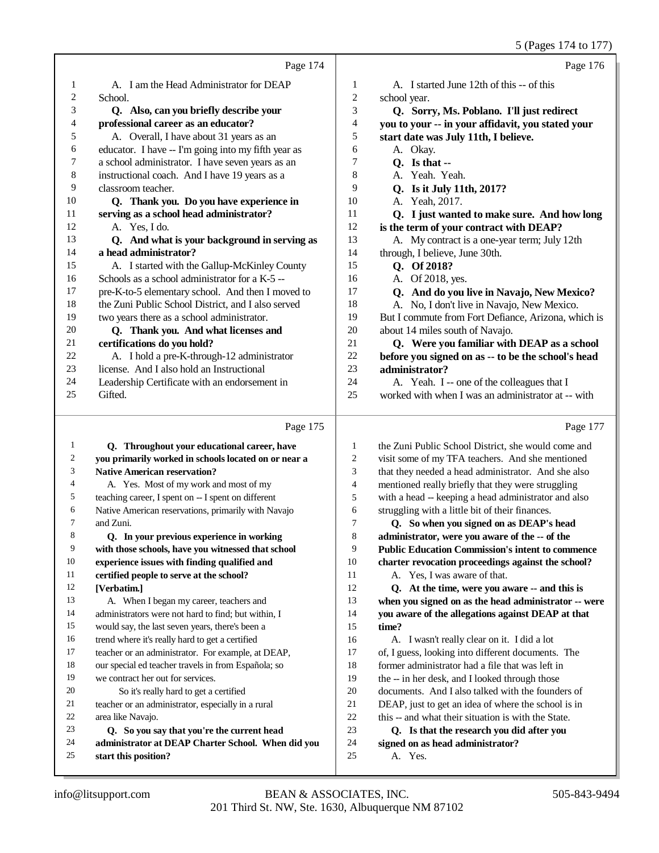5 (Pages 174 to 177)

|                |                                                     |                | $J(1 \text{ gCs } 1 + 1011)$                        |
|----------------|-----------------------------------------------------|----------------|-----------------------------------------------------|
|                | Page 174                                            |                | Page 176                                            |
| 1              | A. I am the Head Administrator for DEAP             | 1              | A. I started June 12th of this -- of this           |
| $\overline{c}$ | School.                                             | 2              | school year.                                        |
| 3              | Q. Also, can you briefly describe your              | 3              | Q. Sorry, Ms. Poblano. I'll just redirect           |
| 4              | professional career as an educator?                 | $\overline{4}$ | you to your -- in your affidavit, you stated your   |
| 5              | A. Overall, I have about 31 years as an             | 5              | start date was July 11th, I believe.                |
| 6              | educator. I have -- I'm going into my fifth year as | 6              | A. Okay.                                            |
| 7              | a school administrator. I have seven years as an    | 7              | $Q.$ Is that $-$                                    |
| 8              | instructional coach. And I have 19 years as a       | 8              | A. Yeah. Yeah.                                      |
| 9              | classroom teacher.                                  | 9              | Q. Is it July 11th, 2017?                           |
| 10             | Q. Thank you. Do you have experience in             | 10             | A. Yeah, 2017.                                      |
| 11             | serving as a school head administrator?             | 11             | Q. I just wanted to make sure. And how long         |
| 12             | A. Yes, I do.                                       | 12             | is the term of your contract with DEAP?             |
| 13             | Q. And what is your background in serving as        | 13             | A. My contract is a one-year term; July 12th        |
| 14             | a head administrator?                               | 14             | through, I believe, June 30th.                      |
| 15             | A. I started with the Gallup-McKinley County        | 15             | Q. Of 2018?                                         |
| 16             | Schools as a school administrator for a K-5 --      | 16             | A. Of 2018, yes.                                    |
| 17             | pre-K-to-5 elementary school. And then I moved to   | 17             | Q. And do you live in Navajo, New Mexico?           |
| 18             | the Zuni Public School District, and I also served  | 18             | A. No, I don't live in Navajo, New Mexico.          |
| 19             | two years there as a school administrator.          | 19             | But I commute from Fort Defiance, Arizona, which is |
| 20             | Q. Thank you. And what licenses and                 | 20             | about 14 miles south of Navajo.                     |
| 21             | certifications do you hold?                         | 21             | Q. Were you familiar with DEAP as a school          |
| 22             | A. I hold a pre-K-through-12 administrator          | 22             | before you signed on as -- to be the school's head  |
| 23             | license. And I also hold an Instructional           | 23             | administrator?                                      |
| 24             | Leadership Certificate with an endorsement in       | 24             | A. Yeah. I -- one of the colleagues that I          |
| 25             | Gifted.                                             | 25             | worked with when I was an administrator at -- with  |
|                | Page 175                                            |                | Page 177                                            |
| 1              | O. Throughout your educational career, have         | 1              | the Zuni Public School District, she would come and |

|    | $1 \mu N$                                            |                | $1 \mu_{\odot}$ $1 \mu$                                 |
|----|------------------------------------------------------|----------------|---------------------------------------------------------|
|    | Q. Throughout your educational career, have          | 1              | the Zuni Public School District, she would come and     |
| 2  | you primarily worked in schools located on or near a | 2              | visit some of my TFA teachers. And she mentioned        |
| 3  | <b>Native American reservation?</b>                  | 3              | that they needed a head administrator. And she also     |
| 4  | A. Yes. Most of my work and most of my               | $\overline{4}$ | mentioned really briefly that they were struggling      |
| 5  | teaching career, I spent on -- I spent on different  | 5              | with a head -- keeping a head administrator and also    |
| 6  | Native American reservations, primarily with Navajo  | 6              | struggling with a little bit of their finances.         |
| 7  | and Zuni.                                            | 7              | Q. So when you signed on as DEAP's head                 |
| 8  | Q. In your previous experience in working            | 8              | administrator, were you aware of the -- of the          |
| 9  | with those schools, have you witnessed that school   | 9              | <b>Public Education Commission's intent to commence</b> |
| 10 | experience issues with finding qualified and         | 10             | charter revocation proceedings against the school?      |
| 11 | certified people to serve at the school?             | 11             | A. Yes, I was aware of that.                            |
| 12 | [Verbatim.]                                          | 12             | Q. At the time, were you aware -- and this is           |
| 13 | A. When I began my career, teachers and              | 13             | when you signed on as the head administrator -- were    |
| 14 | administrators were not hard to find; but within, I  | 14             | you aware of the allegations against DEAP at that       |
| 15 | would say, the last seven years, there's been a      | 15             | time?                                                   |
| 16 | trend where it's really hard to get a certified      | 16             | A. I wasn't really clear on it. I did a lot             |
| 17 | teacher or an administrator. For example, at DEAP,   | 17             | of, I guess, looking into different documents. The      |
| 18 | our special ed teacher travels in from Española; so  | 18             | former administrator had a file that was left in        |
| 19 | we contract her out for services.                    | 19             | the -- in her desk, and I looked through those          |
| 20 | So it's really hard to get a certified               | 20             | documents. And I also talked with the founders of       |
| 21 | teacher or an administrator, especially in a rural   | 21             | DEAP, just to get an idea of where the school is in     |
| 22 | area like Navajo.                                    | 22             | this -- and what their situation is with the State.     |
| 23 | Q. So you say that you're the current head           | 23             | Q. Is that the research you did after you               |
| 24 | administrator at DEAP Charter School. When did you   | 24             | signed on as head administrator?                        |
| 25 | start this position?                                 | 25             | A. Yes.                                                 |
|    |                                                      |                |                                                         |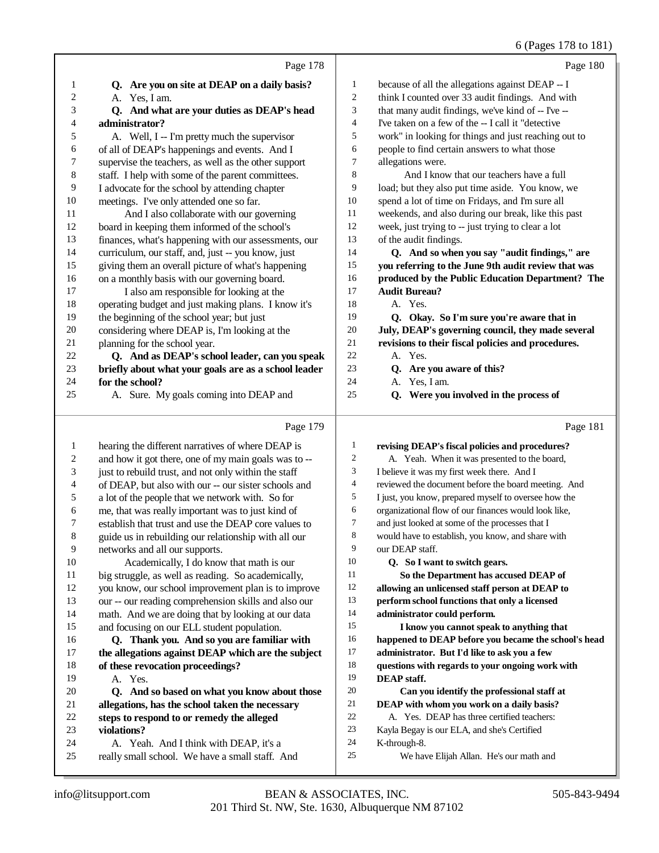#### 6 (Pages 178 to 181)

|        |                                                      |    | $\sim$ $(2.45)$                                      |
|--------|------------------------------------------------------|----|------------------------------------------------------|
|        | Page 178                                             |    | Page 180                                             |
| 1      | Q. Are you on site at DEAP on a daily basis?         | 1  | because of all the allegations against DEAP -- I     |
| 2      | A. Yes, I am.                                        | 2  | think I counted over 33 audit findings. And with     |
| 3      | Q. And what are your duties as DEAP's head           | 3  | that many audit findings, we've kind of -- I've --   |
| 4      | administrator?                                       | 4  | I've taken on a few of the -- I call it "detective   |
| 5      | A. Well, I -- I'm pretty much the supervisor         | 5  | work" in looking for things and just reaching out to |
| 6      | of all of DEAP's happenings and events. And I        | 6  | people to find certain answers to what those         |
| 7      | supervise the teachers, as well as the other support | 7  | allegations were.                                    |
| 8      | staff. I help with some of the parent committees.    | 8  | And I know that our teachers have a full             |
| 9      | I advocate for the school by attending chapter       | 9  | load; but they also put time aside. You know, we     |
| 10     | meetings. I've only attended one so far.             | 10 | spend a lot of time on Fridays, and I'm sure all     |
| 11     | And I also collaborate with our governing            | 11 | weekends, and also during our break, like this past  |
| 12     | board in keeping them informed of the school's       | 12 | week, just trying to -- just trying to clear a lot   |
| 13     | finances, what's happening with our assessments, our | 13 | of the audit findings.                               |
| 14     | curriculum, our staff, and, just -- you know, just   | 14 | Q. And so when you say "audit findings," are         |
| 15     | giving them an overall picture of what's happening   | 15 | you referring to the June 9th audit review that was  |
| 16     | on a monthly basis with our governing board.         | 16 | produced by the Public Education Department? The     |
| 17     | I also am responsible for looking at the             | 17 | <b>Audit Bureau?</b>                                 |
| 18     | operating budget and just making plans. I know it's  | 18 | A. Yes.                                              |
| 19     | the beginning of the school year; but just           | 19 | Q. Okay. So I'm sure you're aware that in            |
| 20     | considering where DEAP is, I'm looking at the        | 20 | July, DEAP's governing council, they made several    |
| 21     | planning for the school year.                        | 21 | revisions to their fiscal policies and procedures.   |
| 22     | Q. And as DEAP's school leader, can you speak        | 22 | A. Yes.                                              |
| 23     | briefly about what your goals are as a school leader | 23 | Q. Are you aware of this?                            |
| 24     | for the school?                                      | 24 | A. Yes, I am.                                        |
| 25     | A. Sure. My goals coming into DEAP and               | 25 | Q. Were you involved in the process of               |
|        | Page 179                                             |    | Page 181                                             |
| 1      | hearing the different narratives of where DEAP is    | 1  | revising DEAP's fiscal policies and procedures?      |
| 2      | and how it got there, one of my main goals was to -- | 2  | A. Yeah. When it was presented to the board,         |
| 3      | just to rebuild trust, and not only within the staff | 3  | I believe it was my first week there. And I          |
| 4      | of DEAP, but also with our -- our sister schools and | 4  | reviewed the document before the board meeting. And  |
| 5      | a lot of the people that we network with. So for     | 5  | I just, you know, prepared myself to oversee how the |
| 6      | me, that was really important was to just kind of    | 6  | organizational flow of our finances would look like, |
| 7      | establish that trust and use the DEAP core values to | 7  | and just looked at some of the processes that I      |
| 8      | guide us in rebuilding our relationship with all our | 8  | would have to establish, you know, and share with    |
| 9      | networks and all our supports.                       | 9  | our DEAP staff.                                      |
| $10\,$ | Academically, I do know that math is our             | 10 | Q. So I want to switch gears.                        |
| 11     | big struggle, as well as reading. So academically,   | 11 | So the Department has accused DEAP of                |
| 12     | you know, our school improvement plan is to improve  | 12 | allowing an unlicensed staff person at DEAP to       |
| 13     | our -- our reading comprehension skills and also our | 13 | perform school functions that only a licensed        |
| 14     | math. And we are doing that by looking at our data   | 14 | administrator could perform.                         |
| 15     | and focusing on our ELL student population.          | 15 | I know you cannot speak to anything that             |

 **the allegations against DEAP which are the subject happened to DEAP before you became the school's head administrator. But I'd like to ask you a few**

 **questions with regards to your ongoing work with DEAP staff.**

- **Can you identify the professional staff at**
- **DEAP with whom you work on a daily basis?**
- A. Yes. DEAP has three certified teachers:
- Kayla Begay is our ELA, and she's Certified
- K-through-8.
- We have Elijah Allan. He's our math and

**violations?**

16 **Q. Thank you. And so you are familiar with**<br>17 **the allegations against DEAP which are the subject-**

20 **Q.** And so based on what you know about those<br>21 **allegations**, has the school taken the necessary **allegations, has the school taken the necessary steps to respond to or remedy the alleged**

A. Yeah. And I think with DEAP, it's a really small school. We have a small staff. And

18 **of these revocation proceedings?**<br>19 A. Yes.

A. Yes.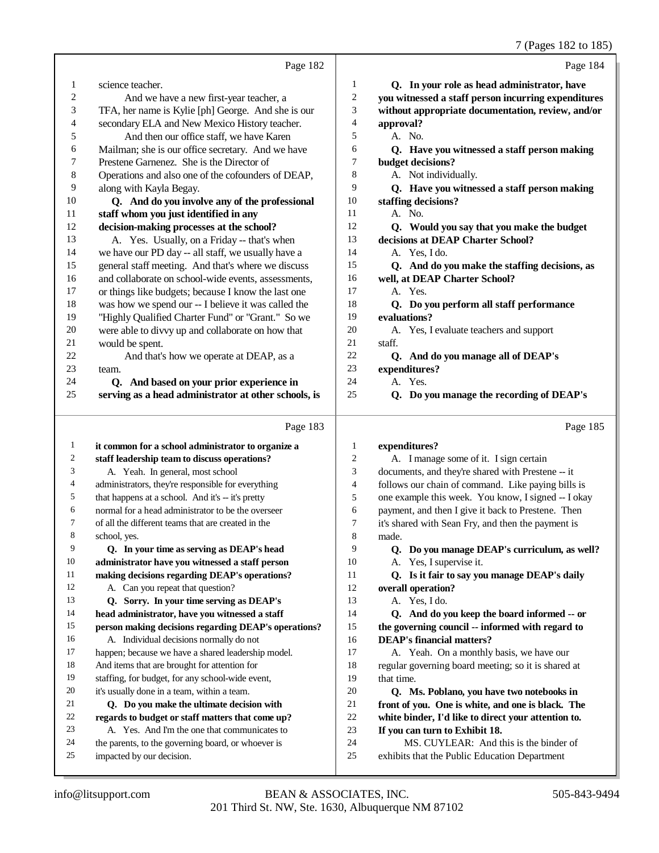# 7 (Pages 182 to 185)

|              | Page 182                                                                                      |                | Page 184                                                                                                 |
|--------------|-----------------------------------------------------------------------------------------------|----------------|----------------------------------------------------------------------------------------------------------|
| 1            | science teacher.                                                                              | 1              | Q. In your role as head administrator, have                                                              |
| 2            | And we have a new first-year teacher, a                                                       | $\overline{c}$ | you witnessed a staff person incurring expenditures                                                      |
| 3            | TFA, her name is Kylie [ph] George. And she is our                                            | 3              | without appropriate documentation, review, and/or                                                        |
| 4            | secondary ELA and New Mexico History teacher.                                                 | 4              | approval?                                                                                                |
| 5            | And then our office staff, we have Karen                                                      | 5              | A. No.                                                                                                   |
| 6            | Mailman; she is our office secretary. And we have                                             | 6              | Q. Have you witnessed a staff person making                                                              |
| 7            | Prestene Garnenez. She is the Director of                                                     | 7              | budget decisions?                                                                                        |
| 8            | Operations and also one of the cofounders of DEAP,                                            | $\,8\,$        | A. Not individually.                                                                                     |
| 9            | along with Kayla Begay.                                                                       | 9              | Q. Have you witnessed a staff person making                                                              |
| 10           | Q. And do you involve any of the professional                                                 | 10             | staffing decisions?                                                                                      |
| 11           | staff whom you just identified in any                                                         | 11             | A. No.                                                                                                   |
| 12           | decision-making processes at the school?                                                      | 12             | Q. Would you say that you make the budget                                                                |
| 13           | A. Yes. Usually, on a Friday -- that's when                                                   | 13             | decisions at DEAP Charter School?                                                                        |
| 14           | we have our PD day -- all staff, we usually have a                                            | 14             | A. Yes, I do.                                                                                            |
| 15           | general staff meeting. And that's where we discuss                                            | 15             | Q. And do you make the staffing decisions, as                                                            |
| 16           | and collaborate on school-wide events, assessments,                                           | 16             | well, at DEAP Charter School?                                                                            |
| 17           | or things like budgets; because I know the last one                                           | 17             | A. Yes.                                                                                                  |
| 18           | was how we spend our -- I believe it was called the                                           | 18             | Q. Do you perform all staff performance                                                                  |
| 19           | "Highly Qualified Charter Fund" or "Grant." So we                                             | 19             | evaluations?                                                                                             |
| 20           | were able to divvy up and collaborate on how that                                             | 20<br>21       | A. Yes, I evaluate teachers and support                                                                  |
| 21<br>22     | would be spent.                                                                               | 22             | staff.                                                                                                   |
| 23           | And that's how we operate at DEAP, as a<br>team.                                              | 23             | Q. And do you manage all of DEAP's<br>expenditures?                                                      |
| 24           | Q. And based on your prior experience in                                                      | 24             | A. Yes.                                                                                                  |
| 25           | serving as a head administrator at other schools, is                                          | 25             | Q. Do you manage the recording of DEAP's                                                                 |
|              |                                                                                               |                |                                                                                                          |
|              |                                                                                               |                |                                                                                                          |
|              | Page 183                                                                                      |                | Page 185                                                                                                 |
| $\mathbf{1}$ | it common for a school administrator to organize a                                            | $\mathbf{1}$   | expenditures?                                                                                            |
| 2            | staff leadership team to discuss operations?                                                  | 2              | A. I manage some of it. I sign certain                                                                   |
| 3            | A. Yeah. In general, most school                                                              | 3              | documents, and they're shared with Prestene -- it                                                        |
| 4            | administrators, they're responsible for everything                                            | 4              | follows our chain of command. Like paying bills is                                                       |
| 5            | that happens at a school. And it's -- it's pretty                                             | 5              | one example this week. You know, I signed -- I okay                                                      |
| 6            | normal for a head administrator to be the overseer                                            | 6              | payment, and then I give it back to Prestene. Then                                                       |
| 7            | of all the different teams that are created in the                                            | 7              | it's shared with Sean Fry, and then the payment is                                                       |
| 8            | school, yes.                                                                                  | 8              | made.                                                                                                    |
| 9            | Q. In your time as serving as DEAP's head                                                     | 9              | Q. Do you manage DEAP's curriculum, as well?                                                             |
| 10           | administrator have you witnessed a staff person                                               | 10             | A. Yes, I supervise it.                                                                                  |
| 11           | making decisions regarding DEAP's operations?                                                 | 11             | Q. Is it fair to say you manage DEAP's daily                                                             |
| 12           | A. Can you repeat that question?                                                              | 12             | overall operation?                                                                                       |
| 13           | Q. Sorry. In your time serving as DEAP's                                                      | 13             | A. Yes, I do.                                                                                            |
| 14           | head administrator, have you witnessed a staff                                                | 14             | Q. And do you keep the board informed -- or                                                              |
| 15           | person making decisions regarding DEAP's operations?                                          | 15             | the governing council -- informed with regard to                                                         |
| 16           | A. Individual decisions normally do not                                                       | 16             | <b>DEAP's financial matters?</b>                                                                         |
| 17           | happen; because we have a shared leadership model.                                            | 17             | A. Yeah. On a monthly basis, we have our                                                                 |
| 18<br>19     | And items that are brought for attention for                                                  | 18             | regular governing board meeting; so it is shared at                                                      |
| 20           | staffing, for budget, for any school-wide event,                                              | 19<br>20       | that time.                                                                                               |
| 21           | it's usually done in a team, within a team.                                                   | $21\,$         | Q. Ms. Poblano, you have two notebooks in                                                                |
| 22           | Q. Do you make the ultimate decision with<br>regards to budget or staff matters that come up? | 22             | front of you. One is white, and one is black. The<br>white binder, I'd like to direct your attention to. |
| 23           | A. Yes. And I'm the one that communicates to                                                  | 23             | If you can turn to Exhibit 18.                                                                           |
| 24           | the parents, to the governing board, or whoever is                                            | 24             | MS. CUYLEAR: And this is the binder of                                                                   |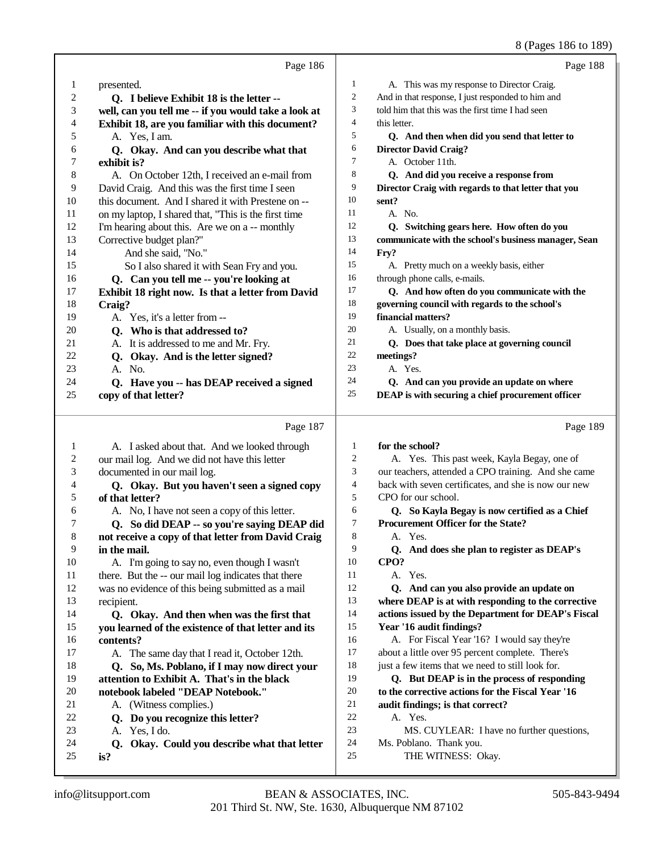### 8 (Pages 186 to 189)

|          | Page 186                                                       | Page 188                                                                                                                      |  |
|----------|----------------------------------------------------------------|-------------------------------------------------------------------------------------------------------------------------------|--|
| 1        | presented.                                                     | 1<br>A. This was my response to Director Craig.                                                                               |  |
| 2        | Q. I believe Exhibit 18 is the letter --                       | $\overline{2}$<br>And in that response, I just responded to him and                                                           |  |
| 3        | well, can you tell me -- if you would take a look at           | 3<br>told him that this was the first time I had seen                                                                         |  |
| 4        | Exhibit 18, are you familiar with this document?               | $\overline{4}$<br>this letter.                                                                                                |  |
| 5        | A. Yes, I am.                                                  | 5<br>Q. And then when did you send that letter to                                                                             |  |
| 6        | Q. Okay. And can you describe what that                        | 6<br><b>Director David Craig?</b>                                                                                             |  |
| 7        | exhibit is?                                                    | 7<br>A. October 11th.                                                                                                         |  |
| 8        | A. On October 12th, I received an e-mail from                  | 8<br>Q. And did you receive a response from                                                                                   |  |
| 9        | David Craig. And this was the first time I seen                | 9<br>Director Craig with regards to that letter that you                                                                      |  |
| 10       | this document. And I shared it with Prestene on --             | 10<br>sent?                                                                                                                   |  |
| 11       | on my laptop, I shared that, "This is the first time           | 11<br>A. No.                                                                                                                  |  |
| 12       | I'm hearing about this. Are we on a -- monthly                 | 12<br>Q. Switching gears here. How often do you                                                                               |  |
| 13       | Corrective budget plan?"                                       | 13<br>communicate with the school's business manager, Sean                                                                    |  |
| 14       | And she said, "No."                                            | 14<br>Fry?                                                                                                                    |  |
| 15       | So I also shared it with Sean Fry and you.                     | 15<br>A. Pretty much on a weekly basis, either                                                                                |  |
| 16       | Q. Can you tell me -- you're looking at                        | 16<br>through phone calls, e-mails.                                                                                           |  |
| 17       | Exhibit 18 right now. Is that a letter from David              | 17<br>Q. And how often do you communicate with the                                                                            |  |
| 18       | Craig?                                                         | 18<br>governing council with regards to the school's                                                                          |  |
| 19       | A. Yes, it's a letter from --                                  | 19<br>financial matters?                                                                                                      |  |
| 20       | Q. Who is that addressed to?                                   | 20<br>A. Usually, on a monthly basis.                                                                                         |  |
| 21       | A. It is addressed to me and Mr. Fry.                          | 21<br>Q. Does that take place at governing council                                                                            |  |
| 22       | Q. Okay. And is the letter signed?                             | 22<br>meetings?                                                                                                               |  |
| 23       | A. No.                                                         | 23<br>A. Yes.                                                                                                                 |  |
| 24       | Q. Have you -- has DEAP received a signed                      | 24<br>Q. And can you provide an update on where                                                                               |  |
| 25       | copy of that letter?                                           | 25<br>DEAP is with securing a chief procurement officer                                                                       |  |
|          |                                                                |                                                                                                                               |  |
|          | Page 187                                                       | Page 189                                                                                                                      |  |
| 1        |                                                                | 1<br>for the school?                                                                                                          |  |
| 2        | A. I asked about that. And we looked through                   | $\overline{c}$<br>A. Yes. This past week, Kayla Begay, one of                                                                 |  |
| 3        | our mail log. And we did not have this letter                  | 3                                                                                                                             |  |
| 4        | documented in our mail log.                                    | our teachers, attended a CPO training. And she came<br>$\overline{4}$<br>back with seven certificates, and she is now our new |  |
| 5        | Q. Okay. But you haven't seen a signed copy<br>of that letter? | 5<br>CPO for our school.                                                                                                      |  |
| 6        | A. No, I have not seen a copy of this letter.                  | 6<br>Q. So Kayla Begay is now certified as a Chief                                                                            |  |
| 7        | Q. So did DEAP -- so you're saying DEAP did                    | 7<br>Procurement Officer for the State?                                                                                       |  |
| 8        | not receive a copy of that letter from David Craig             | 8<br>A. Yes.                                                                                                                  |  |
| 9        | in the mail.                                                   | 9<br>Q. And does she plan to register as DEAP's                                                                               |  |
| 10       | A. I'm going to say no, even though I wasn't                   | 10<br>CPO?                                                                                                                    |  |
| 11       | there. But the -- our mail log indicates that there            | 11<br>A. Yes.                                                                                                                 |  |
| 12       | was no evidence of this being submitted as a mail              | 12<br>Q. And can you also provide an update on                                                                                |  |
| 13       | recipient.                                                     | 13<br>where DEAP is at with responding to the corrective                                                                      |  |
| 14       | Q. Okay. And then when was the first that                      | 14<br>actions issued by the Department for DEAP's Fiscal                                                                      |  |
| 15       | you learned of the existence of that letter and its            | 15<br>Year '16 audit findings?                                                                                                |  |
| 16       | contents?                                                      | 16<br>A. For Fiscal Year '16? I would say they're                                                                             |  |
| 17       | A. The same day that I read it, October 12th.                  | 17<br>about a little over 95 percent complete. There's                                                                        |  |
| 18       | Q. So, Ms. Poblano, if I may now direct your                   | 18<br>just a few items that we need to still look for.                                                                        |  |
| 19       | attention to Exhibit A. That's in the black                    | 19<br>Q. But DEAP is in the process of responding                                                                             |  |
| $20\,$   | notebook labeled "DEAP Notebook."                              | 20<br>to the corrective actions for the Fiscal Year '16                                                                       |  |
| 21       | A. (Witness complies.)                                         | 21<br>audit findings; is that correct?                                                                                        |  |
| $22\,$   | Q. Do you recognize this letter?                               | $22\,$<br>A. Yes.                                                                                                             |  |
| 23       | A. Yes, I do.                                                  | 23<br>MS. CUYLEAR: I have no further questions,                                                                               |  |
| 24<br>25 | Q. Okay. Could you describe what that letter<br>is?            | 24<br>Ms. Poblano. Thank you.<br>25<br>THE WITNESS: Okay.                                                                     |  |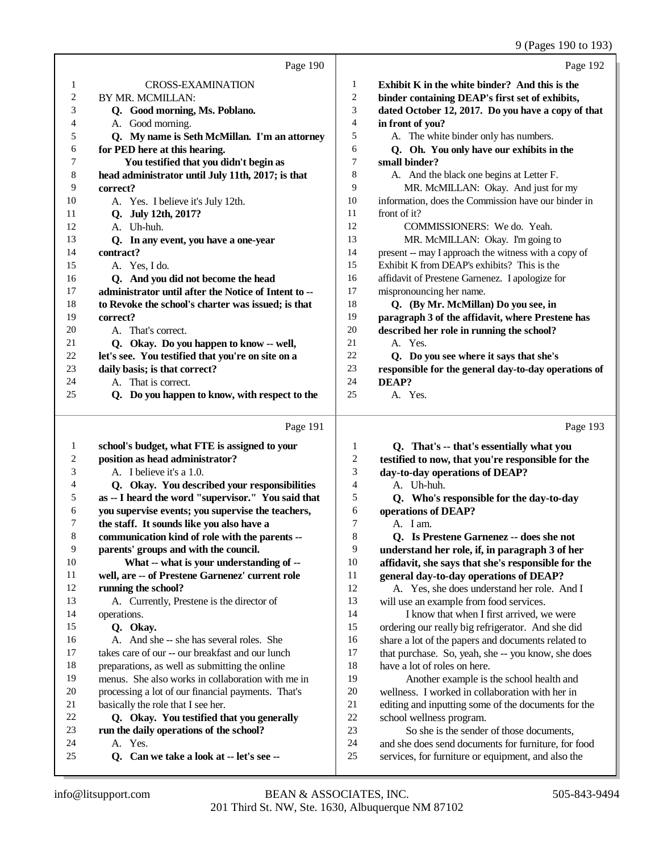9 (Pages 190 to 193)

|             | Page 190                                             |                         | Page 192                                             |
|-------------|------------------------------------------------------|-------------------------|------------------------------------------------------|
| 1           | <b>CROSS-EXAMINATION</b>                             | 1                       | Exhibit K in the white binder? And this is the       |
| 2           | BY MR. MCMILLAN:                                     | $\overline{c}$          | binder containing DEAP's first set of exhibits,      |
| 3           | Q. Good morning, Ms. Poblano.                        | $\sqrt{3}$              | dated October 12, 2017. Do you have a copy of that   |
| 4           | A. Good morning.                                     | $\overline{\mathbf{4}}$ | in front of you?                                     |
| 5           | Q. My name is Seth McMillan. I'm an attorney         | 5                       | A. The white binder only has numbers.                |
| 6           | for PED here at this hearing.                        | 6                       | Q. Oh. You only have our exhibits in the             |
| 7           | You testified that you didn't begin as               | $\tau$                  | small binder?                                        |
| 8           | head administrator until July 11th, 2017; is that    | 8                       | A. And the black one begins at Letter F.             |
| 9           | correct?                                             | 9                       | MR. McMILLAN: Okay. And just for my                  |
| 10          | A. Yes. I believe it's July 12th.                    | 10                      | information, does the Commission have our binder in  |
| 11          | Q. July 12th, 2017?                                  | 11                      | front of it?                                         |
| 12          | A. Uh-huh.                                           | 12                      | COMMISSIONERS: We do. Yeah.                          |
| 13          | Q. In any event, you have a one-year                 | 13                      | MR. McMILLAN: Okay. I'm going to                     |
| 14          | contract?                                            | 14                      | present -- may I approach the witness with a copy of |
| 15          | A. Yes, I do.                                        | 15                      | Exhibit K from DEAP's exhibits? This is the          |
| 16          | Q. And you did not become the head                   | 16                      | affidavit of Prestene Garnenez. I apologize for      |
| 17          | administrator until after the Notice of Intent to -- | 17                      | mispronouncing her name.                             |
| 18          | to Revoke the school's charter was issued; is that   | 18                      | Q. (By Mr. McMillan) Do you see, in                  |
| 19          | correct?                                             | 19                      | paragraph 3 of the affidavit, where Prestene has     |
| 20          | A. That's correct.                                   | 20                      | described her role in running the school?            |
| 21          | Q. Okay. Do you happen to know -- well,              | 21                      | A. Yes.                                              |
| 22          | let's see. You testified that you're on site on a    | 22                      | Q. Do you see where it says that she's               |
| 23          | daily basis; is that correct?                        | 23                      | responsible for the general day-to-day operations of |
| 24          | A. That is correct.                                  | 24                      | DEAP?                                                |
| 25          | Q. Do you happen to know, with respect to the        | 25                      | A. Yes.                                              |
|             | Page 191                                             |                         | Page 193                                             |
| 1           | school's budget, what FTE is assigned to your        | $\mathbf{1}$            | Q. That's -- that's essentially what you             |
| 2           | position as head administrator?                      | $\overline{\mathbf{c}}$ | testified to now, that you're responsible for the    |
| 3           | A. I believe it's a 1.0.                             | 3                       | day-to-day operations of DEAP?                       |
| 4           | Q. Okay. You described your responsibilities         | 4                       | A. Uh-huh.                                           |
| 5           | as -- I heard the word "supervisor." You said that   | 5                       | Q. Who's responsible for the day-to-day              |
| 6           | you supervise events; you supervise the teachers,    | 6                       | operations of DEAP?                                  |
| 7           | the staff. It sounds like you also have a            | 7                       | A. I am.                                             |
| $\,$ 8 $\,$ | communication kind of role with the parents --       | 8                       | Q. Is Prestene Garnenez -- does she not              |
| 9           | parents' groups and with the council.                | 9                       | understand her role, if, in paragraph 3 of her       |
| 10          | What -- what is your understanding of --             | 10                      | affidavit, she says that she's responsible for the   |
| 11          | well, are -- of Prestene Garnenez' current role      | 11                      | general day-to-day operations of DEAP?               |
| 12          | running the school?                                  | 12                      | A. Yes, she does understand her role. And I          |
| 13          | A. Currently, Prestene is the director of            | 13                      | will use an example from food services.              |
| 14          | operations.                                          | 14                      | I know that when I first arrived, we were            |
| 15          |                                                      |                         |                                                      |
|             | Q. Okay.                                             | 15                      | ordering our really big refrigerator. And she did    |
| 16          | A. And she -- she has several roles. She             | 16                      | share a lot of the papers and documents related to   |
| 17          | takes care of our -- our breakfast and our lunch     | 17                      | that purchase. So, yeah, she -- you know, she does   |
| 18          | preparations, as well as submitting the online       | 18                      | have a lot of roles on here.                         |
| 19          | menus. She also works in collaboration with me in    | 19                      | Another example is the school health and             |
| 20          | processing a lot of our financial payments. That's   | $20\,$                  | wellness. I worked in collaboration with her in      |
| 21          | basically the role that I see her.                   | $21\,$                  | editing and inputting some of the documents for the  |
| 22          | Q. Okay. You testified that you generally            | 22                      | school wellness program.                             |
| 23          | run the daily operations of the school?              | 23                      | So she is the sender of those documents,             |
| 24          | A. Yes.                                              | 24                      | and she does send documents for furniture, for food  |
| 25          | Can we take a look at -- let's see --<br><b>O.</b>   | 25                      | services, for furniture or equipment, and also the   |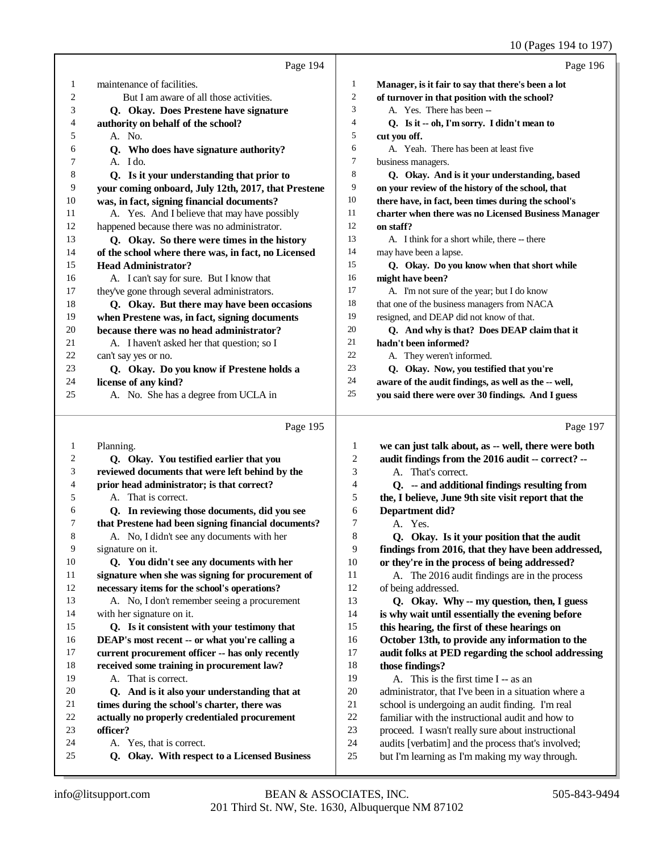### 10 (Pages 194 to 197)

|    |                                                     |                | $10 \text{ (1 qgcs } 174 \text{ to } 17)$            |
|----|-----------------------------------------------------|----------------|------------------------------------------------------|
|    | Page 194                                            |                | Page 196                                             |
| 1  | maintenance of facilities.                          | $\mathbf{1}$   | Manager, is it fair to say that there's been a lot   |
| 2  | But I am aware of all those activities.             | $\mathbf{2}$   | of turnover in that position with the school?        |
| 3  | Q. Okay. Does Prestene have signature               | 3              | A. Yes. There has been --                            |
| 4  | authority on behalf of the school?                  | $\overline{4}$ | Q. Is it -- oh, I'm sorry. I didn't mean to          |
| 5  | A. No.                                              | 5              | cut you off.                                         |
| 6  | Q. Who does have signature authority?               | 6              | A. Yeah. There has been at least five                |
| 7  | A. I do.                                            | $\tau$         | business managers.                                   |
| 8  | Q. Is it your understanding that prior to           | 8              | Q. Okay. And is it your understanding, based         |
| 9  | your coming onboard, July 12th, 2017, that Prestene | 9              | on your review of the history of the school, that    |
| 10 | was, in fact, signing financial documents?          | 10             | there have, in fact, been times during the school's  |
| 11 | A. Yes. And I believe that may have possibly        | 11             | charter when there was no Licensed Business Manager  |
| 12 | happened because there was no administrator.        | 12             | on staff?                                            |
| 13 | Q. Okay. So there were times in the history         | 13             | A. I think for a short while, there -- there         |
| 14 | of the school where there was, in fact, no Licensed | 14             | may have been a lapse.                               |
| 15 | <b>Head Administrator?</b>                          | 15             | Q. Okay. Do you know when that short while           |
| 16 | A. I can't say for sure. But I know that            | 16             | might have been?                                     |
| 17 | they've gone through several administrators.        | 17             | A. I'm not sure of the year; but I do know           |
| 18 | Q. Okay. But there may have been occasions          | 18             | that one of the business managers from NACA          |
| 19 | when Prestene was, in fact, signing documents       | 19             | resigned, and DEAP did not know of that.             |
| 20 | because there was no head administrator?            | 20             | Q. And why is that? Does DEAP claim that it          |
| 21 | A. I haven't asked her that question; so I          | 21             | hadn't been informed?                                |
| 22 | can't say yes or no.                                | 22             | A. They weren't informed.                            |
| 23 | Q. Okay. Do you know if Prestene holds a            | 23             | Q. Okay. Now, you testified that you're              |
| 24 | license of any kind?                                | 24             | aware of the audit findings, as well as the -- well, |
| 25 | A. No. She has a degree from UCLA in                | 25             | you said there were over 30 findings. And I guess    |
|    | Page 195                                            |                | Page 197                                             |
| 1  | Planning.                                           | 1              | we can just talk about, as -- well, there were both  |
| 2  | Q. Okay. You testified earlier that you             | 2              | audit findings from the 2016 audit -- correct? --    |
| 3  | reviewed documents that were left behind by the     | 3              | A. That's correct.                                   |
| 4  | prior head administrator; is that correct?          | 4              | Q. -- and additional findings resulting from         |
| 5  | A. That is correct.                                 | 5              | the, I believe, June 9th site visit report that the  |
| 6  | Q. In reviewing those documents, did you see        | 6              | <b>Department did?</b>                               |
| 7  | that Prestene had been signing financial documents? | 7              | A. Yes.                                              |
| 8  | A. No, I didn't see any documents with her          | 8              | Q. Okay. Is it your position that the audit          |
| 9  | signature on it.                                    | 9              | findings from 2016, that they have been addressed,   |
| 10 | Q. You didn't see any documents with her            | 10             | or they're in the process of being addressed?        |
| 11 | signature when she was signing for procurement of   | 11             | A. The 2016 audit findings are in the process        |
| 12 | necessary items for the school's operations?        | 12             | of being addressed.                                  |
| 13 | A. No, I don't remember seeing a procurement        | 13             | Q. Okay. Why -- my question, then, I guess           |
| 14 | with her signature on it.                           | 14             | is why wait until essentially the evening before     |
| 15 | Q. Is it consistent with your testimony that        | 15             | this hearing, the first of these hearings on         |
| 16 | DEAP's most recent -- or what you're calling a      | 16             | October 13th, to provide any information to the      |
|    |                                                     |                |                                                      |

 **October 13th, to provide any information to the** audit folks at PED regarding the school addressing

- 18 **those findings?**<br>19 **A**. This is the A. This is the first time  $I - a s$  an administrator, that I've been in a situation where a school is undergoing an audit finding. I'm real familiar with the instructional audit and how to proceed. I wasn't really sure about instructional audits [verbatim] and the process that's involved;
- but I'm learning as I'm making my way through.

**officer?**

A. That is correct.

A. Yes, that is correct.

 **current procurement officer -- has only recently received some training in procurement law?**

 **Q. And is it also your understanding that at times during the school's charter, there was actually no properly credentialed procurement**

 **Q. Okay. With respect to a Licensed Business**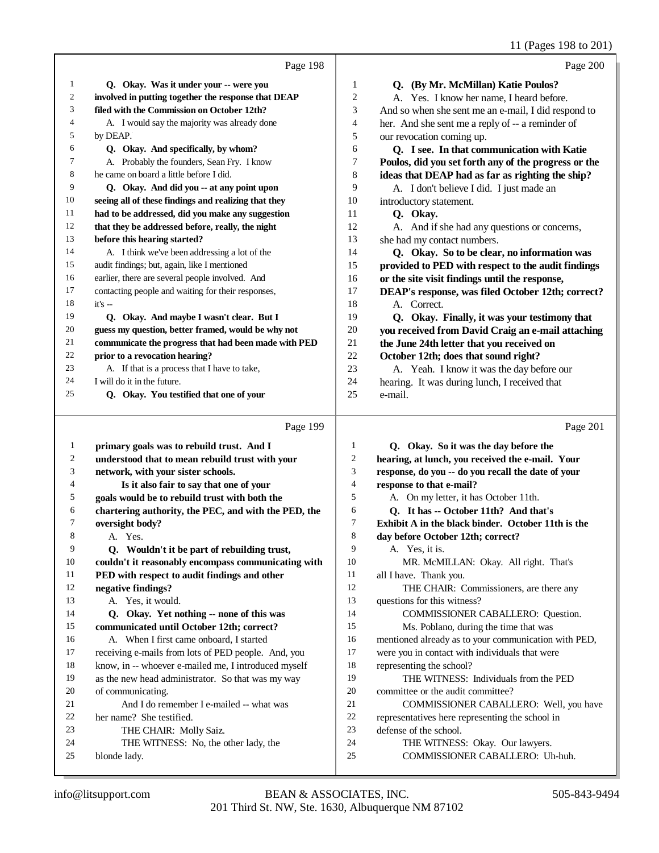|              |                                                      |                         | 11 (Pages 198 to 201)                                |
|--------------|------------------------------------------------------|-------------------------|------------------------------------------------------|
|              | Page 198                                             |                         | Page 200                                             |
| 1            | Q. Okay. Was it under your -- were you               | 1                       | Q. (By Mr. McMillan) Katie Poulos?                   |
| 2            | involved in putting together the response that DEAP  | 2                       | A. Yes. I know her name, I heard before.             |
| 3            | filed with the Commission on October 12th?           | 3                       | And so when she sent me an e-mail, I did respond to  |
| 4            | A. I would say the majority was already done         | 4                       | her. And she sent me a reply of -- a reminder of     |
| 5            | by DEAP.                                             | 5                       | our revocation coming up.                            |
| 6            | Q. Okay. And specifically, by whom?                  | 6                       | Q. I see. In that communication with Katie           |
| 7            | A. Probably the founders, Sean Fry. I know           | 7                       | Poulos, did you set forth any of the progress or the |
| 8            | he came on board a little before I did.              | 8                       | ideas that DEAP had as far as righting the ship?     |
| 9            | Q. Okay. And did you -- at any point upon            | 9                       | A. I don't believe I did. I just made an             |
| 10           | seeing all of these findings and realizing that they | 10                      | introductory statement.                              |
| 11           | had to be addressed, did you make any suggestion     | 11                      | Q. Okay.                                             |
| 12           | that they be addressed before, really, the night     | 12                      | A. And if she had any questions or concerns,         |
| 13           | before this hearing started?                         | 13                      | she had my contact numbers.                          |
| 14           | A. I think we've been addressing a lot of the        | 14                      | Q. Okay. So to be clear, no information was          |
| 15           | audit findings; but, again, like I mentioned         | 15                      | provided to PED with respect to the audit findings   |
| 16           | earlier, there are several people involved. And      | 16                      | or the site visit findings until the response,       |
| 17           | contacting people and waiting for their responses,   | 17                      | DEAP's response, was filed October 12th; correct?    |
| 18           | $it's -$                                             | 18                      | A. Correct.                                          |
| 19           | Q. Okay. And maybe I wasn't clear. But I             | 19                      | Q. Okay. Finally, it was your testimony that         |
| 20           | guess my question, better framed, would be why not   | 20                      | you received from David Craig an e-mail attaching    |
| 21           | communicate the progress that had been made with PED | 21                      | the June 24th letter that you received on            |
| 22           | prior to a revocation hearing?                       | 22                      | October 12th; does that sound right?                 |
| 23           | A. If that is a process that I have to take,         | 23                      | A. Yeah. I know it was the day before our            |
| 24           | I will do it in the future.                          | 24                      | hearing. It was during lunch, I received that        |
| 25           | Q. Okay. You testified that one of your              | 25                      | e-mail.                                              |
|              | Page 199                                             |                         | Page 201                                             |
| $\mathbf{1}$ | primary goals was to rebuild trust. And I            | 1                       | Q. Okay. So it was the day before the                |
| 2            | understood that to mean rebuild trust with your      | $\overline{\mathbf{c}}$ | hearing, at lunch, you received the e-mail. Your     |
| 3            | network, with your sister schools.                   | 3                       | response, do you -- do you recall the date of your   |
| 4            | Is it also fair to say that one of your              | 4                       | response to that e-mail?                             |
| 5            | goals would be to rebuild trust with both the        | 5                       | A. On my letter, it has October 11th.                |
| 6            | chartering authority, the PEC, and with the PED, the | 6                       | Q. It has -- October 11th? And that's                |
| 7            | oversight body?                                      | 7                       | Exhibit A in the black binder. October 11th is the   |
| 8            | A. Yes.                                              | 8                       | day before October 12th; correct?                    |
| 9            | Q. Wouldn't it be part of rebuilding trust,          | 9                       | A. Yes, it is.                                       |
| 10           | couldn't it reasonably encompass communicating with  | 10                      | MR. McMILLAN: Okay. All right. That's                |
| 11           | PED with respect to audit findings and other         | 11                      | all I have. Thank you.                               |
| 12           | negative findings?                                   | 12                      | THE CHAIR: Commissioners, are there any              |
| 13           | A. Yes, it would.                                    | 13                      | questions for this witness?                          |

 A. When I first came onboard, I started receiving e-mails from lots of PED people. And, you know, in -- whoever e-mailed me, I introduced myself

 as the new head administrator. So that was my way of communicating. 21 And I do remember I e-mailed -- what was

 **Q. Okay. Yet nothing -- none of this was communicated until October 12th; correct?**

- 22 her name? She testified.<br>23 THE CHAIR: Mol
- THE CHAIR: Molly Saiz. 24 THE WITNESS: No, the other lady, the 25 blonde lady.
- blonde lady.

201 Third St. NW, Ste. 1630, Albuquerque NM 87102 info@litsupport.com BEAN & ASSOCIATES, INC. 505-843-9494

 COMMISSIONER CABALLERO: Question. Ms. Poblano, during the time that was

18 representing the school?<br>19 THE WITNESS:

committee or the audit committee?

defense of the school.

16 mentioned already as to your communication with PED,<br>17 were you in contact with individuals that were were you in contact with individuals that were

21 COMMISSIONER CABALLERO: Well, you have<br>22 representatives here representing the school in

22 representatives here representing the school in<br>
23 defense of the school.

 THE WITNESS: Okay. Our lawyers. COMMISSIONER CABALLERO: Uh-huh.

THE WITNESS: Individuals from the PED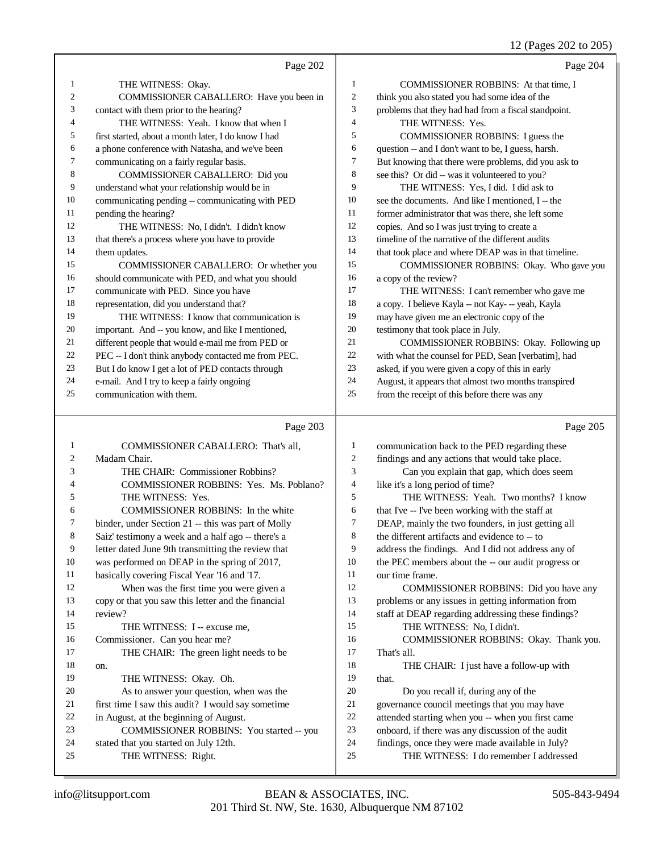12 (Pages 202 to 205)

|    | Page 202                                            |    | Page 204                                             |
|----|-----------------------------------------------------|----|------------------------------------------------------|
| 1  | THE WITNESS: Okay.                                  | 1  | COMMISSIONER ROBBINS: At that time, I                |
| 2  | COMMISSIONER CABALLERO: Have you been in            | 2  | think you also stated you had some idea of the       |
| 3  | contact with them prior to the hearing?             | 3  | problems that they had had from a fiscal standpoint. |
| 4  | THE WITNESS: Yeah. I know that when I               | 4  | THE WITNESS: Yes.                                    |
| 5  | first started, about a month later, I do know I had | 5  | COMMISSIONER ROBBINS: I guess the                    |
| 6  | a phone conference with Natasha, and we've been     | 6  | question -- and I don't want to be, I guess, harsh.  |
| 7  | communicating on a fairly regular basis.            | 7  | But knowing that there were problems, did you ask to |
| 8  | COMMISSIONER CABALLERO: Did you                     | 8  | see this? Or did -- was it volunteered to you?       |
| 9  | understand what your relationship would be in       | 9  | THE WITNESS: Yes, I did. I did ask to                |
| 10 | communicating pending -- communicating with PED     | 10 | see the documents. And like I mentioned, I -- the    |
| 11 | pending the hearing?                                | 11 | former administrator that was there, she left some   |
| 12 | THE WITNESS: No, I didn't. I didn't know            | 12 | copies. And so I was just trying to create a         |
| 13 | that there's a process where you have to provide    | 13 | timeline of the narrative of the different audits    |
| 14 | them updates.                                       | 14 | that took place and where DEAP was in that timeline. |
| 15 | COMMISSIONER CABALLERO: Or whether you              | 15 | COMMISSIONER ROBBINS: Okay. Who gave you             |
| 16 | should communicate with PED, and what you should    | 16 | a copy of the review?                                |
| 17 | communicate with PED. Since you have                | 17 | THE WITNESS: I can't remember who gave me            |
| 18 | representation, did you understand that?            | 18 | a copy. I believe Kayla -- not Kay- -- yeah, Kayla   |
| 19 | THE WITNESS: I know that communication is           | 19 | may have given me an electronic copy of the          |
| 20 | important. And -- you know, and like I mentioned,   | 20 | testimony that took place in July.                   |
| 21 | different people that would e-mail me from PED or   | 21 | COMMISSIONER ROBBINS: Okay. Following up             |
| 22 | PEC -- I don't think anybody contacted me from PEC. | 22 | with what the counsel for PED, Sean [verbatim], had  |
| 23 | But I do know I get a lot of PED contacts through   | 23 | asked, if you were given a copy of this in early     |
| 24 | e-mail. And I try to keep a fairly ongoing          | 24 | August, it appears that almost two months transpired |
| 25 | communication with them.                            | 25 | from the receipt of this before there was any        |
|    | Page 203                                            |    | Page 205                                             |
|    | OMMIGCONED GADATEDO                                 |    | . DED                                                |

|    | $1 \mu_{5}c 200$                                   |                | $4 \mu$ <sub>5</sub> c $200$                       |
|----|----------------------------------------------------|----------------|----------------------------------------------------|
|    | COMMISSIONER CABALLERO: That's all,                | 1              | communication back to the PED regarding these      |
| 2  | Madam Chair.                                       | $\overline{c}$ | findings and any actions that would take place.    |
| 3  | THE CHAIR: Commissioner Robbins?                   | 3              | Can you explain that gap, which does seem          |
| 4  | <b>COMMISSIONER ROBBINS: Yes. Ms. Poblano?</b>     | 4              | like it's a long period of time?                   |
| 5  | THE WITNESS: Yes.                                  | 5              | THE WITNESS: Yeah. Two months? I know              |
| 6  | COMMISSIONER ROBBINS: In the white                 | 6              | that I've -- I've been working with the staff at   |
| 7  | binder, under Section 21 -- this was part of Molly | 7              | DEAP, mainly the two founders, in just getting all |
| 8  | Saiz' testimony a week and a half ago -- there's a | 8              | the different artifacts and evidence to -- to      |
| 9  | letter dated June 9th transmitting the review that | 9              | address the findings. And I did not address any of |
| 10 | was performed on DEAP in the spring of 2017,       | 10             | the PEC members about the -- our audit progress or |
| 11 | basically covering Fiscal Year '16 and '17.        | 11             | our time frame.                                    |
| 12 | When was the first time you were given a           | 12             | COMMISSIONER ROBBINS: Did you have any             |
| 13 | copy or that you saw this letter and the financial | 13             | problems or any issues in getting information from |
| 14 | review?                                            | 14             | staff at DEAP regarding addressing these findings? |
| 15 | THE WITNESS: I -- excuse me,                       | 15             | THE WITNESS: No, I didn't.                         |
| 16 | Commissioner. Can you hear me?                     | 16             | COMMISSIONER ROBBINS: Okay. Thank you.             |
| 17 | THE CHAIR: The green light needs to be             | 17             | That's all.                                        |
| 18 | on.                                                | 18             | THE CHAIR: I just have a follow-up with            |
| 19 | THE WITNESS: Okay. Oh.                             | 19             | that.                                              |
| 20 | As to answer your question, when was the           | 20             | Do you recall if, during any of the                |
| 21 | first time I saw this audit? I would say sometime  | 21             | governance council meetings that you may have      |
| 22 | in August, at the beginning of August.             | 22             | attended starting when you -- when you first came  |
| 23 | COMMISSIONER ROBBINS: You started -- you           | 23             | onboard, if there was any discussion of the audit  |
| 24 | stated that you started on July 12th.              | 24             | findings, once they were made available in July?   |
| 25 | THE WITNESS: Right.                                | 25             | THE WITNESS: I do remember I addressed             |
|    |                                                    |                |                                                    |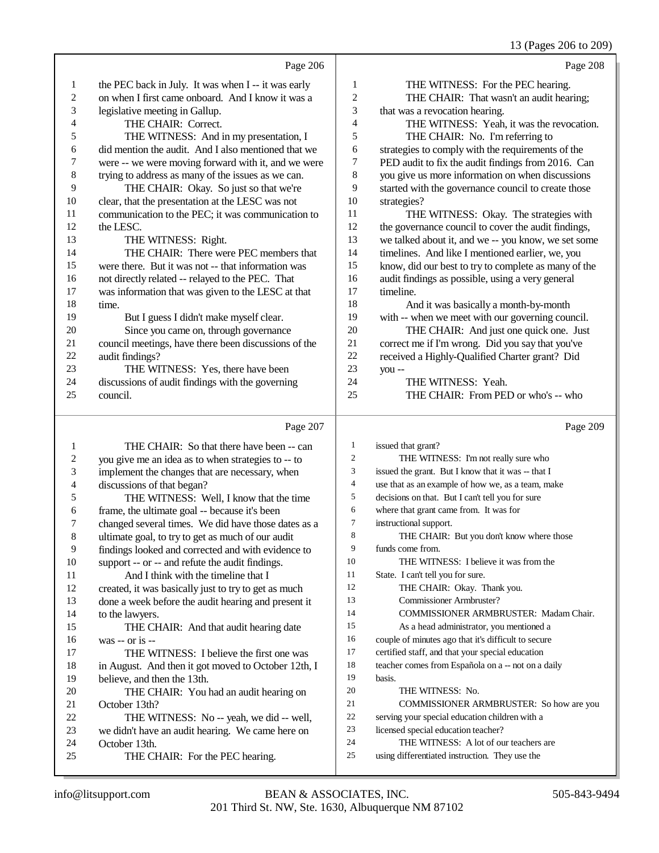13 (Pages 206 to 209)

|                         |                                                      |                  | 13 (Pages 206 to 209                                                                     |
|-------------------------|------------------------------------------------------|------------------|------------------------------------------------------------------------------------------|
|                         | Page 206                                             |                  | Page 208                                                                                 |
| 1                       | the PEC back in July. It was when I -- it was early  | 1                | THE WITNESS: For the PEC hearing.                                                        |
| 2                       | on when I first came onboard. And I know it was a    | 2                | THE CHAIR: That wasn't an audit hearing;                                                 |
| 3                       | legislative meeting in Gallup.                       | 3                | that was a revocation hearing.                                                           |
| 4                       | THE CHAIR: Correct.                                  | 4                | THE WITNESS: Yeah, it was the revocation.                                                |
| 5                       | THE WITNESS: And in my presentation, I               | 5                | THE CHAIR: No. I'm referring to                                                          |
| 6                       | did mention the audit. And I also mentioned that we  | 6                | strategies to comply with the requirements of the                                        |
| 7                       | were -- we were moving forward with it, and we were  | 7                | PED audit to fix the audit findings from 2016. Can                                       |
| $\,8\,$                 | trying to address as many of the issues as we can.   | 8                | you give us more information on when discussions                                         |
| 9                       | THE CHAIR: Okay. So just so that we're               | 9                | started with the governance council to create those                                      |
| 10                      | clear, that the presentation at the LESC was not     | 10               | strategies?                                                                              |
| 11                      | communication to the PEC; it was communication to    | 11               | THE WITNESS: Okay. The strategies with                                                   |
| 12                      | the LESC.                                            | 12               | the governance council to cover the audit findings,                                      |
| 13                      | THE WITNESS: Right.                                  | 13               | we talked about it, and we -- you know, we set some                                      |
| 14                      | THE CHAIR: There were PEC members that               | 14               | timelines. And like I mentioned earlier, we, you                                         |
| 15                      | were there. But it was not -- that information was   | 15               | know, did our best to try to complete as many of the                                     |
| 16                      | not directly related -- relayed to the PEC. That     | 16               | audit findings as possible, using a very general                                         |
| 17                      | was information that was given to the LESC at that   | 17               | timeline.                                                                                |
| 18                      | time.                                                | 18               | And it was basically a month-by-month                                                    |
| 19                      | But I guess I didn't make myself clear.              | 19               | with -- when we meet with our governing council.                                         |
| 20                      | Since you came on, through governance                | $20\,$           | THE CHAIR: And just one quick one. Just                                                  |
| 21                      | council meetings, have there been discussions of the | 21               | correct me if I'm wrong. Did you say that you've                                         |
| 22                      | audit findings?                                      | 22               | received a Highly-Qualified Charter grant? Did                                           |
| 23                      | THE WITNESS: Yes, there have been                    | 23               | you --                                                                                   |
| 24                      | discussions of audit findings with the governing     | 24               | THE WITNESS: Yeah.                                                                       |
| 25                      | council.                                             | 25               | THE CHAIR: From PED or who's -- who                                                      |
|                         | Page 207                                             |                  | Page 209                                                                                 |
| 1                       | THE CHAIR: So that there have been -- can            | 1                | issued that grant?                                                                       |
| $\overline{\mathbf{c}}$ | you give me an idea as to when strategies to -- to   | $\boldsymbol{2}$ | THE WITNESS: I'm not really sure who                                                     |
| 3                       | implement the changes that are necessary, when       | 3                | issued the grant. But I know that it was -- that I                                       |
| 4                       | discussions of that began?                           | $\overline{4}$   | use that as an example of how we, as a team, make                                        |
| 5                       | THE WITNESS: Well, I know that the time              | 5                | decisions on that. But I can't tell you for sure                                         |
| 6                       | frame, the ultimate goal -- because it's been        | 6                | where that grant came from. It was for                                                   |
| 7                       | changed several times. We did have those dates as a  | 7                | instructional support.                                                                   |
| 8                       | ultimate goal, to try to get as much of our audit    |                  |                                                                                          |
| 9                       |                                                      | 8                | THE CHAIR: But you don't know where those                                                |
|                         | findings looked and corrected and with evidence to   | 9                | funds come from.                                                                         |
| 10                      | support -- or -- and refute the audit findings.      | 10               | THE WITNESS: I believe it was from the                                                   |
| 11                      | And I think with the timeline that I                 | 11               | State. I can't tell you for sure.                                                        |
| 12                      | created, it was basically just to try to get as much | 12               | THE CHAIR: Okay. Thank you.                                                              |
| 13                      | done a week before the audit hearing and present it  | 13               | Commissioner Armbruster?                                                                 |
| 14                      | to the lawyers.                                      | 14               | COMMISSIONER ARMBRUSTER: Madam Chair.                                                    |
| 15                      | THE CHAIR: And that audit hearing date               | 15               | As a head administrator, you mentioned a                                                 |
| 16                      | was $-$ or is $-$                                    | 16               | couple of minutes ago that it's difficult to secure                                      |
| 17                      | THE WITNESS: I believe the first one was             | 17               | certified staff, and that your special education                                         |
| 18                      | in August. And then it got moved to October 12th, I  | 18               | teacher comes from Española on a -- not on a daily                                       |
| 19                      | believe, and then the 13th.                          | 19               | basis.                                                                                   |
| 20                      | THE CHAIR: You had an audit hearing on               | 20               | THE WITNESS: No.                                                                         |
| 21                      | October 13th?                                        | 21               | COMMISSIONER ARMBRUSTER: So how are you                                                  |
| 22                      | THE WITNESS: No -- yeah, we did -- well,             | 22               | serving your special education children with a                                           |
| 23                      | we didn't have an audit hearing. We came here on     | 23               | licensed special education teacher?                                                      |
| 24<br>25                | October 13th.<br>THE CHAIR: For the PEC hearing.     | 24<br>25         | THE WITNESS: A lot of our teachers are<br>using differentiated instruction. They use the |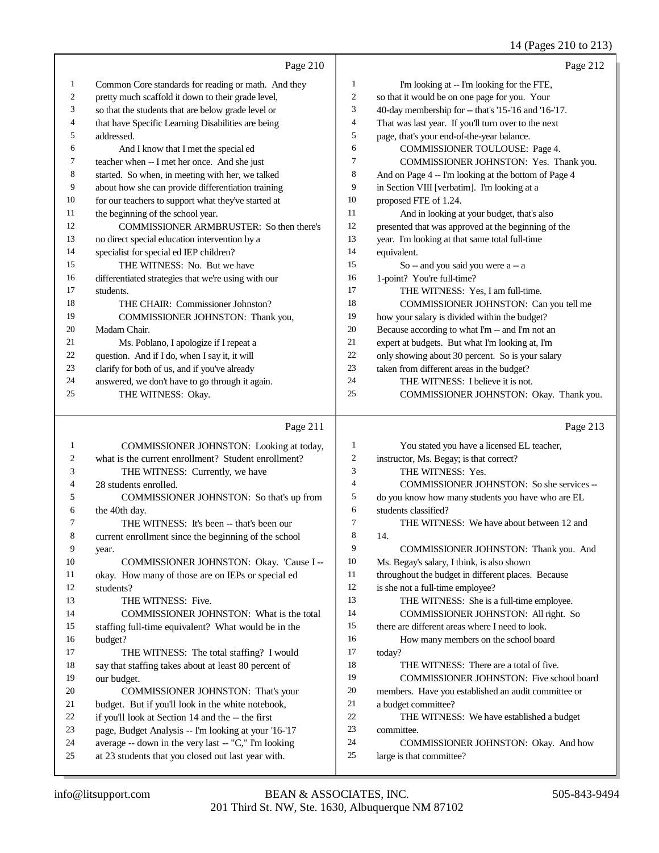14 (Pages 210 to 213)

|    | Page 210                                            |    | Page 212                                             |
|----|-----------------------------------------------------|----|------------------------------------------------------|
| 1  | Common Core standards for reading or math. And they | 1  | I'm looking at -- I'm looking for the FTE,           |
| 2  | pretty much scaffold it down to their grade level,  | 2  | so that it would be on one page for you. Your        |
| 3  | so that the students that are below grade level or  | 3  | 40-day membership for -- that's '15-'16 and '16-'17. |
| 4  | that have Specific Learning Disabilities are being  | 4  | That was last year. If you'll turn over to the next  |
| 5  | addressed.                                          | 5  | page, that's your end-of-the-year balance.           |
| 6  | And I know that I met the special ed                | 6  | COMMISSIONER TOULOUSE: Page 4.                       |
| 7  | teacher when -- I met her once. And she just        | 7  | COMMISSIONER JOHNSTON: Yes. Thank you.               |
| 8  | started. So when, in meeting with her, we talked    | 8  | And on Page 4 -- I'm looking at the bottom of Page 4 |
| 9  | about how she can provide differentiation training  | 9  | in Section VIII [verbatim]. I'm looking at a         |
| 10 | for our teachers to support what they've started at | 10 | proposed FTE of 1.24.                                |
| 11 | the beginning of the school year.                   | 11 | And in looking at your budget, that's also           |
| 12 | COMMISSIONER ARMBRUSTER: So then there's            | 12 | presented that was approved at the beginning of the  |
| 13 | no direct special education intervention by a       | 13 | year. I'm looking at that same total full-time       |
| 14 | specialist for special ed IEP children?             | 14 | equivalent.                                          |
| 15 | THE WITNESS: No. But we have                        | 15 | So -- and you said you were a -- a                   |
| 16 | differentiated strategies that we're using with our | 16 | 1-point? You're full-time?                           |
| 17 | students.                                           | 17 | THE WITNESS: Yes, I am full-time.                    |
| 18 | THE CHAIR: Commissioner Johnston?                   | 18 | COMMISSIONER JOHNSTON: Can you tell me               |
| 19 | COMMISSIONER JOHNSTON: Thank you,                   | 19 | how your salary is divided within the budget?        |
| 20 | Madam Chair.                                        | 20 | Because according to what I'm -- and I'm not an      |
| 21 | Ms. Poblano, I apologize if I repeat a              | 21 | expert at budgets. But what I'm looking at, I'm      |
| 22 | question. And if I do, when I say it, it will       | 22 | only showing about 30 percent. So is your salary     |
| 23 | clarify for both of us, and if you've already       | 23 | taken from different areas in the budget?            |
| 24 | answered, we don't have to go through it again.     | 24 | THE WITNESS: I believe it is not.                    |
| 25 | THE WITNESS: Okay.                                  | 25 | COMMISSIONER JOHNSTON: Okay. Thank you.              |

# Page 211

| 1  | COMMISSIONER JOHNSTON: Looking at today,             | 1  | You stated you have a licensed EL teacher,          |
|----|------------------------------------------------------|----|-----------------------------------------------------|
| 2  | what is the current enrollment? Student enrollment?  | 2  | instructor, Ms. Begay; is that correct?             |
| 3  | THE WITNESS: Currently, we have                      | 3  | THE WITNESS: Yes.                                   |
| 4  | 28 students enrolled.                                | 4  | COMMISSIONER JOHNSTON: So she services --           |
| 5  | COMMISSIONER JOHNSTON: So that's up from             | 5  | do you know how many students you have who are EL   |
| 6  | the 40th day.                                        | 6  | students classified?                                |
| 7  | THE WITNESS: It's been -- that's been our            | 7  | THE WITNESS: We have about between 12 and           |
| 8  | current enrollment since the beginning of the school | 8  | 14.                                                 |
| 9  | year.                                                | 9  | COMMISSIONER JOHNSTON: Thank you. And               |
| 10 | COMMISSIONER JOHNSTON: Okay. 'Cause I --             | 10 | Ms. Begay's salary, I think, is also shown          |
| 11 | okay. How many of those are on IEPs or special ed    | 11 | throughout the budget in different places. Because  |
| 12 | students?                                            | 12 | is she not a full-time employee?                    |
| 13 | THE WITNESS: Five.                                   | 13 | THE WITNESS: She is a full-time employee.           |
| 14 | <b>COMMISSIONER JOHNSTON:</b> What is the total      | 14 | COMMISSIONER JOHNSTON: All right. So                |
| 15 | staffing full-time equivalent? What would be in the  | 15 | there are different areas where I need to look.     |
| 16 | budget?                                              | 16 | How many members on the school board                |
| 17 | THE WITNESS: The total staffing? I would             | 17 | today?                                              |
| 18 | say that staffing takes about at least 80 percent of | 18 | THE WITNESS: There are a total of five.             |
| 19 | our budget.                                          | 19 | <b>COMMISSIONER JOHNSTON:</b> Five school board     |
| 20 | COMMISSIONER JOHNSTON: That's your                   | 20 | members. Have you established an audit committee or |
| 21 | budget. But if you'll look in the white notebook,    | 21 | a budget committee?                                 |
| 22 | if you'll look at Section 14 and the -- the first    | 22 | THE WITNESS: We have established a budget           |
| 23 | page, Budget Analysis -- I'm looking at your '16-'17 | 23 | committee.                                          |
| 24 | average -- down in the very last -- "C," I'm looking | 24 | COMMISSIONER JOHNSTON: Okay. And how                |
| 25 | at 23 students that you closed out last year with.   | 25 | large is that committee?                            |
|    |                                                      |    |                                                     |

Page 213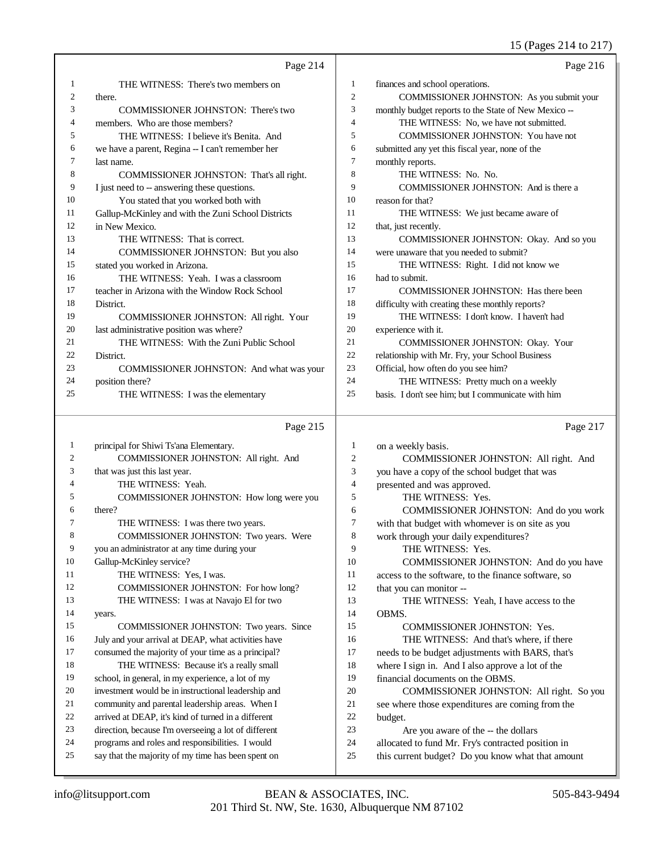15 (Pages 214 to 217)

|          | Page 214                                                                                               |                     | Page 216                                                                                                |
|----------|--------------------------------------------------------------------------------------------------------|---------------------|---------------------------------------------------------------------------------------------------------|
|          |                                                                                                        |                     |                                                                                                         |
| 1        | THE WITNESS: There's two members on                                                                    | 1<br>$\mathfrak{2}$ | finances and school operations.                                                                         |
| 2<br>3   | there.<br><b>COMMISSIONER JOHNSTON: There's two</b>                                                    | 3                   | COMMISSIONER JOHNSTON: As you submit your<br>monthly budget reports to the State of New Mexico --       |
| 4        | members. Who are those members?                                                                        | 4                   | THE WITNESS: No, we have not submitted.                                                                 |
| 5        | THE WITNESS: I believe it's Benita. And                                                                | 5                   | <b>COMMISSIONER JOHNSTON:</b> You have not                                                              |
| 6        | we have a parent, Regina -- I can't remember her                                                       | 6                   | submitted any yet this fiscal year, none of the                                                         |
| 7        | last name.                                                                                             | 7                   | monthly reports.                                                                                        |
| 8        | COMMISSIONER JOHNSTON: That's all right.                                                               | 8                   | THE WITNESS: No. No.                                                                                    |
| 9        | I just need to -- answering these questions.                                                           | 9                   | COMMISSIONER JOHNSTON: And is there a                                                                   |
| 10       | You stated that you worked both with                                                                   | 10                  | reason for that?                                                                                        |
| 11       | Gallup-McKinley and with the Zuni School Districts                                                     | 11                  | THE WITNESS: We just became aware of                                                                    |
| 12       | in New Mexico.                                                                                         | 12                  | that, just recently.                                                                                    |
| 13       | THE WITNESS: That is correct.                                                                          | 13                  | COMMISSIONER JOHNSTON: Okay. And so you                                                                 |
| 14       | COMMISSIONER JOHNSTON: But you also                                                                    | 14                  | were unaware that you needed to submit?                                                                 |
| 15       | stated you worked in Arizona.                                                                          | 15                  | THE WITNESS: Right. I did not know we                                                                   |
| 16       | THE WITNESS: Yeah. I was a classroom                                                                   | 16                  | had to submit.                                                                                          |
| 17       | teacher in Arizona with the Window Rock School                                                         | 17                  | COMMISSIONER JOHNSTON: Has there been                                                                   |
| 18       | District.                                                                                              | 18                  | difficulty with creating these monthly reports?                                                         |
| 19       | COMMISSIONER JOHNSTON: All right. Your                                                                 | 19                  | THE WITNESS: I don't know. I haven't had                                                                |
| 20       | last administrative position was where?                                                                | 20                  | experience with it.                                                                                     |
| 21       | THE WITNESS: With the Zuni Public School                                                               | 21                  | COMMISSIONER JOHNSTON: Okay. Your                                                                       |
| 22       | District.                                                                                              | 22                  | relationship with Mr. Fry, your School Business                                                         |
| 23       | COMMISSIONER JOHNSTON: And what was your                                                               | 23                  | Official, how often do you see him?                                                                     |
| 24       | position there?                                                                                        | 24                  | THE WITNESS: Pretty much on a weekly                                                                    |
| 25       | THE WITNESS: I was the elementary                                                                      | 25                  | basis. I don't see him; but I communicate with him                                                      |
|          |                                                                                                        |                     |                                                                                                         |
|          | Page 215                                                                                               |                     | Page 217                                                                                                |
| 1        |                                                                                                        | 1                   |                                                                                                         |
| 2        | principal for Shiwi Ts'ana Elementary.<br>COMMISSIONER JOHNSTON: All right. And                        | $\overline{c}$      | on a weekly basis.<br>COMMISSIONER JOHNSTON: All right. And                                             |
| 3        | that was just this last year.                                                                          | 3                   | you have a copy of the school budget that was                                                           |
| 4        | THE WITNESS: Yeah.                                                                                     | $\overline{4}$      | presented and was approved.                                                                             |
| 5        | COMMISSIONER JOHNSTON: How long were you                                                               | 5                   | THE WITNESS: Yes.                                                                                       |
| 6        | there?                                                                                                 | 6                   | COMMISSIONER JOHNSTON: And do you work                                                                  |
| 7        | THE WITNESS: I was there two years.                                                                    | 7                   | with that budget with whomever is on site as you                                                        |
| 8        | COMMISSIONER JOHNSTON: Two years. Were                                                                 | 8                   | work through your daily expenditures?                                                                   |
| 9        | you an administrator at any time during your                                                           | 9                   | THE WITNESS: Yes.                                                                                       |
| 10       | Gallup-McKinley service?                                                                               | 10                  | COMMISSIONER JOHNSTON: And do you have                                                                  |
| 11       | THE WITNESS: Yes, I was.                                                                               | 11                  | access to the software, to the finance software, so                                                     |
| 12       | COMMISSIONER JOHNSTON: For how long?                                                                   | 12                  | that you can monitor --                                                                                 |
| 13       | THE WITNESS: I was at Navajo El for two                                                                | 13                  | THE WITNESS: Yeah, I have access to the                                                                 |
| 14       | years.                                                                                                 | 14                  | OBMS.                                                                                                   |
| 15       | COMMISSIONER JOHNSTON: Two years. Since                                                                | 15                  | COMMISSIONER JOHNSTON: Yes.                                                                             |
| 16       | July and your arrival at DEAP, what activities have                                                    | 16                  | THE WITNESS: And that's where, if there                                                                 |
| 17       | consumed the majority of your time as a principal?                                                     | 17                  | needs to be budget adjustments with BARS, that's                                                        |
| 18       | THE WITNESS: Because it's a really small                                                               | 18                  | where I sign in. And I also approve a lot of the                                                        |
| 19       | school, in general, in my experience, a lot of my                                                      | 19                  | financial documents on the OBMS.                                                                        |
| 20       | investment would be in instructional leadership and                                                    | $20\,$              | COMMISSIONER JOHNSTON: All right. So you                                                                |
| 21       | community and parental leadership areas. When I                                                        | 21                  | see where those expenditures are coming from the                                                        |
| 22<br>23 | arrived at DEAP, it's kind of turned in a different                                                    | 22<br>23            | budget.                                                                                                 |
| 24       | direction, because I'm overseeing a lot of different                                                   | 24                  | Are you aware of the -- the dollars                                                                     |
| 25       | programs and roles and responsibilities. I would<br>say that the majority of my time has been spent on | $25\,$              | allocated to fund Mr. Fry's contracted position in<br>this current budget? Do you know what that amount |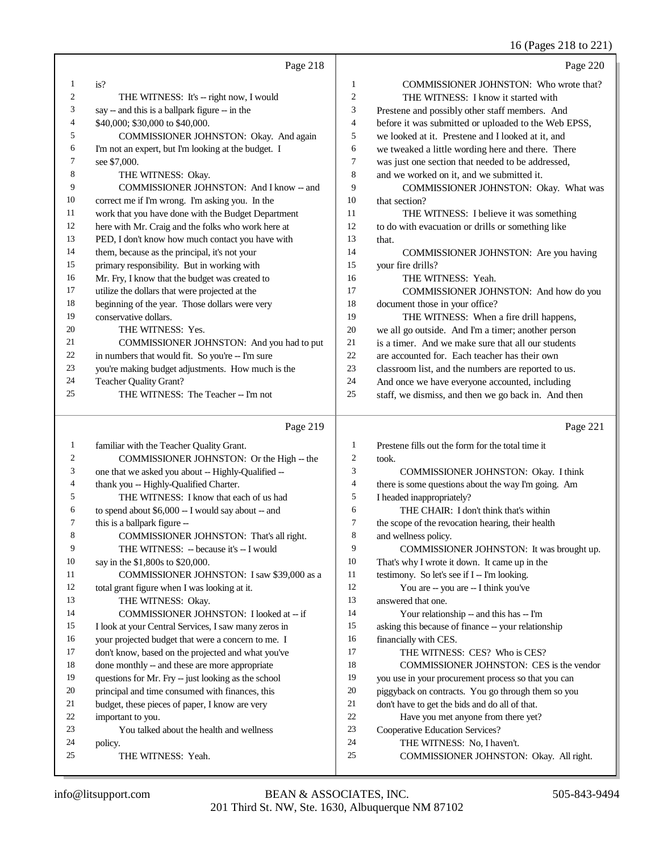## 16 (Pages 218 to 221)

|                | Page 218                                             |                | Page 220                                             |
|----------------|------------------------------------------------------|----------------|------------------------------------------------------|
| $\mathbf{1}$   | is?                                                  | 1              | COMMISSIONER JOHNSTON: Who wrote that?               |
| $\overline{c}$ | THE WITNESS: It's -- right now, I would              | $\overline{c}$ | THE WITNESS: I know it started with                  |
| 3              | say -- and this is a ballpark figure -- in the       | 3              | Prestene and possibly other staff members. And       |
| 4              | \$40,000; \$30,000 to \$40,000.                      | 4              | before it was submitted or uploaded to the Web EPSS, |
| 5              | COMMISSIONER JOHNSTON: Okay. And again               | 5              | we looked at it. Prestene and I looked at it, and    |
| 6              | I'm not an expert, but I'm looking at the budget. I  | 6              | we tweaked a little wording here and there. There    |
| 7              | see \$7,000.                                         | 7              | was just one section that needed to be addressed,    |
| 8              | THE WITNESS: Okay.                                   | 8              | and we worked on it, and we submitted it.            |
| 9              | COMMISSIONER JOHNSTON: And I know -- and             | 9              | COMMISSIONER JOHNSTON: Okay. What was                |
| 10             | correct me if I'm wrong. I'm asking you. In the      | 10             | that section?                                        |
| 11             | work that you have done with the Budget Department   | 11             | THE WITNESS: I believe it was something              |
| 12             | here with Mr. Craig and the folks who work here at   | 12             | to do with evacuation or drills or something like    |
| 13             | PED, I don't know how much contact you have with     | 13             | that.                                                |
| 14             | them, because as the principal, it's not your        | 14             | COMMISSIONER JOHNSTON: Are you having                |
| 15             | primary responsibility. But in working with          | 15             | your fire drills?                                    |
| 16             | Mr. Fry, I know that the budget was created to       | 16             | THE WITNESS: Yeah.                                   |
| 17             | utilize the dollars that were projected at the       | 17             | COMMISSIONER JOHNSTON: And how do you                |
| 18             | beginning of the year. Those dollars were very       | 18             | document those in your office?                       |
| 19             | conservative dollars.                                | 19             | THE WITNESS: When a fire drill happens,              |
| 20             | THE WITNESS: Yes.                                    | $20\,$         | we all go outside. And I'm a timer; another person   |
| 21             | COMMISSIONER JOHNSTON: And you had to put            | 21             | is a timer. And we make sure that all our students   |
| 22             | in numbers that would fit. So you're -- I'm sure     | 22             | are accounted for. Each teacher has their own        |
| 23             | you're making budget adjustments. How much is the    | 23             | classroom list, and the numbers are reported to us.  |
| 24             | Teacher Quality Grant?                               | 24             | And once we have everyone accounted, including       |
| 25             | THE WITNESS: The Teacher -- I'm not                  | 25             | staff, we dismiss, and then we go back in. And then  |
|                | Page 219                                             |                | Page 221                                             |
| $\mathbf{1}$   | familiar with the Teacher Quality Grant.             | 1              | Prestene fills out the form for the total time it    |
| $\overline{c}$ | COMMISSIONER JOHNSTON: Or the High -- the            | 2              | took.                                                |
| 3              | one that we asked you about -- Highly-Qualified --   | 3              | COMMISSIONER JOHNSTON: Okay. I think                 |
| 4              | thank you -- Highly-Qualified Charter.               | $\overline{4}$ | there is some questions about the way I'm going. Am  |
| 5              | THE WITNESS: I know that each of us had              | 5              | I headed inappropriately?                            |
| 6              | to spend about \$6,000 -- I would say about -- and   | 6              | THE CHAIR: I don't think that's within               |
| 7              | this is a ballpark figure --                         | 7              | the scope of the revocation hearing, their health    |
| 8              | COMMISSIONER JOHNSTON: That's all right.             | 8              | and wellness policy.                                 |
| 9              | THE WITNESS: -- because it's -- I would              | 9              | COMMISSIONER JOHNSTON: It was brought up.            |
| 10             | say in the \$1,800s to \$20,000.                     | 10             | That's why I wrote it down. It came up in the        |
| 11             | COMMISSIONER JOHNSTON: I saw \$39,000 as a           | 11             | testimony. So let's see if I -- I'm looking.         |
| 12             | total grant figure when I was looking at it.         | 12             | You are -- you are -- I think you've                 |
| 13             | THE WITNESS: Okay.                                   | 13             | answered that one.                                   |
| 14             | COMMISSIONER JOHNSTON: I looked at -- if             | 14             | Your relationship -- and this has -- I'm             |
| 15             | I look at your Central Services, I saw many zeros in | 15             | asking this because of finance -- your relationship  |
| 16             | your projected budget that were a concern to me. I   | 16             | financially with CES.                                |
| 17             | don't know, based on the projected and what you've   | 17             | THE WITNESS: CES? Who is CES?                        |
| 18             | done monthly -- and these are more appropriate       | 18             | COMMISSIONER JOHNSTON: CES is the vendor             |
| 19             | questions for Mr. Fry -- just looking as the school  | 19             | you use in your procurement process so that you can  |
| 20             | principal and time consumed with finances, this      | 20             | piggyback on contracts. You go through them so you   |
| 21             | budget, these pieces of paper, I know are very       | 21             | don't have to get the bids and do all of that.       |
| 22             | important to you.                                    | 22             | Have you met anyone from there yet?                  |
| 23             | You talked about the health and wellness             | 23<br>24       | Cooperative Education Services?                      |
| 24<br>25       | policy.                                              | 25             | THE WITNESS: No, I haven't.                          |
|                | THE WITNESS: Yeah.                                   |                | COMMISSIONER JOHNSTON: Okay. All right.              |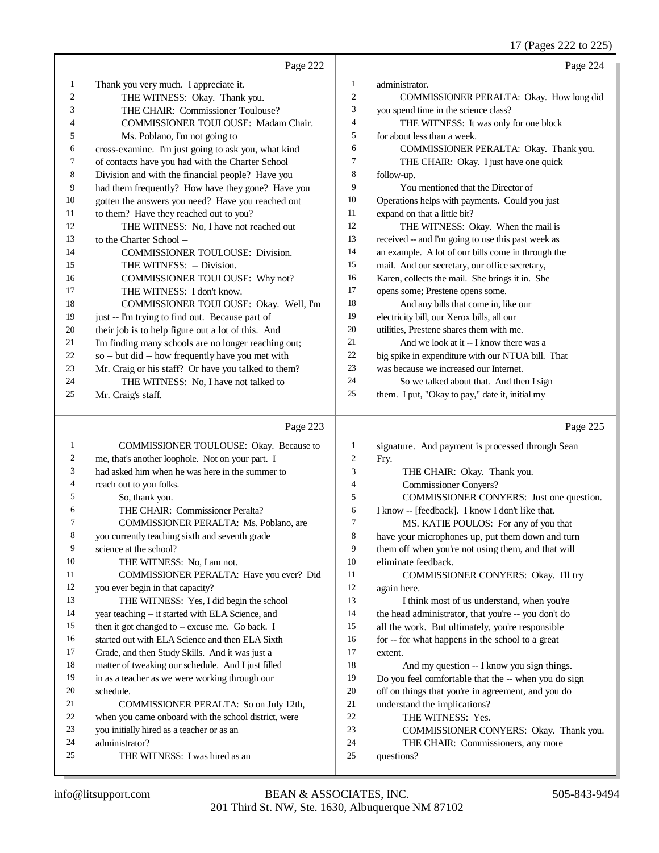17 (Pages 222 to 225)

|                | Page 222                                             |                | Page 224                                           |
|----------------|------------------------------------------------------|----------------|----------------------------------------------------|
| 1              | Thank you very much. I appreciate it.                | 1              | administrator.                                     |
| $\overline{c}$ | THE WITNESS: Okay. Thank you.                        | $\mathfrak{2}$ | COMMISSIONER PERALTA: Okay. How long did           |
| 3              | THE CHAIR: Commissioner Toulouse?                    | 3              | you spend time in the science class?               |
| 4              | COMMISSIONER TOULOUSE: Madam Chair.                  | $\overline{4}$ | THE WITNESS: It was only for one block             |
| 5              | Ms. Poblano, I'm not going to                        | 5              | for about less than a week.                        |
| 6              | cross-examine. I'm just going to ask you, what kind  | 6              | COMMISSIONER PERALTA: Okay. Thank you.             |
| 7              | of contacts have you had with the Charter School     | $\tau$         | THE CHAIR: Okay. I just have one quick             |
| 8              | Division and with the financial people? Have you     | 8              | follow-up.                                         |
| 9              | had them frequently? How have they gone? Have you    | 9              | You mentioned that the Director of                 |
| 10             | gotten the answers you need? Have you reached out    | 10             | Operations helps with payments. Could you just     |
| 11             | to them? Have they reached out to you?               | 11             | expand on that a little bit?                       |
| 12             | THE WITNESS: No, I have not reached out              | 12             | THE WITNESS: Okay. When the mail is                |
| 13             | to the Charter School --                             | 13             | received -- and I'm going to use this past week as |
| 14             | <b>COMMISSIONER TOULOUSE: Division.</b>              | 14             | an example. A lot of our bills come in through the |
| 15             | THE WITNESS: -- Division.                            | 15             | mail. And our secretary, our office secretary,     |
| 16             | COMMISSIONER TOULOUSE: Why not?                      | 16             | Karen, collects the mail. She brings it in. She    |
| 17             | THE WITNESS: I don't know.                           | 17             | opens some; Prestene opens some.                   |
| 18             | COMMISSIONER TOULOUSE: Okay. Well, I'm               | 18             | And any bills that come in, like our               |
| 19             | just -- I'm trying to find out. Because part of      | 19             | electricity bill, our Xerox bills, all our         |
| 20             | their job is to help figure out a lot of this. And   | 20             | utilities, Prestene shares them with me.           |
| 21             | I'm finding many schools are no longer reaching out; | 21             | And we look at it -- I know there was a            |
| 22             | so -- but did -- how frequently have you met with    | 22             | big spike in expenditure with our NTUA bill. That  |
| 23             | Mr. Craig or his staff? Or have you talked to them?  | 23             | was because we increased our Internet.             |
| 24             | THE WITNESS: No, I have not talked to                | 24             | So we talked about that. And then I sign           |
| 25             | Mr. Craig's staff.                                   | 25             | them. I put, "Okay to pay," date it, initial my    |
|                |                                                      |                |                                                    |
|                | Page 223                                             |                | Page 225                                           |
| 1              | COMMISSIONER TOULOUSE: Okay. Because to              | 1              | signature. And payment is processed through Sean   |
| 2              | me, that's another loophole. Not on your part. I     | $\overline{c}$ | Fry.                                               |
| 3              | had asked him when he was here in the summer to      | 3              | THE CHAIR: Okay. Thank you.                        |
| 4              | reach out to you folks.                              | 4              | <b>Commissioner Convers?</b>                       |

- So, thank you.
	- THE CHAIR: Commissioner Peralta? COMMISSIONER PERALTA: Ms. Poblano, are
	- you currently teaching sixth and seventh grade
	- science at the school?
- 10 THE WITNESS: No, I am not.
- COMMISSIONER PERALTA: Have you ever? Did you ever begin in that capacity?
- THE WITNESS: Yes, I did begin the school
- year teaching -- it started with ELA Science, and
- 15 then it got changed to -- excuse me. Go back. I
- 16 started out with ELA Science and then ELA Sixth
- Grade, and then Study Skills. And it was just a
- matter of tweaking our schedule. And I just filled
- in as a teacher as we were working through our schedule.
- COMMISSIONER PERALTA: So on July 12th, when you came onboard with the school district, were
- you initially hired as a teacher or as an
- administrator?
- THE WITNESS: I was hired as an

 have your microphones up, put them down and turn them off when you're not using them, and that will eliminate feedback.

I know -- [feedback]. I know I don't like that.

COMMISSIONER CONYERS: Just one question.

MS. KATIE POULOS: For any of you that

- 11 COMMISSIONER CONYERS: Okay. I'll try again here.
- 13 I think most of us understand, when you're the head administrator, that you're -- you don't do
- all the work. But ultimately, you're responsible
- 16 for -- for what happens in the school to a great extent.
- And my question -- I know you sign things.
- Do you feel comfortable that the -- when you do sign
- off on things that you're in agreement, and you do
- understand the implications?
- 22 THE WITNESS: Yes.<br>23 COMMISSIONER CO
- COMMISSIONER CONYERS: Okay. Thank you.
- 24 THE CHAIR: Commissioners, any more
- questions?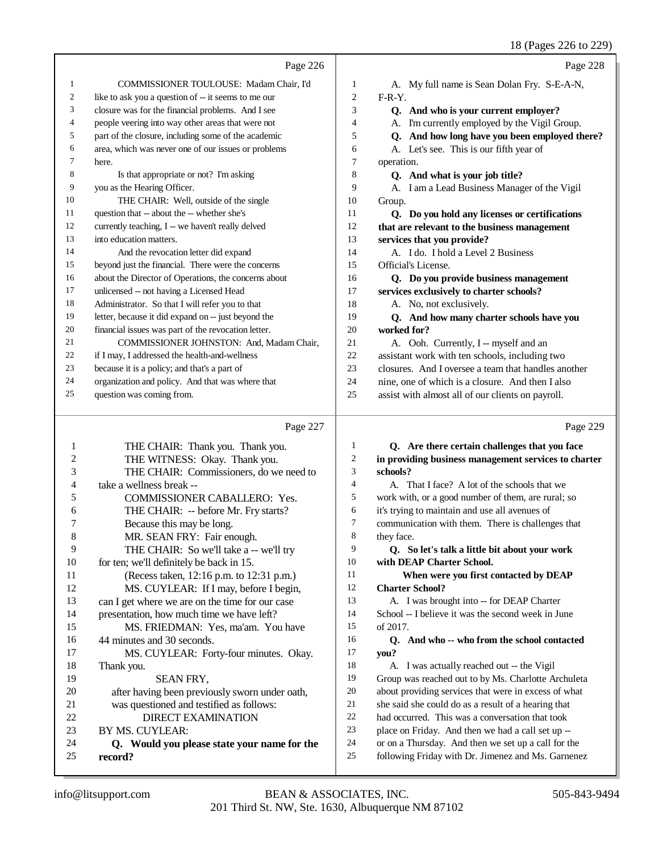|    |                                                      |    | 10 (1 agos 220 to 22)                               |
|----|------------------------------------------------------|----|-----------------------------------------------------|
|    | Page 226                                             |    | Page 228                                            |
|    | COMMISSIONER TOULOUSE: Madam Chair, I'd              | 1  | A. My full name is Sean Dolan Fry. S-E-A-N,         |
| 2  | like to ask you a question of -- it seems to me our  | 2  | $F-R-Y$ .                                           |
| 3  | closure was for the financial problems. And I see    | 3  | Q. And who is your current employer?                |
| 4  | people veering into way other areas that were not    | 4  | A. I'm currently employed by the Vigil Group.       |
| 5  | part of the closure, including some of the academic  | 5  | Q. And how long have you been employed there?       |
| 6  | area, which was never one of our issues or problems  | 6  | A. Let's see. This is our fifth year of             |
| 7  | here.                                                | 7  | operation.                                          |
| 8  | Is that appropriate or not? I'm asking               | 8  | Q. And what is your job title?                      |
| 9  | you as the Hearing Officer.                          | 9  | A. I am a Lead Business Manager of the Vigil        |
| 10 | THE CHAIR: Well, outside of the single               | 10 | Group.                                              |
| 11 | question that -- about the -- whether she's          | 11 | Q. Do you hold any licenses or certifications       |
| 12 | currently teaching, I -- we haven't really delved    | 12 | that are relevant to the business management        |
| 13 | into education matters.                              | 13 | services that you provide?                          |
| 14 | And the revocation letter did expand                 | 14 | A. I do. I hold a Level 2 Business                  |
| 15 | beyond just the financial. There were the concerns   | 15 | Official's License.                                 |
| 16 | about the Director of Operations, the concerns about | 16 | Q. Do you provide business management               |
| 17 | unlicensed -- not having a Licensed Head             | 17 | services exclusively to charter schools?            |
| 18 | Administrator. So that I will refer you to that      | 18 | A. No, not exclusively.                             |
| 19 | letter, because it did expand on -- just beyond the  | 19 | Q. And how many charter schools have you            |
| 20 | financial issues was part of the revocation letter.  | 20 | worked for?                                         |
| 21 | COMMISSIONER JOHNSTON: And, Madam Chair,             | 21 | A. Ooh. Currently, I -- myself and an               |
| 22 | if I may, I addressed the health-and-wellness        | 22 | assistant work with ten schools, including two      |
| 23 | because it is a policy; and that's a part of         | 23 | closures. And I oversee a team that handles another |
| 24 | organization and policy. And that was where that     | 24 | nine, one of which is a closure. And then I also    |
| 25 | question was coming from.                            | 25 | assist with almost all of our clients on payroll.   |
|    |                                                      |    |                                                     |

## Page 227

|                | Page 227                                        |                | Page 229                                             |
|----------------|-------------------------------------------------|----------------|------------------------------------------------------|
| 1              | THE CHAIR: Thank you. Thank you.                | 1              | Q. Are there certain challenges that you face        |
| $\overline{c}$ | THE WITNESS: Okay. Thank you.                   | $\overline{c}$ | in providing business management services to charter |
| 3              | THE CHAIR: Commissioners, do we need to         | 3              | schools?                                             |
| 4              | take a wellness break --                        | $\overline{4}$ | A. That I face? A lot of the schools that we         |
| 5              | <b>COMMISSIONER CABALLERO: Yes.</b>             | 5              | work with, or a good number of them, are rural; so   |
| 6              | THE CHAIR: -- before Mr. Fry starts?            | 6              | it's trying to maintain and use all avenues of       |
| 7              | Because this may be long.                       | $\tau$         | communication with them. There is challenges that    |
| 8              | MR. SEAN FRY: Fair enough.                      | 8              | they face.                                           |
| 9              | THE CHAIR: So we'll take a -- we'll try         | 9              | Q. So let's talk a little bit about your work        |
| 10             | for ten; we'll definitely be back in 15.        | 10             | with DEAP Charter School.                            |
| 11             | (Recess taken, 12:16 p.m. to 12:31 p.m.)        | 11             | When were you first contacted by DEAP                |
| 12             | MS. CUYLEAR: If I may, before I begin,          | 12             | <b>Charter School?</b>                               |
| 13             | can I get where we are on the time for our case | 13             | A. I was brought into -- for DEAP Charter            |
| 14             | presentation, how much time we have left?       | 14             | School -- I believe it was the second week in June   |
| 15             | MS. FRIEDMAN: Yes, ma'am. You have              | 15             | of 2017.                                             |
| 16             | 44 minutes and 30 seconds.                      | 16             | Q. And who -- who from the school contacted          |
| 17             | MS. CUYLEAR: Forty-four minutes. Okay.          | 17             | you?                                                 |
| 18             | Thank you.                                      | 18             | A. I was actually reached out -- the Vigil           |
| 19             | <b>SEAN FRY.</b>                                | 19             | Group was reached out to by Ms. Charlotte Archuleta  |
| 20             | after having been previously sworn under oath,  | 20             | about providing services that were in excess of what |
| 21             | was questioned and testified as follows:        | 21             | she said she could do as a result of a hearing that  |
| 22             | <b>DIRECT EXAMINATION</b>                       | 22             | had occurred. This was a conversation that took      |
| 23             | BY MS. CUYLEAR:                                 | 23             | place on Friday. And then we had a call set up --    |
| 24             | Q. Would you please state your name for the     | 24             | or on a Thursday. And then we set up a call for the  |
| 25             | record?                                         | 25             | following Friday with Dr. Jimenez and Ms. Garnenez   |
|                |                                                 |                |                                                      |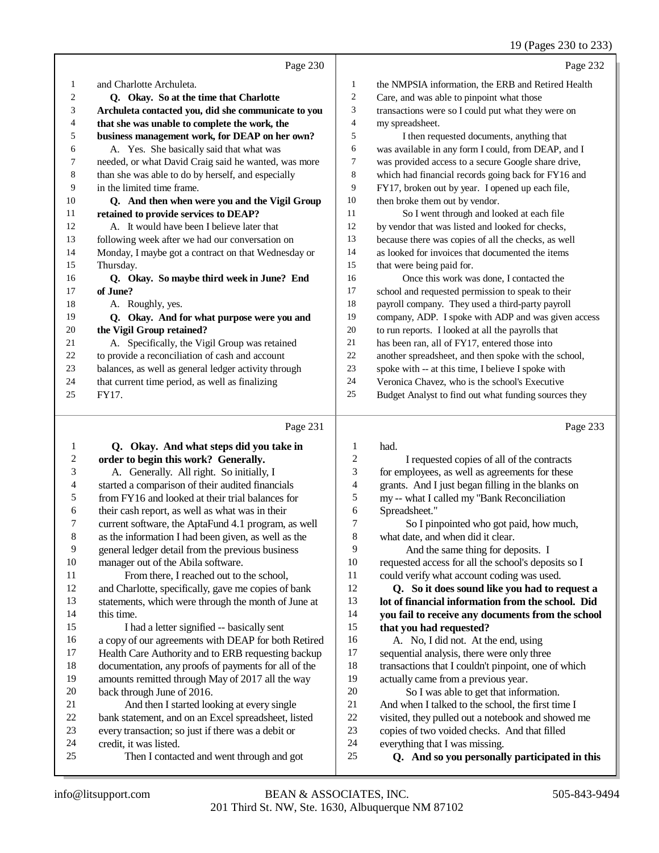# 19 (Pages 230 to 233)

|    | Page 230                                             |                | Page 232                                             |
|----|------------------------------------------------------|----------------|------------------------------------------------------|
| 1  | and Charlotte Archuleta.                             | 1              | the NMPSIA information, the ERB and Retired Health   |
| 2  | Q. Okay. So at the time that Charlotte               | $\overline{2}$ | Care, and was able to pinpoint what those            |
| 3  | Archuleta contacted you, did she communicate to you  | 3              | transactions were so I could put what they were on   |
| 4  | that she was unable to complete the work, the        | $\overline{4}$ | my spreadsheet.                                      |
| 5  | business management work, for DEAP on her own?       | 5              | I then requested documents, anything that            |
| 6  | A. Yes. She basically said that what was             | 6              | was available in any form I could, from DEAP, and I  |
| 7  | needed, or what David Craig said he wanted, was more | 7              | was provided access to a secure Google share drive,  |
| 8  | than she was able to do by herself, and especially   | 8              | which had financial records going back for FY16 and  |
| 9  | in the limited time frame.                           | 9              | FY17, broken out by year. I opened up each file,     |
| 10 | Q. And then when were you and the Vigil Group        | 10             | then broke them out by vendor.                       |
| 11 | retained to provide services to DEAP?                | 11             | So I went through and looked at each file            |
| 12 | A. It would have been I believe later that           | 12             | by vendor that was listed and looked for checks,     |
| 13 | following week after we had our conversation on      | 13             | because there was copies of all the checks, as well  |
| 14 | Monday, I maybe got a contract on that Wednesday or  | 14             | as looked for invoices that documented the items     |
| 15 | Thursday.                                            | 15             | that were being paid for.                            |
| 16 | Q. Okay. So maybe third week in June? End            | 16             | Once this work was done. I contacted the             |
| 17 | of June?                                             | 17             | school and requested permission to speak to their    |
| 18 | A. Roughly, yes.                                     | 18             | payroll company. They used a third-party payroll     |
| 19 | Q. Okay. And for what purpose were you and           | 19             | company, ADP. I spoke with ADP and was given access  |
| 20 | the Vigil Group retained?                            | 20             | to run reports. I looked at all the payrolls that    |
| 21 | A. Specifically, the Vigil Group was retained        | 21             | has been ran, all of FY17, entered those into        |
| 22 | to provide a reconciliation of cash and account      | 22             | another spreadsheet, and then spoke with the school, |
| 23 | balances, as well as general ledger activity through | 23             | spoke with -- at this time, I believe I spoke with   |
| 24 | that current time period, as well as finalizing      | 24             | Veronica Chavez, who is the school's Executive       |
| 25 | FY17.                                                | 25             | Budget Analyst to find out what funding sources they |
|    |                                                      |                |                                                      |
|    | Page 231                                             |                | Page 233                                             |

| 1  | Q. Okay. And what steps did you take in              | 1              | had.                                                |
|----|------------------------------------------------------|----------------|-----------------------------------------------------|
| 2  | order to begin this work? Generally.                 | $\overline{c}$ | I requested copies of all of the contracts          |
| 3  | A. Generally. All right. So initially, I             | 3              | for employees, as well as agreements for these      |
| 4  | started a comparison of their audited financials     | 4              | grants. And I just began filling in the blanks on   |
| 5  | from FY16 and looked at their trial balances for     | 5              | my -- what I called my "Bank Reconciliation         |
| 6  | their cash report, as well as what was in their      | 6              | Spreadsheet."                                       |
| 7  | current software, the AptaFund 4.1 program, as well  | 7              | So I pinpointed who got paid, how much,             |
| 8  | as the information I had been given, as well as the  | 8              | what date, and when did it clear.                   |
| 9  | general ledger detail from the previous business     | 9              | And the same thing for deposits. I                  |
| 10 | manager out of the Abila software.                   | 10             | requested access for all the school's deposits so I |
| 11 | From there, I reached out to the school,             | 11             | could verify what account coding was used.          |
| 12 | and Charlotte, specifically, gave me copies of bank  | 12             | Q. So it does sound like you had to request a       |
| 13 | statements, which were through the month of June at  | 13             | lot of financial information from the school. Did   |
| 14 | this time.                                           | 14             | you fail to receive any documents from the school   |
| 15 | I had a letter signified -- basically sent           | 15             | that you had requested?                             |
| 16 | a copy of our agreements with DEAP for both Retired  | 16             | A. No, I did not. At the end, using                 |
| 17 | Health Care Authority and to ERB requesting backup   | 17             | sequential analysis, there were only three          |
| 18 | documentation, any proofs of payments for all of the | 18             | transactions that I couldn't pinpoint, one of which |
| 19 | amounts remitted through May of 2017 all the way     | 19             | actually came from a previous year.                 |
| 20 | back through June of 2016.                           | 20             | So I was able to get that information.              |
| 21 | And then I started looking at every single           | 21             | And when I talked to the school, the first time I   |
| 22 | bank statement, and on an Excel spreadsheet, listed  | 22             | visited, they pulled out a notebook and showed me   |
| 23 | every transaction; so just if there was a debit or   | 23             | copies of two voided checks. And that filled        |
| 24 | credit, it was listed.                               | 24             | everything that I was missing.                      |
| 25 | Then I contacted and went through and got            | 25             | Q. And so you personally participated in this       |
|    |                                                      |                |                                                     |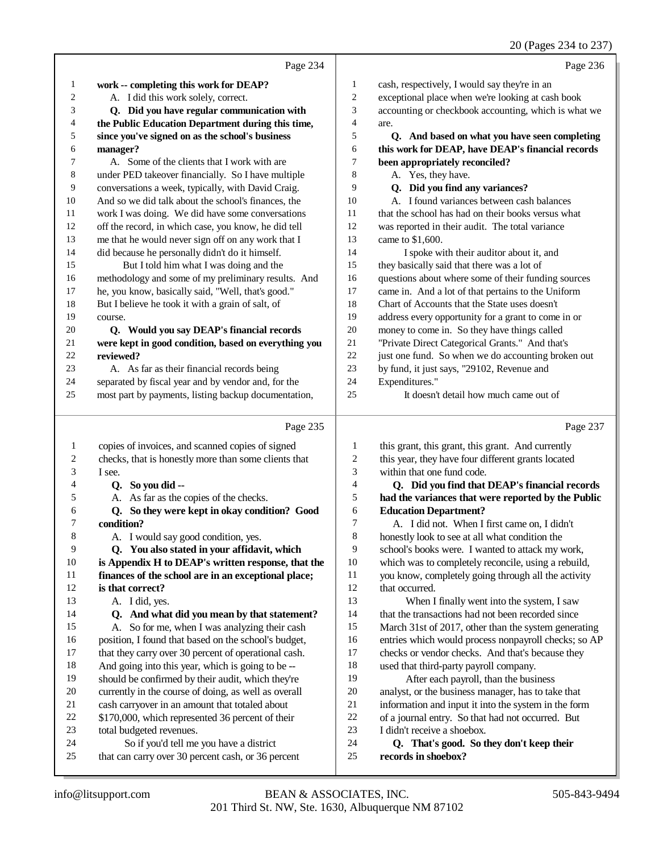20 (Pages 234 to 237)

|                         | Page 234                                                                                                     |                         | Page 236                                                                                                 |
|-------------------------|--------------------------------------------------------------------------------------------------------------|-------------------------|----------------------------------------------------------------------------------------------------------|
| 1                       | work -- completing this work for DEAP?                                                                       | $\mathbf{1}$            | cash, respectively, I would say they're in an                                                            |
| $\boldsymbol{2}$        | A. I did this work solely, correct.                                                                          | $\boldsymbol{2}$        | exceptional place when we're looking at cash book                                                        |
| 3                       | Q. Did you have regular communication with                                                                   | 3                       | accounting or checkbook accounting, which is what we                                                     |
| 4                       | the Public Education Department during this time,                                                            | 4                       | are.                                                                                                     |
| 5                       | since you've signed on as the school's business                                                              | 5                       | Q. And based on what you have seen completing                                                            |
| 6                       | manager?                                                                                                     | 6                       | this work for DEAP, have DEAP's financial records                                                        |
| 7                       | A. Some of the clients that I work with are                                                                  | 7                       | been appropriately reconciled?                                                                           |
| 8                       | under PED takeover financially. So I have multiple                                                           | 8                       | A. Yes, they have.                                                                                       |
| $\overline{9}$          | conversations a week, typically, with David Craig.                                                           | 9                       | Q. Did you find any variances?                                                                           |
| $10\,$                  | And so we did talk about the school's finances, the                                                          | 10                      | A. I found variances between cash balances                                                               |
| 11                      | work I was doing. We did have some conversations                                                             | $11\,$                  | that the school has had on their books versus what                                                       |
| 12                      | off the record, in which case, you know, he did tell                                                         | 12                      | was reported in their audit. The total variance                                                          |
| 13                      | me that he would never sign off on any work that I                                                           | 13                      | came to \$1,600.                                                                                         |
| 14                      | did because he personally didn't do it himself.                                                              | 14                      | I spoke with their auditor about it, and                                                                 |
| 15                      | But I told him what I was doing and the                                                                      | 15                      | they basically said that there was a lot of                                                              |
| 16                      | methodology and some of my preliminary results. And                                                          | 16                      | questions about where some of their funding sources                                                      |
| $17\,$                  | he, you know, basically said, "Well, that's good."                                                           | 17                      | came in. And a lot of that pertains to the Uniform                                                       |
| 18                      | But I believe he took it with a grain of salt, of                                                            | 18                      | Chart of Accounts that the State uses doesn't                                                            |
| 19<br>$20\,$            | course.                                                                                                      | 19<br>$20\,$            | address every opportunity for a grant to come in or                                                      |
| 21                      | Q. Would you say DEAP's financial records                                                                    | $21\,$                  | money to come in. So they have things called<br>"Private Direct Categorical Grants." And that's          |
| $22\,$                  | were kept in good condition, based on everything you<br>reviewed?                                            | $22\,$                  | just one fund. So when we do accounting broken out                                                       |
| 23                      | A. As far as their financial records being                                                                   | 23                      | by fund, it just says, "29102, Revenue and                                                               |
| 24                      | separated by fiscal year and by vendor and, for the                                                          | 24                      | Expenditures."                                                                                           |
| 25                      | most part by payments, listing backup documentation,                                                         | 25                      | It doesn't detail how much came out of                                                                   |
|                         |                                                                                                              |                         |                                                                                                          |
|                         |                                                                                                              |                         |                                                                                                          |
|                         | Page 235                                                                                                     |                         | Page 237                                                                                                 |
| 1                       | copies of invoices, and scanned copies of signed                                                             | $\mathbf{1}$            | this grant, this grant, this grant. And currently                                                        |
| $\overline{\mathbf{c}}$ | checks, that is honestly more than some clients that                                                         | $\overline{\mathbf{c}}$ | this year, they have four different grants located                                                       |
| 3                       | I see.                                                                                                       | 3                       | within that one fund code.                                                                               |
| 4                       | Q. So you did --                                                                                             | 4                       | Q. Did you find that DEAP's financial records                                                            |
| 5                       | A. As far as the copies of the checks.                                                                       | 5                       | had the variances that were reported by the Public                                                       |
| 6                       | Q. So they were kept in okay condition? Good                                                                 | 6                       | <b>Education Department?</b>                                                                             |
| 7                       | condition?                                                                                                   | $\boldsymbol{7}$        | A. I did not. When I first came on, I didn't                                                             |
| $\,$ 8 $\,$             | A. I would say good condition, yes.                                                                          | 8                       | honestly look to see at all what condition the                                                           |
| 9                       | Q. You also stated in your affidavit, which                                                                  | 9                       | school's books were. I wanted to attack my work,                                                         |
| 10                      | is Appendix H to DEAP's written response, that the                                                           | 10                      | which was to completely reconcile, using a rebuild,                                                      |
| 11                      | finances of the school are in an exceptional place;                                                          | 11                      | you know, completely going through all the activity                                                      |
| 12<br>13                | is that correct?                                                                                             | 12<br>13                | that occurred.                                                                                           |
| 14                      | A. I did, yes.                                                                                               | 14                      | When I finally went into the system, I saw                                                               |
| 15                      | Q. And what did you mean by that statement?                                                                  | 15                      | that the transactions had not been recorded since                                                        |
| 16                      | A. So for me, when I was analyzing their cash                                                                | 16                      | March 31st of 2017, other than the system generating                                                     |
| 17                      | position, I found that based on the school's budget,<br>that they carry over 30 percent of operational cash. | 17                      | entries which would process nonpayroll checks; so AP<br>checks or vendor checks. And that's because they |
| 18                      | And going into this year, which is going to be --                                                            | 18                      | used that third-party payroll company.                                                                   |
| 19                      | should be confirmed by their audit, which they're                                                            | 19                      | After each payroll, than the business                                                                    |
| 20                      | currently in the course of doing, as well as overall                                                         | $20\,$                  | analyst, or the business manager, has to take that                                                       |
| 21                      | cash carryover in an amount that totaled about                                                               | $21\,$                  | information and input it into the system in the form                                                     |
| $22\,$                  | \$170,000, which represented 36 percent of their                                                             | $22\,$                  | of a journal entry. So that had not occurred. But                                                        |
| $23\,$                  | total budgeted revenues.                                                                                     | 23                      | I didn't receive a shoebox.                                                                              |
| 24<br>25                | So if you'd tell me you have a district<br>that can carry over 30 percent cash, or 36 percent                | 24<br>$25\,$            | Q. That's good. So they don't keep their<br>records in shoebox?                                          |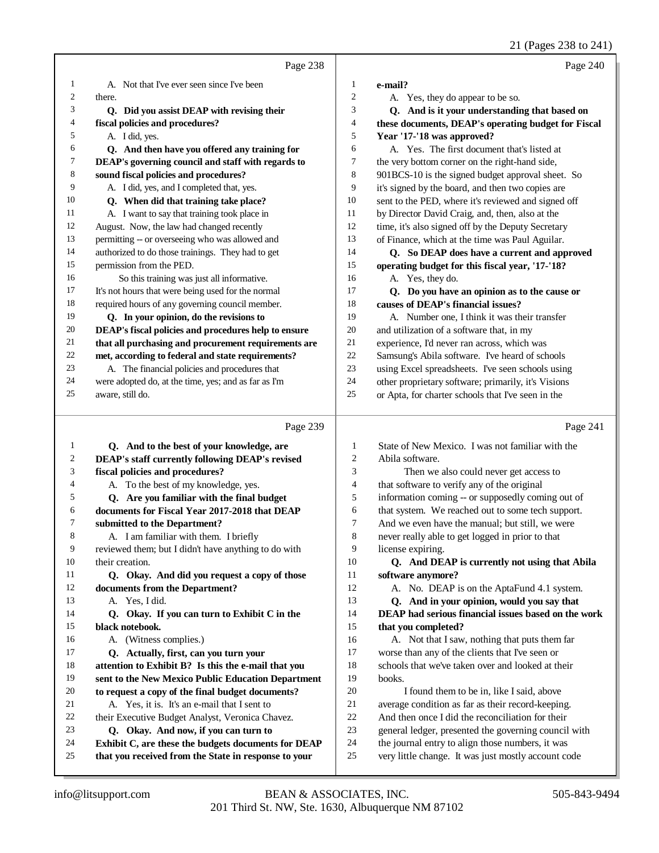21 (Pages 238 to 241)

|          |                                                                                                             |                          | 21 (Pages 238 to 241)                                                                                   |
|----------|-------------------------------------------------------------------------------------------------------------|--------------------------|---------------------------------------------------------------------------------------------------------|
|          | Page 238                                                                                                    |                          | Page 240                                                                                                |
| 1        | A. Not that I've ever seen since I've been                                                                  | 1                        | e-mail?                                                                                                 |
| 2        | there.                                                                                                      | $\overline{2}$           | A. Yes, they do appear to be so.                                                                        |
| 3        | Q. Did you assist DEAP with revising their                                                                  | 3                        | Q. And is it your understanding that based on                                                           |
| 4        | fiscal policies and procedures?                                                                             | $\overline{\mathcal{L}}$ | these documents, DEAP's operating budget for Fiscal                                                     |
| 5        | A. I did, yes.                                                                                              | 5                        | Year '17-'18 was approved?                                                                              |
| 6        | Q. And then have you offered any training for                                                               | 6                        | A. Yes. The first document that's listed at                                                             |
| 7        | DEAP's governing council and staff with regards to                                                          | 7                        | the very bottom corner on the right-hand side,                                                          |
| 8        | sound fiscal policies and procedures?                                                                       | 8                        | 901BCS-10 is the signed budget approval sheet. So                                                       |
| 9        | A. I did, yes, and I completed that, yes.                                                                   | 9                        | it's signed by the board, and then two copies are                                                       |
| 10       | Q. When did that training take place?                                                                       | 10                       | sent to the PED, where it's reviewed and signed off                                                     |
| 11       | A. I want to say that training took place in                                                                | 11                       | by Director David Craig, and, then, also at the                                                         |
| 12       | August. Now, the law had changed recently                                                                   | 12                       | time, it's also signed off by the Deputy Secretary                                                      |
| 13       | permitting -- or overseeing who was allowed and                                                             | 13                       | of Finance, which at the time was Paul Aguilar.                                                         |
| 14       | authorized to do those trainings. They had to get                                                           | 14                       | Q. So DEAP does have a current and approved                                                             |
| 15       | permission from the PED.                                                                                    | 15                       | operating budget for this fiscal year, '17-'18?                                                         |
| 16       | So this training was just all informative.                                                                  | 16                       | A. Yes, they do.                                                                                        |
| 17       | It's not hours that were being used for the normal                                                          | 17                       | Q. Do you have an opinion as to the cause or                                                            |
| 18       | required hours of any governing council member.                                                             | 18                       | causes of DEAP's financial issues?                                                                      |
| 19       | Q. In your opinion, do the revisions to                                                                     | 19                       | A. Number one, I think it was their transfer                                                            |
| 20       | DEAP's fiscal policies and procedures help to ensure                                                        | $20\,$                   | and utilization of a software that, in my                                                               |
| 21       | that all purchasing and procurement requirements are                                                        | 21                       | experience, I'd never ran across, which was                                                             |
| 22       | met, according to federal and state requirements?                                                           | 22                       | Samsung's Abila software. I've heard of schools                                                         |
| 23       | A. The financial policies and procedures that                                                               | 23                       | using Excel spreadsheets. I've seen schools using                                                       |
| 24       | were adopted do, at the time, yes; and as far as I'm                                                        | 24                       | other proprietary software; primarily, it's Visions                                                     |
| 25       | aware, still do.                                                                                            | 25                       | or Apta, for charter schools that I've seen in the                                                      |
|          |                                                                                                             |                          |                                                                                                         |
|          | Page 239                                                                                                    |                          | Page 241                                                                                                |
| 1        | Q. And to the best of your knowledge, are                                                                   | 1                        | State of New Mexico. I was not familiar with the                                                        |
| 2        | DEAP's staff currently following DEAP's revised                                                             | $\overline{c}$           | Abila software.                                                                                         |
| 3        | fiscal policies and procedures?                                                                             | 3                        | Then we also could never get access to                                                                  |
| 4        | A. To the best of my knowledge, yes.                                                                        | 4                        | that software to verify any of the original                                                             |
| 5        | Q. Are you familiar with the final budget                                                                   |                          |                                                                                                         |
| 6        |                                                                                                             | 5                        | information coming -- or supposedly coming out of                                                       |
| 7        | documents for Fiscal Year 2017-2018 that DEAP                                                               | 6                        | that system. We reached out to some tech support.                                                       |
|          | submitted to the Department?                                                                                | $\overline{7}$           | And we even have the manual; but still, we were                                                         |
| 8        | A. I am familiar with them. I briefly                                                                       | $\,8\,$                  | never really able to get logged in prior to that                                                        |
| 9        | reviewed them; but I didn't have anything to do with                                                        | 9                        | license expiring.                                                                                       |
| 10       | their creation.                                                                                             | 10                       | Q. And DEAP is currently not using that Abila                                                           |
| 11       | Q. Okay. And did you request a copy of those                                                                | 11                       | software anymore?                                                                                       |
| 12       | documents from the Department?                                                                              | 12                       | A. No. DEAP is on the AptaFund 4.1 system.                                                              |
| 13       | A. Yes, I did.                                                                                              | 13                       | Q. And in your opinion, would you say that                                                              |
| 14       | Q. Okay. If you can turn to Exhibit C in the                                                                | 14                       | DEAP had serious financial issues based on the work                                                     |
| 15       | black notebook.                                                                                             | 15                       | that you completed?                                                                                     |
| 16       | A. (Witness complies.)                                                                                      | 16                       | A. Not that I saw, nothing that puts them far                                                           |
| 17       | Q. Actually, first, can you turn your                                                                       | 17                       | worse than any of the clients that I've seen or                                                         |
| 18       | attention to Exhibit B? Is this the e-mail that you                                                         | 18                       | schools that we've taken over and looked at their                                                       |
| 19       | sent to the New Mexico Public Education Department                                                          | 19                       | books.                                                                                                  |
| 20       | to request a copy of the final budget documents?                                                            | 20                       | I found them to be in, like I said, above                                                               |
| 21       | A. Yes, it is. It's an e-mail that I sent to                                                                | 21                       | average condition as far as their record-keeping.                                                       |
| 22       | their Executive Budget Analyst, Veronica Chavez.                                                            | 22                       | And then once I did the reconciliation for their                                                        |
| 23       | Q. Okay. And now, if you can turn to                                                                        | 23                       | general ledger, presented the governing council with                                                    |
| 24<br>25 | Exhibit C, are these the budgets documents for DEAP<br>that you received from the State in response to your | $24\,$<br>25             | the journal entry to align those numbers, it was<br>very little change. It was just mostly account code |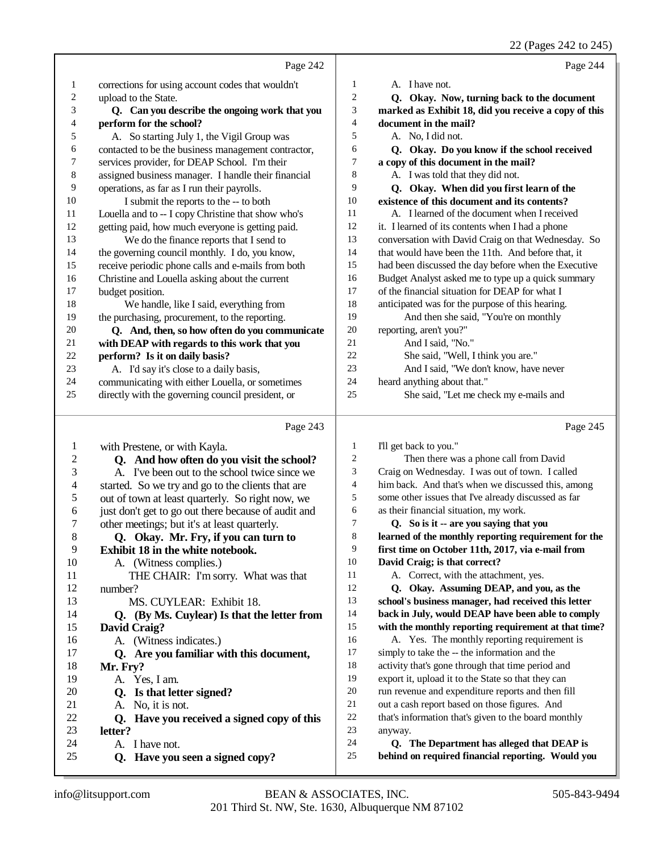|                  |                                                     |                | 22 (Pages 242 to 245)                                |
|------------------|-----------------------------------------------------|----------------|------------------------------------------------------|
|                  | Page 242                                            |                | Page 244                                             |
| 1                | corrections for using account codes that wouldn't   | $\mathbf{1}$   | A. I have not.                                       |
| $\overline{c}$   | upload to the State.                                | $\overline{c}$ | Q. Okay. Now, turning back to the document           |
| 3                | Q. Can you describe the ongoing work that you       | 3              | marked as Exhibit 18, did you receive a copy of this |
| 4                | perform for the school?                             | $\overline{4}$ | document in the mail?                                |
| 5                | A. So starting July 1, the Vigil Group was          | 5              | A. No, I did not.                                    |
| 6                | contacted to be the business management contractor, | 6              | Q. Okay. Do you know if the school received          |
| 7                | services provider, for DEAP School. I'm their       | 7              | a copy of this document in the mail?                 |
| 8                | assigned business manager. I handle their financial | 8              | A. I was told that they did not.                     |
| 9                | operations, as far as I run their payrolls.         | 9              | Q. Okay. When did you first learn of the             |
| 10               | I submit the reports to the -- to both              | 10             | existence of this document and its contents?         |
| 11               | Louella and to -- I copy Christine that show who's  | 11             | A. I learned of the document when I received         |
| 12               | getting paid, how much everyone is getting paid.    | 12             | it. I learned of its contents when I had a phone     |
| 13               | We do the finance reports that I send to            | 13             | conversation with David Craig on that Wednesday. So  |
| 14               | the governing council monthly. I do, you know,      | 14             | that would have been the 11th. And before that, it   |
| 15               | receive periodic phone calls and e-mails from both  | 15             | had been discussed the day before when the Executive |
| 16               | Christine and Louella asking about the current      | 16             | Budget Analyst asked me to type up a quick summary   |
| 17               | budget position.                                    | 17             | of the financial situation for DEAP for what I       |
| 18               | We handle, like I said, everything from             | 18             | anticipated was for the purpose of this hearing.     |
| 19               | the purchasing, procurement, to the reporting.      | 19             | And then she said, "You're on monthly                |
| 20               | Q. And, then, so how often do you communicate       | 20             | reporting, aren't you?"                              |
| 21               | with DEAP with regards to this work that you        | 21             | And I said, "No."                                    |
| 22               | perform? Is it on daily basis?                      | 22             | She said, "Well, I think you are."                   |
| 23               | A. I'd say it's close to a daily basis,             | 23             | And I said, "We don't know, have never               |
| 24               | communicating with either Louella, or sometimes     | 24             | heard anything about that."                          |
| 25               | directly with the governing council president, or   | 25             | She said, "Let me check my e-mails and               |
|                  |                                                     |                |                                                      |
|                  | Page 243                                            |                | Page 245                                             |
| 1                | with Prestene, or with Kayla.                       | $\mathbf{1}$   | I'll get back to you."                               |
| $\boldsymbol{2}$ | Q. And how often do you visit the school?           | $\overline{c}$ | Then there was a phone call from David               |
| 3                | A. I've been out to the school twice since we       | 3              | Craig on Wednesday. I was out of town. I called      |
| 4                | started. So we try and go to the clients that are   | 4              | him back. And that's when we discussed this, among   |
| 5                | out of town at least quarterly. So right now, we    | 5              | some other issues that I've already discussed as far |
| 6                | just don't get to go out there because of audit and | 6              | as their financial situation, my work.               |
| $\boldsymbol{7}$ | other meetings; but it's at least quarterly.        | 7              | Q. So is it -- are you saying that you               |
| $\,8\,$          | Q. Okay. Mr. Fry, if you can turn to                | 8              | learned of the monthly reporting requirement for the |
| 9                | Exhibit 18 in the white notebook.                   | 9              | first time on October 11th, 2017, via e-mail from    |
| 10               | A. (Witness complies.)                              | 10             | David Craig; is that correct?                        |
| 11               | THE CHAIR: I'm sorry. What was that                 | 11             | A. Correct, with the attachment, yes.                |
| 12               | numher?                                             | 12             | O. Okay. Assuming DEAP, and you, as the              |

 **Q. Okay. Assuming DEAP, and you, as the school's business manager, had received this letter back in July, would DEAP have been able to comply with the monthly reporting requirement at that time?** A. Yes. The monthly reporting requirement is simply to take the -- the information and the activity that's gone through that time period and

 export it, upload it to the State so that they can run revenue and expenditure reports and then fill out a cash report based on those figures. And

 that's information that's given to the board monthly anyway.

 **Q. The Department has alleged that DEAP is behind on required financial reporting. Would you**

**letter?**

**David Craig?**

19  $\alpha$ . Yes, I am.<br>20  $\alpha$ . Is that let

21 A. No, it is not.<br>22 **O. Have vou re** 

24 A. I have not.<br>25 **O. Have vou** 

**Mr. Fry?**

MS. CUYLEAR: Exhibit 18.

16 A. (Witness indicates.)<br>17 **O. Are you familiar w** 

20 **Q.** Is that letter signed?<br>21 A. No. it is not.

 **Q. (By Ms. Cuylear) Is that the letter from**

 **Q. Are you familiar with this document,**

 **Q. Have you received a signed copy of this**

 **Q. Have you seen a signed copy?**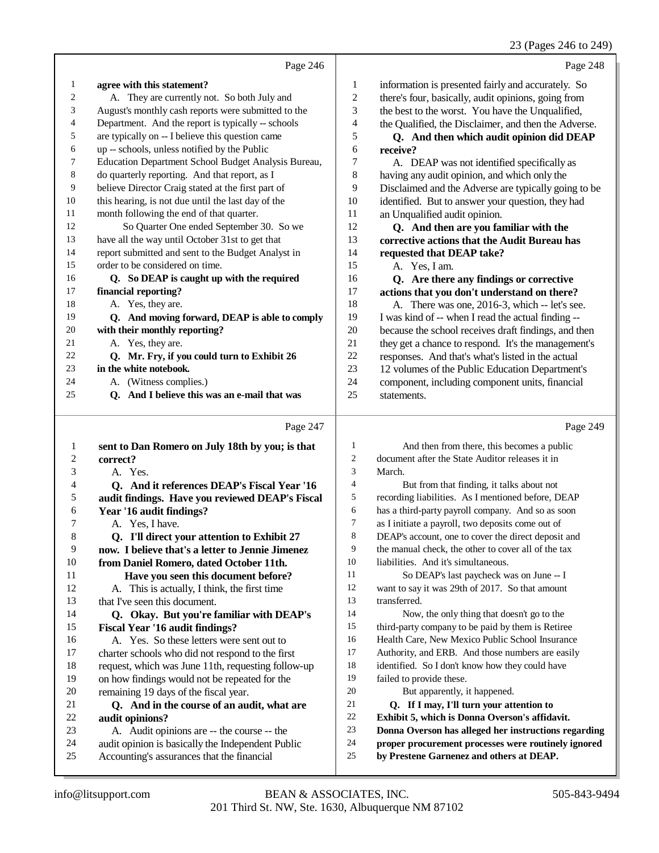### 23 (Pages 246 to 249)

|                |                                                     |                | 23 (Pages 246 to 249                                 |
|----------------|-----------------------------------------------------|----------------|------------------------------------------------------|
|                | Page 246                                            |                | Page 248                                             |
| 1              | agree with this statement?                          | $\mathbf{1}$   | information is presented fairly and accurately. So   |
| $\overline{c}$ | A. They are currently not. So both July and         | $\mathfrak{2}$ | there's four, basically, audit opinions, going from  |
| 3              | August's monthly cash reports were submitted to the | 3              | the best to the worst. You have the Unqualified,     |
| 4              | Department. And the report is typically -- schools  | 4              | the Qualified, the Disclaimer, and then the Adverse. |
| 5              | are typically on -- I believe this question came    | 5              | Q. And then which audit opinion did DEAP             |
| 6              | up -- schools, unless notified by the Public        | 6              | receive?                                             |
| 7              | Education Department School Budget Analysis Bureau, | 7              | A. DEAP was not identified specifically as           |
| 8              | do quarterly reporting. And that report, as I       | 8              | having any audit opinion, and which only the         |
| 9              | believe Director Craig stated at the first part of  | 9              | Disclaimed and the Adverse are typically going to be |
| $10\,$         | this hearing, is not due until the last day of the  | 10             | identified. But to answer your question, they had    |
| 11             | month following the end of that quarter.            | 11             | an Unqualified audit opinion.                        |
| 12             | So Quarter One ended September 30. So we            | 12             | Q. And then are you familiar with the                |
| 13             | have all the way until October 31st to get that     | 13             | corrective actions that the Audit Bureau has         |
| 14             | report submitted and sent to the Budget Analyst in  | 14             | requested that DEAP take?                            |
| 15             | order to be considered on time.                     | 15             | A. Yes, I am.                                        |
| 16             | Q. So DEAP is caught up with the required           | 16             | Q. Are there any findings or corrective              |
| 17             | financial reporting?                                | 17             | actions that you don't understand on there?          |
| 18             | A. Yes, they are.                                   | 18             | A. There was one, 2016-3, which -- let's see.        |
| 19             | Q. And moving forward, DEAP is able to comply       | 19             | I was kind of -- when I read the actual finding --   |
| $20\,$         | with their monthly reporting?                       | 20             | because the school receives draft findings, and then |
| 21             | A. Yes, they are.                                   | 21             | they get a chance to respond. It's the management's  |
| 22             | Q. Mr. Fry, if you could turn to Exhibit 26         | 22             | responses. And that's what's listed in the actual    |
| 23             | in the white notebook.                              | 23             | 12 volumes of the Public Education Department's      |
| 24             | A. (Witness complies.)                              | 24             | component, including component units, financial      |
| 25             | Q. And I believe this was an e-mail that was        | 25             | statements.                                          |
|                | Page 247                                            |                | Page 249                                             |
| $\mathbf{1}$   | sent to Dan Romero on July 18th by you; is that     | 1              | And then from there, this becomes a public           |
| $\overline{c}$ | correct?                                            | 2              | document after the State Auditor releases it in      |
| 3              | A. Yes.                                             | 3              | March.                                               |
| 4              | Q. And it references DEAP's Fiscal Year '16         | 4              | But from that finding, it talks about not            |
| 5              | audit findings. Have you reviewed DEAP's Fiscal     | 5              | recording liabilities. As I mentioned before, DEAP   |
| 6              | Year '16 audit findings?                            | 6              | has a third-party payroll company. And so as soon    |
| 7              | A. Yes, I have.                                     | $\tau$         | as I initiate a payroll, two deposits come out of    |
| 8              | Q. I'll direct your attention to Exhibit 27         | 8              | DEAP's account, one to cover the direct deposit and  |
| 9              | now. I believe that's a letter to Jennie Jimenez    | 9              | the manual check, the other to cover all of the tax  |
| 10             | from Daniel Romero, dated October 11th.             | 10             | liabilities. And it's simultaneous.                  |
| 11             | Have you seen this document before?                 | 11             | So DEAP's last paycheck was on June -- I             |
|                |                                                     |                |                                                      |

 So DEAP's last paycheck was on June -- I want to say it was 29th of 2017. So that amount transferred.

 Now, the only thing that doesn't go to the third-party company to be paid by them is Retiree Health Care, New Mexico Public School Insurance

- Authority, and ERB. And those numbers are easily
- identified. So I don't know how they could have failed to provide these.
- But apparently, it happened.
- **Q. If I may, I'll turn your attention to**
- **Exhibit 5, which is Donna Overson's affidavit.**
- **Donna Overson has alleged her instructions regarding**
- **proper procurement processes were routinely ignored**
- **by Prestene Garnenez and others at DEAP.**

A. This is actually, I think, the first time

16 A. Yes. So these letters were sent out to<br>17 charter schools who did not respond to the fir

 **Q. Okay. But you're familiar with DEAP's**

 **Q. And in the course of an audit, what are**

 A. Audit opinions are -- the course -- the 24 audit opinion is basically the Independent Public<br>25 Accounting's assurances that the financial Accounting's assurances that the financial

charter schools who did not respond to the first 18 request, which was June 11th, requesting follow-up<br>19 on how findings would not be repeated for the on how findings would not be repeated for the

that I've seen this document.

**Fiscal Year '16 audit findings?**

20 remaining 19 days of the fiscal year.<br>21 **O.** And in the course of an au

audit opinions?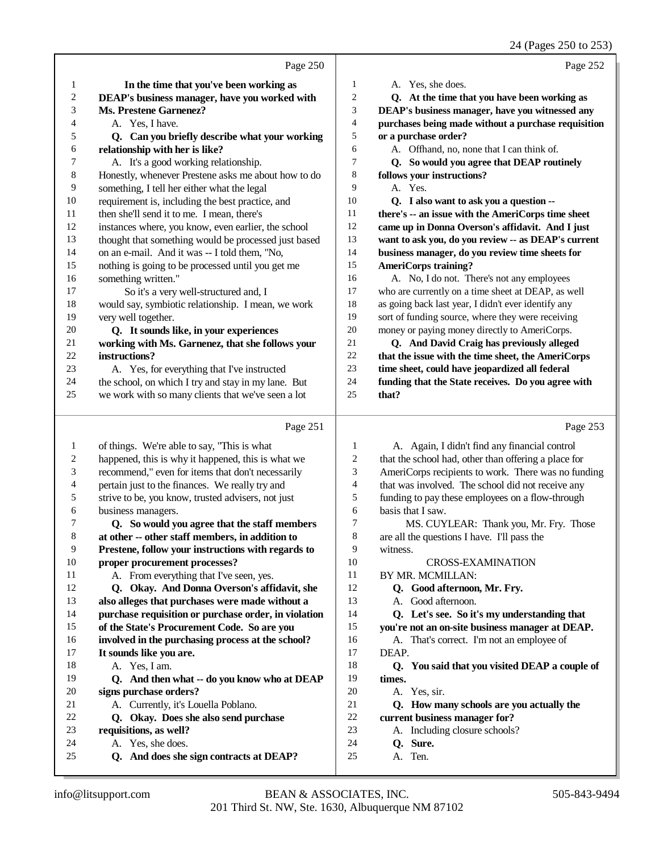24 (Pages 250 to 253)

|                         | Page 250                                                                 |                     | Page 252                                                              |
|-------------------------|--------------------------------------------------------------------------|---------------------|-----------------------------------------------------------------------|
| 1                       | In the time that you've been working as                                  | 1                   | A. Yes, she does.                                                     |
| $\overline{\mathbf{c}}$ | DEAP's business manager, have you worked with                            | 2                   | Q. At the time that you have been working as                          |
| 3                       | <b>Ms. Prestene Garnenez?</b>                                            | 3                   | DEAP's business manager, have you witnessed any                       |
| 4                       | A. Yes, I have.                                                          | 4                   | purchases being made without a purchase requisition                   |
| 5                       | Q. Can you briefly describe what your working                            | 5                   | or a purchase order?                                                  |
| 6                       | relationship with her is like?                                           | 6                   | A. Offhand, no, none that I can think of.                             |
| 7                       | A. It's a good working relationship.                                     | 7                   | Q. So would you agree that DEAP routinely                             |
| $\,$ 8 $\,$             | Honestly, whenever Prestene asks me about how to do                      | 8                   | follows your instructions?                                            |
| 9                       | something, I tell her either what the legal                              | 9                   | A. Yes.                                                               |
| 10                      | requirement is, including the best practice, and                         | 10                  | Q. I also want to ask you a question --                               |
| 11                      | then she'll send it to me. I mean, there's                               | 11                  | there's -- an issue with the AmeriCorps time sheet                    |
| 12                      | instances where, you know, even earlier, the school                      | 12                  | came up in Donna Overson's affidavit. And I just                      |
| 13                      | thought that something would be processed just based                     | 13                  | want to ask you, do you review -- as DEAP's current                   |
| 14                      | on an e-mail. And it was -- I told them, "No,                            | 14                  | business manager, do you review time sheets for                       |
| 15                      | nothing is going to be processed until you get me                        | 15                  | <b>AmeriCorps training?</b>                                           |
| 16                      | something written."                                                      | 16                  | A. No, I do not. There's not any employees                            |
| 17                      | So it's a very well-structured and, I                                    | 17                  | who are currently on a time sheet at DEAP, as well                    |
| 18                      | would say, symbiotic relationship. I mean, we work                       | 18                  | as going back last year, I didn't ever identify any                   |
| 19                      | very well together.                                                      | 19                  | sort of funding source, where they were receiving                     |
| 20                      | Q. It sounds like, in your experiences                                   | 20                  | money or paying money directly to AmeriCorps.                         |
| 21                      | working with Ms. Garnenez, that she follows your                         | $21\,$              | Q. And David Craig has previously alleged                             |
| $22\,$                  | instructions?                                                            | $22\,$              | that the issue with the time sheet, the AmeriCorps                    |
| 23                      | A. Yes, for everything that I've instructed                              | 23                  | time sheet, could have jeopardized all federal                        |
| 24                      | the school, on which I try and stay in my lane. But                      | 24                  | funding that the State receives. Do you agree with                    |
| 25                      | we work with so many clients that we've seen a lot                       | 25                  | that?                                                                 |
|                         |                                                                          |                     |                                                                       |
|                         | Page 251                                                                 |                     | Page 253                                                              |
|                         |                                                                          |                     |                                                                       |
| $\mathbf{1}$            | of things. We're able to say, "This is what                              | 1<br>$\overline{c}$ | A. Again, I didn't find any financial control                         |
| 2<br>3                  | happened, this is why it happened, this is what we                       | 3                   | that the school had, other than offering a place for                  |
| 4                       | recommend," even for items that don't necessarily                        | 4                   | AmeriCorps recipients to work. There was no funding                   |
| 5                       | pertain just to the finances. We really try and                          | 5                   | that was involved. The school did not receive any                     |
| 6                       | strive to be, you know, trusted advisers, not just<br>business managers. | 6                   | funding to pay these employees on a flow-through<br>basis that I saw. |
| 7                       | Q. So would you agree that the staff members                             | 7                   | MS. CUYLEAR: Thank you, Mr. Fry. Those                                |
|                         | at other -- other staff members, in addition to                          | 8                   | are all the questions I have. I'll pass the                           |
| 9                       | Prestene, follow your instructions with regards to                       | 9                   | witness.                                                              |
| 10                      | proper procurement processes?                                            | 10                  | <b>CROSS-EXAMINATION</b>                                              |
| 11                      | A. From everything that I've seen, yes.                                  | 11                  | BY MR. MCMILLAN:                                                      |
| 12                      | Q. Okay. And Donna Overson's affidavit, she                              | 12                  | Q. Good afternoon, Mr. Fry.                                           |
| 13                      | also alleges that purchases were made without a                          | 13                  | A. Good afternoon.                                                    |
| 14                      | purchase requisition or purchase order, in violation                     | 14                  | Q. Let's see. So it's my understanding that                           |
| 15                      | of the State's Procurement Code. So are you                              | 15                  | you're not an on-site business manager at DEAP.                       |
| 16                      | involved in the purchasing process at the school?                        | 16                  | A. That's correct. I'm not an employee of                             |
| 17                      | It sounds like you are.                                                  | 17                  | DEAP.                                                                 |
| 18                      | A. Yes, I am.                                                            | 18                  | Q. You said that you visited DEAP a couple of                         |
| 19                      | Q. And then what -- do you know who at DEAP                              | 19                  | times.                                                                |
| 20                      | signs purchase orders?                                                   | 20                  | A. Yes, sir.                                                          |
| 21                      | A. Currently, it's Louella Poblano.                                      | 21                  | Q. How many schools are you actually the                              |
| 22                      | Q. Okay. Does she also send purchase                                     | 22                  | current business manager for?                                         |
| 23                      | requisitions, as well?                                                   | 23                  | A. Including closure schools?                                         |
| 24<br>25                | A. Yes, she does.<br>Q. And does she sign contracts at DEAP?             | 24<br>25            | Q. Sure.<br>A. Ten.                                                   |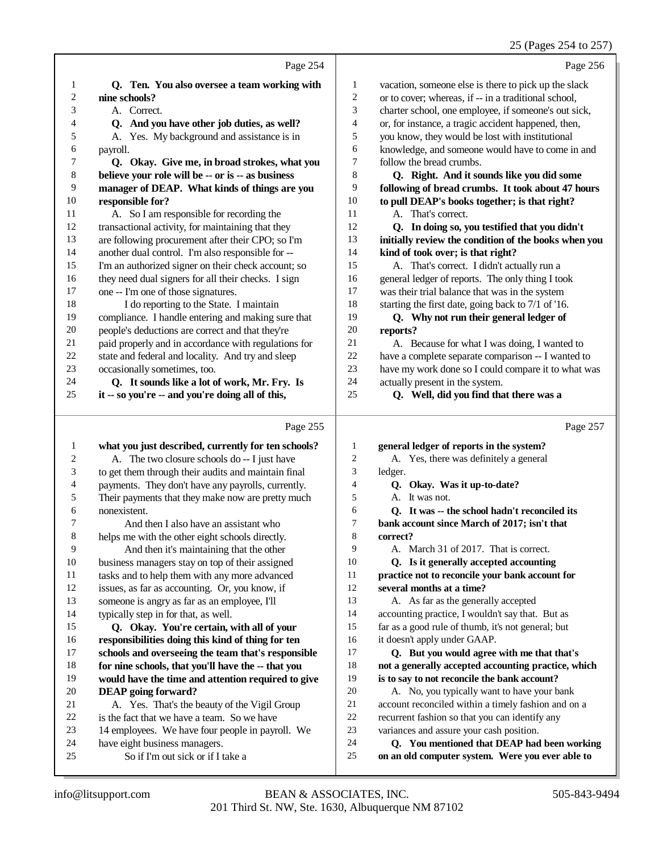#### 25 (Pages 254 to 257)

Page 254  **Q. Ten. You also oversee a team working with nine schools?** A. Correct. **Q. And you have other job duties, as well?**<br>5 A. Yes. My background and assistance is in A. Yes. My background and assistance is in  **Q. Okay. Give me, in broad strokes, what you believe your role will be -- or is -- as business manager of DEAP. What kinds of things are you responsible for?** 11 A. So I am responsible for recording the<br>12 transactional activity for maintaining that the transactional activity, for maintaining that they are following procurement after their CPO; so I'm another dual control. I'm also responsible for -- 15 I'm an authorized signer on their check account; so<br>16 they need dual signers for all their checks. I sign 16 they need dual signers for all their checks. I sign<br>17 one -- I'm one of those signatures one -- I'm one of those signatures. I do reporting to the State. I maintain compliance. I handle entering and making sure that people's deductions are correct and that they're 21 paid properly and in accordance with regulations for<br>22 state and federal and locality And try and sleep 22 state and federal and locality. And try and sleep<br> $\frac{23}{2}$  occasionally sometimes too occasionally sometimes, too.  **Q. It sounds like a lot of work, Mr. Fry. Is it -- so you're -- and you're doing all of this,** Page 256 vacation, someone else is there to pick up the slack or to cover; whereas, if -- in a traditional school, charter school, one employee, if someone's out sick, 4 or, for instance, a tragic accident happened, then,<br>5 oou know, they would be lost with institutional you know, they would be lost with institutional knowledge, and someone would have to come in and follow the bread crumbs.  **Q. Right. And it sounds like you did some following of bread crumbs. It took about 47 hours to pull DEAP's books together; is that right?**  $\cdots$  A. That's correct.<br>12  $\cdots$  The doing so, y  **Q. In doing so, you testified that you didn't initially review the condition of the books when you kind of took over; is that right?** A. That's correct. I didn't actually run a 16 general ledger of reports. The only thing I took<br>17 was their trial balance that was in the system was their trial balance that was in the system starting the first date, going back to 7/1 of '16.  **Q. Why not run their general ledger of reports?** A. Because for what I was doing, I wanted to 22 have a complete separate comparison -- I wanted to<br>23 have my work done so I could compare it to what w have my work done so I could compare it to what was 24 actually present in the system.<br>25  $\qquad \qquad \text{O}$  Well did you find the  **Q. Well, did you find that there was a**

### Page 255

|    | Page 255                                            |                | Page 257                                            |
|----|-----------------------------------------------------|----------------|-----------------------------------------------------|
| 1  | what you just described, currently for ten schools? | 1              | general ledger of reports in the system?            |
| 2  | A. The two closure schools do -- I just have        | 2              | A. Yes, there was definitely a general              |
| 3  | to get them through their audits and maintain final | 3              | ledger.                                             |
| 4  | payments. They don't have any payrolls, currently.  | $\overline{4}$ | Q. Okay. Was it up-to-date?                         |
| 5  | Their payments that they make now are pretty much   | 5              | A. It was not.                                      |
| 6  | nonexistent.                                        | 6              | Q. It was -- the school hadn't reconciled its       |
| 7  | And then I also have an assistant who               | 7              | bank account since March of 2017; isn't that        |
| 8  | helps me with the other eight schools directly.     | 8              | correct?                                            |
| 9  | And then it's maintaining that the other            | 9              | A. March 31 of 2017. That is correct.               |
| 10 | business managers stay on top of their assigned     | 10             | Q. Is it generally accepted accounting              |
| 11 | tasks and to help them with any more advanced       | 11             | practice not to reconcile your bank account for     |
| 12 | issues, as far as accounting. Or, you know, if      | 12             | several months at a time?                           |
| 13 | someone is angry as far as an employee, I'll        | 13             | A. As far as the generally accepted                 |
| 14 | typically step in for that, as well.                | 14             | accounting practice, I wouldn't say that. But as    |
| 15 | Q. Okay. You're certain, with all of your           | 15             | far as a good rule of thumb, it's not general; but  |
| 16 | responsibilities doing this kind of thing for ten   | 16             | it doesn't apply under GAAP.                        |
| 17 | schools and overseeing the team that's responsible  | 17             | Q. But you would agree with me that that's          |
| 18 | for nine schools, that you'll have the -- that you  | 18             | not a generally accepted accounting practice, which |
| 19 | would have the time and attention required to give  | 19             | is to say to not reconcile the bank account?        |
| 20 | <b>DEAP</b> going forward?                          | 20             | A. No, you typically want to have your bank         |
| 21 | A. Yes. That's the beauty of the Vigil Group        | 21             | account reconciled within a timely fashion and on a |
| 22 | is the fact that we have a team. So we have         | 22             | recurrent fashion so that you can identify any      |
| 23 | 14 employees. We have four people in payroll. We    | 23             | variances and assure your cash position.            |
| 24 | have eight business managers.                       | 24             | Q. You mentioned that DEAP had been working         |
| 25 | So if I'm out sick or if I take a                   | 25             | on an old computer system. Were you ever able to    |
|    |                                                     |                |                                                     |

payroll.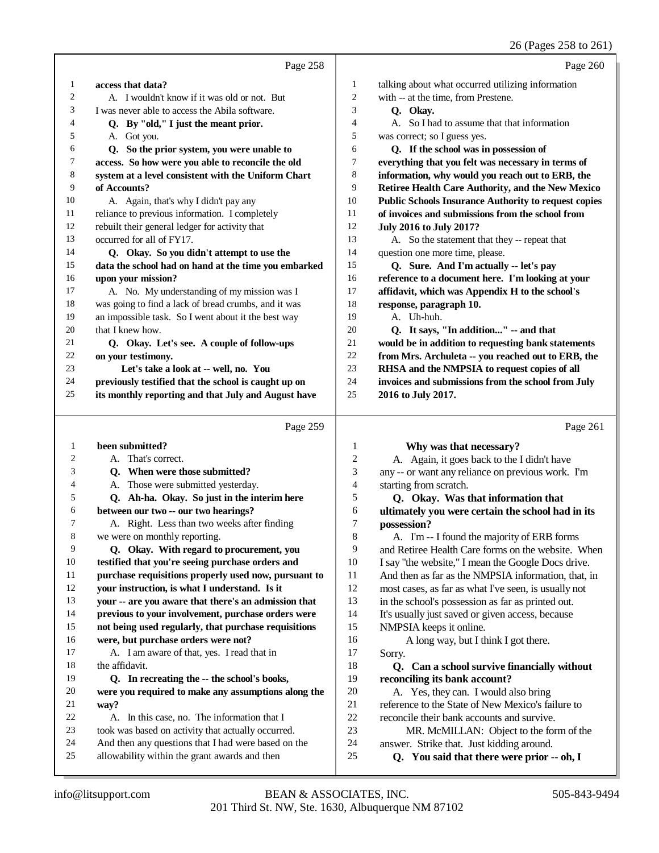### 26 (Pages 258 to 261)

|    |                                                      |    | 26 (Pages 258 to 261)                                       |
|----|------------------------------------------------------|----|-------------------------------------------------------------|
|    | Page 258                                             |    | Page 260                                                    |
| 1  | access that data?                                    | 1  | talking about what occurred utilizing information           |
| 2  | A. I wouldn't know if it was old or not. But         | 2  | with -- at the time, from Prestene.                         |
| 3  | I was never able to access the Abila software.       | 3  | Q. Okay.                                                    |
| 4  | Q. By "old," I just the meant prior.                 | 4  | A. So I had to assume that that information                 |
| 5  | A. Got you.                                          | 5  | was correct; so I guess yes.                                |
| 6  | Q. So the prior system, you were unable to           | 6  | Q. If the school was in possession of                       |
| 7  | access. So how were you able to reconcile the old    | 7  | everything that you felt was necessary in terms of          |
| 8  | system at a level consistent with the Uniform Chart  | 8  | information, why would you reach out to ERB, the            |
| 9  | of Accounts?                                         | 9  | Retiree Health Care Authority, and the New Mexico           |
| 10 | A. Again, that's why I didn't pay any                | 10 | <b>Public Schools Insurance Authority to request copies</b> |
| 11 | reliance to previous information. I completely       | 11 | of invoices and submissions from the school from            |
| 12 | rebuilt their general ledger for activity that       | 12 | <b>July 2016 to July 2017?</b>                              |
| 13 | occurred for all of FY17.                            | 13 | A. So the statement that they -- repeat that                |
| 14 | Q. Okay. So you didn't attempt to use the            | 14 | question one more time, please.                             |
| 15 | data the school had on hand at the time you embarked | 15 | Q. Sure. And I'm actually -- let's pay                      |
| 16 | upon your mission?                                   | 16 | reference to a document here. I'm looking at your           |
| 17 | A. No. My understanding of my mission was I          | 17 | affidavit, which was Appendix H to the school's             |
| 18 | was going to find a lack of bread crumbs, and it was | 18 | response, paragraph 10.                                     |
| 19 | an impossible task. So I went about it the best way  | 19 | A. Uh-huh.                                                  |
| 20 | that I knew how.                                     | 20 | Q. It says, "In addition" -- and that                       |
| 21 | Q. Okay. Let's see. A couple of follow-ups           | 21 | would be in addition to requesting bank statements          |
| 22 | on your testimony.                                   | 22 | from Mrs. Archuleta -- you reached out to ERB, the          |
| 23 | Let's take a look at -- well, no. You                | 23 | RHSA and the NMPSIA to request copies of all                |
| 24 | previously testified that the school is caught up on | 24 | invoices and submissions from the school from July          |
| 25 | its monthly reporting and that July and August have  | 25 | 2016 to July 2017.                                          |
|    | Page 259                                             |    | Page 261                                                    |
| 1  | been submitted?                                      | 1  | Why was that necessary?                                     |
| 2  | A. That's correct.                                   | 2  | A. Again, it goes back to the I didn't have                 |
| 3  | Q. When were those submitted?                        | 3  | any -- or want any reliance on previous work. I'm           |
| 4  | A. Those were submitted yesterday.                   | 4  | starting from scratch.                                      |
| 5  | Q. Ah-ha. Okay. So just in the interim here          | 5  | Q. Okay. Was that information that                          |
| 6  | between our two -- our two hearings?                 | 6  | ultimately you were certain the school had in its           |
|    | A. Right. Less than two weeks after finding          | 7  | possession?                                                 |
| 8  | we were on monthly reporting.                        | 8  | A. I'm -- I found the majority of ERB forms                 |
| 9  | Q. Okay. With regard to procurement, you             | 9  | and Retiree Health Care forms on the website. When          |
| 10 | testified that you're seeing purchase orders and     | 10 | I say "the website," I mean the Google Docs drive.          |
| 11 | purchase requisitions properly used now, pursuant to | 11 | And then as far as the NMPSIA information, that, in         |
| 12 | your instruction, is what I understand. Is it        | 12 | most cases, as far as what I've seen, is usually not        |
| 13 | your -- are you aware that there's an admission that | 13 | in the school's possession as far as printed out.           |
| 14 | previous to your involvement, purchase orders were   | 14 | It's usually just saved or given access, because            |
| 15 | not being used regularly, that purchase requisitions | 15 | NMPSIA keeps it online.                                     |
| 16 | were, but purchase orders were not?                  | 16 | A long way, but I think I got there.                        |
| 17 | A. I am aware of that, yes. I read that in           | 17 | Sorry.                                                      |
| 18 | the affidavit.                                       | 18 | Q. Can a school survive financially without                 |
| 19 | Q. In recreating the -- the school's books,          | 19 | reconciling its bank account?                               |
| 20 | were you required to make any assumptions along the  | 20 | A. Yes, they can. I would also bring                        |
| 21 | way?                                                 | 21 | reference to the State of New Mexico's failure to           |

- 21 reference to the State of New Mexico's failure to<br>22 reconcile their bank accounts and survive. 22 reconcile their bank accounts and survive.<br>23 MR. McMILLAN: Object to the for
	- 23 MR. McMILLAN: Object to the form of the<br>24 answer. Strike that. Just kidding around.
	- 24 answer. Strike that. Just kidding around.<br>25 **O.** You said that there were prior -
		- **Q. You said that there were prior -- oh, I**

 A. In this case, no. The information that I took was based on activity that actually occurred. And then any questions that I had were based on the allowability within the grant awards and then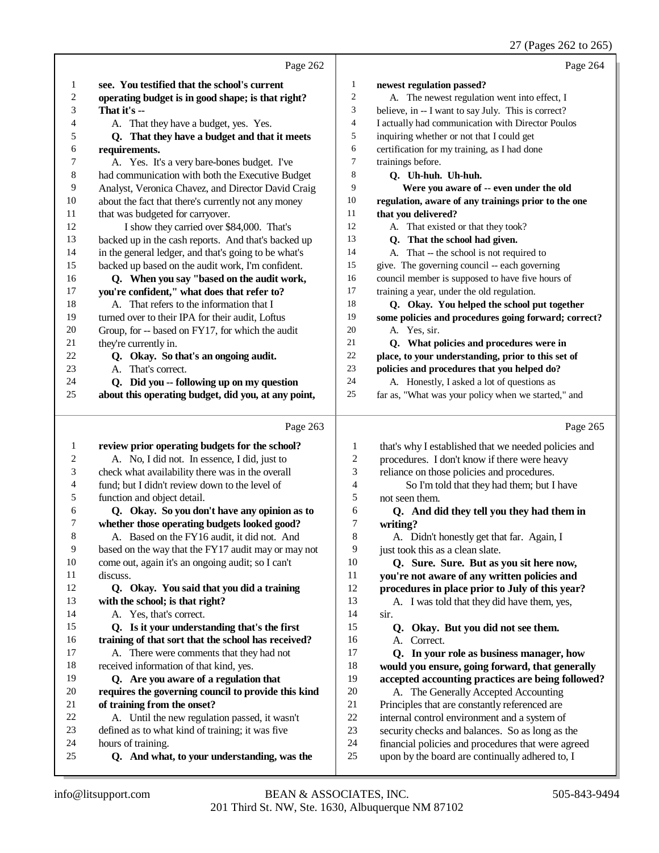27 (Pages 262 to 265)

|              | Page 262                                                          |                  | Page 264                                                                                              |
|--------------|-------------------------------------------------------------------|------------------|-------------------------------------------------------------------------------------------------------|
| 1            | see. You testified that the school's current                      | 1                | newest regulation passed?                                                                             |
| 2            | operating budget is in good shape; is that right?                 | $\boldsymbol{2}$ | A. The newest regulation went into effect, I                                                          |
| 3            | That it's --                                                      | 3                | believe, in -- I want to say July. This is correct?                                                   |
| 4            | A. That they have a budget, yes. Yes.                             | 4                | I actually had communication with Director Poulos                                                     |
| 5            | Q. That they have a budget and that it meets                      | 5                | inquiring whether or not that I could get                                                             |
| 6            | requirements.                                                     | 6                | certification for my training, as I had done                                                          |
| 7            | A. Yes. It's a very bare-bones budget. I've                       | 7                | trainings before.                                                                                     |
| 8            | had communication with both the Executive Budget                  | 8                | Q. Uh-huh. Uh-huh.                                                                                    |
| 9            | Analyst, Veronica Chavez, and Director David Craig                | 9                | Were you aware of -- even under the old                                                               |
| 10           | about the fact that there's currently not any money               | 10               | regulation, aware of any trainings prior to the one                                                   |
| 11           | that was budgeted for carryover.                                  | 11               | that you delivered?                                                                                   |
| 12           | I show they carried over \$84,000. That's                         | 12               | A. That existed or that they took?                                                                    |
| 13           | backed up in the cash reports. And that's backed up               | 13               | Q. That the school had given.                                                                         |
| 14           | in the general ledger, and that's going to be what's              | 14               | A. That -- the school is not required to                                                              |
| 15           | backed up based on the audit work, I'm confident.                 | 15               | give. The governing council -- each governing                                                         |
| 16           | Q. When you say "based on the audit work,                         | 16               | council member is supposed to have five hours of                                                      |
| 17           | you're confident," what does that refer to?                       | 17               | training a year, under the old regulation.                                                            |
| 18           | A. That refers to the information that I                          | 18               | Q. Okay. You helped the school put together                                                           |
| 19           | turned over to their IPA for their audit, Loftus                  | 19               | some policies and procedures going forward; correct?                                                  |
| 20           | Group, for -- based on FY17, for which the audit                  | 20               | A. Yes, sir.                                                                                          |
| 21           | they're currently in.                                             | 21               | Q. What policies and procedures were in                                                               |
| 22           | Q. Okay. So that's an ongoing audit.                              | 22               | place, to your understanding, prior to this set of                                                    |
| 23           | A. That's correct.                                                | 23               | policies and procedures that you helped do?                                                           |
| 24           | Q. Did you -- following up on my question                         | 24               | A. Honestly, I asked a lot of questions as                                                            |
| 25           | about this operating budget, did you, at any point,               | 25               | far as, "What was your policy when we started," and                                                   |
|              | Page 263                                                          |                  | Page 265                                                                                              |
|              |                                                                   |                  |                                                                                                       |
| $\mathbf{1}$ | review prior operating budgets for the school?                    | $\mathbf{1}$     | that's why I established that we needed policies and                                                  |
| $\sqrt{2}$   | A. No, I did not. In essence, I did, just to                      |                  |                                                                                                       |
|              |                                                                   | $\overline{c}$   | procedures. I don't know if there were heavy                                                          |
| 3            | check what availability there was in the overall                  | $\sqrt{3}$       | reliance on those policies and procedures.                                                            |
| 4            | fund; but I didn't review down to the level of                    | $\overline{4}$   | So I'm told that they had them; but I have                                                            |
| 5            | function and object detail.                                       | 5                | not seen them.                                                                                        |
| 6            | Q. Okay. So you don't have any opinion as to                      | 6                | Q. And did they tell you they had them in                                                             |
| 7            | whether those operating budgets looked good?                      | 7                | writing?                                                                                              |
| $\,$ 8 $\,$  | A. Based on the FY16 audit, it did not. And                       | $\,8\,$          | A. Didn't honestly get that far. Again, I                                                             |
| 9            | based on the way that the FY17 audit may or may not               | 9                | just took this as a clean slate.                                                                      |
| 10           | come out, again it's an ongoing audit; so I can't                 | $10\,$           | Q. Sure. Sure. But as you sit here now,                                                               |
| 11           | discuss.                                                          | 11               | you're not aware of any written policies and                                                          |
| 12           | Q. Okay. You said that you did a training                         | 12               | procedures in place prior to July of this year?                                                       |
| 13           | with the school; is that right?                                   | 13               | A. I was told that they did have them, yes,                                                           |
| 14           | A. Yes, that's correct.                                           | 14               | sir.                                                                                                  |
| 15           | Q. Is it your understanding that's the first                      | 15               | Q. Okay. But you did not see them.                                                                    |
| 16           | training of that sort that the school has received?               | 16               | A. Correct.                                                                                           |
| 17           | A. There were comments that they had not                          | 17               | Q. In your role as business manager, how                                                              |
| 18           | received information of that kind, yes.                           | 18               | would you ensure, going forward, that generally                                                       |
| 19           | Q. Are you aware of a regulation that                             | 19               | accepted accounting practices are being followed?                                                     |
| 20           | requires the governing council to provide this kind               | $20\,$           | A. The Generally Accepted Accounting                                                                  |
| 21           | of training from the onset?                                       | 21               | Principles that are constantly referenced are                                                         |
| 22           | A. Until the new regulation passed, it wasn't                     | 22               | internal control environment and a system of                                                          |
| 23           | defined as to what kind of training; it was five                  | 23               | security checks and balances. So as long as the                                                       |
| 24<br>25     | hours of training.<br>Q. And what, to your understanding, was the | 24<br>25         | financial policies and procedures that were agreed<br>upon by the board are continually adhered to, I |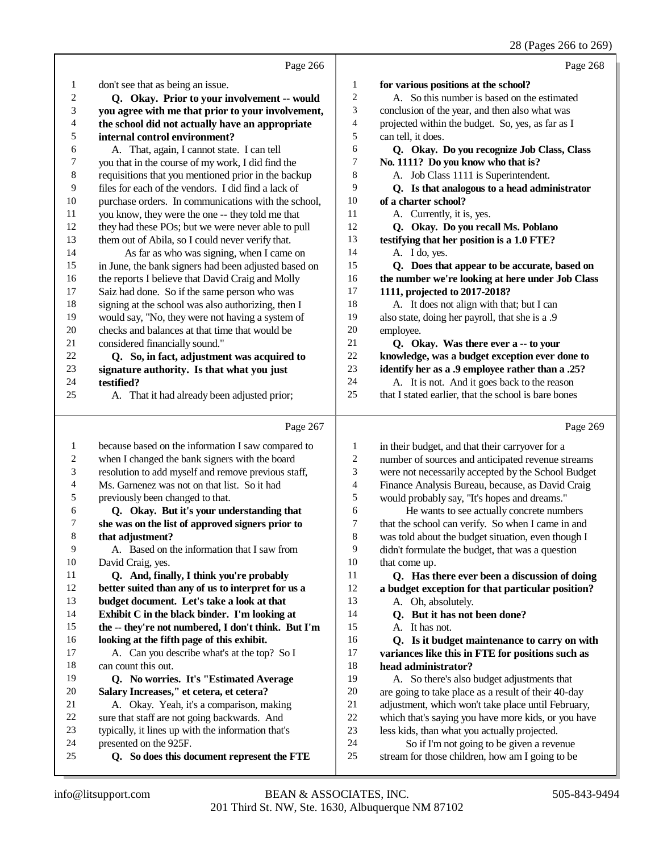28 (Pages 266 to 269)

|              | Page 266                                                                                             |                             | Page 268                                                                                             |
|--------------|------------------------------------------------------------------------------------------------------|-----------------------------|------------------------------------------------------------------------------------------------------|
| 1            | don't see that as being an issue.                                                                    | $\mathbf{1}$                | for various positions at the school?                                                                 |
| 2            | Q. Okay. Prior to your involvement -- would                                                          | $\overline{c}$              | A. So this number is based on the estimated                                                          |
| 3            | you agree with me that prior to your involvement,                                                    | $\ensuremath{\mathfrak{Z}}$ | conclusion of the year, and then also what was                                                       |
| 4            | the school did not actually have an appropriate                                                      | $\overline{\mathcal{L}}$    | projected within the budget. So, yes, as far as I                                                    |
| 5            | internal control environment?                                                                        | 5                           | can tell, it does.                                                                                   |
| 6            | A. That, again, I cannot state. I can tell                                                           | 6                           | Q. Okay. Do you recognize Job Class, Class                                                           |
| 7            | you that in the course of my work, I did find the                                                    | 7                           | No. 1111? Do you know who that is?                                                                   |
| $\,8\,$      | requisitions that you mentioned prior in the backup                                                  | 8                           | A. Job Class 1111 is Superintendent.                                                                 |
| 9            | files for each of the vendors. I did find a lack of                                                  | 9                           | Q. Is that analogous to a head administrator                                                         |
| 10           | purchase orders. In communications with the school,                                                  | 10                          | of a charter school?                                                                                 |
| 11           | you know, they were the one -- they told me that                                                     | 11                          | A. Currently, it is, yes.                                                                            |
| 12           | they had these POs; but we were never able to pull                                                   | 12                          | Q. Okay. Do you recall Ms. Poblano                                                                   |
| 13           | them out of Abila, so I could never verify that.                                                     | 13                          | testifying that her position is a 1.0 FTE?                                                           |
| 14           | As far as who was signing, when I came on                                                            | 14                          | A. I do, yes.                                                                                        |
| 15           | in June, the bank signers had been adjusted based on                                                 | 15                          | Q. Does that appear to be accurate, based on                                                         |
| 16           | the reports I believe that David Craig and Molly                                                     | 16                          | the number we're looking at here under Job Class                                                     |
| 17           | Saiz had done. So if the same person who was                                                         | 17                          | 1111, projected to 2017-2018?                                                                        |
| 18           | signing at the school was also authorizing, then I                                                   | 18                          | A. It does not align with that; but I can                                                            |
| 19           | would say, "No, they were not having a system of                                                     | 19                          | also state, doing her payroll, that she is a .9                                                      |
| 20           | checks and balances at that time that would be                                                       | 20                          | employee.                                                                                            |
| 21           | considered financially sound."                                                                       | 21                          | Q. Okay. Was there ever a -- to your                                                                 |
| 22           | Q. So, in fact, adjustment was acquired to                                                           | 22                          | knowledge, was a budget exception ever done to                                                       |
| 23           | signature authority. Is that what you just                                                           | 23                          | identify her as a .9 employee rather than a .25?                                                     |
| 24           | testified?                                                                                           | 24                          | A. It is not. And it goes back to the reason                                                         |
| 25           | A. That it had already been adjusted prior;                                                          | 25                          | that I stated earlier, that the school is bare bones                                                 |
|              |                                                                                                      |                             |                                                                                                      |
|              | Page 267                                                                                             |                             | Page 269                                                                                             |
| $\mathbf{1}$ |                                                                                                      | $\mathbf{1}$                |                                                                                                      |
| 2            | because based on the information I saw compared to<br>when I changed the bank signers with the board | $\sqrt{2}$                  | in their budget, and that their carryover for a<br>number of sources and anticipated revenue streams |
| 3            | resolution to add myself and remove previous staff,                                                  | $\mathfrak{Z}$              | were not necessarily accepted by the School Budget                                                   |
| 4            | Ms. Garnenez was not on that list. So it had                                                         | $\overline{\mathcal{A}}$    | Finance Analysis Bureau, because, as David Craig                                                     |
| 5            | previously been changed to that.                                                                     | 5                           | would probably say, "It's hopes and dreams."                                                         |
| 6            | Q. Okay. But it's your understanding that                                                            | 6                           | He wants to see actually concrete numbers                                                            |
| 7            | she was on the list of approved signers prior to                                                     | $\tau$                      | that the school can verify. So when I came in and                                                    |
| 8            | that adjustment?                                                                                     | $\,$ $\,$                   | was told about the budget situation, even though I                                                   |
| 9            | A. Based on the information that I saw from                                                          | 9                           | didn't formulate the budget, that was a question                                                     |
| 10           | David Craig, yes.                                                                                    | 10                          | that come up.                                                                                        |
| 11           | Q. And, finally, I think you're probably                                                             | 11                          | Q. Has there ever been a discussion of doing                                                         |
| 12           | better suited than any of us to interpret for us a                                                   | 12                          | a budget exception for that particular position?                                                     |
| 13           | budget document. Let's take a look at that                                                           | 13                          | A. Oh, absolutely.                                                                                   |
| 14           | Exhibit C in the black binder. I'm looking at                                                        | 14                          | Q. But it has not been done?                                                                         |
| 15           | the -- they're not numbered, I don't think. But I'm                                                  | 15                          | A. It has not.                                                                                       |
| 16           | looking at the fifth page of this exhibit.                                                           | 16                          | Q. Is it budget maintenance to carry on with                                                         |
| 17           | A. Can you describe what's at the top? So I                                                          | 17                          | variances like this in FTE for positions such as                                                     |
| 18           | can count this out.                                                                                  | 18                          | head administrator?                                                                                  |
| 19           | Q. No worries. It's "Estimated Average                                                               | 19                          | A. So there's also budget adjustments that                                                           |
| 20           | Salary Increases," et cetera, et cetera?                                                             | $20\,$                      | are going to take place as a result of their 40-day                                                  |
| 21           | A. Okay. Yeah, it's a comparison, making                                                             | 21                          | adjustment, which won't take place until February,                                                   |
| 22           | sure that staff are not going backwards. And                                                         | 22                          | which that's saying you have more kids, or you have                                                  |
| 23           | typically, it lines up with the information that's                                                   | 23                          | less kids, than what you actually projected.                                                         |
| 24<br>25     | presented on the 925F.<br>Q. So does this document represent the FTE                                 | 24<br>25                    | So if I'm not going to be given a revenue<br>stream for those children, how am I going to be         |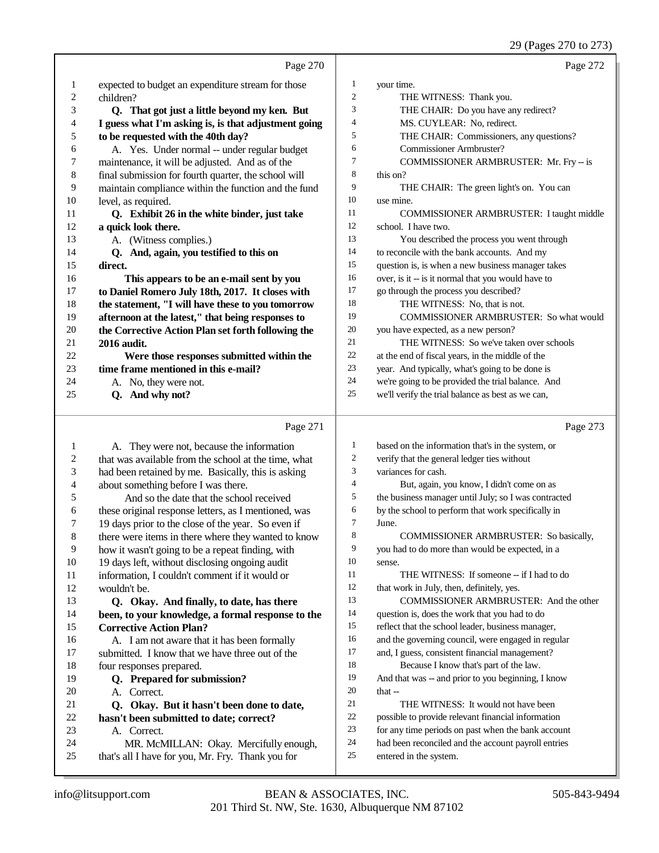|          |                                                                                      |                | 29 (Pages 270 to 273)                                |
|----------|--------------------------------------------------------------------------------------|----------------|------------------------------------------------------|
|          | Page 270                                                                             |                | Page 272                                             |
| 1        | expected to budget an expenditure stream for those                                   | $\mathbf{1}$   | your time.                                           |
| 2        | children?                                                                            | $\overline{2}$ | THE WITNESS: Thank you.                              |
| 3        | Q. That got just a little beyond my ken. But                                         | 3              | THE CHAIR: Do you have any redirect?                 |
| 4        | I guess what I'm asking is, is that adjustment going                                 | $\overline{4}$ | MS. CUYLEAR: No, redirect.                           |
| 5        | to be requested with the 40th day?                                                   | 5              | THE CHAIR: Commissioners, any questions?             |
| 6        | A. Yes. Under normal -- under regular budget                                         | 6              | Commissioner Armbruster?                             |
| 7        | maintenance, it will be adjusted. And as of the                                      | 7              | COMMISSIONER ARMBRUSTER: Mr. Fry -- is               |
| 8        | final submission for fourth quarter, the school will                                 | 8              | this on?                                             |
| 9        | maintain compliance within the function and the fund                                 | 9              | THE CHAIR: The green light's on. You can             |
| 10       | level, as required.                                                                  | 10             | use mine.                                            |
| 11       | Q. Exhibit 26 in the white binder, just take                                         | 11             | COMMISSIONER ARMBRUSTER: I taught middle             |
| 12       | a quick look there.                                                                  | 12             | school. I have two.                                  |
| 13       | A. (Witness complies.)                                                               | 13             | You described the process you went through           |
| 14       | Q. And, again, you testified to this on                                              | 14             | to reconcile with the bank accounts. And my          |
| 15       | direct.                                                                              | 15             | question is, is when a new business manager takes    |
| 16       | This appears to be an e-mail sent by you                                             | 16             | over, is it -- is it normal that you would have to   |
| 17       | to Daniel Romero July 18th, 2017. It closes with                                     | 17             | go through the process you described?                |
| 18       | the statement, "I will have these to you tomorrow                                    | 18             | THE WITNESS: No, that is not.                        |
| 19       | afternoon at the latest," that being responses to                                    | 19             | COMMISSIONER ARMBRUSTER: So what would               |
| 20       | the Corrective Action Plan set forth following the                                   | 20             | you have expected, as a new person?                  |
| 21       | <b>2016</b> audit.                                                                   | 21             | THE WITNESS: So we've taken over schools             |
| 22       | Were those responses submitted within the                                            | 22             | at the end of fiscal years, in the middle of the     |
| 23       | time frame mentioned in this e-mail?                                                 | 23<br>24       | year. And typically, what's going to be done is      |
| 24       | A. No, they were not.                                                                | 25             | we're going to be provided the trial balance. And    |
| 25       | Q. And why not?                                                                      |                | we'll verify the trial balance as best as we can,    |
|          | Page 271                                                                             |                | Page 273                                             |
| 1        | A. They were not, because the information                                            | 1              | based on the information that's in the system, or    |
| 2        | that was available from the school at the time, what                                 | $\overline{2}$ | verify that the general ledger ties without          |
| 3        | had been retained by me. Basically, this is asking                                   | 3              | variances for cash.                                  |
| 4        | about something before I was there.                                                  | $\overline{4}$ | But, again, you know, I didn't come on as            |
| 5        | And so the date that the school received                                             | 5              | the business manager until July; so I was contracted |
| 6        | these original response letters, as I mentioned, was                                 | 6              | by the school to perform that work specifically in   |
| 7        | 19 days prior to the close of the year. So even if                                   | 7              | June.                                                |
| 8        | there were items in there where they wanted to know                                  | 8              | COMMISSIONER ARMBRUSTER: So basically,               |
| 9        | how it wasn't going to be a repeat finding, with                                     | 9              | you had to do more than would be expected, in a      |
| 10       | 19 days left, without disclosing ongoing audit                                       | 10             | sense.                                               |
| 11       | information, I couldn't comment if it would or                                       | 11             | THE WITNESS: If someone -- if I had to do            |
| 12       | wouldn't be.                                                                         | 12             | that work in July, then, definitely, yes.            |
| 13       | Q. Okay. And finally, to date, has there                                             | 13             | COMMISSIONER ARMBRUSTER: And the other               |
| 14       | been, to your knowledge, a formal response to the                                    | 14             | question is, does the work that you had to do        |
| 15       | <b>Corrective Action Plan?</b>                                                       | 15             | reflect that the school leader, business manager,    |
| 16       | A. I am not aware that it has been formally                                          | 16             | and the governing council, were engaged in regular   |
| 17       | submitted. I know that we have three out of the                                      | 17             | and, I guess, consistent financial management?       |
| 18       | four responses prepared.                                                             | 18             | Because I know that's part of the law.               |
| 19       | Q. Prepared for submission?                                                          | 19<br>20       | And that was -- and prior to you beginning, I know   |
| 20<br>21 | A. Correct.                                                                          | 21             | that --<br>THE WITNESS: It would not have been       |
| $22\,$   | Q. Okay. But it hasn't been done to date,<br>hasn't been submitted to date; correct? | 22             | possible to provide relevant financial information   |
| 23       | A. Correct.                                                                          | 23             | for any time periods on past when the bank account   |
| 24       | MR. McMILLAN: Okav. Mercifully enough.                                               | 24             | had been reconciled and the account payroll entries  |

had been reconciled and the account payroll entries

entered in the system.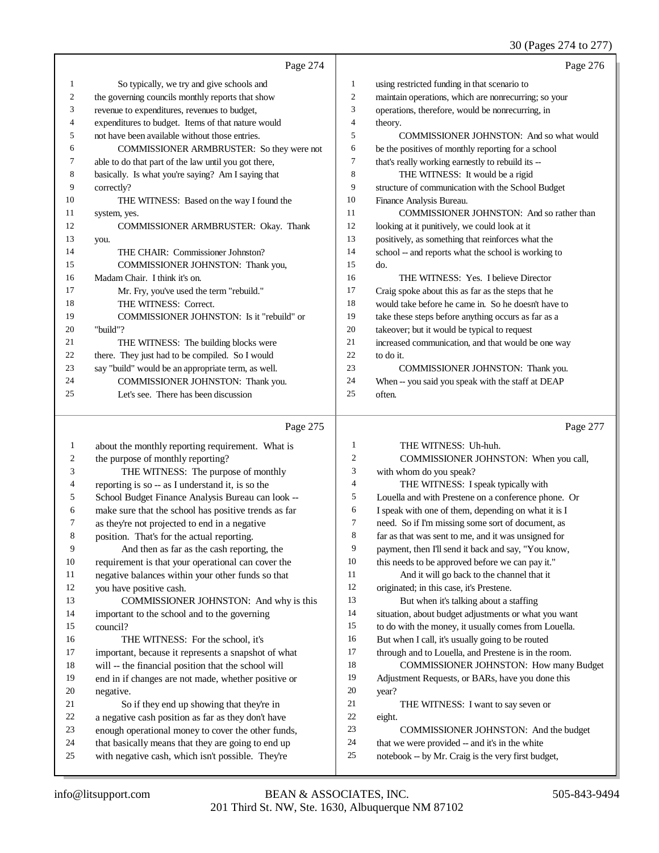30 (Pages 274 to 277)

|    | Page 274                                             |                | Page 276                                             |
|----|------------------------------------------------------|----------------|------------------------------------------------------|
| 1  | So typically, we try and give schools and            | 1              | using restricted funding in that scenario to         |
| 2  | the governing councils monthly reports that show     | $\overline{c}$ | maintain operations, which are nonrecurring; so your |
| 3  | revenue to expenditures, revenues to budget,         | 3              | operations, therefore, would be nonrecurring, in     |
| 4  | expenditures to budget. Items of that nature would   | 4              | theory.                                              |
| 5  | not have been available without those entries.       | 5              | COMMISSIONER JOHNSTON: And so what would             |
| 6  | COMMISSIONER ARMBRUSTER: So they were not            | 6              | be the positives of monthly reporting for a school   |
| 7  | able to do that part of the law until you got there, | 7              | that's really working earnestly to rebuild its --    |
| 8  | basically. Is what you're saying? Am I saying that   | 8              | THE WITNESS: It would be a rigid                     |
| 9  | correctly?                                           | 9              | structure of communication with the School Budget    |
| 10 | THE WITNESS: Based on the way I found the            | 10             | Finance Analysis Bureau.                             |
| 11 | system, yes.                                         | 11             | COMMISSIONER JOHNSTON: And so rather than            |
| 12 | COMMISSIONER ARMBRUSTER: Okay. Thank                 | 12             | looking at it punitively, we could look at it        |
| 13 | you.                                                 | 13             | positively, as something that reinforces what the    |
| 14 | THE CHAIR: Commissioner Johnston?                    | 14             | school -- and reports what the school is working to  |
| 15 | COMMISSIONER JOHNSTON: Thank you,                    | 15             | do.                                                  |
| 16 | Madam Chair. I think it's on.                        | 16             | THE WITNESS: Yes. I believe Director                 |
| 17 | Mr. Fry, you've used the term "rebuild."             | 17             | Craig spoke about this as far as the steps that he   |
| 18 | THE WITNESS: Correct.                                | 18             | would take before he came in. So he doesn't have to  |
| 19 | COMMISSIONER JOHNSTON: Is it "rebuild" or            | 19             | take these steps before anything occurs as far as a  |
| 20 | "build"?                                             | 20             | takeover; but it would be typical to request         |
| 21 | THE WITNESS: The building blocks were                | 21             | increased communication, and that would be one way   |
| 22 | there. They just had to be compiled. So I would      | 22             | to do it.                                            |
| 23 | say "build" would be an appropriate term, as well.   | 23             | COMMISSIONER JOHNSTON: Thank you.                    |
| 24 | COMMISSIONER JOHNSTON: Thank you.                    | 24             | When -- you said you speak with the staff at DEAP    |
| 25 | Let's see. There has been discussion                 | 25             | often.                                               |
|    |                                                      |                |                                                      |

## Page 275

Page 277

| 1  | about the monthly reporting requirement. What is     | 1  | THE WITNESS: Uh-huh.                                 |
|----|------------------------------------------------------|----|------------------------------------------------------|
| 2  | the purpose of monthly reporting?                    | 2  | COMMISSIONER JOHNSTON: When you call,                |
| 3  | THE WITNESS: The purpose of monthly                  | 3  | with whom do you speak?                              |
| 4  | reporting is so -- as I understand it, is so the     | 4  | THE WITNESS: I speak typically with                  |
| 5  | School Budget Finance Analysis Bureau can look --    | 5  | Louella and with Prestene on a conference phone. Or  |
| 6  | make sure that the school has positive trends as far | 6  | I speak with one of them, depending on what it is I  |
| 7  | as they're not projected to end in a negative        | 7  | need. So if I'm missing some sort of document, as    |
| 8  | position. That's for the actual reporting.           | 8  | far as that was sent to me, and it was unsigned for  |
| 9  | And then as far as the cash reporting, the           | 9  | payment, then I'll send it back and say, "You know,  |
| 10 | requirement is that your operational can cover the   | 10 | this needs to be approved before we can pay it."     |
| 11 | negative balances within your other funds so that    | 11 | And it will go back to the channel that it           |
| 12 | you have positive cash.                              | 12 | originated; in this case, it's Prestene.             |
| 13 | COMMISSIONER JOHNSTON: And why is this               | 13 | But when it's talking about a staffing               |
| 14 | important to the school and to the governing         | 14 | situation, about budget adjustments or what you want |
| 15 | council?                                             | 15 | to do with the money, it usually comes from Louella. |
| 16 | THE WITNESS: For the school, it's                    | 16 | But when I call, it's usually going to be routed     |
| 17 | important, because it represents a snapshot of what  | 17 | through and to Louella, and Prestene is in the room. |
| 18 | will -- the financial position that the school will  | 18 | <b>COMMISSIONER JOHNSTON: How many Budget</b>        |
| 19 | end in if changes are not made, whether positive or  | 19 | Adjustment Requests, or BARs, have you done this     |
| 20 | negative.                                            | 20 | year?                                                |
| 21 | So if they end up showing that they're in            | 21 | THE WITNESS: I want to say seven or                  |
| 22 | a negative cash position as far as they don't have   | 22 | eight.                                               |
| 23 | enough operational money to cover the other funds,   | 23 | COMMISSIONER JOHNSTON: And the budget                |
| 24 | that basically means that they are going to end up   | 24 | that we were provided -- and it's in the white       |
| 25 | with negative cash, which isn't possible. They're    | 25 | notebook -- by Mr. Craig is the very first budget,   |
|    |                                                      |    |                                                      |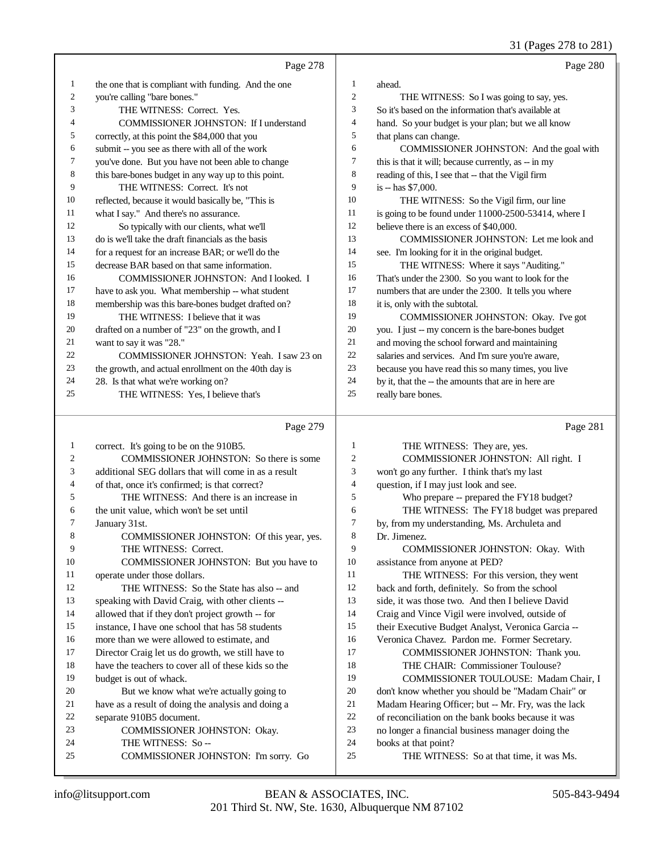31 (Pages 278 to 281)

|                |                                                      |                  | 31 (Fages 270 to 201)                                |
|----------------|------------------------------------------------------|------------------|------------------------------------------------------|
|                | Page 278                                             |                  | Page 280                                             |
| $\mathbf{1}$   | the one that is compliant with funding. And the one  | $\mathbf{1}$     | ahead.                                               |
| $\mathfrak{2}$ | you're calling "bare bones."                         | $\overline{c}$   | THE WITNESS: So I was going to say, yes.             |
| 3              | THE WITNESS: Correct. Yes.                           | 3                | So it's based on the information that's available at |
| 4              | <b>COMMISSIONER JOHNSTON: If I understand</b>        | $\overline{4}$   | hand. So your budget is your plan; but we all know   |
| 5              | correctly, at this point the \$84,000 that you       | 5                | that plans can change.                               |
| 6              | submit -- you see as there with all of the work      | 6                | COMMISSIONER JOHNSTON: And the goal with             |
| 7              | you've done. But you have not been able to change    | $\tau$           | this is that it will; because currently, as -- in my |
| $\,$ 8 $\,$    | this bare-bones budget in any way up to this point.  | $\,$ 8 $\,$      | reading of this, I see that -- that the Vigil firm   |
| 9              | THE WITNESS: Correct. It's not                       | 9                | is -- has \$7,000.                                   |
| 10             | reflected, because it would basically be, "This is   | 10               | THE WITNESS: So the Vigil firm, our line             |
| 11             | what I say." And there's no assurance.               | 11               | is going to be found under 11000-2500-53414, where I |
| 12             | So typically with our clients, what we'll            | 12               | believe there is an excess of \$40,000.              |
| 13             | do is we'll take the draft financials as the basis   | 13               | COMMISSIONER JOHNSTON: Let me look and               |
| 14             | for a request for an increase BAR; or we'll do the   | 14               | see. I'm looking for it in the original budget.      |
| 15             | decrease BAR based on that same information.         | 15               | THE WITNESS: Where it says "Auditing."               |
| 16             | COMMISSIONER JOHNSTON: And I looked. I               | 16               | That's under the 2300. So you want to look for the   |
| 17             | have to ask you. What membership -- what student     | 17               | numbers that are under the 2300. It tells you where  |
| 18             | membership was this bare-bones budget drafted on?    | 18               | it is, only with the subtotal.                       |
| 19             | THE WITNESS: I believe that it was                   | 19               | COMMISSIONER JOHNSTON: Okay. I've got                |
| 20             | drafted on a number of "23" on the growth, and I     | 20               | you. I just -- my concern is the bare-bones budget   |
| 21             | want to say it was "28."                             | 21               | and moving the school forward and maintaining        |
| 22             | COMMISSIONER JOHNSTON: Yeah. I saw 23 on             | 22               | salaries and services. And I'm sure you're aware,    |
| 23             | the growth, and actual enrollment on the 40th day is | 23               | because you have read this so many times, you live   |
| 24             | 28. Is that what we're working on?                   | 24               | by it, that the -- the amounts that are in here are  |
| 25             | THE WITNESS: Yes, I believe that's                   | 25               | really bare bones.                                   |
|                | Page 279                                             |                  | Page 281                                             |
| 1              | correct. It's going to be on the 910B5.              | $\mathbf{1}$     | THE WITNESS: They are, yes.                          |
| 2              | COMMISSIONER JOHNSTON: So there is some              | $\overline{c}$   | COMMISSIONER JOHNSTON: All right. I                  |
| 3              | additional SEG dollars that will come in as a result | 3                | won't go any further. I think that's my last         |
| 4              | of that, once it's confirmed; is that correct?       | 4                | question, if I may just look and see.                |
| 5              | THE WITNESS: And there is an increase in             | 5                | Who prepare -- prepared the FY18 budget?             |
| 6              | the unit value, which won't be set until             | 6                | THE WITNESS: The FY18 budget was prepared            |
| 7              | January 31st.                                        | $\boldsymbol{7}$ | by, from my understanding, Ms. Archuleta and         |
| 8              | COMMISSIONER JOHNSTON: Of this year, yes.            | 8                | Dr. Jimenez.                                         |
| 9              | THE WITNESS: Correct.                                | 9                | COMMISSIONER JOHNSTON: Okay. With                    |
| 10             | COMMISSIONER JOHNSTON: But you have to               | 10               | assistance from anyone at PED?                       |
| 11             | operate under those dollars.                         | 11               | THE WITNESS: For this version, they went             |

12 THE WITNESS: So the State has also -- and speaking with David Craig, with other clients -- allowed that if they don't project growth -- for instance, I have one school that has 58 students more than we were allowed to estimate, and Director Craig let us do growth, we still have to

 have the teachers to cover all of these kids so the budget is out of whack.

- But we know what we're actually going to
- have as a result of doing the analysis and doing a
- 22 separate 910B5 document.<br>23 COMMISSIONER J COMMISSIONER JOHNSTON: Okay.
- THE WITNESS: So --
- COMMISSIONER JOHNSTON: I'm sorry. Go
- THE WITNESS: For this version, they went back and forth, definitely. So from the school
- side, it was those two. And then I believe David
- Craig and Vince Vigil were involved, outside of
- their Executive Budget Analyst, Veronica Garcia --
- Veronica Chavez. Pardon me. Former Secretary.
- 17 COMMISSIONER JOHNSTON: Thank you. THE CHAIR: Commissioner Toulouse?
- COMMISSIONER TOULOUSE: Madam Chair, I
- don't know whether you should be "Madam Chair" or
- 21 Madam Hearing Officer; but -- Mr. Fry, was the lack<br>22 of reconciliation on the bank books because it was
- 22 of reconciliation on the bank books because it was<br>23 on longer a financial business manager doing the
- no longer a financial business manager doing the
- books at that point?
- THE WITNESS: So at that time, it was Ms.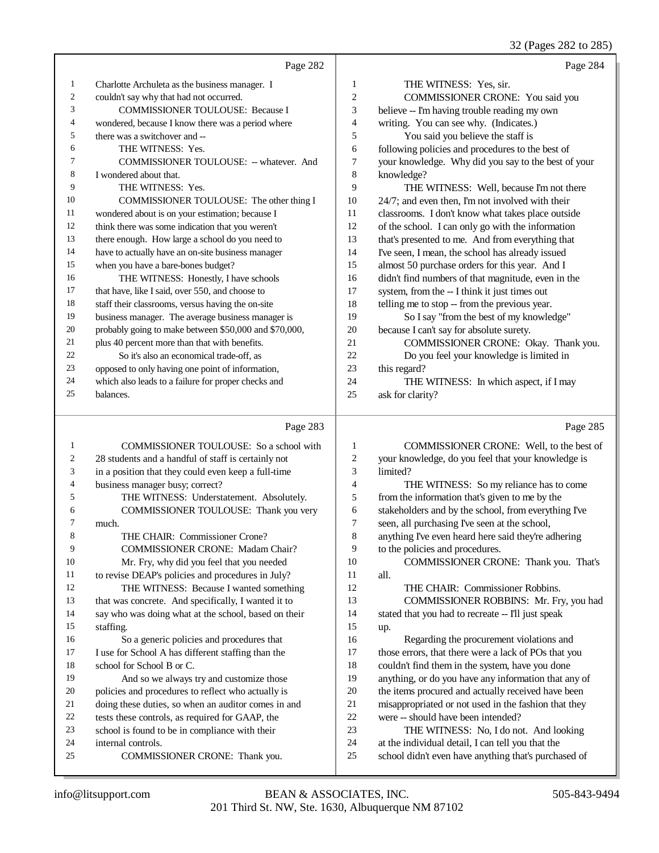32 (Pages 282 to 285)

|    | Page 282                                              |    | Page 284                                            |
|----|-------------------------------------------------------|----|-----------------------------------------------------|
| 1  | Charlotte Archuleta as the business manager. I        | 1  | THE WITNESS: Yes, sir.                              |
| 2  | couldn't say why that had not occurred.               | 2  | COMMISSIONER CRONE: You said you                    |
| 3  | <b>COMMISSIONER TOULOUSE: Because I</b>               | 3  | believe -- I'm having trouble reading my own        |
| 4  | wondered, because I know there was a period where     | 4  | writing. You can see why. (Indicates.)              |
| 5  | there was a switchover and --                         | 5  | You said you believe the staff is                   |
| 6  | THE WITNESS: Yes.                                     | 6  | following policies and procedures to the best of    |
| 7  | COMMISSIONER TOULOUSE: - whatever. And                | 7  | your knowledge. Why did you say to the best of your |
| 8  | I wondered about that.                                | 8  | knowledge?                                          |
| 9  | THE WITNESS: Yes.                                     | 9  | THE WITNESS: Well, because I'm not there            |
| 10 | COMMISSIONER TOULOUSE: The other thing I              | 10 | 24/7; and even then, I'm not involved with their    |
| 11 | wondered about is on your estimation; because I       | 11 | classrooms. I don't know what takes place outside   |
| 12 | think there was some indication that you weren't      | 12 | of the school. I can only go with the information   |
| 13 | there enough. How large a school do you need to       | 13 | that's presented to me. And from everything that    |
| 14 | have to actually have an on-site business manager     | 14 | I've seen, I mean, the school has already issued    |
| 15 | when you have a bare-bones budget?                    | 15 | almost 50 purchase orders for this year. And I      |
| 16 | THE WITNESS: Honestly, I have schools                 | 16 | didn't find numbers of that magnitude, even in the  |
| 17 | that have, like I said, over 550, and choose to       | 17 | system, from the -- I think it just times out       |
| 18 | staff their classrooms, versus having the on-site     | 18 | telling me to stop -- from the previous year.       |
| 19 | business manager. The average business manager is     | 19 | So I say "from the best of my knowledge"            |
| 20 | probably going to make between \$50,000 and \$70,000, | 20 | because I can't say for absolute surety.            |
| 21 | plus 40 percent more than that with benefits.         | 21 | COMMISSIONER CRONE: Okay. Thank you.                |
| 22 | So it's also an economical trade-off, as              | 22 | Do you feel your knowledge is limited in            |
| 23 | opposed to only having one point of information,      | 23 | this regard?                                        |
| 24 | which also leads to a failure for proper checks and   | 24 | THE WITNESS: In which aspect, if I may              |
| 25 | balances.                                             | 25 | ask for clarity?                                    |
|    | Page 283                                              |    | Page 285                                            |

### 1g

| 1  | COMMISSIONER TOULOUSE: So a school with              | 1              | COMMISSIONER CRONE: Well, to the best of             |
|----|------------------------------------------------------|----------------|------------------------------------------------------|
| 2  | 28 students and a handful of staff is certainly not  | $\overline{2}$ | your knowledge, do you feel that your knowledge is   |
| 3  | in a position that they could even keep a full-time  | 3              | limited?                                             |
| 4  | business manager busy; correct?                      | 4              | THE WITNESS: So my reliance has to come              |
| 5  | THE WITNESS: Understatement. Absolutely.             | 5              | from the information that's given to me by the       |
| 6  | COMMISSIONER TOULOUSE: Thank you very                | 6              | stakeholders and by the school, from everything I've |
| 7  | much.                                                | 7              | seen, all purchasing I've seen at the school,        |
| 8  | THE CHAIR: Commissioner Crone?                       | 8              | anything I've even heard here said they're adhering  |
| 9  | <b>COMMISSIONER CRONE: Madam Chair?</b>              | 9              | to the policies and procedures.                      |
| 10 | Mr. Fry, why did you feel that you needed            | 10             | COMMISSIONER CRONE: Thank you. That's                |
| 11 | to revise DEAP's policies and procedures in July?    | 11             | all.                                                 |
| 12 | THE WITNESS: Because I wanted something              | 12             | THE CHAIR: Commissioner Robbins.                     |
| 13 | that was concrete. And specifically, I wanted it to  | 13             | COMMISSIONER ROBBINS: Mr. Fry, you had               |
| 14 | say who was doing what at the school, based on their | 14             | stated that you had to recreate -- I'll just speak   |
| 15 | staffing.                                            | 15             | up.                                                  |
| 16 | So a generic policies and procedures that            | 16             | Regarding the procurement violations and             |
| 17 | I use for School A has different staffing than the   | 17             | those errors, that there were a lack of POs that you |
| 18 | school for School B or C.                            | 18             | couldn't find them in the system, have you done      |
| 19 | And so we always try and customize those             | 19             | anything, or do you have any information that any of |
| 20 | policies and procedures to reflect who actually is   | 20             | the items procured and actually received have been   |
| 21 | doing these duties, so when an auditor comes in and  | 21             | misappropriated or not used in the fashion that they |
| 22 | tests these controls, as required for GAAP, the      | 22             | were -- should have been intended?                   |
| 23 | school is found to be in compliance with their       | 23             | THE WITNESS: No, I do not. And looking               |
| 24 | internal controls.                                   | 24             | at the individual detail, I can tell you that the    |
| 25 | COMMISSIONER CRONE: Thank you.                       | 25             | school didn't even have anything that's purchased of |
|    |                                                      |                |                                                      |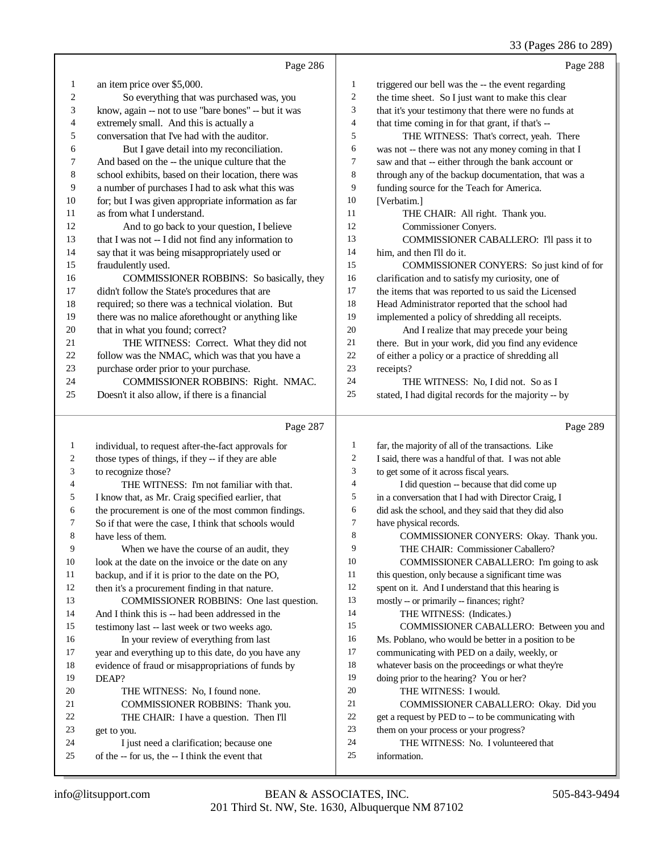# 33 (Pages 286 to 289)

|              | Page 286                                                                                    |                          | Page 288                                             |
|--------------|---------------------------------------------------------------------------------------------|--------------------------|------------------------------------------------------|
| $\mathbf{1}$ | an item price over \$5,000.                                                                 | 1                        | triggered our bell was the -- the event regarding    |
| $\sqrt{2}$   | So everything that was purchased was, you                                                   | 2                        | the time sheet. So I just want to make this clear    |
| 3            | know, again -- not to use "bare bones" -- but it was                                        | 3                        | that it's your testimony that there were no funds at |
| 4            | extremely small. And this is actually a                                                     | 4                        | that time coming in for that grant, if that's --     |
| 5            | conversation that I've had with the auditor.                                                | 5                        | THE WITNESS: That's correct, yeah. There             |
| 6            | But I gave detail into my reconciliation.                                                   | 6                        | was not -- there was not any money coming in that I  |
| 7            | And based on the -- the unique culture that the                                             | 7                        | saw and that -- either through the bank account or   |
| $\,8\,$      | school exhibits, based on their location, there was                                         | 8                        | through any of the backup documentation, that was a  |
| 9            | a number of purchases I had to ask what this was                                            | 9                        | funding source for the Teach for America.            |
| 10           | for; but I was given appropriate information as far                                         | 10                       | [Verbatim.]                                          |
| 11           | as from what I understand.                                                                  | 11                       | THE CHAIR: All right. Thank you.                     |
| 12           | And to go back to your question, I believe                                                  | 12                       | Commissioner Conyers.                                |
| 13           | that I was not -- I did not find any information to                                         | 13                       | COMMISSIONER CABALLERO: I'll pass it to              |
| 14           | say that it was being misappropriately used or                                              | 14                       | him, and then I'll do it.                            |
| 15           | fraudulently used.                                                                          | 15                       | COMMISSIONER CONYERS: So just kind of for            |
| 16           | COMMISSIONER ROBBINS: So basically, they                                                    | 16                       | clarification and to satisfy my curiosity, one of    |
| 17           | didn't follow the State's procedures that are                                               | 17                       | the items that was reported to us said the Licensed  |
| 18           | required; so there was a technical violation. But                                           | 18                       | Head Administrator reported that the school had      |
| 19           | there was no malice aforethought or anything like                                           | 19                       | implemented a policy of shredding all receipts.      |
| 20           | that in what you found; correct?                                                            | 20                       | And I realize that may precede your being            |
| 21           | THE WITNESS: Correct. What they did not                                                     | 21                       | there. But in your work, did you find any evidence   |
| 22           | follow was the NMAC, which was that you have a                                              | 22                       | of either a policy or a practice of shredding all    |
| 23           | purchase order prior to your purchase.                                                      | 23                       | receipts?                                            |
| 24           | COMMISSIONER ROBBINS: Right. NMAC.                                                          | 24                       | THE WITNESS: No, I did not. So as I                  |
| 25           | Doesn't it also allow, if there is a financial                                              | 25                       | stated, I had digital records for the majority -- by |
|              |                                                                                             |                          |                                                      |
|              | Page 287                                                                                    |                          | Page 289                                             |
| $\mathbf{1}$ | individual, to request after-the-fact approvals for                                         | $\mathbf{1}$             | far, the majority of all of the transactions. Like   |
| 2            | those types of things, if they -- if they are able                                          | 2                        | I said, there was a handful of that. I was not able  |
| 3            | to recognize those?                                                                         | 3                        | to get some of it across fiscal years.               |
| 4            | THE WITNESS: I'm not familiar with that.                                                    | $\overline{\mathcal{L}}$ | I did question -- because that did come up           |
| 5            | I know that, as Mr. Craig specified earlier, that                                           | 5                        | in a conversation that I had with Director Craig, I  |
| 6            | the procurement is one of the most common findings.                                         | 6                        | did ask the school, and they said that they did also |
| 7            | So if that were the case, I think that schools would                                        | 7                        | have physical records.                               |
| 8            | have less of them.                                                                          | $\,$ 8 $\,$              | COMMISSIONER CONYERS: Okay. Thank you.               |
| 9            | When we have the course of an audit, they                                                   | 9                        | THE CHAIR: Commissioner Caballero?                   |
| 10           | look at the date on the invoice or the date on any                                          | 10                       | COMMISSIONER CABALLERO: I'm going to ask             |
| 11           | backup, and if it is prior to the date on the PO,                                           | 11                       | this question, only because a significant time was   |
| 12           | then it's a procurement finding in that nature.                                             | 12                       | spent on it. And I understand that this hearing is   |
| 13           | COMMISSIONER ROBBINS: One last question.                                                    | 13                       | mostly -- or primarily -- finances; right?           |
| 14           | And I think this is -- had been addressed in the                                            | 14                       | THE WITNESS: (Indicates.)                            |
| 15           | testimony last -- last week or two weeks ago.                                               | 15                       | COMMISSIONER CABALLERO: Between you and              |
| 16           | In your review of everything from last                                                      | 16                       | Ms. Poblano, who would be better in a position to be |
| 17           | year and everything up to this date, do you have any                                        | 17                       | communicating with PED on a daily, weekly, or        |
| 18           | evidence of fraud or misappropriations of funds by                                          | 18                       | whatever basis on the proceedings or what they're    |
| 19           | DEAP?                                                                                       | 19                       | doing prior to the hearing? You or her?              |
| 20           | THE WITNESS: No, I found none.                                                              | 20                       | THE WITNESS: I would.                                |
| 21           | COMMISSIONER ROBBINS: Thank you.                                                            | 21                       | COMMISSIONER CABALLERO: Okay. Did you                |
| 22           | THE CHAIR: I have a question. Then I'll                                                     | 22                       | get a request by PED to -- to be communicating with  |
| 23           | get to you.                                                                                 | 23                       | them on your process or your progress?               |
| 24<br>25     | I just need a clarification; because one<br>of the -- for us, the -- I think the event that | 24<br>25                 | THE WITNESS: No. I volunteered that<br>information.  |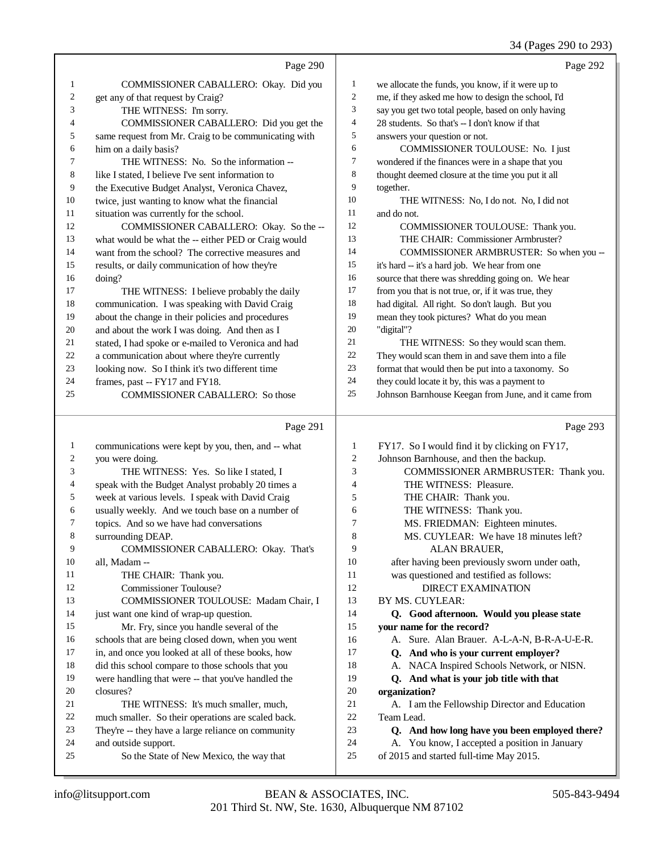## 34 (Pages 290 to 293)

| $\mathbf{1}$<br>we allocate the funds, you know, if it were up to<br>COMMISSIONER CABALLERO: Okay. Did you<br>1<br>$\overline{c}$<br>me, if they asked me how to design the school, I'd<br>2<br>get any of that request by Craig?<br>3<br>say you get two total people, based on only having<br>3<br>THE WITNESS: I'm sorry.<br>4<br>28 students. So that's -- I don't know if that<br>4<br>COMMISSIONER CABALLERO: Did you get the<br>5<br>same request from Mr. Craig to be communicating with<br>5<br>answers your question or not.<br>6<br>him on a daily basis?<br>COMMISSIONER TOULOUSE: No. I just<br>6<br>$\tau$<br>THE WITNESS: No. So the information --<br>wondered if the finances were in a shape that you<br>7<br>8<br>8<br>thought deemed closure at the time you put it all<br>like I stated, I believe I've sent information to<br>9<br>9<br>the Executive Budget Analyst, Veronica Chavez,<br>together.<br>10<br>10<br>twice, just wanting to know what the financial<br>THE WITNESS: No, I do not. No, I did not<br>11<br>situation was currently for the school.<br>and do not.<br>11<br>12<br>12<br>COMMISSIONER TOULOUSE: Thank you.<br>COMMISSIONER CABALLERO: Okay. So the --<br>13<br>13<br>what would be what the -- either PED or Craig would<br>THE CHAIR: Commissioner Armbruster?<br>14<br>14<br>want from the school? The corrective measures and<br>COMMISSIONER ARMBRUSTER: So when you --<br>15<br>15<br>results, or daily communication of how they're<br>it's hard -- it's a hard job. We hear from one<br>16<br>source that there was shredding going on. We hear<br>16<br>doing?<br>17<br>from you that is not true, or, if it was true, they<br>17<br>THE WITNESS: I believe probably the daily<br>18<br>had digital. All right. So don't laugh. But you<br>18<br>communication. I was speaking with David Craig<br>19<br>mean they took pictures? What do you mean<br>19<br>about the change in their policies and procedures<br>$20\,$<br>"digital"?<br>20<br>and about the work I was doing. And then as I<br>21<br>21<br>stated, I had spoke or e-mailed to Veronica and had<br>THE WITNESS: So they would scan them.<br>$22\,$<br>They would scan them in and save them into a file<br>a communication about where they're currently<br>22<br>23<br>format that would then be put into a taxonomy. So<br>23<br>looking now. So I think it's two different time<br>24<br>they could locate it by, this was a payment to<br>24<br>frames, past -- FY17 and FY18.<br>25<br>Johnson Barnhouse Keegan from June, and it came from<br><b>COMMISSIONER CABALLERO:</b> So those<br>25<br>Page 293<br>Page 291<br>FY17. So I would find it by clicking on FY17,<br>$\mathbf{1}$<br>communications were kept by you, then, and -- what<br>1<br>$\mathfrak{2}$<br>2<br>you were doing.<br>Johnson Barnhouse, and then the backup.<br>3<br>3<br>THE WITNESS: Yes. So like I stated, I<br>COMMISSIONER ARMBRUSTER: Thank you.<br>4<br>speak with the Budget Analyst probably 20 times a<br>$\overline{4}$<br>THE WITNESS: Pleasure.<br>5<br>5<br>week at various levels. I speak with David Craig<br>THE CHAIR: Thank you.<br>6<br>usually weekly. And we touch base on a number of<br>THE WITNESS: Thank you.<br>6<br>7<br>MS. FRIEDMAN: Eighteen minutes.<br>7<br>topics. And so we have had conversations<br>8<br>8<br>MS. CUYLEAR: We have 18 minutes left?<br>surrounding DEAP.<br>9<br>9<br>ALAN BRAUER,<br>COMMISSIONER CABALLERO: Okay. That's<br>10<br>10<br>after having been previously sworn under oath,<br>all, Madam --<br>was questioned and testified as follows:<br>11<br>THE CHAIR: Thank you.<br>11<br><b>Commissioner Toulouse?</b><br>12<br>12<br><b>DIRECT EXAMINATION</b><br>13<br>COMMISSIONER TOULOUSE: Madam Chair, I<br>13<br>BY MS. CUYLEAR:<br>just want one kind of wrap-up question.<br>14<br>Q. Good afternoon. Would you please state<br>14<br>15<br>Mr. Fry, since you handle several of the<br>15<br>your name for the record?<br>schools that are being closed down, when you went<br>A. Sure. Alan Brauer. A-L-A-N, B-R-A-U-E-R.<br>16<br>16<br>17<br>in, and once you looked at all of these books, how<br>17<br>Q. And who is your current employer?<br>18<br>did this school compare to those schools that you<br>18<br>A. NACA Inspired Schools Network, or NISN.<br>19<br>were handling that were -- that you've handled the<br>19<br>Q. And what is your job title with that<br>closures?<br>20<br>organization?<br>20<br>21<br>21<br>THE WITNESS: It's much smaller, much,<br>A. I am the Fellowship Director and Education<br>Team Lead.<br>22<br>much smaller. So their operations are scaled back.<br>22<br>23<br>They're -- they have a large reliance on community<br>23<br>Q. And how long have you been employed there?<br>and outside support.<br>24<br>A. You know, I accepted a position in January<br>24<br>of 2015 and started full-time May 2015.<br>25<br>So the State of New Mexico, the way that<br>25 | Page 290 | Page 292 |
|---------------------------------------------------------------------------------------------------------------------------------------------------------------------------------------------------------------------------------------------------------------------------------------------------------------------------------------------------------------------------------------------------------------------------------------------------------------------------------------------------------------------------------------------------------------------------------------------------------------------------------------------------------------------------------------------------------------------------------------------------------------------------------------------------------------------------------------------------------------------------------------------------------------------------------------------------------------------------------------------------------------------------------------------------------------------------------------------------------------------------------------------------------------------------------------------------------------------------------------------------------------------------------------------------------------------------------------------------------------------------------------------------------------------------------------------------------------------------------------------------------------------------------------------------------------------------------------------------------------------------------------------------------------------------------------------------------------------------------------------------------------------------------------------------------------------------------------------------------------------------------------------------------------------------------------------------------------------------------------------------------------------------------------------------------------------------------------------------------------------------------------------------------------------------------------------------------------------------------------------------------------------------------------------------------------------------------------------------------------------------------------------------------------------------------------------------------------------------------------------------------------------------------------------------------------------------------------------------------------------------------------------------------------------------------------------------------------------------------------------------------------------------------------------------------------------------------------------------------------------------------------------------------------------------------------------------------------------------------------------------------------------------------------------------------------------------------------------------------------------------------------------------------------------------------------------------------------------------------------------------------------------------------------------------------------------------------------------------------------------------------------------------------------------------------------------------------------------------------------------------------------------------------------------------------------------------------------------------------------------------------------------------------------------------------------------------------------------------------------------------------------------------------------------------------------------------------------------------------------------------------------------------------------------------------------------------------------------------------------------------------------------------------------------------------------------------------------------------------------------------------------------------------------------------------------------------------------------------------------------------------------------------------------------------------------------------------------------------------------------------------------------------------------------------------------------------------------------------------------------------------------------------------------------------------------------------------------------------------------------------------------------------------------------------------------------------------------------------------------------------------------------------------------------------------------------------------------------------------------------------------------------------------------------------------------------------------------------------------------------------|----------|----------|
|                                                                                                                                                                                                                                                                                                                                                                                                                                                                                                                                                                                                                                                                                                                                                                                                                                                                                                                                                                                                                                                                                                                                                                                                                                                                                                                                                                                                                                                                                                                                                                                                                                                                                                                                                                                                                                                                                                                                                                                                                                                                                                                                                                                                                                                                                                                                                                                                                                                                                                                                                                                                                                                                                                                                                                                                                                                                                                                                                                                                                                                                                                                                                                                                                                                                                                                                                                                                                                                                                                                                                                                                                                                                                                                                                                                                                                                                                                                                                                                                                                                                                                                                                                                                                                                                                                                                                                                                                                                                                                                                                                                                                                                                                                                                                                                                                                                                                                                                                                                                   |          |          |
|                                                                                                                                                                                                                                                                                                                                                                                                                                                                                                                                                                                                                                                                                                                                                                                                                                                                                                                                                                                                                                                                                                                                                                                                                                                                                                                                                                                                                                                                                                                                                                                                                                                                                                                                                                                                                                                                                                                                                                                                                                                                                                                                                                                                                                                                                                                                                                                                                                                                                                                                                                                                                                                                                                                                                                                                                                                                                                                                                                                                                                                                                                                                                                                                                                                                                                                                                                                                                                                                                                                                                                                                                                                                                                                                                                                                                                                                                                                                                                                                                                                                                                                                                                                                                                                                                                                                                                                                                                                                                                                                                                                                                                                                                                                                                                                                                                                                                                                                                                                                   |          |          |
|                                                                                                                                                                                                                                                                                                                                                                                                                                                                                                                                                                                                                                                                                                                                                                                                                                                                                                                                                                                                                                                                                                                                                                                                                                                                                                                                                                                                                                                                                                                                                                                                                                                                                                                                                                                                                                                                                                                                                                                                                                                                                                                                                                                                                                                                                                                                                                                                                                                                                                                                                                                                                                                                                                                                                                                                                                                                                                                                                                                                                                                                                                                                                                                                                                                                                                                                                                                                                                                                                                                                                                                                                                                                                                                                                                                                                                                                                                                                                                                                                                                                                                                                                                                                                                                                                                                                                                                                                                                                                                                                                                                                                                                                                                                                                                                                                                                                                                                                                                                                   |          |          |
|                                                                                                                                                                                                                                                                                                                                                                                                                                                                                                                                                                                                                                                                                                                                                                                                                                                                                                                                                                                                                                                                                                                                                                                                                                                                                                                                                                                                                                                                                                                                                                                                                                                                                                                                                                                                                                                                                                                                                                                                                                                                                                                                                                                                                                                                                                                                                                                                                                                                                                                                                                                                                                                                                                                                                                                                                                                                                                                                                                                                                                                                                                                                                                                                                                                                                                                                                                                                                                                                                                                                                                                                                                                                                                                                                                                                                                                                                                                                                                                                                                                                                                                                                                                                                                                                                                                                                                                                                                                                                                                                                                                                                                                                                                                                                                                                                                                                                                                                                                                                   |          |          |
|                                                                                                                                                                                                                                                                                                                                                                                                                                                                                                                                                                                                                                                                                                                                                                                                                                                                                                                                                                                                                                                                                                                                                                                                                                                                                                                                                                                                                                                                                                                                                                                                                                                                                                                                                                                                                                                                                                                                                                                                                                                                                                                                                                                                                                                                                                                                                                                                                                                                                                                                                                                                                                                                                                                                                                                                                                                                                                                                                                                                                                                                                                                                                                                                                                                                                                                                                                                                                                                                                                                                                                                                                                                                                                                                                                                                                                                                                                                                                                                                                                                                                                                                                                                                                                                                                                                                                                                                                                                                                                                                                                                                                                                                                                                                                                                                                                                                                                                                                                                                   |          |          |
|                                                                                                                                                                                                                                                                                                                                                                                                                                                                                                                                                                                                                                                                                                                                                                                                                                                                                                                                                                                                                                                                                                                                                                                                                                                                                                                                                                                                                                                                                                                                                                                                                                                                                                                                                                                                                                                                                                                                                                                                                                                                                                                                                                                                                                                                                                                                                                                                                                                                                                                                                                                                                                                                                                                                                                                                                                                                                                                                                                                                                                                                                                                                                                                                                                                                                                                                                                                                                                                                                                                                                                                                                                                                                                                                                                                                                                                                                                                                                                                                                                                                                                                                                                                                                                                                                                                                                                                                                                                                                                                                                                                                                                                                                                                                                                                                                                                                                                                                                                                                   |          |          |
|                                                                                                                                                                                                                                                                                                                                                                                                                                                                                                                                                                                                                                                                                                                                                                                                                                                                                                                                                                                                                                                                                                                                                                                                                                                                                                                                                                                                                                                                                                                                                                                                                                                                                                                                                                                                                                                                                                                                                                                                                                                                                                                                                                                                                                                                                                                                                                                                                                                                                                                                                                                                                                                                                                                                                                                                                                                                                                                                                                                                                                                                                                                                                                                                                                                                                                                                                                                                                                                                                                                                                                                                                                                                                                                                                                                                                                                                                                                                                                                                                                                                                                                                                                                                                                                                                                                                                                                                                                                                                                                                                                                                                                                                                                                                                                                                                                                                                                                                                                                                   |          |          |
|                                                                                                                                                                                                                                                                                                                                                                                                                                                                                                                                                                                                                                                                                                                                                                                                                                                                                                                                                                                                                                                                                                                                                                                                                                                                                                                                                                                                                                                                                                                                                                                                                                                                                                                                                                                                                                                                                                                                                                                                                                                                                                                                                                                                                                                                                                                                                                                                                                                                                                                                                                                                                                                                                                                                                                                                                                                                                                                                                                                                                                                                                                                                                                                                                                                                                                                                                                                                                                                                                                                                                                                                                                                                                                                                                                                                                                                                                                                                                                                                                                                                                                                                                                                                                                                                                                                                                                                                                                                                                                                                                                                                                                                                                                                                                                                                                                                                                                                                                                                                   |          |          |
|                                                                                                                                                                                                                                                                                                                                                                                                                                                                                                                                                                                                                                                                                                                                                                                                                                                                                                                                                                                                                                                                                                                                                                                                                                                                                                                                                                                                                                                                                                                                                                                                                                                                                                                                                                                                                                                                                                                                                                                                                                                                                                                                                                                                                                                                                                                                                                                                                                                                                                                                                                                                                                                                                                                                                                                                                                                                                                                                                                                                                                                                                                                                                                                                                                                                                                                                                                                                                                                                                                                                                                                                                                                                                                                                                                                                                                                                                                                                                                                                                                                                                                                                                                                                                                                                                                                                                                                                                                                                                                                                                                                                                                                                                                                                                                                                                                                                                                                                                                                                   |          |          |
|                                                                                                                                                                                                                                                                                                                                                                                                                                                                                                                                                                                                                                                                                                                                                                                                                                                                                                                                                                                                                                                                                                                                                                                                                                                                                                                                                                                                                                                                                                                                                                                                                                                                                                                                                                                                                                                                                                                                                                                                                                                                                                                                                                                                                                                                                                                                                                                                                                                                                                                                                                                                                                                                                                                                                                                                                                                                                                                                                                                                                                                                                                                                                                                                                                                                                                                                                                                                                                                                                                                                                                                                                                                                                                                                                                                                                                                                                                                                                                                                                                                                                                                                                                                                                                                                                                                                                                                                                                                                                                                                                                                                                                                                                                                                                                                                                                                                                                                                                                                                   |          |          |
|                                                                                                                                                                                                                                                                                                                                                                                                                                                                                                                                                                                                                                                                                                                                                                                                                                                                                                                                                                                                                                                                                                                                                                                                                                                                                                                                                                                                                                                                                                                                                                                                                                                                                                                                                                                                                                                                                                                                                                                                                                                                                                                                                                                                                                                                                                                                                                                                                                                                                                                                                                                                                                                                                                                                                                                                                                                                                                                                                                                                                                                                                                                                                                                                                                                                                                                                                                                                                                                                                                                                                                                                                                                                                                                                                                                                                                                                                                                                                                                                                                                                                                                                                                                                                                                                                                                                                                                                                                                                                                                                                                                                                                                                                                                                                                                                                                                                                                                                                                                                   |          |          |
|                                                                                                                                                                                                                                                                                                                                                                                                                                                                                                                                                                                                                                                                                                                                                                                                                                                                                                                                                                                                                                                                                                                                                                                                                                                                                                                                                                                                                                                                                                                                                                                                                                                                                                                                                                                                                                                                                                                                                                                                                                                                                                                                                                                                                                                                                                                                                                                                                                                                                                                                                                                                                                                                                                                                                                                                                                                                                                                                                                                                                                                                                                                                                                                                                                                                                                                                                                                                                                                                                                                                                                                                                                                                                                                                                                                                                                                                                                                                                                                                                                                                                                                                                                                                                                                                                                                                                                                                                                                                                                                                                                                                                                                                                                                                                                                                                                                                                                                                                                                                   |          |          |
|                                                                                                                                                                                                                                                                                                                                                                                                                                                                                                                                                                                                                                                                                                                                                                                                                                                                                                                                                                                                                                                                                                                                                                                                                                                                                                                                                                                                                                                                                                                                                                                                                                                                                                                                                                                                                                                                                                                                                                                                                                                                                                                                                                                                                                                                                                                                                                                                                                                                                                                                                                                                                                                                                                                                                                                                                                                                                                                                                                                                                                                                                                                                                                                                                                                                                                                                                                                                                                                                                                                                                                                                                                                                                                                                                                                                                                                                                                                                                                                                                                                                                                                                                                                                                                                                                                                                                                                                                                                                                                                                                                                                                                                                                                                                                                                                                                                                                                                                                                                                   |          |          |
|                                                                                                                                                                                                                                                                                                                                                                                                                                                                                                                                                                                                                                                                                                                                                                                                                                                                                                                                                                                                                                                                                                                                                                                                                                                                                                                                                                                                                                                                                                                                                                                                                                                                                                                                                                                                                                                                                                                                                                                                                                                                                                                                                                                                                                                                                                                                                                                                                                                                                                                                                                                                                                                                                                                                                                                                                                                                                                                                                                                                                                                                                                                                                                                                                                                                                                                                                                                                                                                                                                                                                                                                                                                                                                                                                                                                                                                                                                                                                                                                                                                                                                                                                                                                                                                                                                                                                                                                                                                                                                                                                                                                                                                                                                                                                                                                                                                                                                                                                                                                   |          |          |
|                                                                                                                                                                                                                                                                                                                                                                                                                                                                                                                                                                                                                                                                                                                                                                                                                                                                                                                                                                                                                                                                                                                                                                                                                                                                                                                                                                                                                                                                                                                                                                                                                                                                                                                                                                                                                                                                                                                                                                                                                                                                                                                                                                                                                                                                                                                                                                                                                                                                                                                                                                                                                                                                                                                                                                                                                                                                                                                                                                                                                                                                                                                                                                                                                                                                                                                                                                                                                                                                                                                                                                                                                                                                                                                                                                                                                                                                                                                                                                                                                                                                                                                                                                                                                                                                                                                                                                                                                                                                                                                                                                                                                                                                                                                                                                                                                                                                                                                                                                                                   |          |          |
|                                                                                                                                                                                                                                                                                                                                                                                                                                                                                                                                                                                                                                                                                                                                                                                                                                                                                                                                                                                                                                                                                                                                                                                                                                                                                                                                                                                                                                                                                                                                                                                                                                                                                                                                                                                                                                                                                                                                                                                                                                                                                                                                                                                                                                                                                                                                                                                                                                                                                                                                                                                                                                                                                                                                                                                                                                                                                                                                                                                                                                                                                                                                                                                                                                                                                                                                                                                                                                                                                                                                                                                                                                                                                                                                                                                                                                                                                                                                                                                                                                                                                                                                                                                                                                                                                                                                                                                                                                                                                                                                                                                                                                                                                                                                                                                                                                                                                                                                                                                                   |          |          |
|                                                                                                                                                                                                                                                                                                                                                                                                                                                                                                                                                                                                                                                                                                                                                                                                                                                                                                                                                                                                                                                                                                                                                                                                                                                                                                                                                                                                                                                                                                                                                                                                                                                                                                                                                                                                                                                                                                                                                                                                                                                                                                                                                                                                                                                                                                                                                                                                                                                                                                                                                                                                                                                                                                                                                                                                                                                                                                                                                                                                                                                                                                                                                                                                                                                                                                                                                                                                                                                                                                                                                                                                                                                                                                                                                                                                                                                                                                                                                                                                                                                                                                                                                                                                                                                                                                                                                                                                                                                                                                                                                                                                                                                                                                                                                                                                                                                                                                                                                                                                   |          |          |
|                                                                                                                                                                                                                                                                                                                                                                                                                                                                                                                                                                                                                                                                                                                                                                                                                                                                                                                                                                                                                                                                                                                                                                                                                                                                                                                                                                                                                                                                                                                                                                                                                                                                                                                                                                                                                                                                                                                                                                                                                                                                                                                                                                                                                                                                                                                                                                                                                                                                                                                                                                                                                                                                                                                                                                                                                                                                                                                                                                                                                                                                                                                                                                                                                                                                                                                                                                                                                                                                                                                                                                                                                                                                                                                                                                                                                                                                                                                                                                                                                                                                                                                                                                                                                                                                                                                                                                                                                                                                                                                                                                                                                                                                                                                                                                                                                                                                                                                                                                                                   |          |          |
|                                                                                                                                                                                                                                                                                                                                                                                                                                                                                                                                                                                                                                                                                                                                                                                                                                                                                                                                                                                                                                                                                                                                                                                                                                                                                                                                                                                                                                                                                                                                                                                                                                                                                                                                                                                                                                                                                                                                                                                                                                                                                                                                                                                                                                                                                                                                                                                                                                                                                                                                                                                                                                                                                                                                                                                                                                                                                                                                                                                                                                                                                                                                                                                                                                                                                                                                                                                                                                                                                                                                                                                                                                                                                                                                                                                                                                                                                                                                                                                                                                                                                                                                                                                                                                                                                                                                                                                                                                                                                                                                                                                                                                                                                                                                                                                                                                                                                                                                                                                                   |          |          |
|                                                                                                                                                                                                                                                                                                                                                                                                                                                                                                                                                                                                                                                                                                                                                                                                                                                                                                                                                                                                                                                                                                                                                                                                                                                                                                                                                                                                                                                                                                                                                                                                                                                                                                                                                                                                                                                                                                                                                                                                                                                                                                                                                                                                                                                                                                                                                                                                                                                                                                                                                                                                                                                                                                                                                                                                                                                                                                                                                                                                                                                                                                                                                                                                                                                                                                                                                                                                                                                                                                                                                                                                                                                                                                                                                                                                                                                                                                                                                                                                                                                                                                                                                                                                                                                                                                                                                                                                                                                                                                                                                                                                                                                                                                                                                                                                                                                                                                                                                                                                   |          |          |
|                                                                                                                                                                                                                                                                                                                                                                                                                                                                                                                                                                                                                                                                                                                                                                                                                                                                                                                                                                                                                                                                                                                                                                                                                                                                                                                                                                                                                                                                                                                                                                                                                                                                                                                                                                                                                                                                                                                                                                                                                                                                                                                                                                                                                                                                                                                                                                                                                                                                                                                                                                                                                                                                                                                                                                                                                                                                                                                                                                                                                                                                                                                                                                                                                                                                                                                                                                                                                                                                                                                                                                                                                                                                                                                                                                                                                                                                                                                                                                                                                                                                                                                                                                                                                                                                                                                                                                                                                                                                                                                                                                                                                                                                                                                                                                                                                                                                                                                                                                                                   |          |          |
|                                                                                                                                                                                                                                                                                                                                                                                                                                                                                                                                                                                                                                                                                                                                                                                                                                                                                                                                                                                                                                                                                                                                                                                                                                                                                                                                                                                                                                                                                                                                                                                                                                                                                                                                                                                                                                                                                                                                                                                                                                                                                                                                                                                                                                                                                                                                                                                                                                                                                                                                                                                                                                                                                                                                                                                                                                                                                                                                                                                                                                                                                                                                                                                                                                                                                                                                                                                                                                                                                                                                                                                                                                                                                                                                                                                                                                                                                                                                                                                                                                                                                                                                                                                                                                                                                                                                                                                                                                                                                                                                                                                                                                                                                                                                                                                                                                                                                                                                                                                                   |          |          |
|                                                                                                                                                                                                                                                                                                                                                                                                                                                                                                                                                                                                                                                                                                                                                                                                                                                                                                                                                                                                                                                                                                                                                                                                                                                                                                                                                                                                                                                                                                                                                                                                                                                                                                                                                                                                                                                                                                                                                                                                                                                                                                                                                                                                                                                                                                                                                                                                                                                                                                                                                                                                                                                                                                                                                                                                                                                                                                                                                                                                                                                                                                                                                                                                                                                                                                                                                                                                                                                                                                                                                                                                                                                                                                                                                                                                                                                                                                                                                                                                                                                                                                                                                                                                                                                                                                                                                                                                                                                                                                                                                                                                                                                                                                                                                                                                                                                                                                                                                                                                   |          |          |
|                                                                                                                                                                                                                                                                                                                                                                                                                                                                                                                                                                                                                                                                                                                                                                                                                                                                                                                                                                                                                                                                                                                                                                                                                                                                                                                                                                                                                                                                                                                                                                                                                                                                                                                                                                                                                                                                                                                                                                                                                                                                                                                                                                                                                                                                                                                                                                                                                                                                                                                                                                                                                                                                                                                                                                                                                                                                                                                                                                                                                                                                                                                                                                                                                                                                                                                                                                                                                                                                                                                                                                                                                                                                                                                                                                                                                                                                                                                                                                                                                                                                                                                                                                                                                                                                                                                                                                                                                                                                                                                                                                                                                                                                                                                                                                                                                                                                                                                                                                                                   |          |          |
|                                                                                                                                                                                                                                                                                                                                                                                                                                                                                                                                                                                                                                                                                                                                                                                                                                                                                                                                                                                                                                                                                                                                                                                                                                                                                                                                                                                                                                                                                                                                                                                                                                                                                                                                                                                                                                                                                                                                                                                                                                                                                                                                                                                                                                                                                                                                                                                                                                                                                                                                                                                                                                                                                                                                                                                                                                                                                                                                                                                                                                                                                                                                                                                                                                                                                                                                                                                                                                                                                                                                                                                                                                                                                                                                                                                                                                                                                                                                                                                                                                                                                                                                                                                                                                                                                                                                                                                                                                                                                                                                                                                                                                                                                                                                                                                                                                                                                                                                                                                                   |          |          |
|                                                                                                                                                                                                                                                                                                                                                                                                                                                                                                                                                                                                                                                                                                                                                                                                                                                                                                                                                                                                                                                                                                                                                                                                                                                                                                                                                                                                                                                                                                                                                                                                                                                                                                                                                                                                                                                                                                                                                                                                                                                                                                                                                                                                                                                                                                                                                                                                                                                                                                                                                                                                                                                                                                                                                                                                                                                                                                                                                                                                                                                                                                                                                                                                                                                                                                                                                                                                                                                                                                                                                                                                                                                                                                                                                                                                                                                                                                                                                                                                                                                                                                                                                                                                                                                                                                                                                                                                                                                                                                                                                                                                                                                                                                                                                                                                                                                                                                                                                                                                   |          |          |
|                                                                                                                                                                                                                                                                                                                                                                                                                                                                                                                                                                                                                                                                                                                                                                                                                                                                                                                                                                                                                                                                                                                                                                                                                                                                                                                                                                                                                                                                                                                                                                                                                                                                                                                                                                                                                                                                                                                                                                                                                                                                                                                                                                                                                                                                                                                                                                                                                                                                                                                                                                                                                                                                                                                                                                                                                                                                                                                                                                                                                                                                                                                                                                                                                                                                                                                                                                                                                                                                                                                                                                                                                                                                                                                                                                                                                                                                                                                                                                                                                                                                                                                                                                                                                                                                                                                                                                                                                                                                                                                                                                                                                                                                                                                                                                                                                                                                                                                                                                                                   |          |          |
|                                                                                                                                                                                                                                                                                                                                                                                                                                                                                                                                                                                                                                                                                                                                                                                                                                                                                                                                                                                                                                                                                                                                                                                                                                                                                                                                                                                                                                                                                                                                                                                                                                                                                                                                                                                                                                                                                                                                                                                                                                                                                                                                                                                                                                                                                                                                                                                                                                                                                                                                                                                                                                                                                                                                                                                                                                                                                                                                                                                                                                                                                                                                                                                                                                                                                                                                                                                                                                                                                                                                                                                                                                                                                                                                                                                                                                                                                                                                                                                                                                                                                                                                                                                                                                                                                                                                                                                                                                                                                                                                                                                                                                                                                                                                                                                                                                                                                                                                                                                                   |          |          |
|                                                                                                                                                                                                                                                                                                                                                                                                                                                                                                                                                                                                                                                                                                                                                                                                                                                                                                                                                                                                                                                                                                                                                                                                                                                                                                                                                                                                                                                                                                                                                                                                                                                                                                                                                                                                                                                                                                                                                                                                                                                                                                                                                                                                                                                                                                                                                                                                                                                                                                                                                                                                                                                                                                                                                                                                                                                                                                                                                                                                                                                                                                                                                                                                                                                                                                                                                                                                                                                                                                                                                                                                                                                                                                                                                                                                                                                                                                                                                                                                                                                                                                                                                                                                                                                                                                                                                                                                                                                                                                                                                                                                                                                                                                                                                                                                                                                                                                                                                                                                   |          |          |
|                                                                                                                                                                                                                                                                                                                                                                                                                                                                                                                                                                                                                                                                                                                                                                                                                                                                                                                                                                                                                                                                                                                                                                                                                                                                                                                                                                                                                                                                                                                                                                                                                                                                                                                                                                                                                                                                                                                                                                                                                                                                                                                                                                                                                                                                                                                                                                                                                                                                                                                                                                                                                                                                                                                                                                                                                                                                                                                                                                                                                                                                                                                                                                                                                                                                                                                                                                                                                                                                                                                                                                                                                                                                                                                                                                                                                                                                                                                                                                                                                                                                                                                                                                                                                                                                                                                                                                                                                                                                                                                                                                                                                                                                                                                                                                                                                                                                                                                                                                                                   |          |          |
|                                                                                                                                                                                                                                                                                                                                                                                                                                                                                                                                                                                                                                                                                                                                                                                                                                                                                                                                                                                                                                                                                                                                                                                                                                                                                                                                                                                                                                                                                                                                                                                                                                                                                                                                                                                                                                                                                                                                                                                                                                                                                                                                                                                                                                                                                                                                                                                                                                                                                                                                                                                                                                                                                                                                                                                                                                                                                                                                                                                                                                                                                                                                                                                                                                                                                                                                                                                                                                                                                                                                                                                                                                                                                                                                                                                                                                                                                                                                                                                                                                                                                                                                                                                                                                                                                                                                                                                                                                                                                                                                                                                                                                                                                                                                                                                                                                                                                                                                                                                                   |          |          |
|                                                                                                                                                                                                                                                                                                                                                                                                                                                                                                                                                                                                                                                                                                                                                                                                                                                                                                                                                                                                                                                                                                                                                                                                                                                                                                                                                                                                                                                                                                                                                                                                                                                                                                                                                                                                                                                                                                                                                                                                                                                                                                                                                                                                                                                                                                                                                                                                                                                                                                                                                                                                                                                                                                                                                                                                                                                                                                                                                                                                                                                                                                                                                                                                                                                                                                                                                                                                                                                                                                                                                                                                                                                                                                                                                                                                                                                                                                                                                                                                                                                                                                                                                                                                                                                                                                                                                                                                                                                                                                                                                                                                                                                                                                                                                                                                                                                                                                                                                                                                   |          |          |
|                                                                                                                                                                                                                                                                                                                                                                                                                                                                                                                                                                                                                                                                                                                                                                                                                                                                                                                                                                                                                                                                                                                                                                                                                                                                                                                                                                                                                                                                                                                                                                                                                                                                                                                                                                                                                                                                                                                                                                                                                                                                                                                                                                                                                                                                                                                                                                                                                                                                                                                                                                                                                                                                                                                                                                                                                                                                                                                                                                                                                                                                                                                                                                                                                                                                                                                                                                                                                                                                                                                                                                                                                                                                                                                                                                                                                                                                                                                                                                                                                                                                                                                                                                                                                                                                                                                                                                                                                                                                                                                                                                                                                                                                                                                                                                                                                                                                                                                                                                                                   |          |          |
|                                                                                                                                                                                                                                                                                                                                                                                                                                                                                                                                                                                                                                                                                                                                                                                                                                                                                                                                                                                                                                                                                                                                                                                                                                                                                                                                                                                                                                                                                                                                                                                                                                                                                                                                                                                                                                                                                                                                                                                                                                                                                                                                                                                                                                                                                                                                                                                                                                                                                                                                                                                                                                                                                                                                                                                                                                                                                                                                                                                                                                                                                                                                                                                                                                                                                                                                                                                                                                                                                                                                                                                                                                                                                                                                                                                                                                                                                                                                                                                                                                                                                                                                                                                                                                                                                                                                                                                                                                                                                                                                                                                                                                                                                                                                                                                                                                                                                                                                                                                                   |          |          |
|                                                                                                                                                                                                                                                                                                                                                                                                                                                                                                                                                                                                                                                                                                                                                                                                                                                                                                                                                                                                                                                                                                                                                                                                                                                                                                                                                                                                                                                                                                                                                                                                                                                                                                                                                                                                                                                                                                                                                                                                                                                                                                                                                                                                                                                                                                                                                                                                                                                                                                                                                                                                                                                                                                                                                                                                                                                                                                                                                                                                                                                                                                                                                                                                                                                                                                                                                                                                                                                                                                                                                                                                                                                                                                                                                                                                                                                                                                                                                                                                                                                                                                                                                                                                                                                                                                                                                                                                                                                                                                                                                                                                                                                                                                                                                                                                                                                                                                                                                                                                   |          |          |
|                                                                                                                                                                                                                                                                                                                                                                                                                                                                                                                                                                                                                                                                                                                                                                                                                                                                                                                                                                                                                                                                                                                                                                                                                                                                                                                                                                                                                                                                                                                                                                                                                                                                                                                                                                                                                                                                                                                                                                                                                                                                                                                                                                                                                                                                                                                                                                                                                                                                                                                                                                                                                                                                                                                                                                                                                                                                                                                                                                                                                                                                                                                                                                                                                                                                                                                                                                                                                                                                                                                                                                                                                                                                                                                                                                                                                                                                                                                                                                                                                                                                                                                                                                                                                                                                                                                                                                                                                                                                                                                                                                                                                                                                                                                                                                                                                                                                                                                                                                                                   |          |          |
|                                                                                                                                                                                                                                                                                                                                                                                                                                                                                                                                                                                                                                                                                                                                                                                                                                                                                                                                                                                                                                                                                                                                                                                                                                                                                                                                                                                                                                                                                                                                                                                                                                                                                                                                                                                                                                                                                                                                                                                                                                                                                                                                                                                                                                                                                                                                                                                                                                                                                                                                                                                                                                                                                                                                                                                                                                                                                                                                                                                                                                                                                                                                                                                                                                                                                                                                                                                                                                                                                                                                                                                                                                                                                                                                                                                                                                                                                                                                                                                                                                                                                                                                                                                                                                                                                                                                                                                                                                                                                                                                                                                                                                                                                                                                                                                                                                                                                                                                                                                                   |          |          |
|                                                                                                                                                                                                                                                                                                                                                                                                                                                                                                                                                                                                                                                                                                                                                                                                                                                                                                                                                                                                                                                                                                                                                                                                                                                                                                                                                                                                                                                                                                                                                                                                                                                                                                                                                                                                                                                                                                                                                                                                                                                                                                                                                                                                                                                                                                                                                                                                                                                                                                                                                                                                                                                                                                                                                                                                                                                                                                                                                                                                                                                                                                                                                                                                                                                                                                                                                                                                                                                                                                                                                                                                                                                                                                                                                                                                                                                                                                                                                                                                                                                                                                                                                                                                                                                                                                                                                                                                                                                                                                                                                                                                                                                                                                                                                                                                                                                                                                                                                                                                   |          |          |
|                                                                                                                                                                                                                                                                                                                                                                                                                                                                                                                                                                                                                                                                                                                                                                                                                                                                                                                                                                                                                                                                                                                                                                                                                                                                                                                                                                                                                                                                                                                                                                                                                                                                                                                                                                                                                                                                                                                                                                                                                                                                                                                                                                                                                                                                                                                                                                                                                                                                                                                                                                                                                                                                                                                                                                                                                                                                                                                                                                                                                                                                                                                                                                                                                                                                                                                                                                                                                                                                                                                                                                                                                                                                                                                                                                                                                                                                                                                                                                                                                                                                                                                                                                                                                                                                                                                                                                                                                                                                                                                                                                                                                                                                                                                                                                                                                                                                                                                                                                                                   |          |          |
|                                                                                                                                                                                                                                                                                                                                                                                                                                                                                                                                                                                                                                                                                                                                                                                                                                                                                                                                                                                                                                                                                                                                                                                                                                                                                                                                                                                                                                                                                                                                                                                                                                                                                                                                                                                                                                                                                                                                                                                                                                                                                                                                                                                                                                                                                                                                                                                                                                                                                                                                                                                                                                                                                                                                                                                                                                                                                                                                                                                                                                                                                                                                                                                                                                                                                                                                                                                                                                                                                                                                                                                                                                                                                                                                                                                                                                                                                                                                                                                                                                                                                                                                                                                                                                                                                                                                                                                                                                                                                                                                                                                                                                                                                                                                                                                                                                                                                                                                                                                                   |          |          |
|                                                                                                                                                                                                                                                                                                                                                                                                                                                                                                                                                                                                                                                                                                                                                                                                                                                                                                                                                                                                                                                                                                                                                                                                                                                                                                                                                                                                                                                                                                                                                                                                                                                                                                                                                                                                                                                                                                                                                                                                                                                                                                                                                                                                                                                                                                                                                                                                                                                                                                                                                                                                                                                                                                                                                                                                                                                                                                                                                                                                                                                                                                                                                                                                                                                                                                                                                                                                                                                                                                                                                                                                                                                                                                                                                                                                                                                                                                                                                                                                                                                                                                                                                                                                                                                                                                                                                                                                                                                                                                                                                                                                                                                                                                                                                                                                                                                                                                                                                                                                   |          |          |
|                                                                                                                                                                                                                                                                                                                                                                                                                                                                                                                                                                                                                                                                                                                                                                                                                                                                                                                                                                                                                                                                                                                                                                                                                                                                                                                                                                                                                                                                                                                                                                                                                                                                                                                                                                                                                                                                                                                                                                                                                                                                                                                                                                                                                                                                                                                                                                                                                                                                                                                                                                                                                                                                                                                                                                                                                                                                                                                                                                                                                                                                                                                                                                                                                                                                                                                                                                                                                                                                                                                                                                                                                                                                                                                                                                                                                                                                                                                                                                                                                                                                                                                                                                                                                                                                                                                                                                                                                                                                                                                                                                                                                                                                                                                                                                                                                                                                                                                                                                                                   |          |          |
|                                                                                                                                                                                                                                                                                                                                                                                                                                                                                                                                                                                                                                                                                                                                                                                                                                                                                                                                                                                                                                                                                                                                                                                                                                                                                                                                                                                                                                                                                                                                                                                                                                                                                                                                                                                                                                                                                                                                                                                                                                                                                                                                                                                                                                                                                                                                                                                                                                                                                                                                                                                                                                                                                                                                                                                                                                                                                                                                                                                                                                                                                                                                                                                                                                                                                                                                                                                                                                                                                                                                                                                                                                                                                                                                                                                                                                                                                                                                                                                                                                                                                                                                                                                                                                                                                                                                                                                                                                                                                                                                                                                                                                                                                                                                                                                                                                                                                                                                                                                                   |          |          |
|                                                                                                                                                                                                                                                                                                                                                                                                                                                                                                                                                                                                                                                                                                                                                                                                                                                                                                                                                                                                                                                                                                                                                                                                                                                                                                                                                                                                                                                                                                                                                                                                                                                                                                                                                                                                                                                                                                                                                                                                                                                                                                                                                                                                                                                                                                                                                                                                                                                                                                                                                                                                                                                                                                                                                                                                                                                                                                                                                                                                                                                                                                                                                                                                                                                                                                                                                                                                                                                                                                                                                                                                                                                                                                                                                                                                                                                                                                                                                                                                                                                                                                                                                                                                                                                                                                                                                                                                                                                                                                                                                                                                                                                                                                                                                                                                                                                                                                                                                                                                   |          |          |
|                                                                                                                                                                                                                                                                                                                                                                                                                                                                                                                                                                                                                                                                                                                                                                                                                                                                                                                                                                                                                                                                                                                                                                                                                                                                                                                                                                                                                                                                                                                                                                                                                                                                                                                                                                                                                                                                                                                                                                                                                                                                                                                                                                                                                                                                                                                                                                                                                                                                                                                                                                                                                                                                                                                                                                                                                                                                                                                                                                                                                                                                                                                                                                                                                                                                                                                                                                                                                                                                                                                                                                                                                                                                                                                                                                                                                                                                                                                                                                                                                                                                                                                                                                                                                                                                                                                                                                                                                                                                                                                                                                                                                                                                                                                                                                                                                                                                                                                                                                                                   |          |          |
|                                                                                                                                                                                                                                                                                                                                                                                                                                                                                                                                                                                                                                                                                                                                                                                                                                                                                                                                                                                                                                                                                                                                                                                                                                                                                                                                                                                                                                                                                                                                                                                                                                                                                                                                                                                                                                                                                                                                                                                                                                                                                                                                                                                                                                                                                                                                                                                                                                                                                                                                                                                                                                                                                                                                                                                                                                                                                                                                                                                                                                                                                                                                                                                                                                                                                                                                                                                                                                                                                                                                                                                                                                                                                                                                                                                                                                                                                                                                                                                                                                                                                                                                                                                                                                                                                                                                                                                                                                                                                                                                                                                                                                                                                                                                                                                                                                                                                                                                                                                                   |          |          |
|                                                                                                                                                                                                                                                                                                                                                                                                                                                                                                                                                                                                                                                                                                                                                                                                                                                                                                                                                                                                                                                                                                                                                                                                                                                                                                                                                                                                                                                                                                                                                                                                                                                                                                                                                                                                                                                                                                                                                                                                                                                                                                                                                                                                                                                                                                                                                                                                                                                                                                                                                                                                                                                                                                                                                                                                                                                                                                                                                                                                                                                                                                                                                                                                                                                                                                                                                                                                                                                                                                                                                                                                                                                                                                                                                                                                                                                                                                                                                                                                                                                                                                                                                                                                                                                                                                                                                                                                                                                                                                                                                                                                                                                                                                                                                                                                                                                                                                                                                                                                   |          |          |
|                                                                                                                                                                                                                                                                                                                                                                                                                                                                                                                                                                                                                                                                                                                                                                                                                                                                                                                                                                                                                                                                                                                                                                                                                                                                                                                                                                                                                                                                                                                                                                                                                                                                                                                                                                                                                                                                                                                                                                                                                                                                                                                                                                                                                                                                                                                                                                                                                                                                                                                                                                                                                                                                                                                                                                                                                                                                                                                                                                                                                                                                                                                                                                                                                                                                                                                                                                                                                                                                                                                                                                                                                                                                                                                                                                                                                                                                                                                                                                                                                                                                                                                                                                                                                                                                                                                                                                                                                                                                                                                                                                                                                                                                                                                                                                                                                                                                                                                                                                                                   |          |          |
|                                                                                                                                                                                                                                                                                                                                                                                                                                                                                                                                                                                                                                                                                                                                                                                                                                                                                                                                                                                                                                                                                                                                                                                                                                                                                                                                                                                                                                                                                                                                                                                                                                                                                                                                                                                                                                                                                                                                                                                                                                                                                                                                                                                                                                                                                                                                                                                                                                                                                                                                                                                                                                                                                                                                                                                                                                                                                                                                                                                                                                                                                                                                                                                                                                                                                                                                                                                                                                                                                                                                                                                                                                                                                                                                                                                                                                                                                                                                                                                                                                                                                                                                                                                                                                                                                                                                                                                                                                                                                                                                                                                                                                                                                                                                                                                                                                                                                                                                                                                                   |          |          |
|                                                                                                                                                                                                                                                                                                                                                                                                                                                                                                                                                                                                                                                                                                                                                                                                                                                                                                                                                                                                                                                                                                                                                                                                                                                                                                                                                                                                                                                                                                                                                                                                                                                                                                                                                                                                                                                                                                                                                                                                                                                                                                                                                                                                                                                                                                                                                                                                                                                                                                                                                                                                                                                                                                                                                                                                                                                                                                                                                                                                                                                                                                                                                                                                                                                                                                                                                                                                                                                                                                                                                                                                                                                                                                                                                                                                                                                                                                                                                                                                                                                                                                                                                                                                                                                                                                                                                                                                                                                                                                                                                                                                                                                                                                                                                                                                                                                                                                                                                                                                   |          |          |
|                                                                                                                                                                                                                                                                                                                                                                                                                                                                                                                                                                                                                                                                                                                                                                                                                                                                                                                                                                                                                                                                                                                                                                                                                                                                                                                                                                                                                                                                                                                                                                                                                                                                                                                                                                                                                                                                                                                                                                                                                                                                                                                                                                                                                                                                                                                                                                                                                                                                                                                                                                                                                                                                                                                                                                                                                                                                                                                                                                                                                                                                                                                                                                                                                                                                                                                                                                                                                                                                                                                                                                                                                                                                                                                                                                                                                                                                                                                                                                                                                                                                                                                                                                                                                                                                                                                                                                                                                                                                                                                                                                                                                                                                                                                                                                                                                                                                                                                                                                                                   |          |          |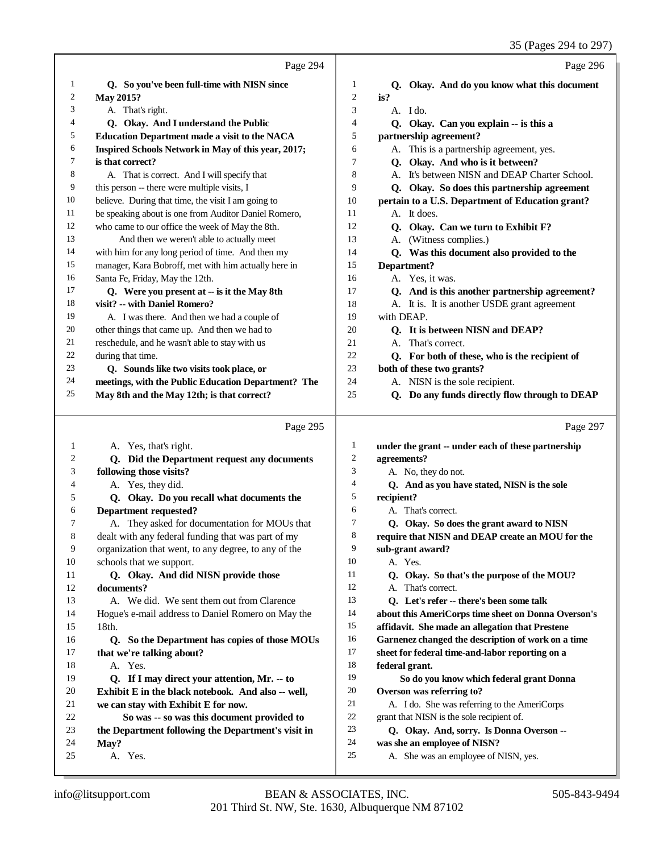|    |                                                      |                | 35 (Pages 294 to 297)                               |
|----|------------------------------------------------------|----------------|-----------------------------------------------------|
|    | Page 294                                             |                | Page 296                                            |
| 1  | Q. So you've been full-time with NISN since          | 1              | Q. Okay. And do you know what this document         |
| 2  | <b>May 2015?</b>                                     | $\overline{2}$ | is?                                                 |
| 3  | A. That's right.                                     | 3              | A. Ido.                                             |
| 4  | Q. Okay. And I understand the Public                 | $\overline{4}$ | Q. Okay. Can you explain -- is this a               |
| 5  | <b>Education Department made a visit to the NACA</b> | 5              | partnership agreement?                              |
| 6  | Inspired Schools Network in May of this year, 2017;  | 6              | A. This is a partnership agreement, yes.            |
| 7  | is that correct?                                     | 7              | Q. Okay. And who is it between?                     |
| 8  | A. That is correct. And I will specify that          | 8              | A. It's between NISN and DEAP Charter School.       |
| 9  | this person -- there were multiple visits, I         | 9              | Q. Okay. So does this partnership agreement         |
| 10 | believe. During that time, the visit I am going to   | 10             | pertain to a U.S. Department of Education grant?    |
| 11 | be speaking about is one from Auditor Daniel Romero, | 11             | A. It does.                                         |
| 12 | who came to our office the week of May the 8th.      | 12             | Q. Okay. Can we turn to Exhibit F?                  |
| 13 | And then we weren't able to actually meet            | 13             | A. (Witness complies.)                              |
| 14 | with him for any long period of time. And then my    | 14             | Q. Was this document also provided to the           |
| 15 | manager, Kara Bobroff, met with him actually here in | 15             | Department?                                         |
| 16 | Santa Fe, Friday, May the 12th.                      | 16             | A. Yes, it was.                                     |
| 17 | Q. Were you present at -- is it the May 8th          | 17             | Q. And is this another partnership agreement?       |
| 18 | visit? -- with Daniel Romero?                        | 18             | A. It is. It is another USDE grant agreement        |
| 19 | A. I was there. And then we had a couple of          | 19             | with DEAP.                                          |
| 20 | other things that came up. And then we had to        | 20             | Q. It is between NISN and DEAP?                     |
| 21 | reschedule, and he wasn't able to stay with us       | 21             | A. That's correct.                                  |
| 22 | during that time.                                    | 22             | Q. For both of these, who is the recipient of       |
| 23 | Q. Sounds like two visits took place, or             | 23             | both of these two grants?                           |
| 24 | meetings, with the Public Education Department? The  | 24             | A. NISN is the sole recipient.                      |
| 25 | May 8th and the May 12th; is that correct?           | 25             | Q. Do any funds directly flow through to DEAP       |
|    | Page 295                                             |                | Page 297                                            |
| 1  | A. Yes, that's right.                                | $\mathbf{1}$   | under the grant -- under each of these partnership  |
| 2  | Q. Did the Department request any documents          | $\overline{c}$ | agreements?                                         |
| 3  | following those visits?                              | 3              | A. No, they do not.                                 |
| 4  | A. Yes, they did.                                    | $\overline{4}$ | Q. And as you have stated, NISN is the sole         |
| 5  | Q. Okay. Do you recall what documents the            | 5              | recipient?                                          |
| 6  | <b>Department requested?</b>                         | 6              | A. That's correct.                                  |
| 7  | A. They asked for documentation for MOUs that        | $\frac{1}{2}$  | Q. Okay. So does the grant award to NISN            |
| 8  | dealt with any federal funding that was part of my   | 8              | require that NISN and DEAP create an MOU for the    |
| 9  | organization that went, to any degree, to any of the | 9              | sub-grant award?                                    |
| 10 | schools that we support.                             | 10             | A. Yes.                                             |
| 11 | Q. Okay. And did NISN provide those                  | 11             | Q. Okay. So that's the purpose of the MOU?          |
| 12 | documents?                                           | 12             | A. That's correct.                                  |
| 13 | A. We did. We sent them out from Clarence            | 13             | Q. Let's refer -- there's been some talk            |
| 14 | Hogue's e-mail address to Daniel Romero on May the   | 14             | about this AmeriCorps time sheet on Donna Overson's |
| 15 | 18th.                                                | 15             | affidavit. She made an allegation that Prestene     |
| 16 | Q. So the Department has copies of those MOUs        | 16             | Garnenez changed the description of work on a time  |

**Garnenez changed the description of work on a time**

sheet for federal time-and-labor reporting on a **federal grant.**

 **So do you know which federal grant Donna Overson was referring to?**

- A. I do. She was referring to the AmeriCorps
- grant that NISN is the sole recipient of.
- **Q. Okay. And, sorry. Is Donna Overson --**
- **was she an employee of NISN?**
- A. She was an employee of NISN, yes.

 **May?** A. Yes.

A. Yes.

**that we're talking about?**

 **Q. If I may direct your attention, Mr. -- to Exhibit E in the black notebook. And also -- well,**

 **So was -- so was this document provided to the Department following the Department's visit in**

**we can stay with Exhibit E for now.**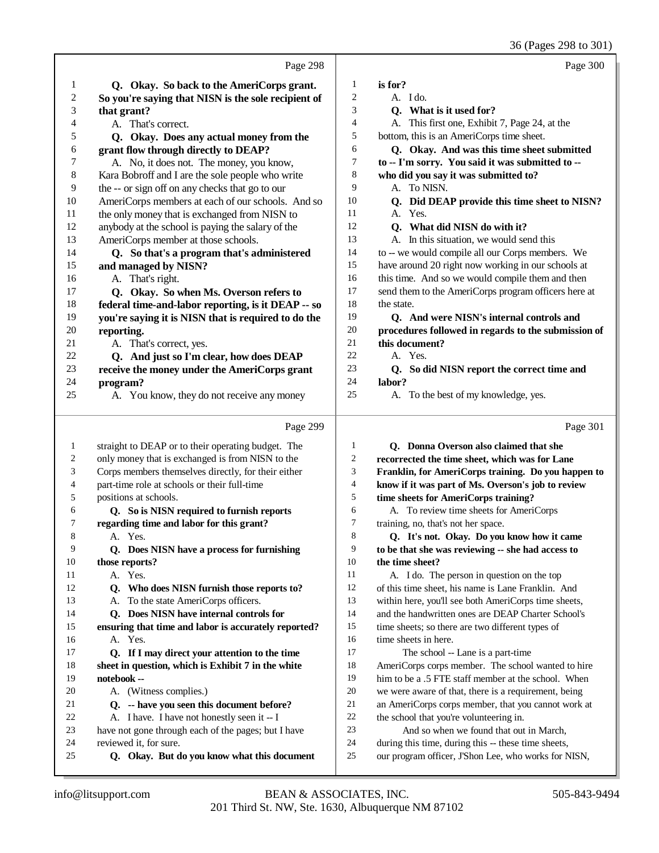|                  |                                                      |              | 36 (Pages 298 to 301)                                |
|------------------|------------------------------------------------------|--------------|------------------------------------------------------|
|                  | Page 298                                             |              | Page 300                                             |
| $\mathbf{1}$     | Q. Okay. So back to the AmeriCorps grant.            | 1            | is for?                                              |
| $\boldsymbol{2}$ | So you're saying that NISN is the sole recipient of  | 2            | A. I do.                                             |
| 3                | that grant?                                          | 3            | Q. What is it used for?                              |
| 4                | A. That's correct.                                   | 4            | A. This first one, Exhibit 7, Page 24, at the        |
| 5                | Q. Okay. Does any actual money from the              | 5            | bottom, this is an AmeriCorps time sheet.            |
| 6                | grant flow through directly to DEAP?                 | 6            | Q. Okay. And was this time sheet submitted           |
| 7                | A. No, it does not. The money, you know,             | 7            | to -- I'm sorry. You said it was submitted to --     |
| $\,$ 8 $\,$      | Kara Bobroff and I are the sole people who write     | 8            | who did you say it was submitted to?                 |
| 9                | the -- or sign off on any checks that go to our      | 9            | A. To NISN.                                          |
| 10               | AmeriCorps members at each of our schools. And so    | 10           | Q. Did DEAP provide this time sheet to NISN?         |
| 11               | the only money that is exchanged from NISN to        | 11           | A. Yes.                                              |
| 12               | anybody at the school is paying the salary of the    | 12           | Q. What did NISN do with it?                         |
| 13               | AmeriCorps member at those schools.                  | 13           | A. In this situation, we would send this             |
| 14               | Q. So that's a program that's administered           | 14           | to -- we would compile all our Corps members. We     |
| 15               | and managed by NISN?                                 | 15           | have around 20 right now working in our schools at   |
| 16               | A. That's right.                                     | 16           | this time. And so we would compile them and then     |
| 17               | Q. Okay. So when Ms. Overson refers to               | 17           | send them to the AmeriCorps program officers here at |
| 18               | federal time-and-labor reporting, is it DEAP -- so   | 18           | the state.                                           |
| 19               | you're saying it is NISN that is required to do the  | 19           | Q. And were NISN's internal controls and             |
| 20               | reporting.                                           | 20           | procedures followed in regards to the submission of  |
| 21               | A. That's correct, yes.                              | $21\,$       | this document?                                       |
| 22               | Q. And just so I'm clear, how does DEAP              | 22           | A. Yes.                                              |
| 23               | receive the money under the AmeriCorps grant         | 23           | Q. So did NISN report the correct time and           |
| 24               | program?                                             | 24           | labor?                                               |
| 25               | A. You know, they do not receive any money           | 25           | A. To the best of my knowledge, yes.                 |
|                  | Page 299                                             |              | Page 301                                             |
| 1                | straight to DEAP or to their operating budget. The   | $\mathbf{1}$ | Q. Donna Overson also claimed that she               |
| 2                | only money that is exchanged is from NISN to the     | 2            | recorrected the time sheet, which was for Lane       |
| 3                | Corps members themselves directly, for their either  | 3            | Franklin, for AmeriCorps training. Do you happen to  |
| 4                | part-time role at schools or their full-time         | 4            | know if it was part of Ms. Overson's job to review   |
| 5                | positions at schools.                                | 5            | time sheets for AmeriCorps training?                 |
| 6                | Q. So is NISN required to furnish reports            | 6            | A. To review time sheets for AmeriCorps              |
| 7                | regarding time and labor for this grant?             | 7            | training, no, that's not her space.                  |
| 8                | A. Yes.                                              | 8            | Q. It's not. Okay. Do you know how it came           |
| 9                | Q. Does NISN have a process for furnishing           | 9            | to be that she was reviewing -- she had access to    |
| 10               | those reports?                                       | 10           | the time sheet?                                      |
| 11               | A. Yes.                                              | 11           | A. I do. The person in question on the top           |
| 12               | Q. Who does NISN furnish those reports to?           | 12           | of this time sheet, his name is Lane Franklin. And   |
| 13               | A. To the state AmeriCorps officers.                 | 13           | within here, you'll see both AmeriCorps time sheets, |
| 14               | Q. Does NISN have internal controls for              | 14           | and the handwritten ones are DEAP Charter School's   |
| 15               | ensuring that time and labor is accurately reported? | 15           | time sheets; so there are two different types of     |
| 16               | A. Yes.                                              | 16           | time sheets in here.                                 |
| 17               | Q. If I may direct your attention to the time        | 17           | The school -- Lane is a part-time                    |
| 18               | sheet in question, which is Exhibit 7 in the white   | 18           | AmeriCorps corps member. The school wanted to hire   |
| 19               | notebook --                                          | 19           | him to be a .5 FTE staff member at the school. When  |
| 20               | A. (Witness complies.)                               | 20           | we were aware of that, there is a requirement, being |
| 21               | Q. -- have you seen this document before?            | 21           | an AmeriCorps corps member, that you cannot work at  |
| 22               | A. I have. I have not honestly seen it -- I          | 22           | the school that you're volunteering in.              |
| 23               | have not gone through each of the pages; but I have  | 23           | And so when we found that out in March,              |
| 24               | reviewed it, for sure.                               | 24           | during this time, during this -- these time sheets,  |
| $25\,$           | Q. Okay. But do you know what this document          | 25           | our program officer, J'Shon Lee, who works for NISN, |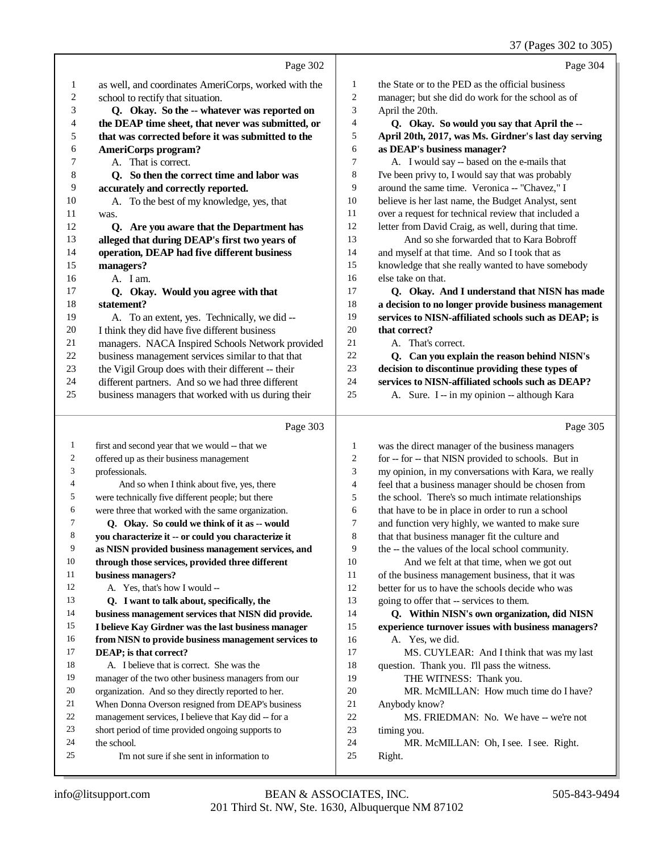|                |                                                                  |                | 37 (Pages 302 to 305)                                 |
|----------------|------------------------------------------------------------------|----------------|-------------------------------------------------------|
|                | Page 302                                                         |                | Page 304                                              |
| 1              | as well, and coordinates AmeriCorps, worked with the             | 1              | the State or to the PED as the official business      |
| $\overline{c}$ | school to rectify that situation.                                | $\overline{c}$ | manager; but she did do work for the school as of     |
| 3              | Q. Okay. So the -- whatever was reported on                      | 3              | April the 20th.                                       |
| 4              | the DEAP time sheet, that never was submitted, or                | 4              | Q. Okay. So would you say that April the --           |
| 5              | that was corrected before it was submitted to the                | 5              | April 20th, 2017, was Ms. Girdner's last day serving  |
| 6              | <b>AmeriCorps program?</b>                                       | 6              | as DEAP's business manager?                           |
| 7              | A. That is correct.                                              | 7              | A. I would say -- based on the e-mails that           |
| 8              | Q. So then the correct time and labor was                        | 8              | I've been privy to, I would say that was probably     |
| 9              | accurately and correctly reported.                               | 9              | around the same time. Veronica -- "Chavez," I         |
| 10             | A. To the best of my knowledge, yes, that                        | 10             | believe is her last name, the Budget Analyst, sent    |
| 11             | was.                                                             | 11             | over a request for technical review that included a   |
| 12             | Q. Are you aware that the Department has                         | 12             | letter from David Craig, as well, during that time.   |
| 13             | alleged that during DEAP's first two years of                    | 13             | And so she forwarded that to Kara Bobroff             |
| 14             | operation, DEAP had five different business                      | 14             | and myself at that time. And so I took that as        |
| 15             | managers?                                                        | 15             | knowledge that she really wanted to have somebody     |
| 16             | A. I am.                                                         | 16             | else take on that.                                    |
| 17             | Q. Okay. Would you agree with that                               | 17             | Q. Okay. And I understand that NISN has made          |
| 18             | statement?                                                       | 18             | a decision to no longer provide business management   |
| 19             | A. To an extent, yes. Technically, we did --                     | 19             | services to NISN-affiliated schools such as DEAP; is  |
| 20             | I think they did have five different business                    | 20             | that correct?                                         |
| 21             | managers. NACA Inspired Schools Network provided                 | 21             | A. That's correct.                                    |
| 22             | business management services similar to that that                | 22             | Q. Can you explain the reason behind NISN's           |
| 23             | the Vigil Group does with their different -- their               | 23             | decision to discontinue providing these types of      |
| 24             | different partners. And so we had three different                | 24             | services to NISN-affiliated schools such as DEAP?     |
| 25             | business managers that worked with us during their               | 25             | A. Sure. I -- in my opinion -- although Kara          |
|                | Page 303                                                         |                | Page 305                                              |
| $\mathbf{1}$   | first and second year that we would -- that we                   | 1              | was the direct manager of the business managers       |
| 2              | offered up as their business management                          | $\overline{c}$ | for -- for -- that NISN provided to schools. But in   |
| 3              | professionals.                                                   | 3              | my opinion, in my conversations with Kara, we really  |
| 4              | And so when I think about five, yes, there                       | 4              | feel that a business manager should be chosen from    |
| 5              | were technically five different people; but there                | 5              | the school. There's so much intimate relationships    |
| 6              | were three that worked with the same organization.               | 6              | that have to be in place in order to run a school     |
| 7              | Q. Okay. So could we think of it as -- would                     | 7              | and function very highly, we wanted to make sure      |
| 8              | you characterize it -- or could you characterize it              | 8              | that that business manager fit the culture and        |
| 9              | as NISN provided business management services, and               | 9              | the -- the values of the local school community.      |
| 10             | through those services, provided three different                 | 10             | And we felt at that time, when we got out             |
| 11             | business managers?                                               | 11             | of the business management business, that it was      |
| 12             | A. Yes, that's how I would --                                    | 12             | better for us to have the schools decide who was      |
| 13             | Q. I want to talk about, specifically, the                       | 13             | going to offer that -- services to them.              |
| 14             | business management services that NISN did provide.              | 14             | Q. Within NISN's own organization, did NISN           |
| 15             | I believe Kay Girdner was the last business manager              | 15             | experience turnover issues with business managers?    |
| 16             | from NISN to provide business management services to             | 16             | A. Yes, we did.                                       |
| 17             | DEAP; is that correct?                                           | 17             | MS. CUYLEAR: And I think that was my last             |
| 18             | A. I believe that is correct. She was the                        | 18             | question. Thank you. I'll pass the witness.           |
| 19             | manager of the two other business managers from our              | 19             | THE WITNESS: Thank you.                               |
| 20<br>21       | organization. And so they directly reported to her.              | 20             | MR. McMILLAN: How much time do I have?                |
| 22             | When Donna Overson resigned from DEAP's business                 | 21             | Anybody know?                                         |
| 23             | management services, I believe that Kay did -- for a             | 22<br>23       | MS. FRIEDMAN: No. We have -- we're not                |
| 24             | short period of time provided ongoing supports to<br>the school. | 24             | timing you.<br>MR. McMILLAN: Oh, I see. I see. Right. |
| 25             | I'm not sure if she sent in information to                       | 25             | Right.                                                |
|                |                                                                  |                |                                                       |

Right.

I'm not sure if she sent in information to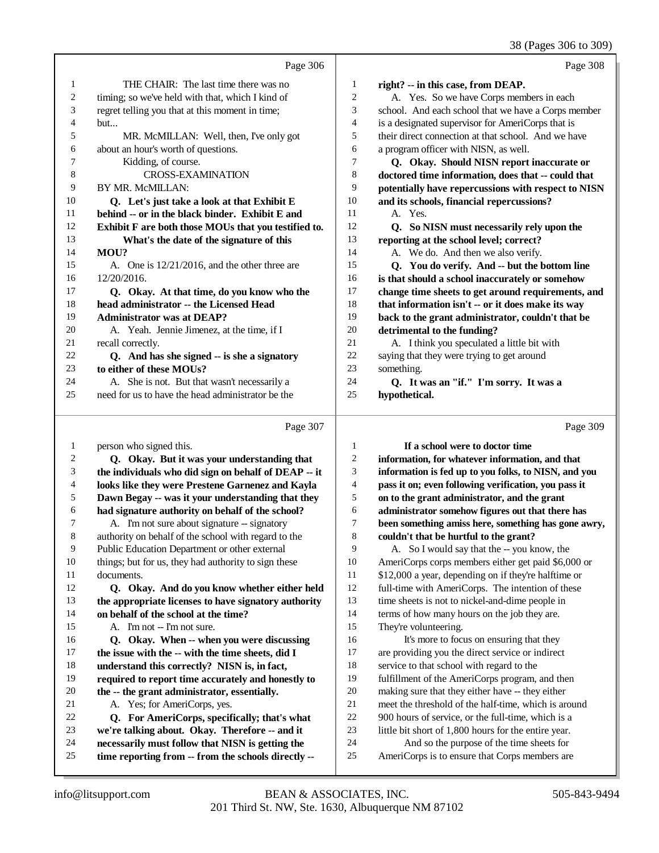(Deces  $306$  to  $300$ )

|    |                                                      |                | 38 (Pages 306 to 309)                                |
|----|------------------------------------------------------|----------------|------------------------------------------------------|
|    | Page 306                                             |                | Page 308                                             |
| 1  | THE CHAIR: The last time there was no                | 1              | right? -- in this case, from DEAP.                   |
| 2  | timing; so we've held with that, which I kind of     | $\overline{c}$ | A. Yes. So we have Corps members in each             |
| 3  | regret telling you that at this moment in time;      | 3              | school. And each school that we have a Corps member  |
| 4  | but                                                  | $\overline{4}$ | is a designated supervisor for AmeriCorps that is    |
| 5  | MR. McMILLAN: Well, then, I've only got              | 5              | their direct connection at that school. And we have  |
| 6  | about an hour's worth of questions.                  | 6              | a program officer with NISN, as well.                |
| 7  | Kidding, of course.                                  | $\overline{7}$ | Q. Okay. Should NISN report inaccurate or            |
| 8  | <b>CROSS-EXAMINATION</b>                             | $\,$ 8 $\,$    | doctored time information, does that -- could that   |
| 9  | BY MR. McMILLAN:                                     | 9              | potentially have repercussions with respect to NISN  |
| 10 | Q. Let's just take a look at that Exhibit E          | 10             | and its schools, financial repercussions?            |
| 11 | behind -- or in the black binder. Exhibit E and      | 11             | A. Yes.                                              |
| 12 | Exhibit F are both those MOUs that you testified to. | 12             | Q. So NISN must necessarily rely upon the            |
| 13 | What's the date of the signature of this             | 13             | reporting at the school level; correct?              |
| 14 | MOU?                                                 | 14             | A. We do. And then we also verify.                   |
| 15 | A. One is 12/21/2016, and the other three are        | 15             | Q. You do verify. And -- but the bottom line         |
| 16 | 12/20/2016.                                          | 16             | is that should a school inaccurately or somehow      |
| 17 | Q. Okay. At that time, do you know who the           | 17             | change time sheets to get around requirements, and   |
| 18 | head administrator -- the Licensed Head              | 18             | that information isn't -- or it does make its way    |
| 19 | <b>Administrator was at DEAP?</b>                    | 19             | back to the grant administrator, couldn't that be    |
| 20 | A. Yeah. Jennie Jimenez, at the time, if I           | 20             | detrimental to the funding?                          |
| 21 | recall correctly.                                    | 21             | A. I think you speculated a little bit with          |
| 22 | Q. And has she signed -- is she a signatory          | 22             | saying that they were trying to get around           |
| 23 | to either of these MOUs?                             | 23             | something.                                           |
| 24 | A. She is not. But that wasn't necessarily a         | 24             | Q. It was an "if." I'm sorry. It was a               |
| 25 | need for us to have the head administrator be the    | 25             | hypothetical.                                        |
|    | Page 307                                             |                | Page 309                                             |
| 1  | person who signed this.                              | $\mathbf{1}$   | If a school were to doctor time                      |
| 2  | Q. Okay. But it was your understanding that          | $\sqrt{2}$     | information, for whatever information, and that      |
| 3  | the individuals who did sign on behalf of DEAP -- it | 3              | information is fed up to you folks, to NISN, and you |
| 4  | looks like they were Prestene Garnenez and Kayla     | $\overline{4}$ | pass it on; even following verification, you pass it |
| 5  | Dawn Begay -- was it your understanding that they    | 5              | on to the grant administrator, and the grant         |
| 6  | had signature authority on behalf of the school?     | 6              | administrator somehow figures out that there has     |
| 7  | A. I'm not sure about signature -- signatory         | $\tau$         | been something amiss here, something has gone awry,  |
| 8  | authority on behalf of the school with regard to the | 8              | couldn't that be hurtful to the grant?               |
| 9  | Public Education Department or other external        | 9              | A. So I would say that the -- you know, the          |
|    |                                                      |                |                                                      |

things; but for us, they had authority to sign these

 documents.  **Q. Okay. And do you know whether either held the appropriate licenses to have signatory authority on behalf of the school at the time?** 15 A. I'm not -- I'm not sure.  **Q. Okay. When -- when you were discussing the issue with the -- with the time sheets, did I understand this correctly? NISN is, in fact, required to report time accurately and honestly to the -- the grant administrator, essentially.** A. Yes; for AmeriCorps, yes.  **Q. For AmeriCorps, specifically; that's what we're talking about. Okay. Therefore -- and it**

**necessarily must follow that NISN is getting the**

**time reporting from -- from the schools directly --**

- AmeriCorps corps members either get paid \$6,000 or \$12,000 a year, depending on if they're halftime or full-time with AmeriCorps. The intention of these time sheets is not to nickel-and-dime people in
- terms of how many hours on the job they are.
- They're volunteering.

16 It's more to focus on ensuring that they are providing you the direct service or indirect service to that school with regard to the fulfillment of the AmeriCorps program, and then making sure that they either have -- they either meet the threshold of the half-time, which is around 900 hours of service, or the full-time, which is a little bit short of 1,800 hours for the entire year. And so the purpose of the time sheets for AmeriCorps is to ensure that Corps members are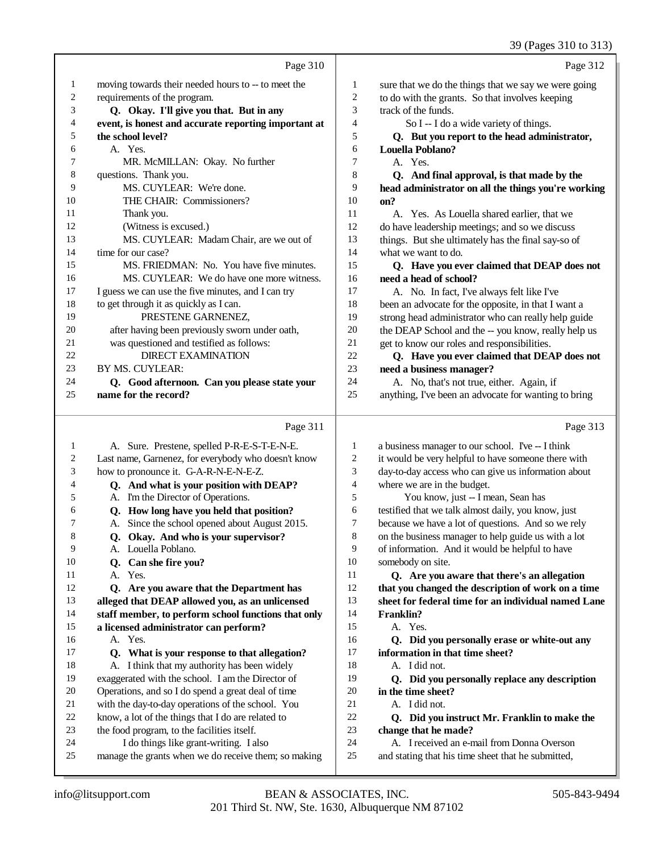39 (Pages 310 to 313)

|              |                                                      |                | 39 (Pages 310 to 313)                                |
|--------------|------------------------------------------------------|----------------|------------------------------------------------------|
|              | Page 310                                             |                | Page 312                                             |
| $\mathbf{1}$ | moving towards their needed hours to -- to meet the  | 1              | sure that we do the things that we say we were going |
| $\sqrt{2}$   | requirements of the program.                         | 2              | to do with the grants. So that involves keeping      |
| 3            | Q. Okay. I'll give you that. But in any              | 3              | track of the funds.                                  |
| 4            | event, is honest and accurate reporting important at | 4              | So I -- I do a wide variety of things.               |
| 5            | the school level?                                    | 5              | Q. But you report to the head administrator,         |
| 6            | A. Yes.                                              | 6              | <b>Louella Poblano?</b>                              |
| 7            | MR. McMILLAN: Okay. No further                       | 7              | A. Yes.                                              |
| 8            | questions. Thank you.                                | 8              | Q. And final approval, is that made by the           |
| 9            | MS. CUYLEAR: We're done.                             | 9              | head administrator on all the things you're working  |
| 10           | THE CHAIR: Commissioners?                            | 10             | on?                                                  |
| 11           | Thank you.                                           | 11             | A. Yes. As Louella shared earlier, that we           |
| 12           | (Witness is excused.)                                | 12             | do have leadership meetings; and so we discuss       |
| 13           | MS. CUYLEAR: Madam Chair, are we out of              | 13             | things. But she ultimately has the final say-so of   |
| 14           | time for our case?                                   | 14             | what we want to do.                                  |
| 15           | MS. FRIEDMAN: No. You have five minutes.             | 15             | Q. Have you ever claimed that DEAP does not          |
| 16           | MS. CUYLEAR: We do have one more witness.            | 16             | need a head of school?                               |
| 17           | I guess we can use the five minutes, and I can try   | 17             | A. No. In fact, I've always felt like I've           |
| 18           | to get through it as quickly as I can.               | 18             | been an advocate for the opposite, in that I want a  |
| 19           | PRESTENE GARNENEZ,                                   | 19             | strong head administrator who can really help guide  |
| 20           | after having been previously sworn under oath,       | 20             | the DEAP School and the -- you know, really help us  |
| $21\,$       | was questioned and testified as follows:             | 21             | get to know our roles and responsibilities.          |
| 22           | <b>DIRECT EXAMINATION</b>                            | $22\,$         | Q. Have you ever claimed that DEAP does not          |
| 23           | BY MS. CUYLEAR:                                      | 23             | need a business manager?                             |
| 24           | Q. Good afternoon. Can you please state your         | 24             | A. No, that's not true, either. Again, if            |
| 25           | name for the record?                                 | 25             | anything, I've been an advocate for wanting to bring |
|              | Page 311                                             |                | Page 313                                             |
| $\mathbf{1}$ | A. Sure. Prestene, spelled P-R-E-S-T-E-N-E.          | 1              | a business manager to our school. I've -- I think    |
| 2            | Last name, Garnenez, for everybody who doesn't know  | $\overline{c}$ | it would be very helpful to have someone there with  |
| 3            | how to pronounce it. G-A-R-N-E-N-E-Z.                | 3              | day-to-day access who can give us information about  |
| 4            | Q. And what is your position with DEAP?              | 4              | where we are in the budget.                          |
| 5            | A. I'm the Director of Operations.                   | 5              | You know, just -- I mean, Sean has                   |
| 6            | Q. How long have you held that position?             | 6              | testified that we talk almost daily, you know, just  |
| 7            | A. Since the school opened about August 2015.        | 7              | because we have a lot of questions. And so we rely   |
| 8            | Q. Okay. And who is your supervisor?                 | 8              | on the business manager to help guide us with a lot  |
| 9            | A. Louella Poblano.                                  | 9              | of information. And it would be helpful to have      |
| 10           | Can she fire you?<br>Q.                              | 10             | somebody on site.                                    |
| 11           | A. Yes.                                              | 11             | Q. Are you aware that there's an allegation          |
| 12           | Q. Are you aware that the Department has             | 12             | that you changed the description of work on a time   |
| 13           | alleged that DEAP allowed you, as an unlicensed      | 13             | sheet for federal time for an individual named Lane  |
| 14           | staff member, to perform school functions that only  | 14             | <b>Franklin?</b>                                     |
| 15           | a licensed administrator can perform?                | 15             | A. Yes.                                              |
| 16           | A. Yes.                                              | 16             | Q. Did you personally erase or white-out any         |
| 17           | Q. What is your response to that allegation?         | 17             | information in that time sheet?                      |
| 18           | A. I think that my authority has been widely         | 18             | A. I did not.                                        |
| 19           | exaggerated with the school. I am the Director of    | 19             | Q. Did you personally replace any description        |
| 20           | Operations, and so I do spend a great deal of time   | 20             | in the time sheet?                                   |
| 21           | with the day-to-day operations of the school. You    | 21             | A. I did not.                                        |
| 22           | know, a lot of the things that I do are related to   | 22             | Q. Did you instruct Mr. Franklin to make the         |
| 23           | the food program, to the facilities itself.          | 23             | change that he made?                                 |
| 24           | I do things like grant-writing. I also               | 24             | A. I received an e-mail from Donna Overson           |
| 25           | manage the grants when we do receive them; so making | 25             | and stating that his time sheet that he submitted,   |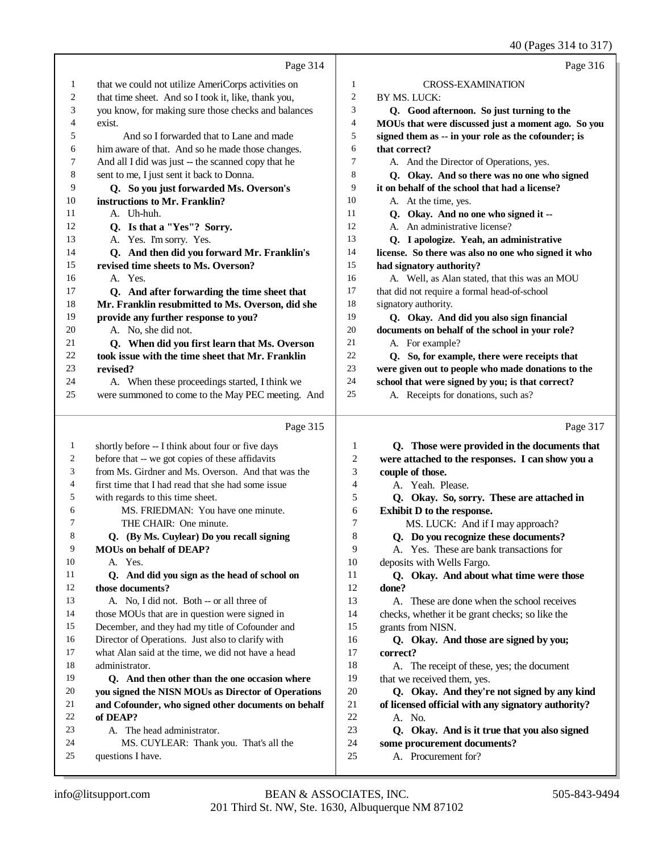|                |                                                     |                  | 40 (Pages 314 to 317)                               |
|----------------|-----------------------------------------------------|------------------|-----------------------------------------------------|
|                | Page 314                                            |                  | Page 316                                            |
| $\mathbf{1}$   | that we could not utilize AmeriCorps activities on  | 1                | <b>CROSS-EXAMINATION</b>                            |
| $\overline{c}$ | that time sheet. And so I took it, like, thank you, | $\overline{c}$   | BY MS. LUCK:                                        |
| 3              | you know, for making sure those checks and balances | 3                | Q. Good afternoon. So just turning to the           |
| 4              | exist.                                              | 4                | MOUs that were discussed just a moment ago. So you  |
| 5              | And so I forwarded that to Lane and made            | 5                | signed them as -- in your role as the cofounder; is |
| 6              | him aware of that. And so he made those changes.    | 6                | that correct?                                       |
| 7              | And all I did was just -- the scanned copy that he  | 7                | A. And the Director of Operations, yes.             |
| 8              | sent to me, I just sent it back to Donna.           | 8                | Q. Okay. And so there was no one who signed         |
| 9              | Q. So you just forwarded Ms. Overson's              | 9                | it on behalf of the school that had a license?      |
| 10             | instructions to Mr. Franklin?                       | 10               | A. At the time, yes.                                |
| 11             | A. Uh-huh.                                          | 11               | Q. Okay. And no one who signed it --                |
| 12             | Q. Is that a "Yes"? Sorry.                          | 12               | A. An administrative license?                       |
| 13             | A. Yes. I'm sorry. Yes.                             | 13               | Q. I apologize. Yeah, an administrative             |
| 14             | Q. And then did you forward Mr. Franklin's          | 14               | license. So there was also no one who signed it who |
| 15             | revised time sheets to Ms. Overson?                 | 15               | had signatory authority?                            |
| 16             | A. Yes.                                             | 16               | A. Well, as Alan stated, that this was an MOU       |
| 17             | Q. And after forwarding the time sheet that         | 17               | that did not require a formal head-of-school        |
| 18             | Mr. Franklin resubmitted to Ms. Overson, did she    | 18               | signatory authority.                                |
| 19             | provide any further response to you?                | 19               | Q. Okay. And did you also sign financial            |
| 20             | A. No, she did not.                                 | $20\,$           | documents on behalf of the school in your role?     |
| 21             | Q. When did you first learn that Ms. Overson        | 21               | A. For example?                                     |
| 22             | took issue with the time sheet that Mr. Franklin    | 22               | Q. So, for example, there were receipts that        |
| 23             | revised?                                            | 23               | were given out to people who made donations to the  |
| 24             | A. When these proceedings started, I think we       | 24               | school that were signed by you; is that correct?    |
| 25             | were summoned to come to the May PEC meeting. And   | 25               | A. Receipts for donations, such as?                 |
|                | Page 315                                            |                  | Page 317                                            |
| $\mathbf{1}$   | shortly before -- I think about four or five days   | 1                | Q. Those were provided in the documents that        |
| 2              | before that -- we got copies of these affidavits    | $\boldsymbol{2}$ | were attached to the responses. I can show you a    |
| 3              | from Ms. Girdner and Ms. Overson. And that was the  | 3                | couple of those.                                    |
| 4              | first time that I had read that she had some issue  | 4                | A. Yeah. Please.                                    |
| 5              | with regards to this time sheet.                    | 5                | Q. Okay. So, sorry. These are attached in           |
| 6              | MS. FRIEDMAN: You have one minute.                  | 6                | Exhibit D to the response.                          |
| 7              | THE CHAIR: One minute.                              | 7                | MS. LUCK: And if I may approach?                    |
| 8              | Q. (By Ms. Cuylear) Do you recall signing           | 8                | Q. Do you recognize these documents?                |
| 9              | <b>MOUs on behalf of DEAP?</b>                      | 9                | A. Yes. These are bank transactions for             |
| 10             | A. Yes.                                             | 10               | deposits with Wells Fargo.                          |
| 11             | Q. And did you sign as the head of school on        | 11               | Q. Okay. And about what time were those             |
| 12             | those documents?                                    | 12               | done?                                               |
| 13             | A. No, I did not. Both -- or all three of           | 13               | A. These are done when the school receives          |
| 14             | those MOUs that are in question were signed in      | 14               | checks, whether it be grant checks; so like the     |
| 15             | December, and they had my title of Cofounder and    | 15               | grants from NISN.                                   |
| 16             | Director of Operations. Just also to clarify with   | 16               | Q. Okay. And those are signed by you;               |
| 17             | what Alan said at the time, we did not have a head  | 17               | correct?                                            |
| 18             | administrator.                                      | 18               | A. The receipt of these, yes; the document          |
| 19             | Q. And then other than the one occasion where       | 19               | that we received them, yes.                         |
| 20             | you signed the NISN MOUs as Director of Operations  | 20               | Q. Okay. And they're not signed by any kind         |
| 21             | and Cofounder, who signed other documents on behalf | 21               | of licensed official with any signatory authority?  |
| 22             | of DEAP?                                            | 22               | A. No.                                              |
| 23             | A. The head administrator.                          | 23               | Q. Okay. And is it true that you also signed        |
| 24             | MS. CUYLEAR: Thank you. That's all the              | 24               | some procurement documents?                         |
| 25             | questions I have.                                   | $25\,$           | A. Procurement for?                                 |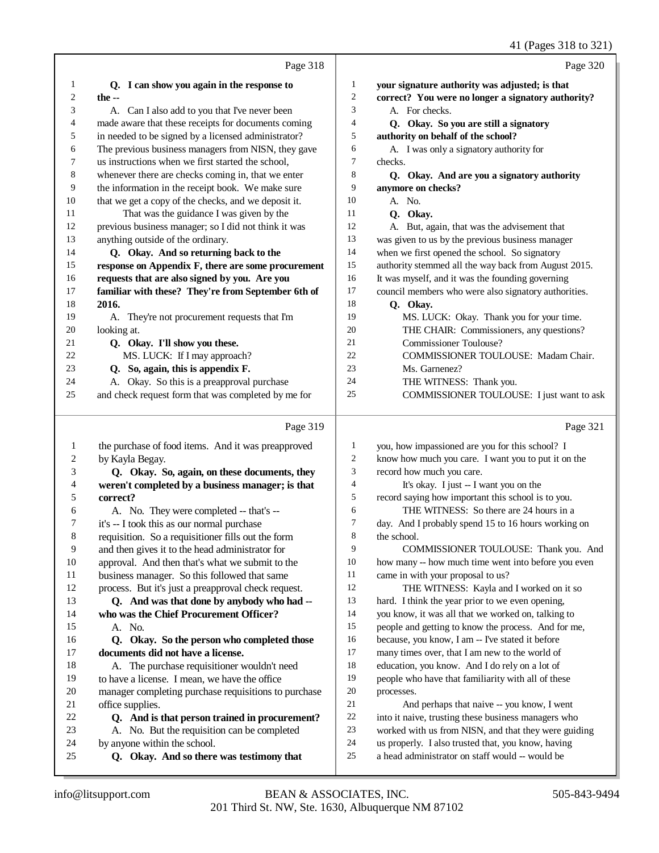|    |                                                      |                | 41 (Pages 318 to 321)                                |
|----|------------------------------------------------------|----------------|------------------------------------------------------|
|    | Page 318                                             |                | Page 320                                             |
| 1  | Q. I can show you again in the response to           | 1              | your signature authority was adjusted; is that       |
| 2  | the $-$                                              | $\overline{c}$ | correct? You were no longer a signatory authority?   |
| 3  | A. Can I also add to you that I've never been        | 3              | A. For checks.                                       |
| 4  | made aware that these receipts for documents coming  | 4              | Q. Okay. So you are still a signatory                |
| 5  | in needed to be signed by a licensed administrator?  | 5              | authority on behalf of the school?                   |
| 6  | The previous business managers from NISN, they gave  | 6              | A. I was only a signatory authority for              |
| 7  | us instructions when we first started the school,    | 7              | checks.                                              |
| 8  | whenever there are checks coming in, that we enter   | 8              | Q. Okay. And are you a signatory authority           |
| 9  | the information in the receipt book. We make sure    | 9              | anymore on checks?                                   |
| 10 | that we get a copy of the checks, and we deposit it. | 10             | A. No.                                               |
| 11 | That was the guidance I was given by the             | 11             | Q. Okay.                                             |
| 12 | previous business manager; so I did not think it was | 12             | A. But, again, that was the advisement that          |
| 13 | anything outside of the ordinary.                    | 13             | was given to us by the previous business manager     |
| 14 | Q. Okay. And so returning back to the                | 14             | when we first opened the school. So signatory        |
| 15 | response on Appendix F, there are some procurement   | 15             | authority stemmed all the way back from August 2015. |
| 16 | requests that are also signed by you. Are you        | 16             | It was myself, and it was the founding governing     |
| 17 | familiar with these? They're from September 6th of   | 17             | council members who were also signatory authorities. |
| 18 | 2016.                                                | 18             | Q. Okay.                                             |
| 19 | A. They're not procurement requests that I'm         | 19             | MS. LUCK: Okay. Thank you for your time.             |
| 20 | looking at.                                          | 20             | THE CHAIR: Commissioners, any questions?             |
| 21 | Q. Okay. I'll show you these.                        | 21             | <b>Commissioner Toulouse?</b>                        |
| 22 | MS. LUCK: If I may approach?                         | 22             | COMMISSIONER TOULOUSE: Madam Chair.                  |
| 23 | Q. So, again, this is appendix F.                    | 23             | Ms. Garnenez?                                        |
| 24 | A. Okay. So this is a preapproval purchase           | 24             | THE WITNESS: Thank you.                              |
| 25 | and check request form that was completed by me for  | 25             | COMMISSIONER TOULOUSE: I just want to ask            |
|    | Page 319                                             |                | Page 321                                             |
| 1  | the purchase of food items. And it was preapproved   | 1              | you, how impassioned are you for this school? I      |
| 2  | by Kayla Begay.                                      | 2              | know how much you care. I want you to put it on the  |
| 3  | Q. Okay. So, again, on these documents, they         | 3              | record how much you care.                            |
| 4  | weren't completed by a business manager; is that     | 4              | It's okay. I just -- I want you on the               |
| 5  | correct?                                             | 5              | record saying how important this school is to you.   |
| 6  | A. No. They were completed -- that's --              | 6              | THE WITNESS: So there are 24 hours in a              |
| 7  | it's -- I took this as our normal purchase           | 7              | day. And I probably spend 15 to 16 hours working on  |
| 8  | requisition. So a requisitioner fills out the form   | 8              | the school.                                          |
| 9  | and then gives it to the head administrator for      | 9              | COMMISSIONER TOULOUSE: Thank you. And                |
| 10 | approval. And then that's what we submit to the      | 10             | how many -- how much time went into before you even  |
| 11 | business manager. So this followed that same         | 11             | came in with your proposal to us?                    |
| 12 | process. But it's just a preapproval check request.  | 12             | THE WITNESS: Kayla and I worked on it so             |
| 13 | Q. And was that done by anybody who had --           | 13             | hard. I think the year prior to we even opening,     |
| 14 | who was the Chief Procurement Officer?               | 14             | you know, it was all that we worked on, talking to   |
| 15 | A. No.                                               | 15             | people and getting to know the process. And for me,  |
| 16 | Q. Okay. So the person who completed those           | 16             | because, you know, I am -- I've stated it before     |

office supplies.

**documents did not have a license.**

by anyone within the school.

 A. The purchase requisitioner wouldn't need to have a license. I mean, we have the office

manager completing purchase requisitions to purchase

22 **Q. And is that person trained in procurement?**<br>23 A. No. But the requisition can be completed A. No. But the requisition can be completed

 **Q. Okay. And so there was testimony that**

processes.

 many times over, that I am new to the world of education, you know. And I do rely on a lot of people who have that familiarity with all of these

21 And perhaps that naive -- you know, I went<br>22 into it naive, trusting these business managers who 22 into it naive, trusting these business managers who<br>23 worked with us from NISN, and that they were guid

24 us properly. I also trusted that, you know, having<br>25 a head administrator on staff would -- would be a head administrator on staff would -- would be

worked with us from NISN, and that they were guiding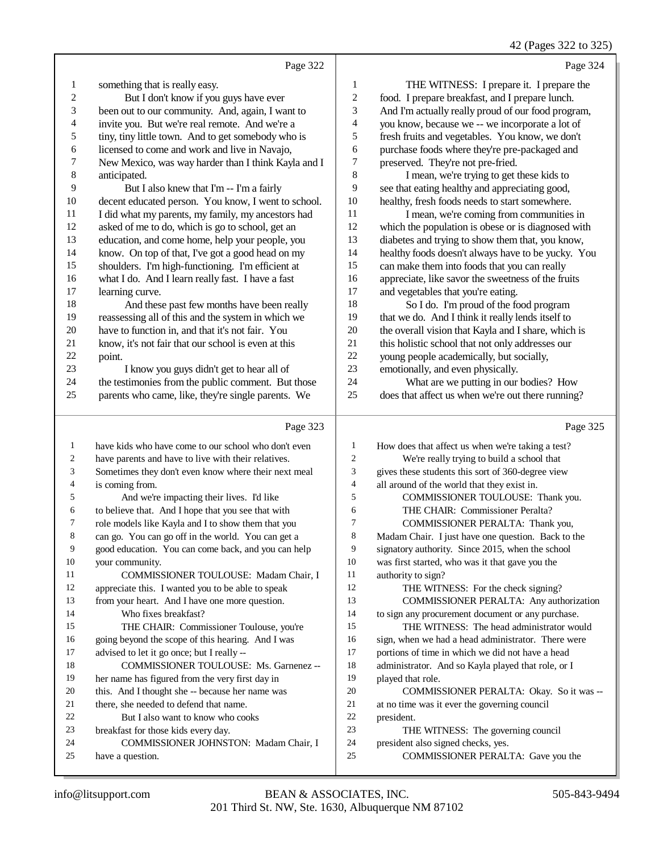42 (Pages 322 to 325)

|              | Page 322                                                                    |                         | Page 324                                                   |
|--------------|-----------------------------------------------------------------------------|-------------------------|------------------------------------------------------------|
| 1            | something that is really easy.                                              | $\mathbf{1}$            | THE WITNESS: I prepare it. I prepare the                   |
| 2            | But I don't know if you guys have ever                                      | $\overline{\mathbf{c}}$ | food. I prepare breakfast, and I prepare lunch.            |
| 3            | been out to our community. And, again, I want to                            | 3                       | And I'm actually really proud of our food program,         |
| 4            | invite you. But we're real remote. And we're a                              | 4                       | you know, because we -- we incorporate a lot of            |
| 5            | tiny, tiny little town. And to get somebody who is                          | 5                       | fresh fruits and vegetables. You know, we don't            |
| 6            | licensed to come and work and live in Navajo,                               | 6                       | purchase foods where they're pre-packaged and              |
| 7            | New Mexico, was way harder than I think Kayla and I                         | $\sqrt{ }$              | preserved. They're not pre-fried.                          |
| $\,$ $\,$    | anticipated.                                                                | 8                       | I mean, we're trying to get these kids to                  |
| 9            | But I also knew that I'm -- I'm a fairly                                    | 9                       | see that eating healthy and appreciating good,             |
| 10           | decent educated person. You know, I went to school.                         | $10\,$                  | healthy, fresh foods needs to start somewhere.             |
| 11           | I did what my parents, my family, my ancestors had                          | 11                      | I mean, we're coming from communities in                   |
| 12           | asked of me to do, which is go to school, get an                            | 12                      | which the population is obese or is diagnosed with         |
| 13           | education, and come home, help your people, you                             | 13                      | diabetes and trying to show them that, you know,           |
| 14           | know. On top of that, I've got a good head on my                            | 14                      | healthy foods doesn't always have to be yucky. You         |
| 15           | shoulders. I'm high-functioning. I'm efficient at                           | 15                      | can make them into foods that you can really               |
| 16           | what I do. And I learn really fast. I have a fast                           | 16                      | appreciate, like savor the sweetness of the fruits         |
| 17           | learning curve.                                                             | 17                      | and vegetables that you're eating.                         |
| 18           | And these past few months have been really                                  | 18                      | So I do. I'm proud of the food program                     |
| 19           | reassessing all of this and the system in which we                          | 19                      | that we do. And I think it really lends itself to          |
| 20           | have to function in, and that it's not fair. You                            | $20\,$                  | the overall vision that Kayla and I share, which is        |
| 21           | know, it's not fair that our school is even at this                         | 21                      | this holistic school that not only addresses our           |
| $22\,$       | point.                                                                      | 22                      | young people academically, but socially,                   |
| 23           | I know you guys didn't get to hear all of                                   | 23                      | emotionally, and even physically.                          |
| 24<br>25     | the testimonies from the public comment. But those                          | 24<br>25                | What are we putting in our bodies? How                     |
|              | parents who came, like, they're single parents. We                          |                         | does that affect us when we're out there running?          |
|              |                                                                             |                         |                                                            |
|              | Page 323                                                                    |                         | Page 325                                                   |
| $\mathbf{1}$ | have kids who have come to our school who don't even                        | 1                       | How does that affect us when we're taking a test?          |
| 2            | have parents and have to live with their relatives.                         | $\overline{c}$          | We're really trying to build a school that                 |
| $\sqrt{3}$   | Sometimes they don't even know where their next meal                        | 3                       | gives these students this sort of 360-degree view          |
| 4            | is coming from.                                                             | 4                       | all around of the world that they exist in.                |
| 5            | And we're impacting their lives. I'd like                                   | 5                       | COMMISSIONER TOULOUSE: Thank you.                          |
| 6            | to believe that. And I hope that you see that with                          | 6                       | THE CHAIR: Commissioner Peralta?                           |
| 7            | role models like Kayla and I to show them that you                          | 7                       | COMMISSIONER PERALTA: Thank you,                           |
| 8            | can go. You can go off in the world. You can get a                          | 8                       | Madam Chair. I just have one question. Back to the         |
| 9            | good education. You can come back, and you can help                         | 9                       | signatory authority. Since 2015, when the school           |
| 10           | your community.                                                             | 10                      | was first started, who was it that gave you the            |
| 11           | COMMISSIONER TOULOUSE: Madam Chair, I                                       | 11                      | authority to sign?                                         |
| 12           | appreciate this. I wanted you to be able to speak                           | 12                      | THE WITNESS: For the check signing?                        |
| 13           | from your heart. And I have one more question.                              | 13                      | COMMISSIONER PERALTA: Any authorization                    |
| 14           | Who fixes breakfast?                                                        | 14                      | to sign any procurement document or any purchase.          |
| 15           | THE CHAIR: Commissioner Toulouse, you're                                    | 15                      | THE WITNESS: The head administrator would                  |
| 16           | going beyond the scope of this hearing. And I was                           | 16                      | sign, when we had a head administrator. There were         |
| 17           | advised to let it go once; but I really --                                  | 17                      | portions of time in which we did not have a head           |
| 18           | COMMISSIONER TOULOUSE: Ms. Garnenez --                                      | 18                      | administrator. And so Kayla played that role, or I         |
| 19           | her name has figured from the very first day in                             | 19                      | played that role.                                          |
| 20<br>21     | this. And I thought she -- because her name was                             | $20\,$<br>21            | COMMISSIONER PERALTA: Okay. So it was --                   |
| 22           | there, she needed to defend that name.<br>But I also want to know who cooks | $22\,$                  | at no time was it ever the governing council<br>president. |
| 23           | breakfast for those kids every day.                                         | 23                      | THE WITNESS: The governing council                         |
| 24           | COMMISSIONER JOHNSTON: Madam Chair, I                                       | $24\,$                  | president also signed checks, yes.                         |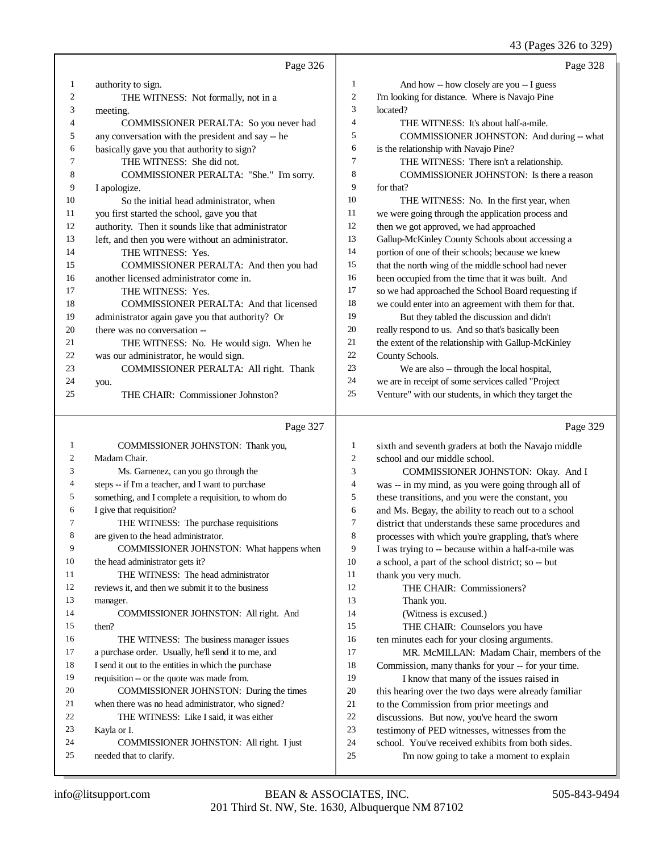#### 43 (Pages 326 to 329)

|              | Page 326                                            |                | Page 328                                             |
|--------------|-----------------------------------------------------|----------------|------------------------------------------------------|
| 1            | authority to sign.                                  | $\mathbf{1}$   | And how -- how closely are you -- I guess            |
| 2            | THE WITNESS: Not formally, not in a                 | $\mathfrak{2}$ | I'm looking for distance. Where is Navajo Pine       |
| 3            | meeting.                                            | 3              | located?                                             |
| 4            | COMMISSIONER PERALTA: So you never had              | 4              | THE WITNESS: It's about half-a-mile.                 |
| 5            | any conversation with the president and say -- he   | 5              | COMMISSIONER JOHNSTON: And during -- what            |
| 6            | basically gave you that authority to sign?          | 6              | is the relationship with Navajo Pine?                |
| 7            | THE WITNESS: She did not.                           | $\tau$         | THE WITNESS: There isn't a relationship.             |
| 8            | COMMISSIONER PERALTA: "She." I'm sorry.             | 8              | COMMISSIONER JOHNSTON: Is there a reason             |
| 9            | I apologize.                                        | 9              | for that?                                            |
| 10           | So the initial head administrator, when             | 10             | THE WITNESS: No. In the first year, when             |
| 11           | you first started the school, gave you that         | 11             | we were going through the application process and    |
| 12           | authority. Then it sounds like that administrator   | 12             | then we got approved, we had approached              |
| 13           | left, and then you were without an administrator.   | 13             | Gallup-McKinley County Schools about accessing a     |
| 14           | THE WITNESS: Yes.                                   | 14             | portion of one of their schools; because we knew     |
| 15           | COMMISSIONER PERALTA: And then you had              | 15             | that the north wing of the middle school had never   |
| 16           | another licensed administrator come in.             | 16             | been occupied from the time that it was built. And   |
| 17           | THE WITNESS: Yes.                                   | 17             | so we had approached the School Board requesting if  |
| 18           | <b>COMMISSIONER PERALTA: And that licensed</b>      | 18             | we could enter into an agreement with them for that. |
| 19           | administrator again gave you that authority? Or     | 19             | But they tabled the discussion and didn't            |
| 20           | there was no conversation --                        | $20\,$         | really respond to us. And so that's basically been   |
| 21           | THE WITNESS: No. He would sign. When he             | 21             | the extent of the relationship with Gallup-McKinley  |
| 22           | was our administrator, he would sign.               | $22\,$         | County Schools.                                      |
| 23           | COMMISSIONER PERALTA: All right. Thank              | 23             | We are also -- through the local hospital,           |
| 24           | you.                                                | 24             | we are in receipt of some services called "Project   |
| 25           | THE CHAIR: Commissioner Johnston?                   | 25             | Venture" with our students, in which they target the |
|              |                                                     |                |                                                      |
|              | Page 327                                            |                | Page 329                                             |
| $\mathbf{1}$ | COMMISSIONER JOHNSTON: Thank you,                   | 1              | sixth and seventh graders at both the Navajo middle  |
| 2            | Madam Chair.                                        | $\overline{c}$ | school and our middle school.                        |
| 3            | Ms. Garnenez, can you go through the                | 3              | COMMISSIONER JOHNSTON: Okay. And I                   |
| 4            | steps -- if I'm a teacher, and I want to purchase   | $\overline{4}$ | was -- in my mind, as you were going through all of  |
| 5            | something, and I complete a requisition, to whom do | 5              | these transitions, and you were the constant, you    |
| 6            | I give that requisition?                            | 6              | and Ms. Begay, the ability to reach out to a school  |
| 7            | THE WITNESS: The purchase requisitions              | 7              | district that understands these same procedures and  |
| 8            | are given to the head administrator.                | 8              | processes with which you're grappling, that's where  |
| 9            | COMMISSIONER JOHNSTON: What happens when            | 9              | I was trying to -- because within a half-a-mile was  |
| 10           | the head administrator gets it?                     | 10             | a school, a part of the school district; so -- but   |
| 11           | THE WITNESS: The head administrator                 | 11             | thank you very much.                                 |
| 12           | reviews it, and then we submit it to the business   | 12             | THE CHAIR: Commissioners?                            |
| 13           | manager.                                            | 13             | Thank you.                                           |
| 14           | COMMISSIONER JOHNSTON: All right. And               | 14             | (Witness is excused.)                                |
| 15           | then?                                               | 15             | THE CHAIR: Counselors you have                       |
| 16           | THE WITNESS: The business manager issues            | 16             | ten minutes each for your closing arguments.         |
| 17           | a purchase order. Usually, he'll send it to me, and | 17             | MR. McMILLAN: Madam Chair, members of the            |
| 18           | I send it out to the entities in which the purchase | 18             | Commission, many thanks for your -- for your time.   |

 when there was no head administrator, who signed? THE WITNESS: Like I said, it was either Kayla or I.

requisition -- or the quote was made from.

 COMMISSIONER JOHNSTON: All right. I just needed that to clarify.

COMMISSIONER JOHNSTON: During the times

- 21 to the Commission from prior meetings and<br>22 discussions. But now, you've heard the swo
- 22 discussions. But now, you've heard the sworn<br>23 testimony of PED witnesses, witnesses from the testimony of PED witnesses, witnesses from the

 I know that many of the issues raised in this hearing over the two days were already familiar

- 24 school. You've received exhibits from both sides.<br>25 I'm now going to take a moment to explain
	- I'm now going to take a moment to explain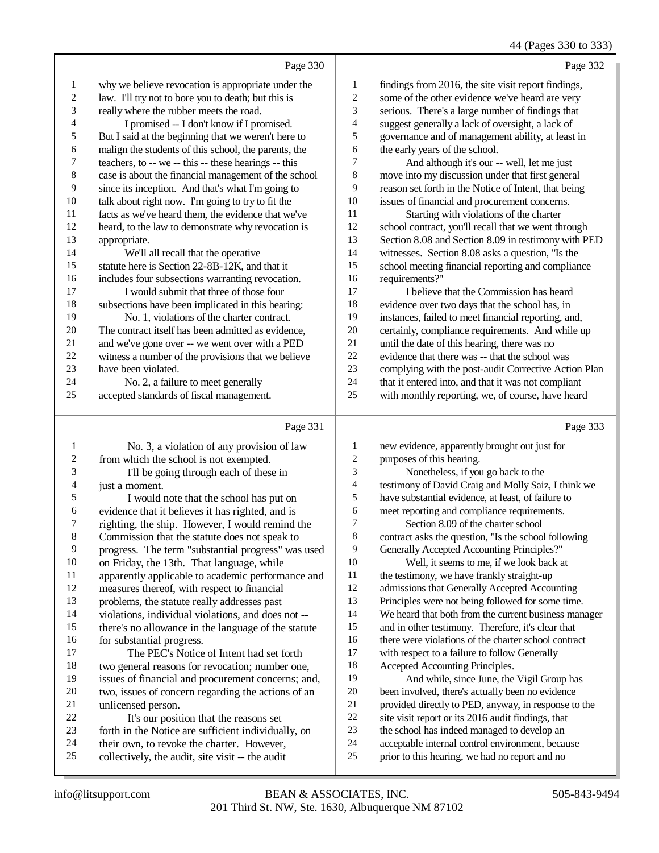# 44 (Pages 330 to 333)

|    | Page 330                                             |    | Page 332                                             |
|----|------------------------------------------------------|----|------------------------------------------------------|
| 1  | why we believe revocation is appropriate under the   | 1  | findings from 2016, the site visit report findings,  |
| 2  | law. I'll try not to bore you to death; but this is  | 2  | some of the other evidence we've heard are very      |
| 3  | really where the rubber meets the road.              | 3  | serious. There's a large number of findings that     |
| 4  | I promised -- I don't know if I promised.            | 4  | suggest generally a lack of oversight, a lack of     |
| 5  | But I said at the beginning that we weren't here to  | 5  | governance and of management ability, at least in    |
| 6  | malign the students of this school, the parents, the | 6  | the early years of the school.                       |
| 7  | teachers, to -- we -- this -- these hearings -- this | 7  | And although it's our -- well, let me just           |
| 8  | case is about the financial management of the school | 8  | move into my discussion under that first general     |
| 9  | since its inception. And that's what I'm going to    | 9  | reason set forth in the Notice of Intent, that being |
| 10 | talk about right now. I'm going to try to fit the    | 10 | issues of financial and procurement concerns.        |
| 11 | facts as we've heard them, the evidence that we've   | 11 | Starting with violations of the charter              |
| 12 | heard, to the law to demonstrate why revocation is   | 12 | school contract, you'll recall that we went through  |
| 13 | appropriate.                                         | 13 | Section 8.08 and Section 8.09 in testimony with PED  |
| 14 | We'll all recall that the operative                  | 14 | witnesses. Section 8.08 asks a question, "Is the     |
| 15 | statute here is Section 22-8B-12K, and that it       | 15 | school meeting financial reporting and compliance    |
| 16 | includes four subsections warranting revocation.     | 16 | requirements?"                                       |
| 17 | I would submit that three of those four              | 17 | I believe that the Commission has heard              |
| 18 | subsections have been implicated in this hearing:    | 18 | evidence over two days that the school has, in       |
| 19 | No. 1, violations of the charter contract.           | 19 | instances, failed to meet financial reporting, and,  |
| 20 | The contract itself has been admitted as evidence,   | 20 | certainly, compliance requirements. And while up     |
| 21 | and we've gone over -- we went over with a PED       | 21 | until the date of this hearing, there was no         |
| 22 | witness a number of the provisions that we believe   | 22 | evidence that there was -- that the school was       |
| 23 | have been violated.                                  | 23 | complying with the post-audit Corrective Action Plan |
| 24 | No. 2, a failure to meet generally                   | 24 | that it entered into, and that it was not compliant  |
| 25 | accepted standards of fiscal management.             | 25 | with monthly reporting, we, of course, have heard    |
|    | Page 331                                             |    | Page 333                                             |
|    |                                                      |    |                                                      |

| 1              | No. 3, a violation of any provision of law          | 1  | new evidence, apparently brought out just for        |
|----------------|-----------------------------------------------------|----|------------------------------------------------------|
| $\overline{2}$ | from which the school is not exempted.              | 2  | purposes of this hearing.                            |
| 3              | I'll be going through each of these in              | 3  | Nonetheless, if you go back to the                   |
| $\overline{4}$ | just a moment.                                      | 4  | testimony of David Craig and Molly Saiz, I think we  |
| 5              | I would note that the school has put on             | 5  | have substantial evidence, at least, of failure to   |
| 6              | evidence that it believes it has righted, and is    | 6  | meet reporting and compliance requirements.          |
| $\overline{7}$ | righting, the ship. However, I would remind the     | 7  | Section 8.09 of the charter school                   |
| $\,8\,$        | Commission that the statute does not speak to       | 8  | contract asks the question, "Is the school following |
| 9              | progress. The term "substantial progress" was used  | 9  | Generally Accepted Accounting Principles?"           |
| 10             | on Friday, the 13th. That language, while           | 10 | Well, it seems to me, if we look back at             |
| 11             | apparently applicable to academic performance and   | 11 | the testimony, we have frankly straight-up           |
| 12             | measures thereof, with respect to financial         | 12 | admissions that Generally Accepted Accounting        |
| 13             | problems, the statute really addresses past         | 13 | Principles were not being followed for some time.    |
| 14             | violations, individual violations, and does not --  | 14 | We heard that both from the current business manager |
| 15             | there's no allowance in the language of the statute | 15 | and in other testimony. Therefore, it's clear that   |
| 16             | for substantial progress.                           | 16 | there were violations of the charter school contract |
| 17             | The PEC's Notice of Intent had set forth            | 17 | with respect to a failure to follow Generally        |
| 18             | two general reasons for revocation; number one,     | 18 | Accepted Accounting Principles.                      |
| 19             | issues of financial and procurement concerns; and,  | 19 | And while, since June, the Vigil Group has           |
| 20             | two, issues of concern regarding the actions of an  | 20 | been involved, there's actually been no evidence     |
| 21             | unlicensed person.                                  | 21 | provided directly to PED, anyway, in response to the |
| 22             | It's our position that the reasons set              | 22 | site visit report or its 2016 audit findings, that   |
| 23             | forth in the Notice are sufficient individually, on | 23 | the school has indeed managed to develop an          |
| 24             | their own, to revoke the charter. However,          | 24 | acceptable internal control environment, because     |
| 25             | collectively, the audit, site visit -- the audit    | 25 | prior to this hearing, we had no report and no       |
|                |                                                     |    |                                                      |
|                |                                                     |    |                                                      |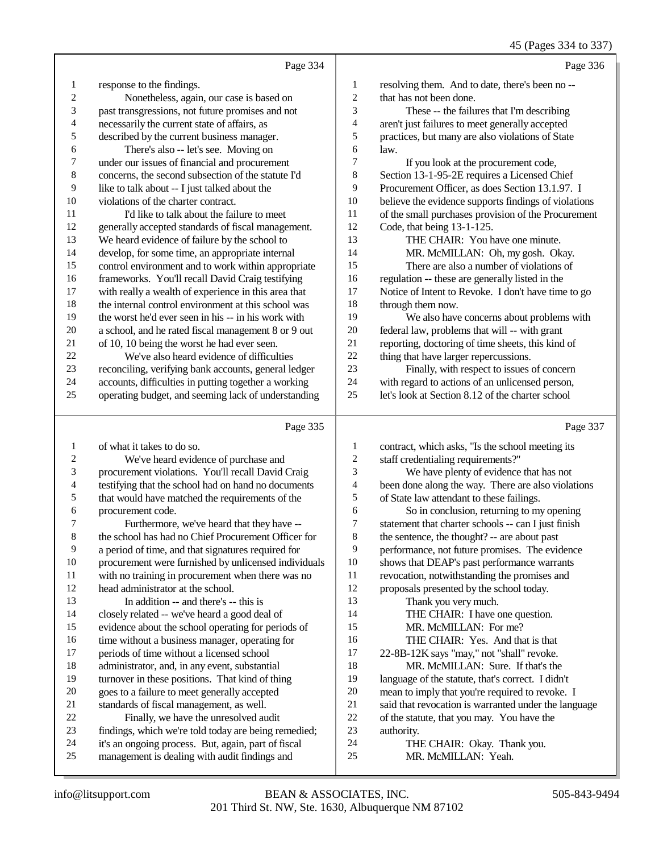45 (Pages 334 to 337)

|                | Page 334                                                                                             |                | Page 336                                                                                            |
|----------------|------------------------------------------------------------------------------------------------------|----------------|-----------------------------------------------------------------------------------------------------|
| 1              | response to the findings.                                                                            | $\mathbf{1}$   | resolving them. And to date, there's been no --                                                     |
| 2              | Nonetheless, again, our case is based on                                                             | $\mathfrak{2}$ | that has not been done.                                                                             |
| 3              | past transgressions, not future promises and not                                                     | 3              | These -- the failures that I'm describing                                                           |
| 4              | necessarily the current state of affairs, as                                                         | 4              | aren't just failures to meet generally accepted                                                     |
| 5              | described by the current business manager.                                                           | 5              | practices, but many are also violations of State                                                    |
| 6              | There's also -- let's see. Moving on                                                                 | 6              | law.                                                                                                |
| 7              | under our issues of financial and procurement                                                        | $\tau$         | If you look at the procurement code,                                                                |
| 8              | concerns, the second subsection of the statute I'd                                                   | 8              | Section 13-1-95-2E requires a Licensed Chief                                                        |
| 9              | like to talk about -- I just talked about the                                                        | 9              | Procurement Officer, as does Section 13.1.97. I                                                     |
| 10             | violations of the charter contract.                                                                  | 10             | believe the evidence supports findings of violations                                                |
| 11             | I'd like to talk about the failure to meet                                                           | 11             | of the small purchases provision of the Procurement                                                 |
| 12             | generally accepted standards of fiscal management.                                                   | 12             | Code, that being 13-1-125.                                                                          |
| 13             | We heard evidence of failure by the school to                                                        | 13             | THE CHAIR: You have one minute.                                                                     |
| 14             | develop, for some time, an appropriate internal                                                      | 14             | MR. McMILLAN: Oh, my gosh. Okay.                                                                    |
| 15             | control environment and to work within appropriate                                                   | 15             | There are also a number of violations of                                                            |
| 16             | frameworks. You'll recall David Craig testifying                                                     | 16             | regulation -- these are generally listed in the                                                     |
| 17             | with really a wealth of experience in this area that                                                 | 17             | Notice of Intent to Revoke. I don't have time to go                                                 |
| 18             | the internal control environment at this school was                                                  | 18             | through them now.                                                                                   |
| 19             | the worst he'd ever seen in his -- in his work with                                                  | 19             | We also have concerns about problems with                                                           |
| $20\,$         | a school, and he rated fiscal management 8 or 9 out                                                  | 20             | federal law, problems that will -- with grant                                                       |
| 21             | of 10, 10 being the worst he had ever seen.                                                          | 21             | reporting, doctoring of time sheets, this kind of                                                   |
| 22             | We've also heard evidence of difficulties                                                            | 22             | thing that have larger repercussions.                                                               |
| 23             | reconciling, verifying bank accounts, general ledger                                                 | 23             | Finally, with respect to issues of concern                                                          |
| 24<br>25       | accounts, difficulties in putting together a working                                                 | 24<br>25       | with regard to actions of an unlicensed person,<br>let's look at Section 8.12 of the charter school |
|                | operating budget, and seeming lack of understanding                                                  |                |                                                                                                     |
|                | Page 335                                                                                             |                | Page 337                                                                                            |
| 1              | of what it takes to do so.                                                                           | $\mathbf{1}$   | contract, which asks, "Is the school meeting its                                                    |
| 2              | We've heard evidence of purchase and                                                                 | $\sqrt{2}$     | staff credentialing requirements?"                                                                  |
| 3              | procurement violations. You'll recall David Craig                                                    | 3              | We have plenty of evidence that has not                                                             |
| 4              | testifying that the school had on hand no documents                                                  | 4              | been done along the way. There are also violations                                                  |
| 5              | that would have matched the requirements of the                                                      | $\mathfrak s$  |                                                                                                     |
| 6              | procurement code.                                                                                    |                | of State law attendant to these failings.                                                           |
| 7              |                                                                                                      | 6              | So in conclusion, returning to my opening                                                           |
|                | Furthermore, we've heard that they have --                                                           | $\tau$         | statement that charter schools -- can I just finish                                                 |
| 8              | the school has had no Chief Procurement Officer for                                                  | 8              | the sentence, the thought? -- are about past                                                        |
| $\overline{9}$ | a period of time, and that signatures required for                                                   | 9              | performance, not future promises. The evidence                                                      |
| 10             | procurement were furnished by unlicensed individuals                                                 | 10             | shows that DEAP's past performance warrants                                                         |
| 11             | with no training in procurement when there was no                                                    | 11             | revocation, notwithstanding the promises and                                                        |
| 12             | head administrator at the school.                                                                    | 12             | proposals presented by the school today.                                                            |
| 13             | In addition -- and there's -- this is                                                                | 13             | Thank you very much.                                                                                |
| 14             | closely related -- we've heard a good deal of                                                        | 14             | THE CHAIR: I have one question.                                                                     |
| 15             | evidence about the school operating for periods of                                                   | 15             | MR. McMILLAN: For me?                                                                               |
| 16             | time without a business manager, operating for                                                       | 16             | THE CHAIR: Yes. And that is that                                                                    |
| 17             | periods of time without a licensed school                                                            | 17             | 22-8B-12K says "may," not "shall" revoke.                                                           |
| 18             | administrator, and, in any event, substantial                                                        | 18             | MR. McMILLAN: Sure. If that's the                                                                   |
| 19             | turnover in these positions. That kind of thing                                                      | 19             | language of the statute, that's correct. I didn't                                                   |
| 20             | goes to a failure to meet generally accepted                                                         | $20\,$         | mean to imply that you're required to revoke. I                                                     |
| 21             | standards of fiscal management, as well.                                                             | 21             | said that revocation is warranted under the language                                                |
| 22             | Finally, we have the unresolved audit                                                                | $22\,$         | of the statute, that you may. You have the                                                          |
| 23<br>24       | findings, which we're told today are being remedied;                                                 | 23             | authority.                                                                                          |
| 25             | it's an ongoing process. But, again, part of fiscal<br>management is dealing with audit findings and | 24<br>25       | THE CHAIR: Okay. Thank you.<br>MR. McMILLAN: Yeah.                                                  |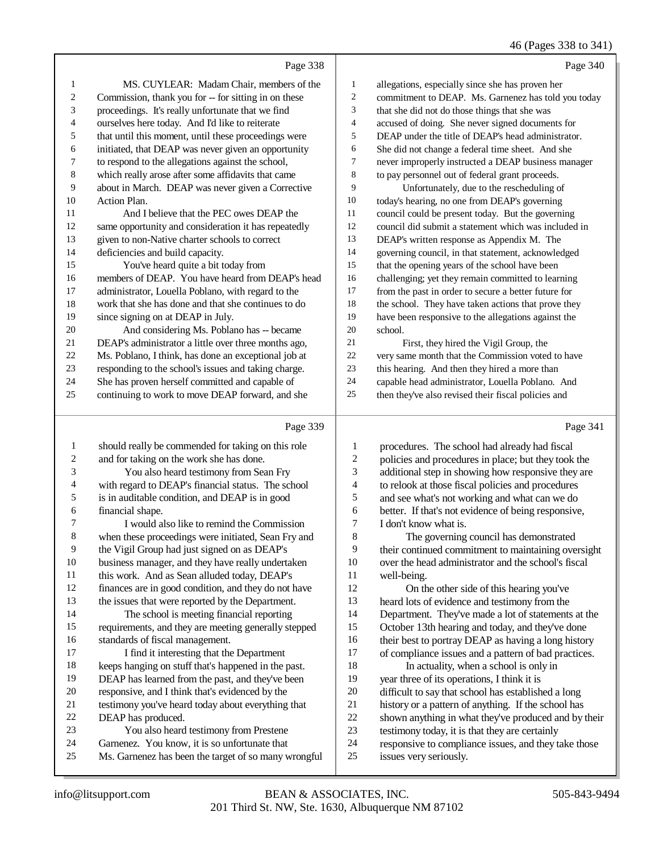#### 46 (Pages 338 to 341)

|                          |                                                      |                          | c                                                    |
|--------------------------|------------------------------------------------------|--------------------------|------------------------------------------------------|
|                          | Page 338                                             |                          | Page 340                                             |
| $\mathbf{1}$             | MS. CUYLEAR: Madam Chair, members of the             | $\mathbf{1}$             | allegations, especially since she has proven her     |
| $\overline{\mathbf{c}}$  | Commission, thank you for -- for sitting in on these | $\sqrt{2}$               | commitment to DEAP. Ms. Garnenez has told you today  |
| 3                        | proceedings. It's really unfortunate that we find    | 3                        | that she did not do those things that she was        |
| 4                        | ourselves here today. And I'd like to reiterate      | $\overline{4}$           | accused of doing. She never signed documents for     |
| 5                        | that until this moment, until these proceedings were | 5                        | DEAP under the title of DEAP's head administrator.   |
| 6                        | initiated, that DEAP was never given an opportunity  | 6                        | She did not change a federal time sheet. And she     |
| 7                        | to respond to the allegations against the school,    | $\tau$                   | never improperly instructed a DEAP business manager  |
| $\,8\,$                  | which really arose after some affidavits that came   | $\,8\,$                  | to pay personnel out of federal grant proceeds.      |
| 9                        | about in March. DEAP was never given a Corrective    | 9                        | Unfortunately, due to the rescheduling of            |
| 10                       | Action Plan.                                         | 10                       | today's hearing, no one from DEAP's governing        |
| 11                       | And I believe that the PEC owes DEAP the             | 11                       | council could be present today. But the governing    |
| 12                       | same opportunity and consideration it has repeatedly | 12                       | council did submit a statement which was included in |
| 13                       | given to non-Native charter schools to correct       | 13                       | DEAP's written response as Appendix M. The           |
| 14                       | deficiencies and build capacity.                     | 14                       | governing council, in that statement, acknowledged   |
| 15                       | You've heard quite a bit today from                  | 15                       | that the opening years of the school have been       |
| 16                       | members of DEAP. You have heard from DEAP's head     | 16                       | challenging; yet they remain committed to learning   |
| 17                       | administrator, Louella Poblano, with regard to the   | 17                       | from the past in order to secure a better future for |
| 18                       | work that she has done and that she continues to do  | 18                       | the school. They have taken actions that prove they  |
| 19                       | since signing on at DEAP in July.                    | 19                       | have been responsive to the allegations against the  |
| 20                       | And considering Ms. Poblano has -- became            | $20\,$                   | school.                                              |
| 21                       | DEAP's administrator a little over three months ago, | 21                       | First, they hired the Vigil Group, the               |
| 22                       | Ms. Poblano, I think, has done an exceptional job at | 22                       | very same month that the Commission voted to have    |
| 23                       | responding to the school's issues and taking charge. | 23                       | this hearing. And then they hired a more than        |
| 24                       | She has proven herself committed and capable of      | 24                       | capable head administrator, Louella Poblano. And     |
| 25                       | continuing to work to move DEAP forward, and she     | 25                       | then they've also revised their fiscal policies and  |
|                          | Page 339                                             |                          | Page 341                                             |
| $\mathbf{1}$             | should really be commended for taking on this role   | $\mathbf{1}$             | procedures. The school had already had fiscal        |
| $\overline{c}$           | and for taking on the work she has done.             | $\overline{c}$           | policies and procedures in place; but they took the  |
| 3                        | You also heard testimony from Sean Fry               | 3                        | additional step in showing how responsive they are   |
| $\overline{\mathcal{A}}$ | with regard to DEAP's financial status. The school   | $\overline{\mathcal{A}}$ | to relook at those fiscal policies and procedures    |
| 5                        | is in auditable condition, and DEAP is in good       | 5                        | and see what's not working and what can we do        |
| 6                        | financial shape.                                     | 6                        | better. If that's not evidence of being responsive,  |
| 7                        | I would also like to remind the Commission           | $\tau$                   | I don't know what is.                                |
| 8                        | when these proceedings were initiated, Sean Fry and  | 8                        | The governing council has demonstrated               |
| 9                        | the Vigil Group had just signed on as DEAP's         | 9                        | their continued commitment to maintaining oversight  |
| 10                       | business manager, and they have really undertaken    | 10                       | over the head administrator and the school's fiscal  |
| 11                       | this work. And as Sean alluded today, DEAP's         | 11                       | well-being.                                          |
| 12                       | finances are in good condition, and they do not have | 12                       | On the other side of this hearing you've             |
| 13                       | the issues that were reported by the Department.     | 13                       | heard lots of evidence and testimony from the        |

 The school is meeting financial reporting requirements, and they are meeting generally stepped standards of fiscal management.

- I find it interesting that the Department keeps hanging on stuff that's happened in the past.
- DEAP has learned from the past, and they've been
- responsive, and I think that's evidenced by the
- testimony you've heard today about everything that
- DEAP has produced.
- You also heard testimony from Prestene
- Garnenez. You know, it is so unfortunate that Ms. Garnenez has been the target of so many wrongful
- 22 shown anything in what they've produced and by their<br>23 testimony today, it is that they are certainly 23 testimony today, it is that they are certainly<br>24 responsive to compliance issues, and they to 24 responsive to compliance issues, and they take those<br>25 issues very seriously.

18 In actuality, when a school is only in<br>19 vear three of its operations. I think it is year three of its operations, I think it is 20 difficult to say that school has established a long<br>21 history or a pattern of anything. If the school has 21 history or a pattern of anything. If the school has<br>22 shown anything in what they've produced and by

 Department. They've made a lot of statements at the October 13th hearing and today, and they've done 16 their best to portray DEAP as having a long history<br>17 of compliance issues and a pattern of bad practices. of compliance issues and a pattern of bad practices.

issues very seriously.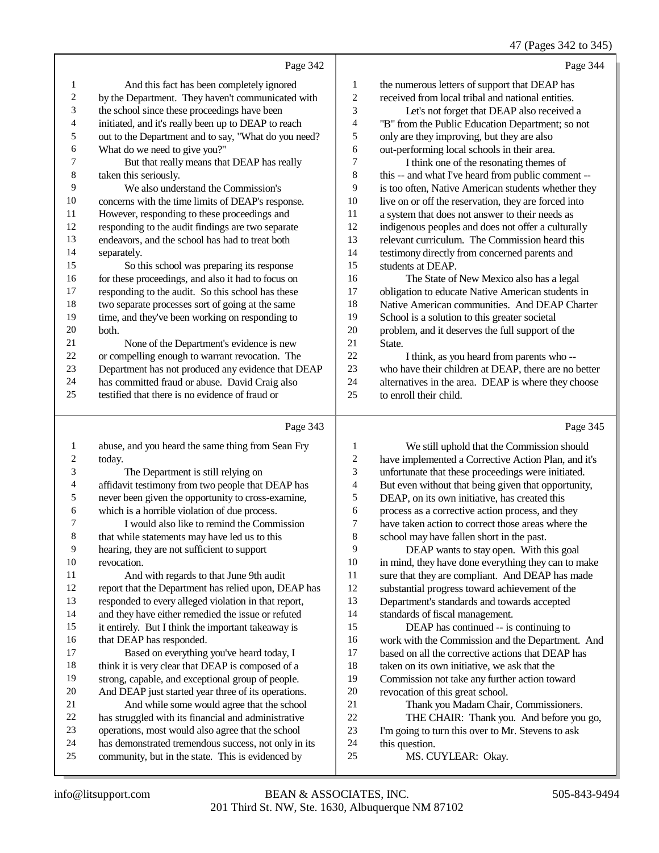### 47 (Pages 342 to 345)

|                | Page 342                                             |                | Page 344                                             |
|----------------|------------------------------------------------------|----------------|------------------------------------------------------|
| -1             | And this fact has been completely ignored            | 1              | the numerous letters of support that DEAP has        |
| $\overline{2}$ | by the Department. They haven't communicated with    | $\overline{c}$ | received from local tribal and national entities.    |
| 3              | the school since these proceedings have been         | 3              | Let's not forget that DEAP also received a           |
| $\overline{4}$ | initiated, and it's really been up to DEAP to reach  | 4              | "B" from the Public Education Department; so not     |
| 5              | out to the Department and to say, "What do you need? | 5              | only are they improving, but they are also           |
| 6              | What do we need to give you?"                        | 6              | out-performing local schools in their area.          |
| 7              | But that really means that DEAP has really           | 7              | I think one of the resonating themes of              |
| 8              | taken this seriously.                                | 8              | this -- and what I've heard from public comment --   |
| 9              | We also understand the Commission's                  | 9              | is too often, Native American students whether they  |
| 10             | concerns with the time limits of DEAP's response.    | 10             | live on or off the reservation, they are forced into |
| 11             | However, responding to these proceedings and         | 11             | a system that does not answer to their needs as      |
| 12             | responding to the audit findings are two separate    | 12             | indigenous peoples and does not offer a culturally   |
| 13             | endeavors, and the school has had to treat both      | 13             | relevant curriculum. The Commission heard this       |
| 14             | separately.                                          | 14             | testimony directly from concerned parents and        |
| 15             | So this school was preparing its response            | 15             | students at DEAP.                                    |
| 16             | for these proceedings, and also it had to focus on   | 16             | The State of New Mexico also has a legal             |
| 17             | responding to the audit. So this school has these    | 17             | obligation to educate Native American students in    |
| 18             | two separate processes sort of going at the same     | 18             | Native American communities. And DEAP Charter        |
| 19             | time, and they've been working on responding to      | 19             | School is a solution to this greater societal        |
| 20             | both.                                                | 20             | problem, and it deserves the full support of the     |
| 21             | None of the Department's evidence is new             | 21             | State.                                               |
| 22             | or compelling enough to warrant revocation. The      | 22             | I think, as you heard from parents who --            |
| 23             | Department has not produced any evidence that DEAP   | 23             | who have their children at DEAP, there are no better |
| 24             | has committed fraud or abuse. David Craig also       | 24             | alternatives in the area. DEAP is where they choose  |
| 25             | testified that there is no evidence of fraud or      | 25             | to enroll their child.                               |
|                | Page 343                                             |                | Page 345                                             |

### abuse, and you heard the same thing from Sean Fry today. The Department is still relying on affidavit testimony from two people that DEAP has never been given the opportunity to cross-examine, which is a horrible violation of due process. I would also like to remind the Commission that while statements may have led us to this hearing, they are not sufficient to support revocation. And with regards to that June 9th audit report that the Department has relied upon, DEAP has responded to every alleged violation in that report, and they have either remedied the issue or refuted it entirely. But I think the important takeaway is that DEAP has responded. Based on everything you've heard today, I 18 think it is very clear that DEAP is composed of a strong, capable, and exceptional group of people. And DEAP just started year three of its operations. And while some would agree that the school has struggled with its financial and administrative

- operations, most would also agree that the school has demonstrated tremendous success, not only in its
- community, but in the state. This is evidenced by

1 We still uphold that the Commission should<br>2 have implemented a Corrective Action Plan, and it 2 have implemented a Corrective Action Plan, and it's<br>3 unfortunate that these proceedings were initiated. unfortunate that these proceedings were initiated. 4 But even without that being given that opportunity,<br>5 DEAP, on its own initiative, has created this 5 DEAP, on its own initiative, has created this<br>6 orocess as a corrective action process, and the process as a corrective action process, and they 7 have taken action to correct those areas where the<br>8 school may have fallen short in the nast school may have fallen short in the past. 9 **DEAP** wants to stay open. With this goal<br>10 in mind, they have done everything they can to m 10 in mind, they have done everything they can to make<br>11 sure that they are compliant. And DEAP has made

11 sure that they are compliant. And DEAP has made<br>12 substantial progress toward achievement of the substantial progress toward achievement of the Department's standards and towards accepted standards of fiscal management.

 DEAP has continued -- is continuing to 16 work with the Commission and the Department. And 17 based on all the corrective actions that DEAP has based on all the corrective actions that DEAP has 18 taken on its own initiative, we ask that the<br>19 Commission not take any further action to

- Commission not take any further action toward
- 20 revocation of this great school.<br>21 Thank you Madam Chair
- 21 Thank you Madam Chair, Commissioners.<br>22 THE CHAIR: Thank you. And before you
- 22 THE CHAIR: Thank you. And before you go,<br>23 I'm going to turn this over to Mr. Stevens to ask
- I'm going to turn this over to Mr. Stevens to ask
- this question.
- MS. CUYLEAR: Okay.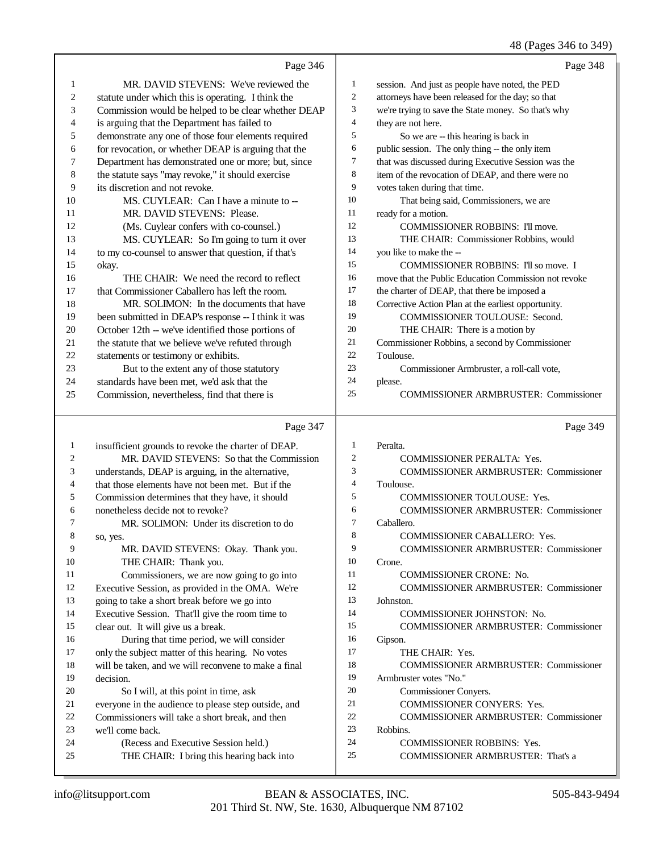# 48 (Pages 346 to 349)

|    | Page 346                                            |                | Page 348                                             |
|----|-----------------------------------------------------|----------------|------------------------------------------------------|
| 1  | MR. DAVID STEVENS: We've reviewed the               | 1              | session. And just as people have noted, the PED      |
| 2  | statute under which this is operating. I think the  | 2              | attorneys have been released for the day; so that    |
| 3  | Commission would be helped to be clear whether DEAP | 3              | we're trying to save the State money. So that's why  |
| 4  | is arguing that the Department has failed to        | $\overline{4}$ | they are not here.                                   |
| 5  | demonstrate any one of those four elements required | 5              | So we are -- this hearing is back in                 |
| 6  | for revocation, or whether DEAP is arguing that the | 6              | public session. The only thing -- the only item      |
| 7  | Department has demonstrated one or more; but, since | 7              | that was discussed during Executive Session was the  |
| 8  | the statute says "may revoke," it should exercise   | 8              | item of the revocation of DEAP, and there were no    |
| 9  | its discretion and not revoke.                      | 9              | votes taken during that time.                        |
| 10 | MS. CUYLEAR: Can I have a minute to --              | 10             | That being said, Commissioners, we are               |
| 11 | MR. DAVID STEVENS: Please.                          | 11             | ready for a motion.                                  |
| 12 | (Ms. Cuylear confers with co-counsel.)              | 12             | <b>COMMISSIONER ROBBINS: I'll move.</b>              |
| 13 | MS. CUYLEAR: So I'm going to turn it over           | 13             | THE CHAIR: Commissioner Robbins, would               |
| 14 | to my co-counsel to answer that question, if that's | 14             | you like to make the --                              |
| 15 | okay.                                               | 15             | <b>COMMISSIONER ROBBINS: I'll so move. I</b>         |
| 16 | THE CHAIR: We need the record to reflect            | 16             | move that the Public Education Commission not revoke |
| 17 | that Commissioner Caballero has left the room.      | 17             | the charter of DEAP, that there be imposed a         |
| 18 | MR. SOLIMON: In the documents that have             | 18             | Corrective Action Plan at the earliest opportunity.  |
| 19 | been submitted in DEAP's response -- I think it was | 19             | <b>COMMISSIONER TOULOUSE: Second.</b>                |
| 20 | October 12th -- we've identified those portions of  | 20             | THE CHAIR: There is a motion by                      |
| 21 | the statute that we believe we've refuted through   | 21             | Commissioner Robbins, a second by Commissioner       |
| 22 | statements or testimony or exhibits.                | 22             | Toulouse.                                            |
| 23 | But to the extent any of those statutory            | 23             | Commissioner Armbruster, a roll-call vote,           |
| 24 | standards have been met, we'd ask that the          | 24             | please.                                              |
| 25 | Commission, nevertheless, find that there is        | 25             | <b>COMMISSIONER ARMBRUSTER: Commissioner</b>         |

# Page 347

| $\perp$ | insufficient grounds to revoke the charter of DEAP.  | 1              | Peralta.                                     |
|---------|------------------------------------------------------|----------------|----------------------------------------------|
| 2       | MR. DAVID STEVENS: So that the Commission            | $\overline{c}$ | <b>COMMISSIONER PERALTA: Yes.</b>            |
| 3       | understands, DEAP is arguing, in the alternative,    | 3              | <b>COMMISSIONER ARMBRUSTER: Commissioner</b> |
| 4       | that those elements have not been met. But if the    | 4              | Toulouse.                                    |
| 5       | Commission determines that they have, it should      | 5              | <b>COMMISSIONER TOULOUSE: Yes.</b>           |
| 6       | nonetheless decide not to revoke?                    | 6              | <b>COMMISSIONER ARMBRUSTER: Commissioner</b> |
|         | MR. SOLIMON: Under its discretion to do              | 7              | Caballero.                                   |
| 8       | so, yes.                                             | 8              | <b>COMMISSIONER CABALLERO: Yes.</b>          |
| 9       | MR. DAVID STEVENS: Okay. Thank you.                  | 9              | <b>COMMISSIONER ARMBRUSTER: Commissioner</b> |
| 10      | THE CHAIR: Thank you.                                | 10             | Crone.                                       |
| 11      | Commissioners, we are now going to go into           | 11             | <b>COMMISSIONER CRONE: No.</b>               |
| 12      | Executive Session, as provided in the OMA. We're     | 12             | <b>COMMISSIONER ARMBRUSTER: Commissioner</b> |
| 13      | going to take a short break before we go into        | 13             | Johnston.                                    |
| 14      | Executive Session. That'll give the room time to     | 14             | <b>COMMISSIONER JOHNSTON: No.</b>            |
| 15      | clear out. It will give us a break.                  | 15             | <b>COMMISSIONER ARMBRUSTER: Commissioner</b> |
| 16      | During that time period, we will consider            | 16             | Gipson.                                      |
| 17      | only the subject matter of this hearing. No votes    | 17             | THE CHAIR: Yes.                              |
| 18      | will be taken, and we will reconvene to make a final | 18             | <b>COMMISSIONER ARMBRUSTER: Commissioner</b> |
| 19      | decision.                                            | 19             | Armbruster votes "No."                       |
| 20      | So I will, at this point in time, ask                | 20             | Commissioner Conyers.                        |
| 21      | everyone in the audience to please step outside, and | 21             | <b>COMMISSIONER CONYERS: Yes.</b>            |
| 22      | Commissioners will take a short break, and then      | 22             | <b>COMMISSIONER ARMBRUSTER: Commissioner</b> |
| 23      | we'll come back.                                     | 23             | Robbins.                                     |
| 24      | (Recess and Executive Session held.)                 | 24             | <b>COMMISSIONER ROBBINS: Yes.</b>            |
| 25      | THE CHAIR: I bring this hearing back into            | 25             | <b>COMMISSIONER ARMBRUSTER: That's a</b>     |
|         |                                                      |                |                                              |

Page 349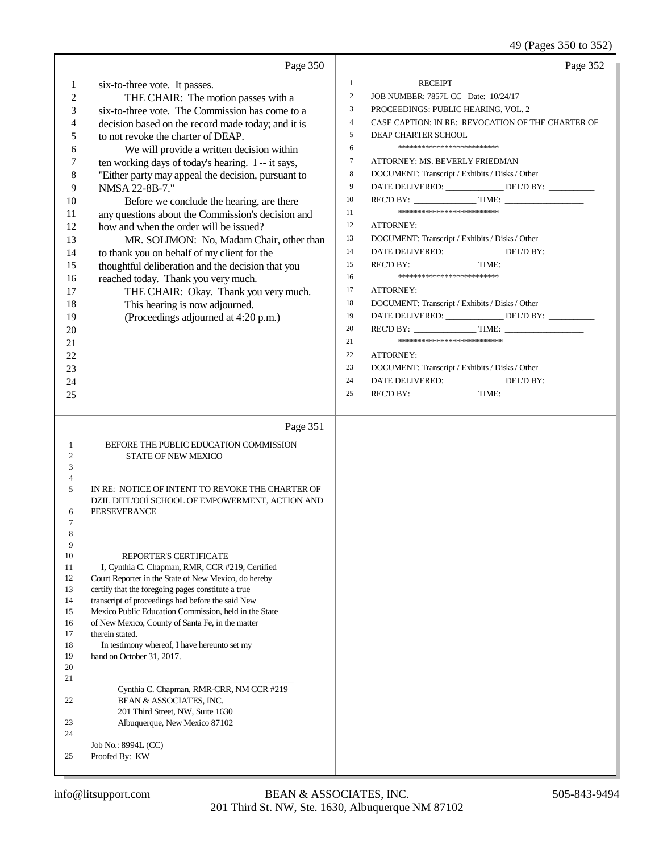## 49 (Pages 350 to 352)

|                                                                                                                                                        | Page 350                                                                                                                                                                                                                                                                                                                                                                                                                                                                                                                                                                                                                                                                                                                                                                                                                                                  | Page 352                                                                                                                                                                                                                                                                                                                                                                                                                                                                                                                                                                                                                                                                                                                                                                                                                                                                                                                                                                                                                                                                                        |
|--------------------------------------------------------------------------------------------------------------------------------------------------------|-----------------------------------------------------------------------------------------------------------------------------------------------------------------------------------------------------------------------------------------------------------------------------------------------------------------------------------------------------------------------------------------------------------------------------------------------------------------------------------------------------------------------------------------------------------------------------------------------------------------------------------------------------------------------------------------------------------------------------------------------------------------------------------------------------------------------------------------------------------|-------------------------------------------------------------------------------------------------------------------------------------------------------------------------------------------------------------------------------------------------------------------------------------------------------------------------------------------------------------------------------------------------------------------------------------------------------------------------------------------------------------------------------------------------------------------------------------------------------------------------------------------------------------------------------------------------------------------------------------------------------------------------------------------------------------------------------------------------------------------------------------------------------------------------------------------------------------------------------------------------------------------------------------------------------------------------------------------------|
| 1<br>$\overline{c}$<br>3<br>4<br>5<br>6<br>7<br>8<br>9<br>10<br>11<br>12<br>13<br>14<br>15<br>16<br>17<br>18<br>19<br>20<br>21<br>22<br>23<br>24<br>25 | six-to-three vote. It passes.<br>THE CHAIR: The motion passes with a<br>six-to-three vote. The Commission has come to a<br>decision based on the record made today; and it is<br>to not revoke the charter of DEAP.<br>We will provide a written decision within<br>ten working days of today's hearing. I -- it says,<br>"Either party may appeal the decision, pursuant to<br>NMSA 22-8B-7."<br>Before we conclude the hearing, are there<br>any questions about the Commission's decision and<br>how and when the order will be issued?<br>MR. SOLIMON: No, Madam Chair, other than<br>to thank you on behalf of my client for the<br>thoughtful deliberation and the decision that you<br>reached today. Thank you very much.<br>THE CHAIR: Okay. Thank you very much.<br>This hearing is now adjourned.<br>(Proceedings adjourned at 4:20 p.m.)      | $\mathbf{1}$<br><b>RECEIPT</b><br>$\overline{c}$<br>JOB NUMBER: 7857L CC Date: 10/24/17<br>3<br>PROCEEDINGS: PUBLIC HEARING, VOL. 2<br>$\overline{4}$<br>CASE CAPTION: IN RE: REVOCATION OF THE CHARTER OF<br>5<br>DEAP CHARTER SCHOOL<br>6<br>**************************<br>$\tau$<br>ATTORNEY: MS. BEVERLY FRIEDMAN<br>$\,8\,$<br>DOCUMENT: Transcript / Exhibits / Disks / Other<br>9<br>DATE DELIVERED: _______________ DEL'D BY: _________<br>10<br>REC'D BY: TIME:<br>**************************<br>11<br>12<br><b>ATTORNEY:</b><br>13<br>DOCUMENT: Transcript / Exhibits / Disks / Other<br>14<br>DATE DELIVERED: _______________ DEL'D BY: _________<br>15<br>REC'D BY: TIME:<br>16<br>**************************<br>17<br><b>ATTORNEY:</b><br>18<br>DOCUMENT: Transcript / Exhibits / Disks / Other<br>19<br>DATE DELIVERED: _______________ DEL'D BY: _________<br>20<br>$RECD BY:$ TIME:<br>21<br>****************************<br>22<br><b>ATTORNEY:</b><br>23<br>DOCUMENT: Transcript / Exhibits / Disks / Other<br>DATE DELIVERED: _______________ DEL'D BY: _________<br>24<br>25 |
| 1<br>2<br>3<br>4<br>5<br>6<br>7<br>8<br>9<br>10<br>11<br>12<br>13<br>14<br>15<br>16<br>17<br>18<br>19<br>20<br>21<br>22<br>23<br>24<br>25              | Page 351<br>BEFORE THE PUBLIC EDUCATION COMMISSION<br><b>STATE OF NEW MEXICO</b><br>IN RE: NOTICE OF INTENT TO REVOKE THE CHARTER OF<br>DZIL DITL'OOÍ SCHOOL OF EMPOWERMENT, ACTION AND<br>PERSEVERANCE<br>REPORTER'S CERTIFICATE<br>I, Cynthia C. Chapman, RMR, CCR #219, Certified<br>Court Reporter in the State of New Mexico, do hereby<br>certify that the foregoing pages constitute a true<br>transcript of proceedings had before the said New<br>Mexico Public Education Commission, held in the State<br>of New Mexico, County of Santa Fe, in the matter<br>therein stated.<br>In testimony whereof, I have hereunto set my<br>hand on October 31, 2017.<br>Cynthia C. Chapman, RMR-CRR, NM CCR #219<br>BEAN & ASSOCIATES, INC.<br>201 Third Street, NW, Suite 1630<br>Albuquerque, New Mexico 87102<br>Job No.: 8994L (CC)<br>Proofed By: KW |                                                                                                                                                                                                                                                                                                                                                                                                                                                                                                                                                                                                                                                                                                                                                                                                                                                                                                                                                                                                                                                                                                 |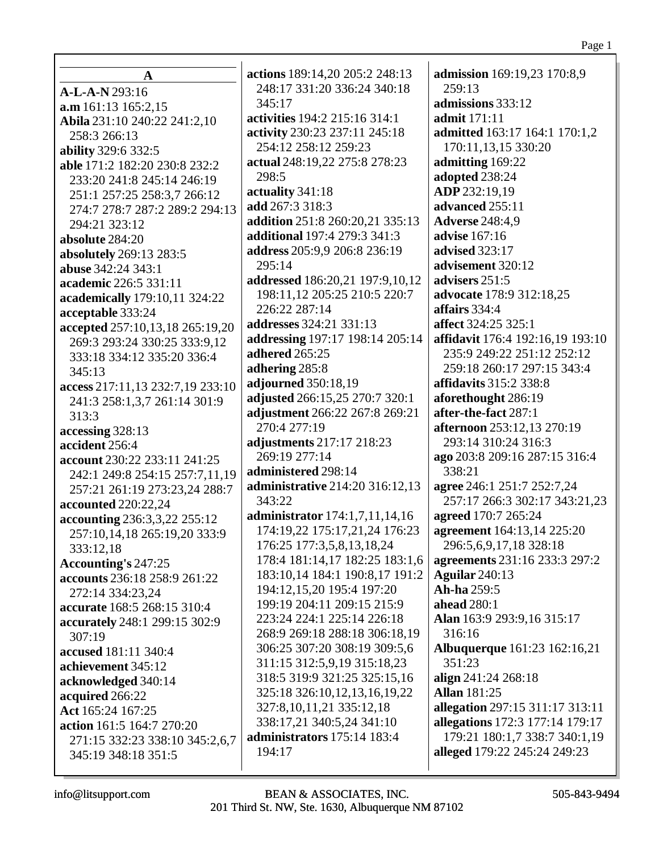| A                                | actions 189:14,20 205:2 248:13  | admission 169:19,23 170:8,9          |
|----------------------------------|---------------------------------|--------------------------------------|
| A-L-A-N 293:16                   | 248:17 331:20 336:24 340:18     | 259:13                               |
| a.m 161:13 165:2,15              | 345:17                          | admissions 333:12                    |
| Abila 231:10 240:22 241:2,10     | activities 194:2 215:16 314:1   | admit 171:11                         |
| 258:3 266:13                     | activity 230:23 237:11 245:18   | admitted 163:17 164:1 170:1,2        |
| ability 329:6 332:5              | 254:12 258:12 259:23            | 170:11,13,15 330:20                  |
| able 171:2 182:20 230:8 232:2    | actual 248:19,22 275:8 278:23   | admitting 169:22                     |
| 233:20 241:8 245:14 246:19       | 298:5                           | adopted 238:24                       |
| 251:1 257:25 258:3,7 266:12      | actuality 341:18                | ADP 232:19,19                        |
| 274:7 278:7 287:2 289:2 294:13   | add 267:3 318:3                 | advanced 255:11                      |
| 294:21 323:12                    | addition 251:8 260:20,21 335:13 | <b>Adverse</b> 248:4,9               |
| absolute 284:20                  | additional 197:4 279:3 341:3    | advise 167:16                        |
| absolutely 269:13 283:5          | address 205:9,9 206:8 236:19    | advised 323:17                       |
| abuse 342:24 343:1               | 295:14                          | advisement 320:12                    |
| academic 226:5 331:11            | addressed 186:20,21 197:9,10,12 | advisers 251:5                       |
| academically 179:10,11 324:22    | 198:11,12 205:25 210:5 220:7    | advocate 178:9 312:18,25             |
| acceptable 333:24                | 226:22 287:14                   | affairs 334:4                        |
| accepted 257:10,13,18 265:19,20  | <b>addresses</b> 324:21 331:13  | affect 324:25 325:1                  |
| 269:3 293:24 330:25 333:9,12     | addressing 197:17 198:14 205:14 | affidavit 176:4 192:16,19 193:10     |
| 333:18 334:12 335:20 336:4       | adhered 265:25                  | 235:9 249:22 251:12 252:12           |
| 345:13                           | adhering 285:8                  | 259:18 260:17 297:15 343:4           |
| access 217:11,13 232:7,19 233:10 | adjourned 350:18,19             | affidavits 315:2 338:8               |
| 241:3 258:1,3,7 261:14 301:9     | adjusted 266:15,25 270:7 320:1  | aforethought 286:19                  |
| 313:3                            | adjustment 266:22 267:8 269:21  | after-the-fact 287:1                 |
| accessing 328:13                 | 270:4 277:19                    | afternoon 253:12,13 270:19           |
| accident 256:4                   | adjustments 217:17 218:23       | 293:14 310:24 316:3                  |
| account 230:22 233:11 241:25     | 269:19 277:14                   | ago 203:8 209:16 287:15 316:4        |
| 242:1 249:8 254:15 257:7,11,19   | administered 298:14             | 338:21                               |
| 257:21 261:19 273:23,24 288:7    | administrative 214:20 316:12,13 | agree 246:1 251:7 252:7,24           |
| accounted 220:22,24              | 343:22                          | 257:17 266:3 302:17 343:21,23        |
| accounting 236:3,3,22 255:12     | administrator 174:1,7,11,14,16  | agreed 170:7 265:24                  |
| 257:10,14,18 265:19,20 333:9     | 174:19,22 175:17,21,24 176:23   | agreement 164:13,14 225:20           |
| 333:12,18                        | 176:25 177:3,5,8,13,18,24       | 296:5,6,9,17,18 328:18               |
| Accounting's 247:25              | 178:4 181:14,17 182:25 183:1,6  | <b>agreements</b> 231:16 233:3 297:2 |
| accounts 236:18 258:9 261:22     | 183:10,14 184:1 190:8,17 191:2  | <b>Aguilar</b> 240:13                |
| 272:14 334:23,24                 | 194:12,15,20 195:4 197:20       | Ah-ha 259:5                          |
| accurate 168:5 268:15 310:4      | 199:19 204:11 209:15 215:9      | <b>ahead</b> 280:1                   |
| accurately 248:1 299:15 302:9    | 223:24 224:1 225:14 226:18      | Alan 163:9 293:9,16 315:17           |
| 307:19                           | 268:9 269:18 288:18 306:18,19   | 316:16                               |
| accused 181:11 340:4             | 306:25 307:20 308:19 309:5,6    | <b>Albuquerque</b> 161:23 162:16,21  |
| achievement 345:12               | 311:15 312:5,9,19 315:18,23     | 351:23                               |
| acknowledged 340:14              | 318:5 319:9 321:25 325:15,16    | align 241:24 268:18                  |
| acquired 266:22                  | 325:18 326:10,12,13,16,19,22    | <b>Allan</b> 181:25                  |
| Act 165:24 167:25                | 327:8, 10, 11, 21 335: 12, 18   | allegation 297:15 311:17 313:11      |
| action 161:5 164:7 270:20        | 338:17,21 340:5,24 341:10       | allegations 172:3 177:14 179:17      |
| 271:15 332:23 338:10 345:2,6,7   | administrators 175:14 183:4     | 179:21 180:1,7 338:7 340:1,19        |
| 345:19 348:18 351:5              | 194:17                          | alleged 179:22 245:24 249:23         |
|                                  |                                 |                                      |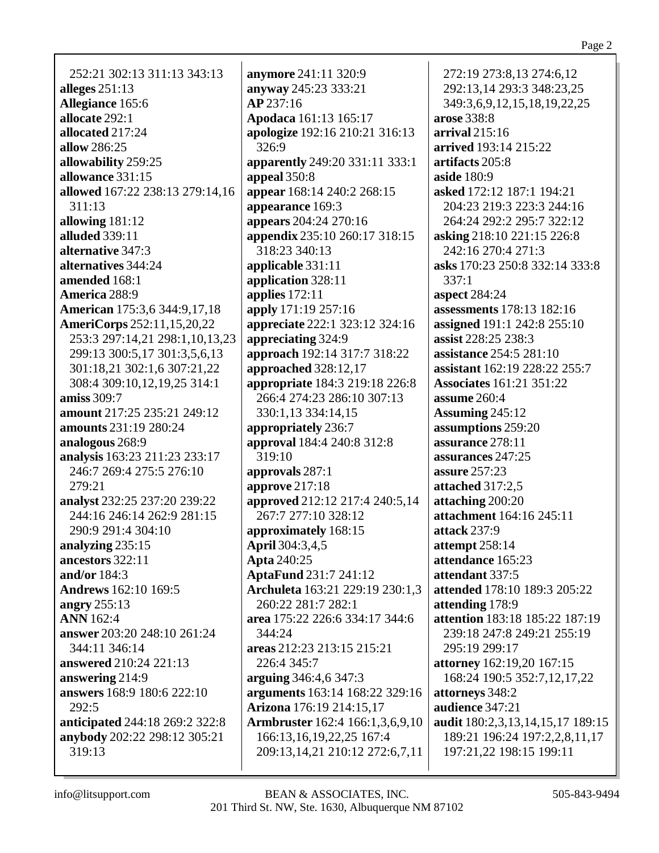| 272:19 273:8,13 274:6,12        |
|---------------------------------|
| 292:13,14 293:3 348:23,25       |
| 349:3,6,9,12,15,18,19,22,25     |
| arose 338:8                     |
| arrival $215:16$                |
| <b>arrived</b> 193:14 215:22    |
| artifacts 205:8                 |
| <b>aside</b> 180:9              |
| asked 172:12 187:1 194:21       |
|                                 |
| 204:23 219:3 223:3 244:16       |
| 264:24 292:2 295:7 322:12       |
| asking 218:10 221:15 226:8      |
| 242:16 270:4 271:3              |
| asks 170:23 250:8 332:14 333:8  |
| 337:1                           |
| <b>aspect</b> 284:24            |
| assessments 178:13 182:16       |
| assigned 191:1 242:8 255:10     |
| assist 228:25 238:3             |
| assistance 254:5 281:10         |
| assistant 162:19 228:22 255:7   |
| <b>Associates</b> 161:21 351:22 |

**assume** 260:4 **Assuming** 245:12 **assumptions** 259:20 **assurance** 278:11 **assurances** 247:25 **assure** 257:23 **attached** 317:2,5 **attaching** 200:20

**attack** 237:9 **attempt** 258:14 **attendance** 165:23 **attendant** 337:5

**attending** 178:9

**attachment** 164:16 245:11

**attended** 178:10 189:3 205:22

**attention** 183:18 185:22 187:19 239:18 247:8 249:21 255:19

Page 2

252:21 302:13 311:13 343:13 **alleges** 251:13 **Allegiance** 165:6 **allocate** 292:1 **allocated** 217:24 **allow** 286:25 **allowability** 259:25 **allowance** 331:15 **allowed** 167:22 238:13 279:14,16 311:13 **allowing** 181:12 **alluded** 339:11 **alternative** 347:3 **alternatives** 344:24 **amended** 168:1 **America** 288:9 **American** 175:3,6 344:9,17,18 **AmeriCorps** 252:11,15,20,22 253:3 297:14,21 298:1,10,13,23 299:13 300:5,17 301:3,5,6,13 301:18,21 302:1,6 307:21,22 308:4 309:10,12,19,25 314:1 **amiss** 309:7 **amount** 217:25 235:21 249:12 **amounts** 231:19 280:24 **analogous** 268:9 **analysis** 163:23 211:23 233:17 246:7 269:4 275:5 276:10 279:21 **analyst** 232:25 237:20 239:22 244:16 246:14 262:9 281:15 290:9 291:4 304:10 **analyzing** 235:15 **ancestors** 322:11 **and/or** 184:3 **Andrews** 162:10 169:5 **angry** 255:13 **ANN** 162:4 **answer** 203:20 248:10 261:24 344:11 346:14 **answered** 210:24 221:13 **answering** 214:9 **answers** 168:9 180:6 222:10 292:5 **anticipated** 244:18 269:2 322:8 **anybody** 202:22 298:12 305:21 319:13

**anymore** 241:11 320:9 **anyway** 245:23 333:21 **AP** 237:16 **Apodaca** 161:13 165:17 **apologize** 192:16 210:21 316:13 326:9 **apparently** 249:20 331:11 333:1 **appeal** 350:8 **appear** 168:14 240:2 268:15 **appearance** 169:3 **appears** 204:24 270:16 **appendix** 235:10 260:17 318:15 318:23 340:13 **applicable** 331:11 **application** 328:11 **applies** 172:11 **apply** 171:19 257:16 **appreciate** 222:1 323:12 324:16 **appreciating** 324:9 **approach** 192:14 317:7 318:22 **approached** 328:12,17 **appropriate** 184:3 219:18 226:8 266:4 274:23 286:10 307:13 330:1,13 334:14,15 **appropriately** 236:7 **approval** 184:4 240:8 312:8 319:10 **approvals** 287:1 **approve** 217:18 **approved** 212:12 217:4 240:5,14 267:7 277:10 328:12 **approximately** 168:15 **April** 304:3,4,5 **Apta** 240:25 **AptaFund** 231:7 241:12 **Archuleta** 163:21 229:19 230:1,3 260:22 281:7 282:1 **area** 175:22 226:6 334:17 344:6 344:24 **areas** 212:23 213:15 215:21 226:4 345:7 **arguing** 346:4,6 347:3 **arguments** 163:14 168:22 329:16 **Arizona** 176:19 214:15,17 **Armbruster** 162:4 166:1,3,6,9,10 166:13,16,19,22,25 167:4 209:13,14,21 210:12 272:6,7,11

295:19 299:17 **attorney** 162:19,20 167:15 168:24 190:5 352:7,12,17,22 **attorneys** 348:2 **audience** 347:21 **audit** 180:2,3,13,14,15,17 189:15 189:21 196:24 197:2,2,8,11,17

197:21,22 198:15 199:11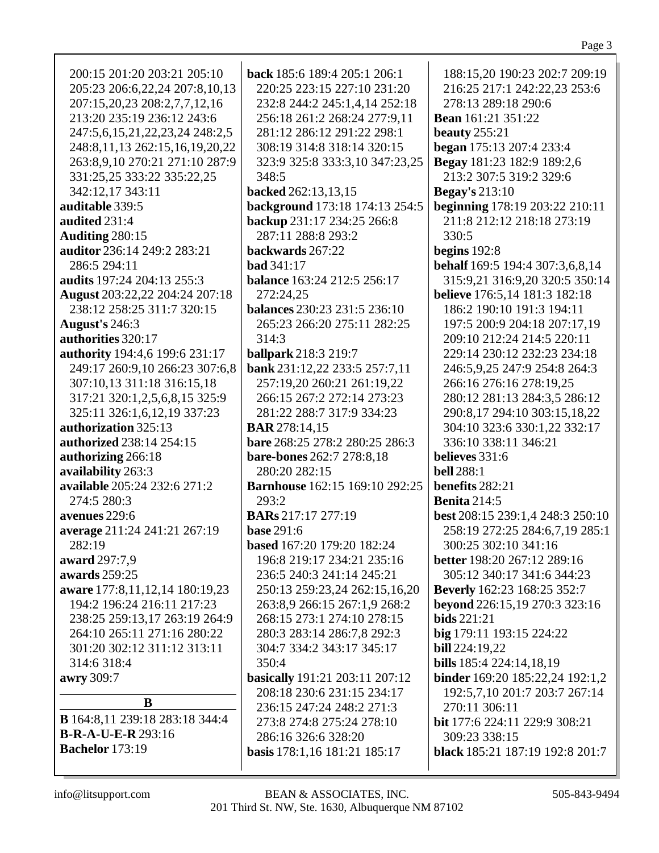| 200:15 201:20 203:21 205:10           | back 185:6 189:4 205:1 206:1          | 188:15,20 190:23 202:7 209:19          |
|---------------------------------------|---------------------------------------|----------------------------------------|
| 205:23 206:6,22,24 207:8,10,13        | 220:25 223:15 227:10 231:20           | 216:25 217:1 242:22,23 253:6           |
| 207:15,20,23 208:2,7,7,12,16          | 232:8 244:2 245:1,4,14 252:18         | 278:13 289:18 290:6                    |
| 213:20 235:19 236:12 243:6            | 256:18 261:2 268:24 277:9,11          | <b>Bean</b> 161:21 351:22              |
| 247:5,6,15,21,22,23,24 248:2,5        | 281:12 286:12 291:22 298:1            | beauty $255:21$                        |
| 248:8,11,13 262:15,16,19,20,22        | 308:19 314:8 318:14 320:15            | began 175:13 207:4 233:4               |
| 263:8,9,10 270:21 271:10 287:9        | 323:9 325:8 333:3,10 347:23,25        | Begay 181:23 182:9 189:2,6             |
| 331:25,25 333:22 335:22,25            | 348:5                                 | 213:2 307:5 319:2 329:6                |
| 342:12,17 343:11                      | backed 262:13,13,15                   | <b>Begay's</b> 213:10                  |
| auditable 339:5                       | background 173:18 174:13 254:5        | beginning 178:19 203:22 210:11         |
| audited 231:4                         | backup 231:17 234:25 266:8            | 211:8 212:12 218:18 273:19             |
| Auditing 280:15                       | 287:11 288:8 293:2                    | 330:5                                  |
| auditor 236:14 249:2 283:21           | backwards 267:22                      | begins $192:8$                         |
| 286:5 294:11                          | <b>bad</b> 341:17                     | <b>behalf</b> 169:5 194:4 307:3,6,8,14 |
| audits 197:24 204:13 255:3            | <b>balance</b> 163:24 212:5 256:17    | 315:9,21 316:9,20 320:5 350:14         |
| August 203:22,22 204:24 207:18        | 272:24,25                             | <b>believe</b> 176:5,14 181:3 182:18   |
| 238:12 258:25 311:7 320:15            | <b>balances</b> 230:23 231:5 236:10   | 186:2 190:10 191:3 194:11              |
| August's 246:3                        | 265:23 266:20 275:11 282:25           | 197:5 200:9 204:18 207:17,19           |
| authorities 320:17                    | 314:3                                 | 209:10 212:24 214:5 220:11             |
| authority 194:4,6 199:6 231:17        | ballpark 218:3 219:7                  | 229:14 230:12 232:23 234:18            |
| 249:17 260:9,10 266:23 307:6,8        | bank 231:12,22 233:5 257:7,11         | 246:5,9,25 247:9 254:8 264:3           |
| 307:10,13 311:18 316:15,18            | 257:19,20 260:21 261:19,22            | 266:16 276:16 278:19,25                |
| 317:21 320:1,2,5,6,8,15 325:9         | 266:15 267:2 272:14 273:23            | 280:12 281:13 284:3,5 286:12           |
| 325:11 326:1,6,12,19 337:23           | 281:22 288:7 317:9 334:23             | 290:8,17 294:10 303:15,18,22           |
| authorization 325:13                  | <b>BAR</b> 278:14,15                  | 304:10 323:6 330:1,22 332:17           |
| authorized 238:14 254:15              | bare 268:25 278:2 280:25 286:3        | 336:10 338:11 346:21                   |
| authorizing 266:18                    | bare-bones 262:7 278:8,18             | believes 331:6                         |
| availability 263:3                    | 280:20 282:15                         | <b>bell</b> 288:1                      |
| available 205:24 232:6 271:2          | <b>Barnhouse</b> 162:15 169:10 292:25 | benefits 282:21                        |
| 274:5 280:3                           | 293:2                                 | <b>Benita</b> 214:5                    |
| avenues 229:6                         | <b>BARs</b> 217:17 277:19             | best 208:15 239:1,4 248:3 250:10       |
| average 211:24 241:21 267:19          | <b>base</b> 291:6                     | 258:19 272:25 284:6,7,19 285:1         |
| 282:19                                | based 167:20 179:20 182:24            | 300:25 302:10 341:16                   |
| award 297:7,9                         | 196:8 219:17 234:21 235:16            | better 198:20 267:12 289:16            |
| awards 259:25                         | 236:5 240:3 241:14 245:21             | 305:12 340:17 341:6 344:23             |
| aware 177:8,11,12,14 180:19,23        | 250:13 259:23,24 262:15,16,20         | <b>Beverly</b> 162:23 168:25 352:7     |
| 194:2 196:24 216:11 217:23            | 263:8,9 266:15 267:1,9 268:2          | beyond 226:15,19 270:3 323:16          |
| 238:25 259:13,17 263:19 264:9         | 268:15 273:1 274:10 278:15            | <b>bids</b> 221:21                     |
| 264:10 265:11 271:16 280:22           | 280:3 283:14 286:7,8 292:3            | big 179:11 193:15 224:22               |
| 301:20 302:12 311:12 313:11           | 304:7 334:2 343:17 345:17             | <b>bill</b> 224:19,22                  |
| 314:6 318:4                           | 350:4                                 | bills 185:4 224:14,18,19               |
| awry 309:7                            | basically 191:21 203:11 207:12        | <b>binder</b> 169:20 185:22,24 192:1,2 |
|                                       | 208:18 230:6 231:15 234:17            | 192:5,7,10 201:7 203:7 267:14          |
| B                                     | 236:15 247:24 248:2 271:3             | 270:11 306:11                          |
| <b>B</b> 164:8,11 239:18 283:18 344:4 | 273:8 274:8 275:24 278:10             | bit 177:6 224:11 229:9 308:21          |
| <b>B-R-A-U-E-R293:16</b>              | 286:16 326:6 328:20                   | 309:23 338:15                          |
| <b>Bachelor</b> 173:19                | basis 178:1,16 181:21 185:17          | black 185:21 187:19 192:8 201:7        |
|                                       |                                       |                                        |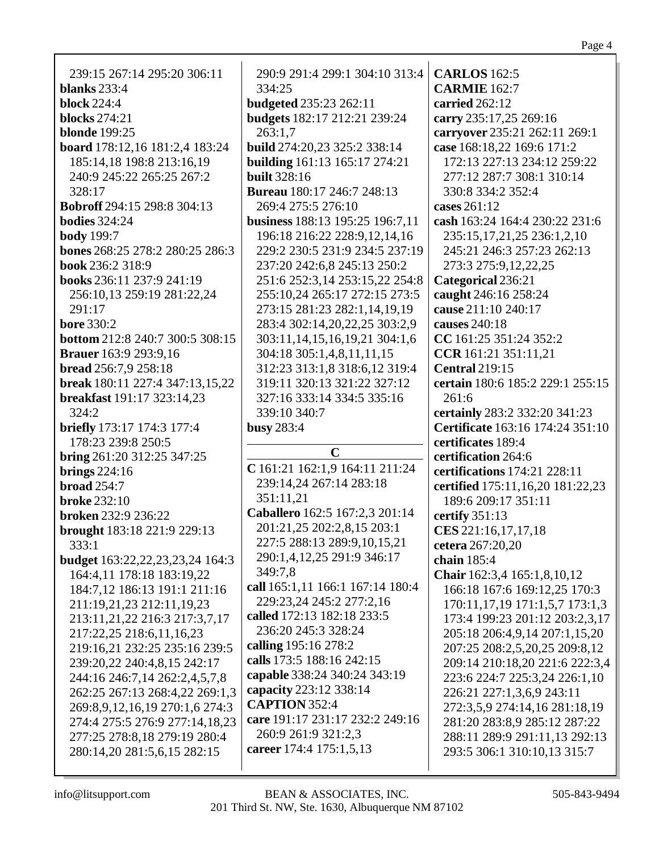239:15 267:14 295:20 306:11 **blanks** 233:4 **block** 224:4 **blocks** 274:21 **blonde** 199:25 **board** 178:12,16 181:2,4 183:24 185:14,18 198:8 213:16,19 240:9 245:22 265:25 267:2 328:17 **Bobroff** 294:15 298:8 304:13 **bodies** 324:24 **body** 199:7 **bones** 268:25 278:2 280:25 286:3 **book** 236:2 318:9 **books** 236:11 237:9 241:19 256:10,13 259:19 281:22,24 291:17 **bore** 330:2 **bottom** 212:8 240:7 300:5 308:15 **Brauer** 163:9 293:9,16 **bread** 256:7,9 258:18 **break** 180:11 227:4 347:13,15,22 **breakfast** 191:17 323:14,23 324:2 **briefly** 173:17 174:3 177:4 178:23 239:8 250:5 **bring** 261:20 312:25 347:25 **brings** 224:16 **broad** 254:7 **broke** 232:10 **broken** 232:9 236:22 **brought** 183:18 221:9 229:13 333:1 **budget** 163:22,22,23,23,24 164:3 164:4,11 178:18 183:19,22 184:7,12 186:13 191:1 211:16 211:19,21,23 212:11,19,23 213:11,21,22 216:3 217:3,7,17 217:22,25 218:6,11,16,23 219:16,21 232:25 235:16 239:5 239:20,22 240:4,8,15 242:17 244:16 246:7,14 262:2,4,5,7,8 262:25 267:13 268:4,22 269:1,3 269:8,9,12,16,19 270:1,6 274:3 274:4 275:5 276:9 277:14,18,23 277:25 278:8,18 279:19 280:4 280:14,20 281:5,6,15 282:15

334:25 **budgeted** 235:23 262:11 **budgets** 182:17 212:21 239:24 263:1,7 **build** 274:20,23 325:2 338:14 **building** 161:13 165:17 274:21 **built** 328:16 **Bureau** 180:17 246:7 248:13 269:4 275:5 276:10 **business** 188:13 195:25 196:7,11 196:18 216:22 228:9,12,14,16 229:2 230:5 231:9 234:5 237:19 237:20 242:6,8 245:13 250:2 251:6 252:3,14 253:15,22 254:8 255:10,24 265:17 272:15 273:5 273:15 281:23 282:1,14,19,19 283:4 302:14,20,22,25 303:2,9 303:11,14,15,16,19,21 304:1,6 304:18 305:1,4,8,11,11,15 312:23 313:1,8 318:6,12 319:4 319:11 320:13 321:22 327:12 327:16 333:14 334:5 335:16 339:10 340:7 **busy** 283:4 **C C** 161:21 162:1,9 164:11 211:24 239:14,24 267:14 283:18 351:11,21 **Caballero** 162:5 167:2,3 201:14 201:21,25 202:2,8,15 203:1 227:5 288:13 289:9,10,15,21 290:1,4,12,25 291:9 346:17 349:7,8 **call** 165:1,11 166:1 167:14 180:4 229:23,24 245:2 277:2,16 **called** 172:13 182:18 233:5 236:20 245:3 328:24 **calling** 195:16 278:2 **calls** 173:5 188:16 242:15 **capable** 338:24 340:24 343:19 **capacity** 223:12 338:14 **CAPTION** 352:4 **care** 191:17 231:17 232:2 249:16 260:9 261:9 321:2,3 **career** 174:4 175:1,5,13

290:9 291:4 299:1 304:10 313:4

**CARLOS** 162:5 **CARMIE** 162:7 **carried** 262:12 **carry** 235:17,25 269:16 **carryover** 235:21 262:11 269:1 **case** 168:18,22 169:6 171:2 172:13 227:13 234:12 259:22 277:12 287:7 308:1 310:14 330:8 334:2 352:4 **cases** 261:12 **cash** 163:24 164:4 230:22 231:6 235:15,17,21,25 236:1,2,10 245:21 246:3 257:23 262:13 273:3 275:9,12,22,25 **Categorical** 236:21 **caught** 246:16 258:24 **cause** 211:10 240:17 **causes** 240:18 **CC** 161:25 351:24 352:2 **CCR** 161:21 351:11,21 **Central** 219:15 **certain** 180:6 185:2 229:1 255:15 261:6 **certainly** 283:2 332:20 341:23 **Certificate** 163:16 174:24 351:10 **certificates** 189:4 **certification** 264:6 **certifications** 174:21 228:11 **certified** 175:11,16,20 181:22,23 189:6 209:17 351:11 **certify** 351:13 **CES** 221:16,17,17,18 **cetera** 267:20,20 **chain** 185:4 **Chair** 162:3,4 165:1,8,10,12 166:18 167:6 169:12,25 170:3 170:11,17,19 171:1,5,7 173:1,3 173:4 199:23 201:12 203:2,3,17 205:18 206:4,9,14 207:1,15,20 207:25 208:2,5,20,25 209:8,12 209:14 210:18,20 221:6 222:3,4 223:6 224:7 225:3,24 226:1,10 226:21 227:1,3,6,9 243:11 272:3,5,9 274:14,16 281:18,19 281:20 283:8,9 285:12 287:22 288:11 289:9 291:11,13 292:13 293:5 306:1 310:10,13 315:7

Page 4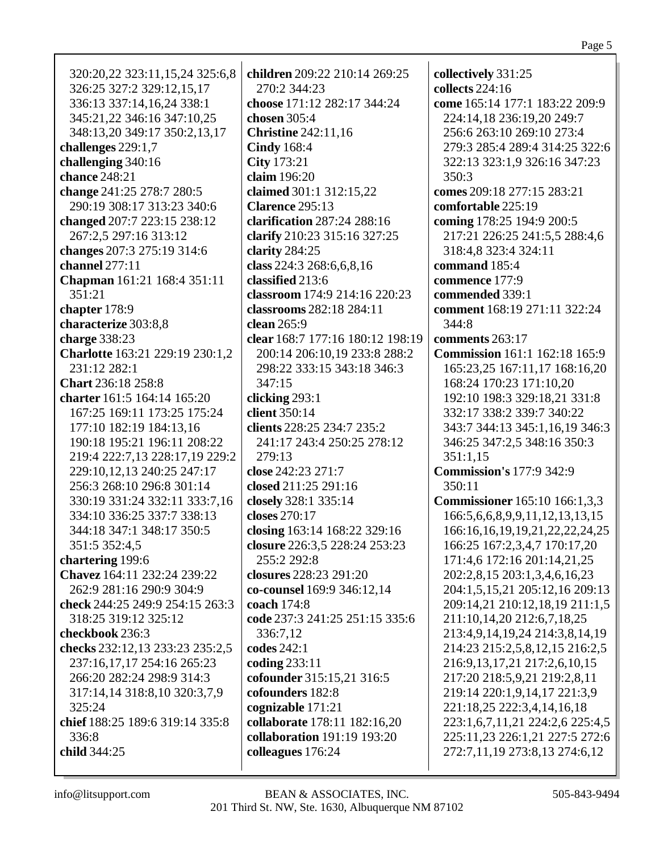| 320:20,22 323:11,15,24 325:6,8  | children 209:22 210:14 269:25    | collectively 331:25                  |
|---------------------------------|----------------------------------|--------------------------------------|
| 326:25 327:2 329:12,15,17       | 270:2 344:23                     | collects 224:16                      |
| 336:13 337:14,16,24 338:1       | choose 171:12 282:17 344:24      | come 165:14 177:1 183:22 209:9       |
| 345:21,22 346:16 347:10,25      | chosen 305:4                     | 224:14,18 236:19,20 249:7            |
| 348:13,20 349:17 350:2,13,17    | <b>Christine</b> 242:11,16       | 256:6 263:10 269:10 273:4            |
| challenges 229:1,7              | <b>Cindy</b> 168:4               | 279:3 285:4 289:4 314:25 322:6       |
| challenging 340:16              | City 173:21                      | 322:13 323:1,9 326:16 347:23         |
| chance 248:21                   | claim 196:20                     | 350:3                                |
| change 241:25 278:7 280:5       | claimed 301:1 312:15,22          | comes 209:18 277:15 283:21           |
| 290:19 308:17 313:23 340:6      | Clarence 295:13                  | comfortable 225:19                   |
| changed 207:7 223:15 238:12     | clarification 287:24 288:16      | coming 178:25 194:9 200:5            |
| 267:2,5 297:16 313:12           | clarify 210:23 315:16 327:25     | 217:21 226:25 241:5,5 288:4,6        |
| changes 207:3 275:19 314:6      | clarity $284:25$                 | 318:4,8 323:4 324:11                 |
| channel 277:11                  | class 224:3 268:6,6,8,16         | command 185:4                        |
| Chapman 161:21 168:4 351:11     | classified 213:6                 | commence 177:9                       |
| 351:21                          | classroom 174:9 214:16 220:23    | commended 339:1                      |
| chapter 178:9                   | classrooms 282:18 284:11         | comment 168:19 271:11 322:24         |
| characterize 303:8,8            | clean 265:9                      | 344:8                                |
| charge 338:23                   | clear 168:7 177:16 180:12 198:19 | comments 263:17                      |
| Charlotte 163:21 229:19 230:1,2 | 200:14 206:10,19 233:8 288:2     | <b>Commission</b> 161:1 162:18 165:9 |
| 231:12 282:1                    | 298:22 333:15 343:18 346:3       | 165:23,25 167:11,17 168:16,20        |
| <b>Chart</b> 236:18 258:8       | 347:15                           | 168:24 170:23 171:10,20              |
| charter 161:5 164:14 165:20     | clicking $293:1$                 | 192:10 198:3 329:18,21 331:8         |
| 167:25 169:11 173:25 175:24     | client 350:14                    | 332:17 338:2 339:7 340:22            |
| 177:10 182:19 184:13,16         | clients 228:25 234:7 235:2       | 343:7 344:13 345:1,16,19 346:3       |
| 190:18 195:21 196:11 208:22     | 241:17 243:4 250:25 278:12       | 346:25 347:2,5 348:16 350:3          |
| 219:4 222:7,13 228:17,19 229:2  | 279:13                           | 351:1,15                             |
| 229:10,12,13 240:25 247:17      | close 242:23 271:7               | <b>Commission's 177:9 342:9</b>      |
| 256:3 268:10 296:8 301:14       | closed 211:25 291:16             | 350:11                               |
| 330:19 331:24 332:11 333:7,16   | closely 328:1 335:14             | <b>Commissioner</b> 165:10 166:1,3,3 |
| 334:10 336:25 337:7 338:13      | closes 270:17                    | 166:5,6,6,8,9,9,11,12,13,13,15       |
| 344:18 347:1 348:17 350:5       | closing 163:14 168:22 329:16     | 166:16,16,19,19,21,22,22,24,25       |
| 351:5 352:4,5                   | closure 226:3,5 228:24 253:23    | 166:25 167:2,3,4,7 170:17,20         |
| chartering 199:6                | 255:2 292:8                      | 171:4,6 172:16 201:14,21,25          |
| Chavez 164:11 232:24 239:22     | closures 228:23 291:20           | 202:2,8,15 203:1,3,4,6,16,23         |
| 262:9 281:16 290:9 304:9        | co-counsel 169:9 346:12,14       | 204:1,5,15,21 205:12,16 209:13       |
| check 244:25 249:9 254:15 263:3 | coach 174:8                      | 209:14,21 210:12,18,19 211:1,5       |
| 318:25 319:12 325:12            | code 237:3 241:25 251:15 335:6   | 211:10,14,20 212:6,7,18,25           |
| checkbook 236:3                 | 336:7,12                         | 213:4,9,14,19,24 214:3,8,14,19       |
| checks 232:12,13 233:23 235:2,5 | codes 242:1                      | 214:23 215:2,5,8,12,15 216:2,5       |
| 237:16,17,17 254:16 265:23      | coding 233:11                    | 216:9, 13, 17, 21 217:2, 6, 10, 15   |
| 266:20 282:24 298:9 314:3       | cofounder 315:15,21 316:5        | 217:20 218:5,9,21 219:2,8,11         |
| 317:14,14 318:8,10 320:3,7,9    | cofounders 182:8                 | 219:14 220:1,9,14,17 221:3,9         |
| 325:24                          | cognizable 171:21                | 221:18,25 222:3,4,14,16,18           |
| chief 188:25 189:6 319:14 335:8 | collaborate 178:11 182:16,20     | 223:1,6,7,11,21 224:2,6 225:4,5      |
| 336:8                           | collaboration 191:19 193:20      | 225:11,23 226:1,21 227:5 272:6       |
| child 344:25                    | colleagues 176:24                | 272:7,11,19 273:8,13 274:6,12        |
|                                 |                                  |                                      |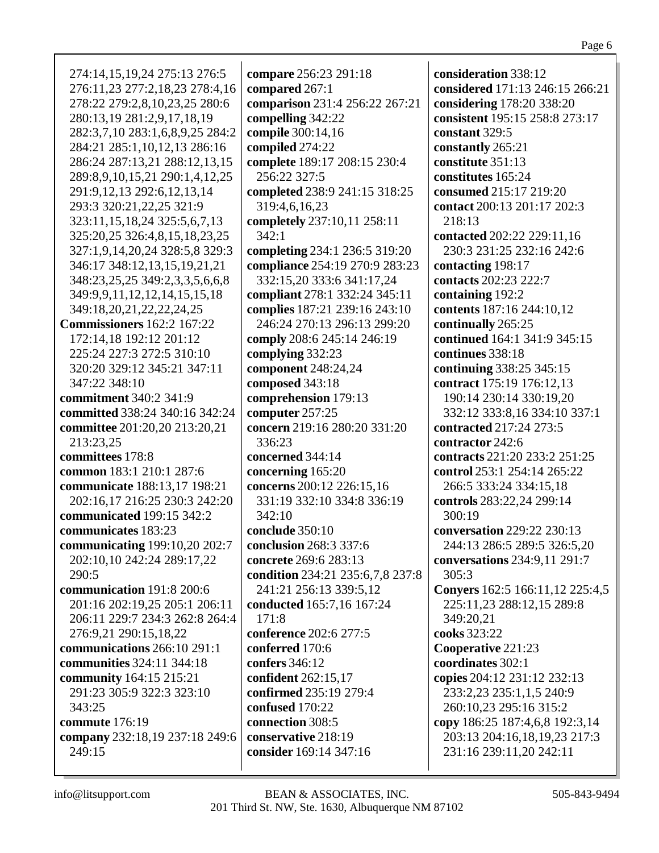| 274:14,15,19,24 275:13 276:5                                | compare 256:23 291:18                                  | consideration 338:12                  |
|-------------------------------------------------------------|--------------------------------------------------------|---------------------------------------|
| 276:11,23 277:2,18,23 278:4,16                              | compared 267:1                                         | considered 171:13 246:15 266:21       |
| 278:22 279:2,8,10,23,25 280:6                               | comparison 231:4 256:22 267:21                         | considering 178:20 338:20             |
| 280:13,19 281:2,9,17,18,19                                  | compelling 342:22                                      | consistent 195:15 258:8 273:17        |
|                                                             |                                                        |                                       |
| 282:3,7,10 283:1,6,8,9,25 284:2                             | compile 300:14,16                                      | constant 329:5                        |
| 284:21 285:1,10,12,13 286:16                                | compiled 274:22                                        | constantly 265:21                     |
| 286:24 287:13,21 288:12,13,15                               | complete 189:17 208:15 230:4                           | constitute 351:13                     |
| 289:8, 9, 10, 15, 21 290:1, 4, 12, 25                       | 256:22 327:5                                           | constitutes 165:24                    |
| 291:9,12,13 292:6,12,13,14                                  | completed 238:9 241:15 318:25                          | consumed 215:17 219:20                |
| 293:3 320:21,22,25 321:9                                    | 319:4,6,16,23                                          | contact 200:13 201:17 202:3           |
| 323:11, 15, 18, 24 325: 5, 6, 7, 13                         | completely 237:10,11 258:11                            | 218:13                                |
| 325:20,25 326:4,8,15,18,23,25                               | 342:1                                                  | contacted 202:22 229:11,16            |
| 327:1,9,14,20,24 328:5,8 329:3                              | completing 234:1 236:5 319:20                          | 230:3 231:25 232:16 242:6             |
| 346:17 348:12,13,15,19,21,21                                | compliance 254:19 270:9 283:23                         | contacting 198:17                     |
| 348:23,25,25 349:2,3,3,5,6,6,8                              | 332:15,20 333:6 341:17,24                              | contacts 202:23 222:7                 |
| 349:9,9,11,12,12,14,15,15,18                                | compliant 278:1 332:24 345:11                          | containing 192:2                      |
| 349:18,20,21,22,22,24,25                                    | complies 187:21 239:16 243:10                          | contents 187:16 244:10,12             |
| <b>Commissioners</b> 162:2 167:22                           | 246:24 270:13 296:13 299:20                            | continually 265:25                    |
| 172:14,18 192:12 201:12                                     | comply 208:6 245:14 246:19                             | continued 164:1 341:9 345:15          |
| 225:24 227:3 272:5 310:10                                   | complying 332:23                                       | continues 338:18                      |
| 320:20 329:12 345:21 347:11                                 | component 248:24,24                                    | continuing 338:25 345:15              |
| 347:22 348:10                                               | composed 343:18                                        | contract 175:19 176:12,13             |
| commitment 340:2 341:9                                      | comprehension 179:13                                   | 190:14 230:14 330:19,20               |
| committed 338:24 340:16 342:24                              | computer 257:25                                        | 332:12 333:8,16 334:10 337:1          |
| committee 201:20,20 213:20,21                               | concern 219:16 280:20 331:20                           | contracted 217:24 273:5               |
| 213:23,25                                                   | 336:23                                                 | contractor 242:6                      |
| committees 178:8                                            | concerned 344:14                                       | contracts 221:20 233:2 251:25         |
| common 183:1 210:1 287:6                                    | concerning 165:20                                      | control 253:1 254:14 265:22           |
| communicate 188:13,17 198:21                                | concerns 200:12 226:15,16                              | 266:5 333:24 334:15,18                |
| 202:16,17 216:25 230:3 242:20                               | 331:19 332:10 334:8 336:19                             | controls 283:22,24 299:14             |
| communicated 199:15 342:2                                   | 342:10                                                 | 300:19                                |
| communicates 183:23                                         | conclude 350:10                                        | <b>conversation</b> 229:22 230:13     |
|                                                             |                                                        |                                       |
| communicating 199:10,20 202:7<br>202:10,10 242:24 289:17,22 | <b>conclusion</b> 268:3 337:6<br>concrete 269:6 283:13 | 244:13 286:5 289:5 326:5,20           |
|                                                             | condition 234:21 235:6,7,8 237:8                       | conversations 234:9,11 291:7<br>305:3 |
| 290:5                                                       |                                                        |                                       |
| communication 191:8 200:6                                   | 241:21 256:13 339:5,12                                 | Conyers 162:5 166:11,12 225:4,5       |
| 201:16 202:19,25 205:1 206:11                               | conducted 165:7,16 167:24                              | 225:11,23 288:12,15 289:8             |
| 206:11 229:7 234:3 262:8 264:4                              | 171:8                                                  | 349:20,21                             |
| 276:9,21 290:15,18,22                                       | conference 202:6 277:5                                 | cooks 323:22                          |
| communications 266:10 291:1                                 | conferred 170:6                                        | Cooperative 221:23                    |
| <b>communities</b> 324:11 344:18                            | confers 346:12                                         | coordinates 302:1                     |
| community 164:15 215:21                                     | confident 262:15,17                                    | copies 204:12 231:12 232:13           |
| 291:23 305:9 322:3 323:10                                   | confirmed 235:19 279:4                                 | 233:2,23 235:1,1,5 240:9              |
| 343:25                                                      | confused 170:22                                        | 260:10,23 295:16 315:2                |
| commute 176:19                                              | connection 308:5                                       | copy 186:25 187:4,6,8 192:3,14        |
| company 232:18,19 237:18 249:6                              | conservative 218:19                                    | 203:13 204:16,18,19,23 217:3          |
| 249:15                                                      | consider 169:14 347:16                                 | 231:16 239:11,20 242:11               |
|                                                             |                                                        |                                       |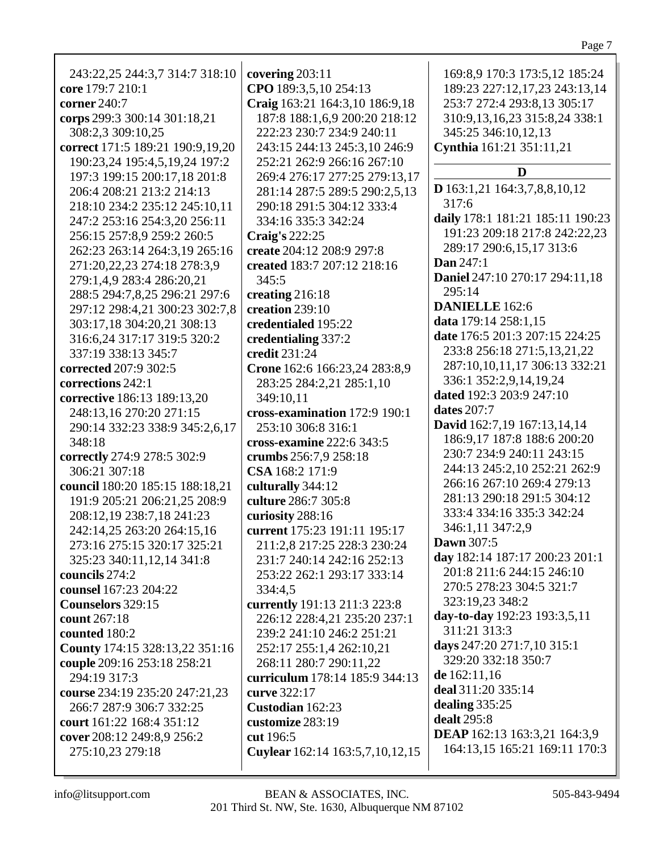| 243:22,25 244:3,7 314:7 318:10<br>core 179:7 210:1<br>corner 240:7<br>corps 299:3 300:14 301:18,21<br>308:2,3 309:10,25<br>correct 171:5 189:21 190:9,19,20<br>190:23,24 195:4,5,19,24 197:2<br>197:3 199:15 200:17,18 201:8<br>206:4 208:21 213:2 214:13<br>218:10 234:2 235:12 245:10,11<br>247:2 253:16 254:3,20 256:11<br>256:15 257:8,9 259:2 260:5<br>262:23 263:14 264:3,19 265:16<br>271:20,22,23 274:18 278:3,9<br>279:1,4,9 283:4 286:20,21<br>288:5 294:7,8,25 296:21 297:6<br>297:12 298:4,21 300:23 302:7,8<br>303:17,18 304:20,21 308:13<br>316:6,24 317:17 319:5 320:2<br>337:19 338:13 345:7<br>corrected 207:9 302:5<br>corrections 242:1<br>corrective 186:13 189:13,20<br>248:13,16 270:20 271:15<br>290:14 332:23 338:9 345:2,6,17<br>348:18<br>correctly 274:9 278:5 302:9<br>306:21 307:18<br>council 180:20 185:15 188:18,21<br>191:9 205:21 206:21,25 208:9<br>208:12,19 238:7,18 241:23 | covering 203:11<br>CPO 189:3,5,10 254:13<br>Craig 163:21 164:3,10 186:9,18<br>187:8 188:1,6,9 200:20 218:12<br>222:23 230:7 234:9 240:11<br>243:15 244:13 245:3,10 246:9<br>252:21 262:9 266:16 267:10<br>269:4 276:17 277:25 279:13,17<br>281:14 287:5 289:5 290:2,5,13<br>290:18 291:5 304:12 333:4<br>334:16 335:3 342:24<br><b>Craig's 222:25</b><br>create 204:12 208:9 297:8<br>created 183:7 207:12 218:16<br>345:5<br>creating 216:18<br>creation 239:10<br>credentialed 195:22<br>credentialing 337:2<br>credit 231:24<br>Crone 162:6 166:23,24 283:8,9<br>283:25 284:2,21 285:1,10<br>349:10,11<br>cross-examination 172:9 190:1<br>253:10 306:8 316:1<br>cross-examine 222:6 343:5<br>crumbs 256:7,9 258:18<br>CSA 168:2 171:9<br>culturally 344:12<br>culture 286:7 305:8 | 169:8,9 170:3 173:5,12 185:24<br>189:23 227:12,17,23 243:13,14<br>253:7 272:4 293:8,13 305:17<br>310:9,13,16,23 315:8,24 338:1<br>345:25 346:10,12,13<br>Cynthia 161:21 351:11,21<br>D<br>D 163:1,21 164:3,7,8,8,10,12<br>317:6<br>daily 178:1 181:21 185:11 190:23<br>191:23 209:18 217:8 242:22,23<br>289:17 290:6,15,17 313:6<br><b>Dan</b> 247:1<br>Daniel 247:10 270:17 294:11,18<br>295:14<br><b>DANIELLE</b> 162:6<br>data 179:14 258:1,15<br>date 176:5 201:3 207:15 224:25<br>233:8 256:18 271:5,13,21,22<br>287:10,10,11,17 306:13 332:21<br>336:1 352:2,9,14,19,24<br>dated 192:3 203:9 247:10<br>dates 207:7<br>David 162:7,19 167:13,14,14<br>186:9,17 187:8 188:6 200:20<br>230:7 234:9 240:11 243:15<br>244:13 245:2,10 252:21 262:9<br>266:16 267:10 269:4 279:13<br>281:13 290:18 291:5 304:12<br>333:4 334:16 335:3 342:24 |
|------------------------------------------------------------------------------------------------------------------------------------------------------------------------------------------------------------------------------------------------------------------------------------------------------------------------------------------------------------------------------------------------------------------------------------------------------------------------------------------------------------------------------------------------------------------------------------------------------------------------------------------------------------------------------------------------------------------------------------------------------------------------------------------------------------------------------------------------------------------------------------------------------------------|---------------------------------------------------------------------------------------------------------------------------------------------------------------------------------------------------------------------------------------------------------------------------------------------------------------------------------------------------------------------------------------------------------------------------------------------------------------------------------------------------------------------------------------------------------------------------------------------------------------------------------------------------------------------------------------------------------------------------------------------------------------------------------------|----------------------------------------------------------------------------------------------------------------------------------------------------------------------------------------------------------------------------------------------------------------------------------------------------------------------------------------------------------------------------------------------------------------------------------------------------------------------------------------------------------------------------------------------------------------------------------------------------------------------------------------------------------------------------------------------------------------------------------------------------------------------------------------------------------------------------------------------|
|                                                                                                                                                                                                                                                                                                                                                                                                                                                                                                                                                                                                                                                                                                                                                                                                                                                                                                                  |                                                                                                                                                                                                                                                                                                                                                                                                                                                                                                                                                                                                                                                                                                                                                                                       |                                                                                                                                                                                                                                                                                                                                                                                                                                                                                                                                                                                                                                                                                                                                                                                                                                              |
|                                                                                                                                                                                                                                                                                                                                                                                                                                                                                                                                                                                                                                                                                                                                                                                                                                                                                                                  |                                                                                                                                                                                                                                                                                                                                                                                                                                                                                                                                                                                                                                                                                                                                                                                       |                                                                                                                                                                                                                                                                                                                                                                                                                                                                                                                                                                                                                                                                                                                                                                                                                                              |
|                                                                                                                                                                                                                                                                                                                                                                                                                                                                                                                                                                                                                                                                                                                                                                                                                                                                                                                  |                                                                                                                                                                                                                                                                                                                                                                                                                                                                                                                                                                                                                                                                                                                                                                                       |                                                                                                                                                                                                                                                                                                                                                                                                                                                                                                                                                                                                                                                                                                                                                                                                                                              |
|                                                                                                                                                                                                                                                                                                                                                                                                                                                                                                                                                                                                                                                                                                                                                                                                                                                                                                                  |                                                                                                                                                                                                                                                                                                                                                                                                                                                                                                                                                                                                                                                                                                                                                                                       |                                                                                                                                                                                                                                                                                                                                                                                                                                                                                                                                                                                                                                                                                                                                                                                                                                              |
|                                                                                                                                                                                                                                                                                                                                                                                                                                                                                                                                                                                                                                                                                                                                                                                                                                                                                                                  |                                                                                                                                                                                                                                                                                                                                                                                                                                                                                                                                                                                                                                                                                                                                                                                       |                                                                                                                                                                                                                                                                                                                                                                                                                                                                                                                                                                                                                                                                                                                                                                                                                                              |
|                                                                                                                                                                                                                                                                                                                                                                                                                                                                                                                                                                                                                                                                                                                                                                                                                                                                                                                  |                                                                                                                                                                                                                                                                                                                                                                                                                                                                                                                                                                                                                                                                                                                                                                                       |                                                                                                                                                                                                                                                                                                                                                                                                                                                                                                                                                                                                                                                                                                                                                                                                                                              |
|                                                                                                                                                                                                                                                                                                                                                                                                                                                                                                                                                                                                                                                                                                                                                                                                                                                                                                                  |                                                                                                                                                                                                                                                                                                                                                                                                                                                                                                                                                                                                                                                                                                                                                                                       |                                                                                                                                                                                                                                                                                                                                                                                                                                                                                                                                                                                                                                                                                                                                                                                                                                              |
|                                                                                                                                                                                                                                                                                                                                                                                                                                                                                                                                                                                                                                                                                                                                                                                                                                                                                                                  |                                                                                                                                                                                                                                                                                                                                                                                                                                                                                                                                                                                                                                                                                                                                                                                       |                                                                                                                                                                                                                                                                                                                                                                                                                                                                                                                                                                                                                                                                                                                                                                                                                                              |
|                                                                                                                                                                                                                                                                                                                                                                                                                                                                                                                                                                                                                                                                                                                                                                                                                                                                                                                  |                                                                                                                                                                                                                                                                                                                                                                                                                                                                                                                                                                                                                                                                                                                                                                                       |                                                                                                                                                                                                                                                                                                                                                                                                                                                                                                                                                                                                                                                                                                                                                                                                                                              |
|                                                                                                                                                                                                                                                                                                                                                                                                                                                                                                                                                                                                                                                                                                                                                                                                                                                                                                                  |                                                                                                                                                                                                                                                                                                                                                                                                                                                                                                                                                                                                                                                                                                                                                                                       |                                                                                                                                                                                                                                                                                                                                                                                                                                                                                                                                                                                                                                                                                                                                                                                                                                              |
|                                                                                                                                                                                                                                                                                                                                                                                                                                                                                                                                                                                                                                                                                                                                                                                                                                                                                                                  |                                                                                                                                                                                                                                                                                                                                                                                                                                                                                                                                                                                                                                                                                                                                                                                       |                                                                                                                                                                                                                                                                                                                                                                                                                                                                                                                                                                                                                                                                                                                                                                                                                                              |
|                                                                                                                                                                                                                                                                                                                                                                                                                                                                                                                                                                                                                                                                                                                                                                                                                                                                                                                  |                                                                                                                                                                                                                                                                                                                                                                                                                                                                                                                                                                                                                                                                                                                                                                                       |                                                                                                                                                                                                                                                                                                                                                                                                                                                                                                                                                                                                                                                                                                                                                                                                                                              |
|                                                                                                                                                                                                                                                                                                                                                                                                                                                                                                                                                                                                                                                                                                                                                                                                                                                                                                                  |                                                                                                                                                                                                                                                                                                                                                                                                                                                                                                                                                                                                                                                                                                                                                                                       |                                                                                                                                                                                                                                                                                                                                                                                                                                                                                                                                                                                                                                                                                                                                                                                                                                              |
|                                                                                                                                                                                                                                                                                                                                                                                                                                                                                                                                                                                                                                                                                                                                                                                                                                                                                                                  |                                                                                                                                                                                                                                                                                                                                                                                                                                                                                                                                                                                                                                                                                                                                                                                       |                                                                                                                                                                                                                                                                                                                                                                                                                                                                                                                                                                                                                                                                                                                                                                                                                                              |
|                                                                                                                                                                                                                                                                                                                                                                                                                                                                                                                                                                                                                                                                                                                                                                                                                                                                                                                  |                                                                                                                                                                                                                                                                                                                                                                                                                                                                                                                                                                                                                                                                                                                                                                                       |                                                                                                                                                                                                                                                                                                                                                                                                                                                                                                                                                                                                                                                                                                                                                                                                                                              |
|                                                                                                                                                                                                                                                                                                                                                                                                                                                                                                                                                                                                                                                                                                                                                                                                                                                                                                                  |                                                                                                                                                                                                                                                                                                                                                                                                                                                                                                                                                                                                                                                                                                                                                                                       |                                                                                                                                                                                                                                                                                                                                                                                                                                                                                                                                                                                                                                                                                                                                                                                                                                              |
|                                                                                                                                                                                                                                                                                                                                                                                                                                                                                                                                                                                                                                                                                                                                                                                                                                                                                                                  | curiosity 288:16                                                                                                                                                                                                                                                                                                                                                                                                                                                                                                                                                                                                                                                                                                                                                                      | 346:1,11 347:2,9                                                                                                                                                                                                                                                                                                                                                                                                                                                                                                                                                                                                                                                                                                                                                                                                                             |
| 242:14,25 263:20 264:15,16                                                                                                                                                                                                                                                                                                                                                                                                                                                                                                                                                                                                                                                                                                                                                                                                                                                                                       | current 175:23 191:11 195:17                                                                                                                                                                                                                                                                                                                                                                                                                                                                                                                                                                                                                                                                                                                                                          | <b>Dawn</b> 307:5                                                                                                                                                                                                                                                                                                                                                                                                                                                                                                                                                                                                                                                                                                                                                                                                                            |
| 273:16 275:15 320:17 325:21                                                                                                                                                                                                                                                                                                                                                                                                                                                                                                                                                                                                                                                                                                                                                                                                                                                                                      | 211:2,8 217:25 228:3 230:24<br>231:7 240:14 242:16 252:13                                                                                                                                                                                                                                                                                                                                                                                                                                                                                                                                                                                                                                                                                                                             | day 182:14 187:17 200:23 201:1                                                                                                                                                                                                                                                                                                                                                                                                                                                                                                                                                                                                                                                                                                                                                                                                               |
| 325:23 340:11,12,14 341:8<br>councils 274:2                                                                                                                                                                                                                                                                                                                                                                                                                                                                                                                                                                                                                                                                                                                                                                                                                                                                      | 253:22 262:1 293:17 333:14                                                                                                                                                                                                                                                                                                                                                                                                                                                                                                                                                                                                                                                                                                                                                            | 201:8 211:6 244:15 246:10                                                                                                                                                                                                                                                                                                                                                                                                                                                                                                                                                                                                                                                                                                                                                                                                                    |
| counsel 167:23 204:22                                                                                                                                                                                                                                                                                                                                                                                                                                                                                                                                                                                                                                                                                                                                                                                                                                                                                            | 334:4,5                                                                                                                                                                                                                                                                                                                                                                                                                                                                                                                                                                                                                                                                                                                                                                               | 270:5 278:23 304:5 321:7                                                                                                                                                                                                                                                                                                                                                                                                                                                                                                                                                                                                                                                                                                                                                                                                                     |
| Counselors 329:15                                                                                                                                                                                                                                                                                                                                                                                                                                                                                                                                                                                                                                                                                                                                                                                                                                                                                                | currently 191:13 211:3 223:8                                                                                                                                                                                                                                                                                                                                                                                                                                                                                                                                                                                                                                                                                                                                                          | 323:19,23 348:2                                                                                                                                                                                                                                                                                                                                                                                                                                                                                                                                                                                                                                                                                                                                                                                                                              |
| count 267:18                                                                                                                                                                                                                                                                                                                                                                                                                                                                                                                                                                                                                                                                                                                                                                                                                                                                                                     | 226:12 228:4,21 235:20 237:1                                                                                                                                                                                                                                                                                                                                                                                                                                                                                                                                                                                                                                                                                                                                                          | day-to-day 192:23 193:3,5,11                                                                                                                                                                                                                                                                                                                                                                                                                                                                                                                                                                                                                                                                                                                                                                                                                 |
| counted 180:2                                                                                                                                                                                                                                                                                                                                                                                                                                                                                                                                                                                                                                                                                                                                                                                                                                                                                                    | 239:2 241:10 246:2 251:21                                                                                                                                                                                                                                                                                                                                                                                                                                                                                                                                                                                                                                                                                                                                                             | 311:21 313:3                                                                                                                                                                                                                                                                                                                                                                                                                                                                                                                                                                                                                                                                                                                                                                                                                                 |
| County 174:15 328:13,22 351:16                                                                                                                                                                                                                                                                                                                                                                                                                                                                                                                                                                                                                                                                                                                                                                                                                                                                                   | 252:17 255:1,4 262:10,21                                                                                                                                                                                                                                                                                                                                                                                                                                                                                                                                                                                                                                                                                                                                                              | days 247:20 271:7,10 315:1                                                                                                                                                                                                                                                                                                                                                                                                                                                                                                                                                                                                                                                                                                                                                                                                                   |
| couple 209:16 253:18 258:21                                                                                                                                                                                                                                                                                                                                                                                                                                                                                                                                                                                                                                                                                                                                                                                                                                                                                      | 268:11 280:7 290:11,22                                                                                                                                                                                                                                                                                                                                                                                                                                                                                                                                                                                                                                                                                                                                                                | 329:20 332:18 350:7                                                                                                                                                                                                                                                                                                                                                                                                                                                                                                                                                                                                                                                                                                                                                                                                                          |
| 294:19 317:3                                                                                                                                                                                                                                                                                                                                                                                                                                                                                                                                                                                                                                                                                                                                                                                                                                                                                                     | curriculum 178:14 185:9 344:13                                                                                                                                                                                                                                                                                                                                                                                                                                                                                                                                                                                                                                                                                                                                                        | de 162:11,16                                                                                                                                                                                                                                                                                                                                                                                                                                                                                                                                                                                                                                                                                                                                                                                                                                 |
| course 234:19 235:20 247:21,23                                                                                                                                                                                                                                                                                                                                                                                                                                                                                                                                                                                                                                                                                                                                                                                                                                                                                   | curve 322:17                                                                                                                                                                                                                                                                                                                                                                                                                                                                                                                                                                                                                                                                                                                                                                          | deal 311:20 335:14                                                                                                                                                                                                                                                                                                                                                                                                                                                                                                                                                                                                                                                                                                                                                                                                                           |
| 266:7 287:9 306:7 332:25                                                                                                                                                                                                                                                                                                                                                                                                                                                                                                                                                                                                                                                                                                                                                                                                                                                                                         | Custodian 162:23                                                                                                                                                                                                                                                                                                                                                                                                                                                                                                                                                                                                                                                                                                                                                                      | dealing 335:25                                                                                                                                                                                                                                                                                                                                                                                                                                                                                                                                                                                                                                                                                                                                                                                                                               |
| court 161:22 168:4 351:12                                                                                                                                                                                                                                                                                                                                                                                                                                                                                                                                                                                                                                                                                                                                                                                                                                                                                        | customize 283:19                                                                                                                                                                                                                                                                                                                                                                                                                                                                                                                                                                                                                                                                                                                                                                      | dealt 295:8                                                                                                                                                                                                                                                                                                                                                                                                                                                                                                                                                                                                                                                                                                                                                                                                                                  |
| cover 208:12 249:8,9 256:2                                                                                                                                                                                                                                                                                                                                                                                                                                                                                                                                                                                                                                                                                                                                                                                                                                                                                       | cut 196:5                                                                                                                                                                                                                                                                                                                                                                                                                                                                                                                                                                                                                                                                                                                                                                             | <b>DEAP</b> 162:13 163:3,21 164:3,9                                                                                                                                                                                                                                                                                                                                                                                                                                                                                                                                                                                                                                                                                                                                                                                                          |
| 275:10,23 279:18                                                                                                                                                                                                                                                                                                                                                                                                                                                                                                                                                                                                                                                                                                                                                                                                                                                                                                 | Cuylear 162:14 163:5,7,10,12,15                                                                                                                                                                                                                                                                                                                                                                                                                                                                                                                                                                                                                                                                                                                                                       | 164:13,15 165:21 169:11 170:3                                                                                                                                                                                                                                                                                                                                                                                                                                                                                                                                                                                                                                                                                                                                                                                                                |
|                                                                                                                                                                                                                                                                                                                                                                                                                                                                                                                                                                                                                                                                                                                                                                                                                                                                                                                  |                                                                                                                                                                                                                                                                                                                                                                                                                                                                                                                                                                                                                                                                                                                                                                                       |                                                                                                                                                                                                                                                                                                                                                                                                                                                                                                                                                                                                                                                                                                                                                                                                                                              |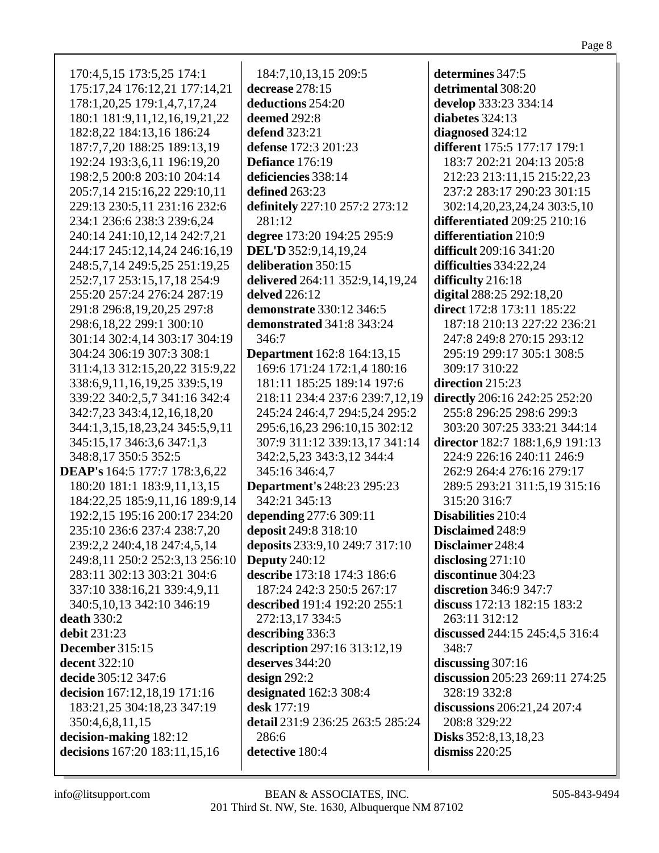| 170:4,5,15 173:5,25 174:1            | 184:7, 10, 13, 15 209:5           | determines 347:5                |
|--------------------------------------|-----------------------------------|---------------------------------|
| 175:17,24 176:12,21 177:14,21        | decrease 278:15                   | detrimental 308:20              |
| 178:1,20,25 179:1,4,7,17,24          | deductions 254:20                 | develop 333:23 334:14           |
| 180:1 181:9,11,12,16,19,21,22        | deemed 292:8                      | diabetes 324:13                 |
| 182:8,22 184:13,16 186:24            | defend 323:21                     | diagnosed 324:12                |
| 187:7,7,20 188:25 189:13,19          | defense 172:3 201:23              | different 175:5 177:17 179:1    |
| 192:24 193:3,6,11 196:19,20          | Defiance 176:19                   | 183:7 202:21 204:13 205:8       |
| 198:2,5 200:8 203:10 204:14          | deficiencies 338:14               | 212:23 213:11,15 215:22,23      |
| 205:7,14 215:16,22 229:10,11         | defined 263:23                    | 237:2 283:17 290:23 301:15      |
| 229:13 230:5,11 231:16 232:6         | definitely 227:10 257:2 273:12    | 302:14,20,23,24,24 303:5,10     |
| 234:1 236:6 238:3 239:6,24           | 281:12                            | differentiated 209:25 210:16    |
| 240:14 241:10,12,14 242:7,21         | degree 173:20 194:25 295:9        | differentiation 210:9           |
| 244:17 245:12,14,24 246:16,19        | DEL'D 352:9,14,19,24              | difficult 209:16 341:20         |
| 248:5,7,14 249:5,25 251:19,25        | deliberation 350:15               | difficulties 334:22,24          |
| 252:7,17 253:15,17,18 254:9          | delivered 264:11 352:9,14,19,24   | difficulty 216:18               |
| 255:20 257:24 276:24 287:19          | delved 226:12                     | digital 288:25 292:18,20        |
| 291:8 296:8,19,20,25 297:8           | demonstrate 330:12 346:5          | direct 172:8 173:11 185:22      |
| 298:6,18,22 299:1 300:10             | demonstrated 341:8 343:24         | 187:18 210:13 227:22 236:21     |
| 301:14 302:4,14 303:17 304:19        | 346:7                             | 247:8 249:8 270:15 293:12       |
| 304:24 306:19 307:3 308:1            | <b>Department</b> 162:8 164:13,15 | 295:19 299:17 305:1 308:5       |
| 311:4,13 312:15,20,22 315:9,22       | 169:6 171:24 172:1,4 180:16       | 309:17 310:22                   |
| 338:6, 9, 11, 16, 19, 25 339: 5, 19  | 181:11 185:25 189:14 197:6        | direction 215:23                |
| 339:22 340:2,5,7 341:16 342:4        | 218:11 234:4 237:6 239:7,12,19    | directly 206:16 242:25 252:20   |
| 342:7,23 343:4,12,16,18,20           | 245:24 246:4,7 294:5,24 295:2     | 255:8 296:25 298:6 299:3        |
| 344:1,3,15,18,23,24 345:5,9,11       | 295:6,16,23 296:10,15 302:12      | 303:20 307:25 333:21 344:14     |
| 345:15,17 346:3,6 347:1,3            | 307:9 311:12 339:13,17 341:14     | director 182:7 188:1,6,9 191:13 |
| 348:8,17 350:5 352:5                 | 342:2,5,23 343:3,12 344:4         | 224:9 226:16 240:11 246:9       |
| <b>DEAP's</b> 164:5 177:7 178:3,6,22 | 345:16 346:4,7                    | 262:9 264:4 276:16 279:17       |
| 180:20 181:1 183:9,11,13,15          | <b>Department's 248:23 295:23</b> | 289:5 293:21 311:5,19 315:16    |
| 184:22,25 185:9,11,16 189:9,14       | 342:21 345:13                     | 315:20 316:7                    |
| 192:2,15 195:16 200:17 234:20        | depending 277:6 309:11            | Disabilities 210:4              |
| 235:10 236:6 237:4 238:7,20          | deposit 249:8 318:10              | Disclaimed 248:9                |
| 239:2,2 240:4,18 247:4,5,14          | deposits 233:9,10 249:7 317:10    | Disclaimer 248:4                |
| 249:8,11 250:2 252:3,13 256:10       | <b>Deputy</b> 240:12              | disclosing $271:10$             |
| 283:11 302:13 303:21 304:6           | describe 173:18 174:3 186:6       | discontinue 304:23              |
| 337:10 338:16,21 339:4,9,11          | 187:24 242:3 250:5 267:17         | discretion 346:9 347:7          |
| 340:5, 10, 13 342: 10 346: 19        | described 191:4 192:20 255:1      | discuss 172:13 182:15 183:2     |
| death $330:2$                        | 272:13,17 334:5                   | 263:11 312:12                   |
| debit 231:23                         | describing 336:3                  | discussed 244:15 245:4,5 316:4  |
| December 315:15                      | description 297:16 313:12,19      | 348:7                           |
| <b>decent</b> 322:10                 | deserves 344:20                   | discussing 307:16               |
| decide 305:12 347:6                  | design $292:2$                    | discussion 205:23 269:11 274:25 |
| decision 167:12,18,19 171:16         | designated 162:3 308:4            | 328:19 332:8                    |
| 183:21,25 304:18,23 347:19           | desk 177:19                       | discussions 206:21,24 207:4     |
| 350:4,6,8,11,15                      | detail 231:9 236:25 263:5 285:24  | 208:8 329:22                    |
| decision-making 182:12               | 286:6                             | <b>Disks</b> 352:8, 13, 18, 23  |
| decisions 167:20 183:11,15,16        | detective 180:4                   | dismiss $220:25$                |
|                                      |                                   |                                 |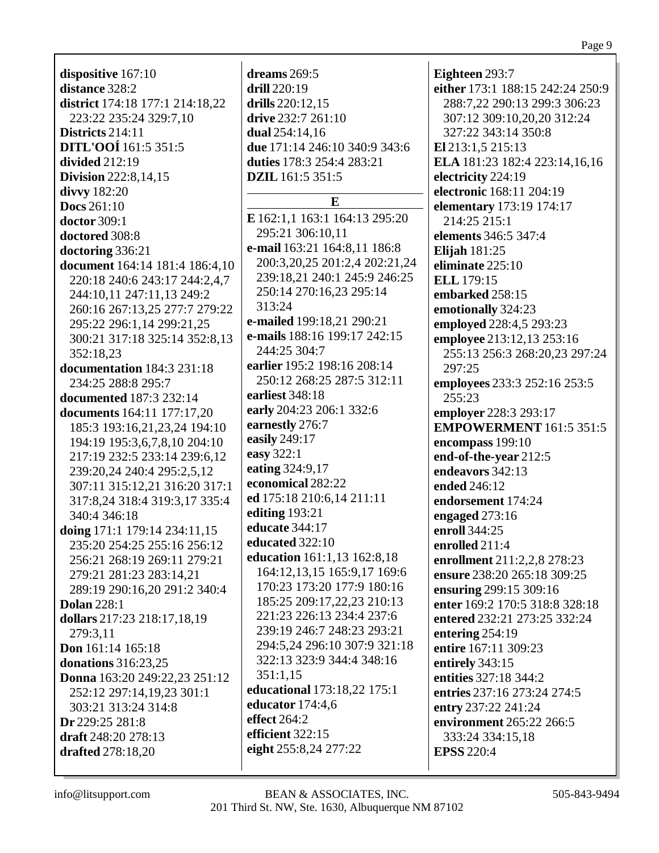| dispositive 167:10                |
|-----------------------------------|
| distance 328:2                    |
| district 174:18 177:1 214:18,22   |
| 223:22 235:24 329:7,10            |
| Districts 214:11                  |
|                                   |
| DITL'OOÍ 161:5 351:5              |
| divided 212:19                    |
| <b>Division</b> 222:8,14,15       |
| divvy 182:20                      |
| <b>Docs</b> 261:10                |
| doctor 309:1                      |
| doctored 308:8                    |
| doctoring 336:21                  |
|                                   |
| document 164:14 181:4 186:4,10    |
| 220:18 240:6 243:17 244:2,4,7     |
| 244:10,11 247:11,13 249:2         |
| 260:16 267:13,25 277:7 279:22     |
| 295:22 296:1,14 299:21,25         |
| 300:21 317:18 325:14 352:8,13     |
| 352:18,23                         |
| documentation 184:3 231:18        |
| 234:25 288:8 295:7                |
| documented 187:3 232:14           |
|                                   |
| <b>documents</b> 164:11 177:17,20 |
| 185:3 193:16,21,23,24 194:10      |
| 194:19 195:3,6,7,8,10 204:10      |
| 217:19 232:5 233:14 239:6,12      |
| 239:20,24 240:4 295:2,5,12        |
| 307:11 315:12,21 316:20 317:1     |
| 317:8,24 318:4 319:3,17 335:4     |
| 340:4 346:18                      |
|                                   |
| doing 171:1 179:14 234:11,15      |
| 235:20 254:25 255:16 256:12       |
| 256:21 268:19 269:11 279:21       |
| 279:21 281:23 283:14,21           |
| 289:19 290:16,20 291:2 340:4      |
| <b>Dolan</b> 228:1                |
| dollars 217:23 218:17,18,19       |
| 279:3,11                          |
| Don 161:14 165:18                 |
|                                   |
| donations 316:23,25               |
| Donna 163:20 249:22,23 251:12     |
| 252:12 297:14,19,23 301:1         |
| 303:21 313:24 314:8               |
| Dr 229:25 281:8                   |
| draft 248:20 278:13               |
| drafted 278:18,20                 |
|                                   |

dreams  $269:5$ drill  $220:19$ drills  $220:12.15$ drive 232:7 261:10 dual  $254:14.16$ due 171:14 246:10 340:9 343:6 duties 178:3 254:4 283:21 **DZIL** 161:5 351:5  $\mathbf{E}$ E 162:1,1 163:1 164:13 295:20 295:21 306:10.11 e-mail 163:21 164:8,11 186:8 200:3,20,25 201:2,4 202:21,24 239:18.21 240:1 245:9 246:25 250:14 270:16,23 295:14 313:24 **e-mailed** 199:18.21 290:21 e-mails 188:16 199:17 242:15 244:25 304:7 earlier 195:2 198:16 208:14 250:12 268:25 287:5 312:11 earliest 348:18 early 204:23 206:1 332:6 earnestly 276:7 easily 249:17 easy 322:1 eating 324:9,17 economical 282:22 ed 175:18 210:6,14 211:11 editing  $193:21$ educate 344:17 educated  $322:10$ education 161:1,13 162:8,18 164:12,13,15 165:9,17 169:6 170:23 173:20 177:9 180:16 185:25 209:17,22,23 210:13 221:23 226:13 234:4 237:6 239:19 246:7 248:23 293:21 294:5,24 296:10 307:9 321:18 322:13 323:9 344:4 348:16  $351:1,15$ educational 173:18,22 175:1 **educator** 174:4,6 effect  $264:2$ efficient  $322:15$ eight 255:8,24 277:22

Eighteen 293:7 either 173:1 188:15 242:24 250:9 288:7,22 290:13 299:3 306:23 307:12 309:10,20,20 312:24 327:22 343:14 350:8 El 213:1,5 215:13 ELA 181:23 182:4 223:14,16,16 electricity 224:19 electronic 168:11 204:19 elementary 173:19 174:17 214:25 215:1 elements 346:5 347:4 **Elijah** 181:25 eliminate  $225:10$ **ELL** 179:15 embarked 258:15 emotionally 324:23 employed 228:4,5 293:23 employee 213:12,13 253:16 255:13 256:3 268:20,23 297:24 297:25 employees 233:3 252:16 253:5 255:23 employer 228:3 293:17 **EMPOWERMENT** 161:5 351:5 encompass  $199:10$ end-of-the-year 212:5 endeavors 342:13 ended 246:12 endorsement 174:24 engaged  $273:16$ enroll 344:25 enrolled 211:4 enrollment 211:2,2,8 278:23 ensure 238:20 265:18 309:25 ensuring 299:15 309:16 enter 169:2 170:5 318:8 328:18 entered 232:21 273:25 332:24 entering  $254:19$ entire 167:11 309:23 entirely 343:15 entities 327:18 344:2 entries 237:16 273:24 274:5 entry 237:22 241:24 environment 265:22 266:5 333:24 334:15.18 **EPSS 220:4**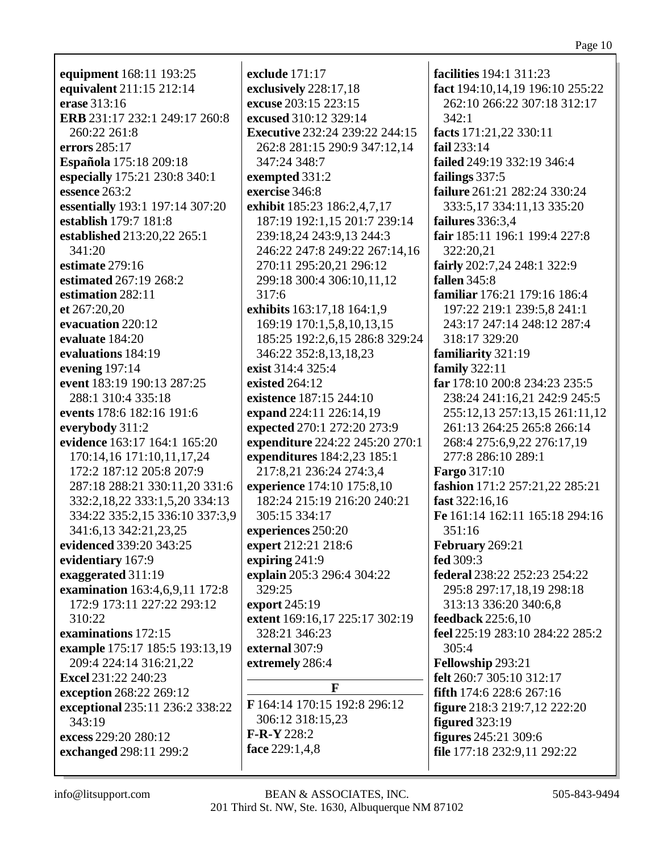equipment 168:11 193:25 equivalent 211:15 212:14 erase 313:16 ERB 231:17 232:1 249:17 260:8 260:22 261:8 errors 285:17 Española 175:18 209:18 especially 175:21 230:8 340:1 essence 263:2 essentially 193:1 197:14 307:20 establish 179:7 181:8 established 213:20.22 265:1  $341:20$ estimate  $279:16$ estimated 267:19 268:2 estimation 282:11  $et 267:20.20$ evacuation 220:12 evaluate 184:20 evaluations 184:19 evening  $197:14$ event 183:19 190:13 287:25 288:1 310:4 335:18 events 178:6 182:16 191:6 everybody 311:2 evidence 163:17 164:1 165:20 170:14.16 171:10.11.17.24 172:2 187:12 205:8 207:9 287:18 288:21 330:11,20 331:6 332:2,18,22 333:1,5,20 334:13 334:22 335:2,15 336:10 337:3,9 341:6,13 342:21,23,25 evidenced 339:20 343:25 evidentiary 167:9 exaggerated 311:19 examination 163:4,6,9,11 172:8 172:9 173:11 227:22 293:12 310:22 examinations 172:15 example 175:17 185:5 193:13,19 209:4 224:14 316:21,22 Excel 231:22 240:23 exception 268:22 269:12 exceptional 235:11 236:2 338:22  $343:19$ excess  $229:20.280:12$ exchanged 298:11 299:2

exclude 171:17 exclusively 228:17,18 excuse 203:15 223:15 excused 310:12 329:14 **Executive 232:24 239:22 244:15** 262:8 281:15 290:9 347:12,14 347:24 348:7 exempted 331:2 exercise 346:8 exhibit 185:23 186:2,4,7,17 187:19 192:1.15 201:7 239:14 239:18.24 243:9.13 244:3 246:22 247:8 249:22 267:14,16 270:11 295:20,21 296:12 299:18 300:4 306:10,11,12  $317:6$ exhibits 163:17,18 164:1,9 169:19 170:1,5,8,10,13,15 185:25 192:2,6,15 286:8 329:24 346:22 352:8,13,18,23 exist 314:4 325:4 existed  $264:12$ existence 187:15 244:10 expand 224:11 226:14,19 expected 270:1 272:20 273:9 expenditure 224:22 245:20 270:1 expenditures 184:2,23 185:1 217:8,21 236:24 274:3,4 experience 174:10 175:8,10 182:24 215:19 216:20 240:21 305:15 334:17 experiences 250:20 expert 212:21 218:6 expiring  $241:9$ explain 205:3 296:4 304:22 329:25 export 245:19 extent 169:16,17 225:17 302:19 328:21 346:23 external 307:9 extremely 286:4  $\mathbf{F}$ F 164:14 170:15 192:8 296:12 306:12 318:15.23  $F-R-Y 228:2$ face 229:1,4,8

**facilities** 194:1 311:23 fact 194:10,14,19 196:10 255:22 262:10 266:22 307:18 312:17  $342:1$ facts 171:21,22 330:11 fail 233:14 failed 249:19 332:19 346:4 failings 337:5 failure 261:21 282:24 330:24 333:5,17 334:11,13 335:20 failures  $336:3.4$ fair 185:11 196:1 199:4 227:8 322:20,21 fairly 202:7,24 248:1 322:9 fallen  $345:8$ familiar 176:21 179:16 186:4 197:22 219:1 239:5.8 241:1 243:17 247:14 248:12 287:4 318:17 329:20 familiarity 321:19 family 322:11 far 178:10 200:8 234:23 235:5 238:24 241:16.21 242:9 245:5 255:12,13 257:13,15 261:11,12 261:13 264:25 265:8 266:14 268:4 275:6,9,22 276:17,19 277:8 286:10 289:1 **Fargo** 317:10 fashion 171:2 257:21,22 285:21 fast  $322:16,16$ Fe 161:14 162:11 165:18 294:16  $351:16$ February 269:21 fed  $309:3$ federal 238:22 252:23 254:22 295:8 297:17,18,19 298:18 313:13 336:20 340:6,8 feedback  $225:6,10$ feel 225:19 283:10 284:22 285:2  $305:4$ Fellowship 293:21 felt 260:7 305:10 312:17 fifth 174:6 228:6 267:16 **figure** 218:3 219:7,12 222:20 **figured** 323:19 **figures** 245:21 309:6 file 177:18 232:9,11 292:22

## info@litsupport.com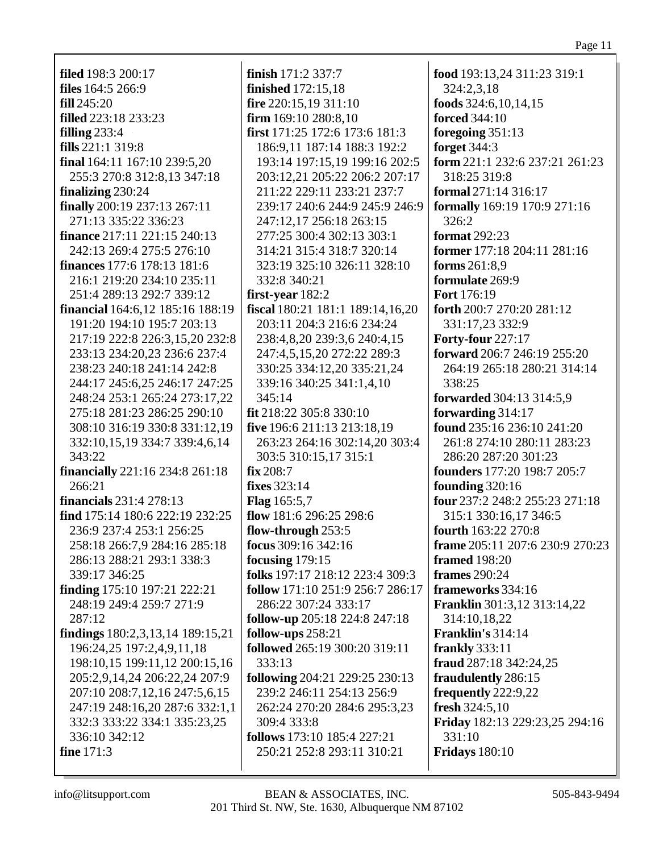| <b>filed</b> 198:3 200:17              | finish 171:2 337:7                 | food 193:13,24 311:23 319:1            |
|----------------------------------------|------------------------------------|----------------------------------------|
| files 164:5 266:9                      | <b>finished</b> 172:15,18          | 324:2,3,18                             |
| fill 245:20                            | fire $220:15,19311:10$             | foods $324:6,10,14,15$                 |
| <b>filled</b> 223:18 233:23            | firm $169:10280:8,10$              | <b>forced</b> 344:10                   |
| filling $233:4$                        | first 171:25 172:6 173:6 181:3     | foregoing 351:13                       |
| fills $221:1$ 319:8                    | 186:9,11 187:14 188:3 192:2        | <b>forget</b> 344:3                    |
| final 164:11 167:10 239:5,20           | 193:14 197:15,19 199:16 202:5      | form 221:1 232:6 237:21 261:23         |
| 255:3 270:8 312:8,13 347:18            | 203:12,21 205:22 206:2 207:17      | 318:25 319:8                           |
| finalizing 230:24                      | 211:22 229:11 233:21 237:7         | formal 271:14 316:17                   |
| finally 200:19 237:13 267:11           | 239:17 240:6 244:9 245:9 246:9     | formally 169:19 170:9 271:16           |
| 271:13 335:22 336:23                   | 247:12,17 256:18 263:15            | 326:2                                  |
| <b>finance</b> 217:11 221:15 240:13    | 277:25 300:4 302:13 303:1          | <b>format</b> 292:23                   |
| 242:13 269:4 275:5 276:10              | 314:21 315:4 318:7 320:14          | former 177:18 204:11 281:16            |
| <b>finances</b> 177:6 178:13 181:6     | 323:19 325:10 326:11 328:10        | forms 261:8,9                          |
| 216:1 219:20 234:10 235:11             | 332:8 340:21                       | formulate 269:9                        |
| 251:4 289:13 292:7 339:12              | first-year $182:2$                 | Fort 176:19                            |
| financial 164:6,12 185:16 188:19       | fiscal 180:21 181:1 189:14,16,20   | forth 200:7 270:20 281:12              |
| 191:20 194:10 195:7 203:13             | 203:11 204:3 216:6 234:24          | 331:17,23 332:9                        |
| 217:19 222:8 226:3,15,20 232:8         | 238:4,8,20 239:3,6 240:4,15        | <b>Forty-four 227:17</b>               |
| 233:13 234:20,23 236:6 237:4           | 247:4,5,15,20 272:22 289:3         | forward 206:7 246:19 255:20            |
| 238:23 240:18 241:14 242:8             | 330:25 334:12,20 335:21,24         | 264:19 265:18 280:21 314:14            |
| 244:17 245:6,25 246:17 247:25          | 339:16 340:25 341:1,4,10           | 338:25                                 |
| 248:24 253:1 265:24 273:17,22          | 345:14                             | forwarded 304:13 314:5,9               |
| 275:18 281:23 286:25 290:10            | fit 218:22 305:8 330:10            | forwarding 314:17                      |
| 308:10 316:19 330:8 331:12,19          | five 196:6 211:13 213:18,19        | found 235:16 236:10 241:20             |
| 332:10,15,19 334:7 339:4,6,14          | 263:23 264:16 302:14,20 303:4      | 261:8 274:10 280:11 283:23             |
| 343:22                                 | 303:5 310:15,17 315:1              | 286:20 287:20 301:23                   |
| <b>financially</b> 221:16 234:8 261:18 | fix 208:7                          | founders 177:20 198:7 205:7            |
| 266:21                                 | fixes 323:14                       | founding 320:16                        |
| <b>financials</b> 231:4 278:13         | <b>Flag</b> 165:5,7                | four 237:2 248:2 255:23 271:18         |
| find 175:14 180:6 222:19 232:25        | flow 181:6 296:25 298:6            | 315:1 330:16,17 346:5                  |
| 236:9 237:4 253:1 256:25               | flow-through 253:5                 | fourth 163:22 270:8                    |
| 258:18 266:7,9 284:16 285:18           | focus 309:16 342:16                | <b>frame</b> 205:11 207:6 230:9 270:23 |
| 286:13 288:21 293:1 338:3              | focusing $179:15$                  | <b>framed</b> 198:20                   |
| 339:17 346:25                          | folks 197:17 218:12 223:4 309:3    | <b>frames</b> 290:24                   |
| <b>finding</b> 175:10 197:21 222:21    | follow 171:10 251:9 256:7 286:17   | frameworks 334:16                      |
| 248:19 249:4 259:7 271:9               | 286:22 307:24 333:17               | <b>Franklin</b> 301:3,12 313:14,22     |
| 287:12                                 | follow-up 205:18 224:8 247:18      | 314:10,18,22                           |
| findings 180:2,3,13,14 189:15,21       | follow-ups 258:21                  | <b>Franklin's 314:14</b>               |
| 196:24,25 197:2,4,9,11,18              | followed 265:19 300:20 319:11      | frankly 333:11                         |
| 198:10,15 199:11,12 200:15,16          | 333:13                             | fraud 287:18 342:24,25                 |
| 205:2,9,14,24 206:22,24 207:9          | following 204:21 229:25 230:13     | fraudulently 286:15                    |
| 207:10 208:7,12,16 247:5,6,15          | 239:2 246:11 254:13 256:9          | frequently 222:9,22                    |
| 247:19 248:16,20 287:6 332:1,1         | 262:24 270:20 284:6 295:3,23       | fresh $324:5,10$                       |
| 332:3 333:22 334:1 335:23,25           | 309:4 333:8                        | Friday 182:13 229:23,25 294:16         |
| 336:10 342:12                          | <b>follows</b> 173:10 185:4 227:21 | 331:10                                 |
| <b>fine</b> 171:3                      | 250:21 252:8 293:11 310:21         | <b>Fridays</b> 180:10                  |
|                                        |                                    |                                        |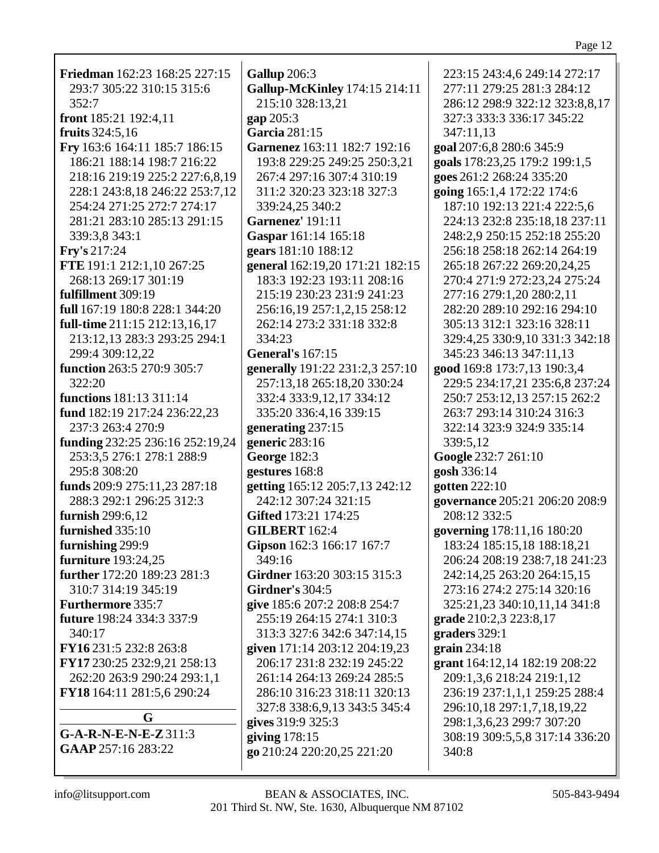| Friedman 162:23 168:25 227:15   |                                      |                                |
|---------------------------------|--------------------------------------|--------------------------------|
|                                 | <b>Gallup</b> 206:3                  | 223:15 243:4,6 249:14 272:17   |
| 293:7 305:22 310:15 315:6       | <b>Gallup-McKinley</b> 174:15 214:11 | 277:11 279:25 281:3 284:12     |
| 352:7                           | 215:10 328:13,21                     | 286:12 298:9 322:12 323:8,8,17 |
| front 185:21 192:4,11           | gap 205:3                            | 327:3 333:3 336:17 345:22      |
| fruits $324:5,16$               | Garcia 281:15                        | 347:11,13                      |
| Fry 163:6 164:11 185:7 186:15   | Garnenez 163:11 182:7 192:16         | goal 207:6,8 280:6 345:9       |
| 186:21 188:14 198:7 216:22      | 193:8 229:25 249:25 250:3,21         | goals 178:23,25 179:2 199:1,5  |
| 218:16 219:19 225:2 227:6,8,19  | 267:4 297:16 307:4 310:19            | goes 261:2 268:24 335:20       |
| 228:1 243:8,18 246:22 253:7,12  | 311:2 320:23 323:18 327:3            | going 165:1,4 172:22 174:6     |
| 254:24 271:25 272:7 274:17      | 339:24,25 340:2                      | 187:10 192:13 221:4 222:5,6    |
| 281:21 283:10 285:13 291:15     | <b>Garnenez'</b> 191:11              | 224:13 232:8 235:18,18 237:11  |
| 339:3,8 343:1                   | Gaspar 161:14 165:18                 | 248:2,9 250:15 252:18 255:20   |
| Fry's 217:24                    | gears 181:10 188:12                  | 256:18 258:18 262:14 264:19    |
| FTE 191:1 212:1,10 267:25       | general 162:19,20 171:21 182:15      | 265:18 267:22 269:20,24,25     |
| 268:13 269:17 301:19            | 183:3 192:23 193:11 208:16           | 270:4 271:9 272:23,24 275:24   |
| fulfillment 309:19              | 215:19 230:23 231:9 241:23           | 277:16 279:1,20 280:2,11       |
| full 167:19 180:8 228:1 344:20  | 256:16,19 257:1,2,15 258:12          | 282:20 289:10 292:16 294:10    |
| full-time 211:15 212:13,16,17   | 262:14 273:2 331:18 332:8            | 305:13 312:1 323:16 328:11     |
| 213:12,13 283:3 293:25 294:1    | 334:23                               | 329:4,25 330:9,10 331:3 342:18 |
| 299:4 309:12,22                 | <b>General's</b> 167:15              | 345:23 346:13 347:11,13        |
| function 263:5 270:9 305:7      | generally 191:22 231:2,3 257:10      | good 169:8 173:7,13 190:3,4    |
| 322:20                          | 257:13,18 265:18,20 330:24           | 229:5 234:17,21 235:6,8 237:24 |
| <b>functions</b> 181:13 311:14  | 332:4 333:9,12,17 334:12             | 250:7 253:12,13 257:15 262:2   |
| fund 182:19 217:24 236:22,23    | 335:20 336:4,16 339:15               | 263:7 293:14 310:24 316:3      |
| 237:3 263:4 270:9               | generating 237:15                    | 322:14 323:9 324:9 335:14      |
| funding 232:25 236:16 252:19,24 | generic 283:16                       | 339:5,12                       |
| 253:3,5 276:1 278:1 288:9       | <b>George 182:3</b>                  | Google 232:7 261:10            |
| 295:8 308:20                    | gestures 168:8                       | gosh 336:14                    |
| funds 209:9 275:11,23 287:18    | getting 165:12 205:7,13 242:12       | gotten 222:10                  |
| 288:3 292:1 296:25 312:3        | 242:12 307:24 321:15                 | governance 205:21 206:20 208:9 |
| furnish 299:6,12                | Gifted 173:21 174:25                 |                                |
|                                 |                                      | 208:12 332:5                   |
| <b>furnished</b> 335:10         | <b>GILBERT</b> 162:4                 | governing 178:11,16 180:20     |
| furnishing 299:9                | Gipson 162:3 166:17 167:7            | 183:24 185:15,18 188:18,21     |
| furniture 193:24,25             | 349:16                               | 206:24 208:19 238:7,18 241:23  |
| further 172:20 189:23 281:3     | Girdner 163:20 303:15 315:3          | 242:14,25 263:20 264:15,15     |
| 310:7 314:19 345:19             | <b>Girdner's 304:5</b>               | 273:16 274:2 275:14 320:16     |
| Furthermore 335:7               | give 185:6 207:2 208:8 254:7         | 325:21,23 340:10,11,14 341:8   |
| future 198:24 334:3 337:9       | 255:19 264:15 274:1 310:3            | grade 210:2,3 223:8,17         |
| 340:17                          | 313:3 327:6 342:6 347:14,15          | graders 329:1                  |
| FY16 231:5 232:8 263:8          | given 171:14 203:12 204:19,23        | grain $234:18$                 |
| FY17 230:25 232:9,21 258:13     | 206:17 231:8 232:19 245:22           | grant 164:12,14 182:19 208:22  |
| 262:20 263:9 290:24 293:1,1     | 261:14 264:13 269:24 285:5           | 209:1,3,6 218:24 219:1,12      |
| FY18 164:11 281:5,6 290:24      | 286:10 316:23 318:11 320:13          | 236:19 237:1,1,1 259:25 288:4  |
|                                 | 327:8 338:6, 9, 13 343:5 345:4       | 296:10,18 297:1,7,18,19,22     |
| G                               | gives 319:9 325:3                    | 298:1,3,6,23 299:7 307:20      |
| $G-A-R-N-E-N-E-Z311:3$          | giving $178:15$                      | 308:19 309:5,5,8 317:14 336:20 |
| GAAP 257:16 283:22              | go 210:24 220:20,25 221:20           | 340:8                          |
|                                 |                                      |                                |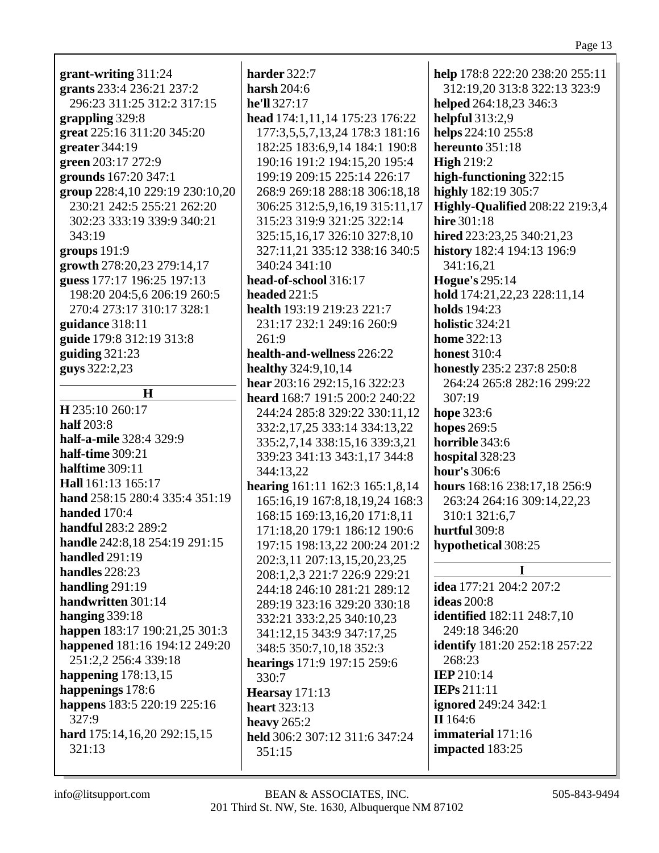| grant-writing 311:24                 | harder 322:7                    | help 178:8 222:20 238:20 255:11      |
|--------------------------------------|---------------------------------|--------------------------------------|
| grants 233:4 236:21 237:2            | harsh $204:6$                   | 312:19,20 313:8 322:13 323:9         |
| 296:23 311:25 312:2 317:15           | he'll 327:17                    | helped 264:18,23 346:3               |
| grappling 329:8                      | head 174:1,11,14 175:23 176:22  | helpful 313:2,9                      |
| great 225:16 311:20 345:20           | 177:3,5,5,7,13,24 178:3 181:16  | helps 224:10 255:8                   |
| greater $344:19$                     | 182:25 183:6,9,14 184:1 190:8   | hereunto 351:18                      |
|                                      |                                 |                                      |
| green 203:17 272:9                   | 190:16 191:2 194:15,20 195:4    | <b>High 219:2</b>                    |
| grounds 167:20 347:1                 | 199:19 209:15 225:14 226:17     | high-functioning 322:15              |
| group 228:4,10 229:19 230:10,20      | 268:9 269:18 288:18 306:18,18   | highly 182:19 305:7                  |
| 230:21 242:5 255:21 262:20           | 306:25 312:5,9,16,19 315:11,17  | Highly-Qualified 208:22 219:3,4      |
| 302:23 333:19 339:9 340:21           | 315:23 319:9 321:25 322:14      | hire 301:18                          |
| 343:19                               | 325:15,16,17 326:10 327:8,10    | hired 223:23,25 340:21,23            |
| groups 191:9                         | 327:11,21 335:12 338:16 340:5   | history 182:4 194:13 196:9           |
| growth 278:20,23 279:14,17           | 340:24 341:10                   | 341:16,21                            |
| guess 177:17 196:25 197:13           | head-of-school 316:17           | <b>Hogue's 295:14</b>                |
| 198:20 204:5,6 206:19 260:5          | headed 221:5                    | hold 174:21,22,23 228:11,14          |
| 270:4 273:17 310:17 328:1            | health 193:19 219:23 221:7      | <b>holds</b> 194:23                  |
| <b>guidance</b> 318:11               | 231:17 232:1 249:16 260:9       | holistic 324:21                      |
| guide 179:8 312:19 313:8             | 261:9                           | <b>home</b> 322:13                   |
| guiding 321:23                       | health-and-wellness 226:22      | <b>honest</b> 310:4                  |
|                                      |                                 |                                      |
| guys 322:2,23                        | <b>healthy</b> 324:9,10,14      | honestly 235:2 237:8 250:8           |
| H                                    | hear 203:16 292:15,16 322:23    | 264:24 265:8 282:16 299:22           |
| H 235:10 260:17                      | heard 168:7 191:5 200:2 240:22  | 307:19                               |
| half 203:8                           | 244:24 285:8 329:22 330:11,12   | hope 323:6                           |
|                                      | 332:2,17,25 333:14 334:13,22    | hopes 269:5                          |
| <b>half-a-mile</b> 328:4 329:9       | 335:2,7,14 338:15,16 339:3,21   | horrible 343:6                       |
| <b>half-time</b> 309:21              | 339:23 341:13 343:1,17 344:8    | hospital 328:23                      |
| <b>halftime</b> 309:11               | 344:13,22                       | hour's 306:6                         |
| Hall 161:13 165:17                   | hearing 161:11 162:3 165:1,8,14 | hours 168:16 238:17,18 256:9         |
| hand 258:15 280:4 335:4 351:19       | 165:16,19 167:8,18,19,24 168:3  | 263:24 264:16 309:14,22,23           |
| handed 170:4                         | 168:15 169:13,16,20 171:8,11    | 310:1 321:6,7                        |
| <b>handful</b> 283:2 289:2           | 171:18,20 179:1 186:12 190:6    | hurtful 309:8                        |
| handle 242:8,18 254:19 291:15        | 197:15 198:13,22 200:24 201:2   | hypothetical 308:25                  |
| <b>handled</b> 291:19                | 202:3,11 207:13,15,20,23,25     |                                      |
| <b>handles</b> 228:23                | 208:1,2,3 221:7 226:9 229:21    | I                                    |
| handling $291:19$                    | 244:18 246:10 281:21 289:12     | idea 177:21 204:2 207:2              |
| handwritten 301:14                   | 289:19 323:16 329:20 330:18     | <b>ideas</b> 200:8                   |
| hanging 339:18                       | 332:21 333:2,25 340:10,23       | <b>identified</b> 182:11 248:7,10    |
| <b>happen</b> 183:17 190:21,25 301:3 | 341:12,15 343:9 347:17,25       | 249:18 346:20                        |
| happened 181:16 194:12 249:20        | 348:5 350:7,10,18 352:3         | <b>identify</b> 181:20 252:18 257:22 |
| 251:2,2 256:4 339:18                 |                                 | 268:23                               |
| happening $178:13,15$                | hearings 171:9 197:15 259:6     | <b>IEP</b> 210:14                    |
| happenings 178:6                     | 330:7                           | <b>IEPs</b> 211:11                   |
|                                      | <b>Hearsay</b> 171:13           |                                      |
| happens 183:5 220:19 225:16          | <b>heart</b> 323:13             | <b>ignored</b> 249:24 342:1          |
| 327:9                                | heavy $265:2$                   | II 164:6                             |
| hard 175:14,16,20 292:15,15          | held 306:2 307:12 311:6 347:24  | immaterial 171:16                    |
| 321:13                               | 351:15                          | impacted 183:25                      |
|                                      |                                 |                                      |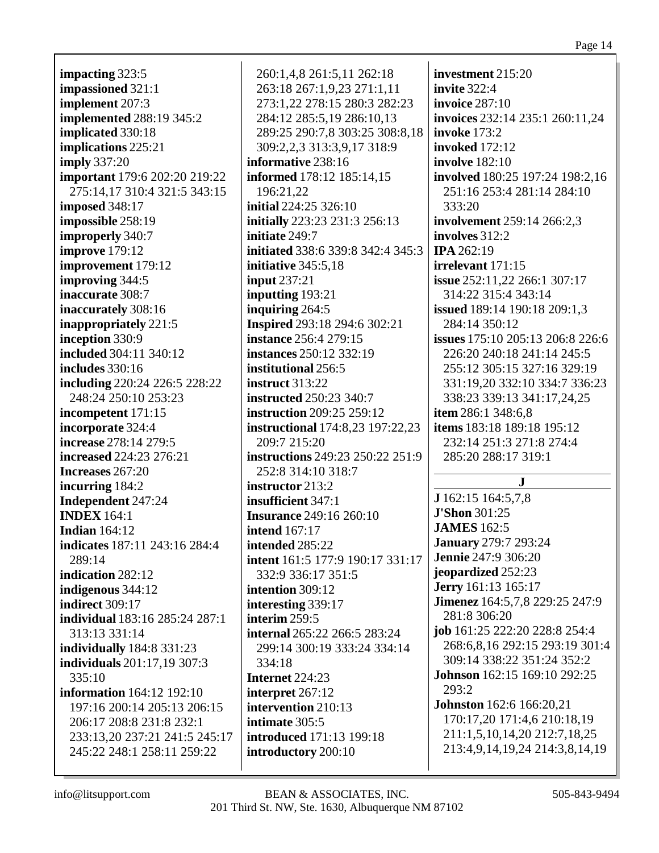**impacting** 323:5 **impassioned** 321:1 **implement** 207:3 **implemented** 288:19 345:2 **implicated** 330:18 **implications** 225:21 **imply** 337:20 **important** 179:6 202:20 219:22 275:14,17 310:4 321:5 343:15 **imposed** 348:17 **impossible** 258:19 **improperly** 340:7 **improve** 179:12 **improvement** 179:12 **improving** 344:5 **inaccurate** 308:7 **inaccurately** 308:16 **inappropriately** 221:5 **inception** 330:9 **included** 304:11 340:12 **includes** 330:16 **including** 220:24 226:5 228:22 248:24 250:10 253:23 **incompetent** 171:15 **incorporate** 324:4 **increase** 278:14 279:5 **increased** 224:23 276:21 **Increases** 267:20 **incurring** 184:2 **Independent** 247:24 **INDEX** 164:1 **Indian** 164:12 **indicates** 187:11 243:16 284:4 289:14 **indication** 282:12 **indigenous** 344:12 **indirect** 309:17 **individual** 183:16 285:24 287:1 313:13 331:14 **individually** 184:8 331:23 **individuals** 201:17,19 307:3 335:10 **information** 164:12 192:10 197:16 200:14 205:13 206:15 206:17 208:8 231:8 232:1 233:13,20 237:21 241:5 245:17 245:22 248:1 258:11 259:22

260:1,4,8 261:5,11 262:18 263:18 267:1,9,23 271:1,11 273:1,22 278:15 280:3 282:23 284:12 285:5,19 286:10,13 289:25 290:7,8 303:25 308:8,18 309:2,2,3 313:3,9,17 318:9 **informative** 238:16 **informed** 178:12 185:14,15 196:21,22 **initial** 224:25 326:10 **initially** 223:23 231:3 256:13 **initiate** 249:7 **initiated** 338:6 339:8 342:4 345:3 **initiative** 345:5,18 **input** 237:21 **inputting** 193:21 **inquiring** 264:5 **Inspired** 293:18 294:6 302:21 **instance** 256:4 279:15 **instances** 250:12 332:19 **institutional** 256:5 **instruct** 313:22 **instructed** 250:23 340:7 **instruction** 209:25 259:12 **instructional** 174:8,23 197:22,23 209:7 215:20 **instructions** 249:23 250:22 251:9 252:8 314:10 318:7 **instructor** 213:2 **insufficient** 347:1 **Insurance** 249:16 260:10 **intend** 167:17 **intended** 285:22 **intent** 161:5 177:9 190:17 331:17 332:9 336:17 351:5 **intention** 309:12 **interesting** 339:17 **interim** 259:5 **internal** 265:22 266:5 283:24 299:14 300:19 333:24 334:14 334:18 **Internet** 224:23 **interpret** 267:12 **intervention** 210:13 **intimate** 305:5 **introduced** 171:13 199:18 **introductory** 200:10

**investment** 215:20 **invite** 322:4 **invoice** 287:10 **invoices** 232:14 235:1 260:11,24 **invoke** 173:2 **invoked** 172:12 **involve** 182:10 **involved** 180:25 197:24 198:2,16 251:16 253:4 281:14 284:10 333:20 **involvement** 259:14 266:2,3 **involves** 312:2 **IPA** 262:19 **irrelevant** 171:15 **issue** 252:11,22 266:1 307:17 314:22 315:4 343:14 **issued** 189:14 190:18 209:1,3 284:14 350:12 **issues** 175:10 205:13 206:8 226:6 226:20 240:18 241:14 245:5 255:12 305:15 327:16 329:19 331:19,20 332:10 334:7 336:23 338:23 339:13 341:17,24,25 **item** 286:1 348:6,8 **items** 183:18 189:18 195:12 232:14 251:3 271:8 274:4 285:20 288:17 319:1 **J J** 162:15 164:5,7,8 **J'Shon** 301:25 **JAMES** 162:5 **January** 279:7 293:24 **Jennie** 247:9 306:20 **jeopardized** 252:23 **Jerry** 161:13 165:17 **Jimenez** 164:5,7,8 229:25 247:9 281:8 306:20 **job** 161:25 222:20 228:8 254:4 268:6,8,16 292:15 293:19 301:4 309:14 338:22 351:24 352:2 **Johnson** 162:15 169:10 292:25 293:2 **Johnston** 162:6 166:20,21 170:17,20 171:4,6 210:18,19

211:1,5,10,14,20 212:7,18,25 213:4,9,14,19,24 214:3,8,14,19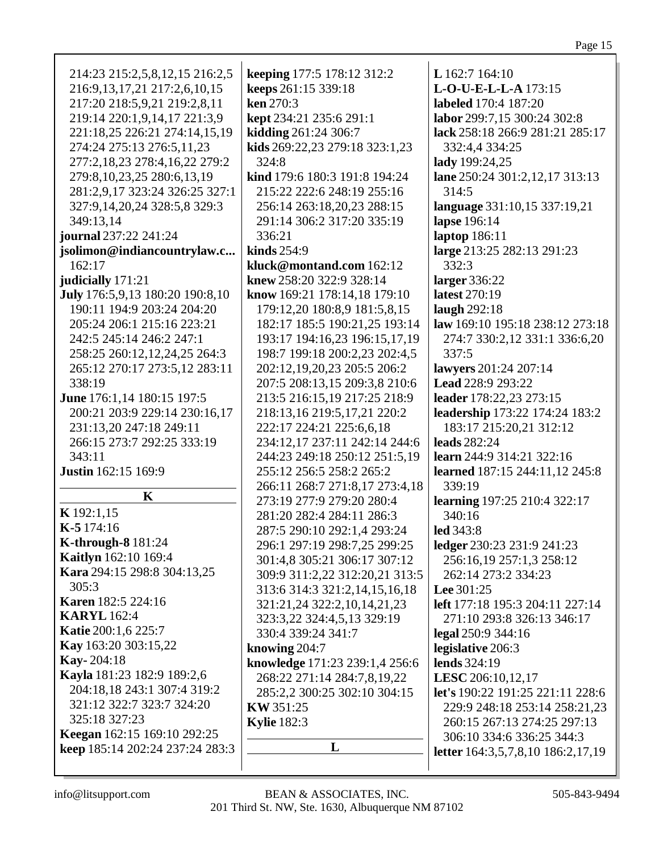| 217:20 218:5,9,21 219:2,8,11<br>219:14 220:1,9,14,17 221:3,9<br>221:18,25 226:21 274:14,15,19<br>274:24 275:13 276:5,11,23<br>277:2,18,23 278:4,16,22 279:2<br>279:8, 10, 23, 25 280:6, 13, 19<br>281:2,9,17 323:24 326:25 327:1<br>327:9,14,20,24 328:5,8 329:3<br>349:13,14<br>journal 237:22 241:24<br>jsolimon@indiancountrylaw.c<br>162:17<br>judicially 171:21<br>July 176:5,9,13 180:20 190:8,10<br>190:11 194:9 203:24 204:20<br>205:24 206:1 215:16 223:21<br>242:5 245:14 246:2 247:1<br>258:25 260:12,12,24,25 264:3<br>265:12 270:17 273:5,12 283:11<br>338:19<br>June 176:1,14 180:15 197:5 | ken 270:3<br>kept 234:21 235:6 291:1<br>kidding 261:24 306:7<br>kids 269:22,23 279:18 323:1,23<br>324:8<br>kind 179:6 180:3 191:8 194:24<br>215:22 222:6 248:19 255:16<br>256:14 263:18,20,23 288:15<br>291:14 306:2 317:20 335:19<br>336:21<br>kinds $254:9$<br>kluck@montand.com 162:12<br>knew 258:20 322:9 328:14<br>know 169:21 178:14,18 179:10<br>179:12,20 180:8,9 181:5,8,15<br>182:17 185:5 190:21,25 193:14<br>193:17 194:16,23 196:15,17,19<br>198:7 199:18 200:2,23 202:4,5<br>202:12,19,20,23 205:5 206:2<br>207:5 208:13,15 209:3,8 210:6<br>213:5 216:15,19 217:25 218:9 | labeled 170:4 187:20<br>labor 299:7,15 300:24 302:8<br>lack 258:18 266:9 281:21 285:17<br>332:4,4 334:25<br>lady 199:24,25<br>lane 250:24 301:2,12,17 313:13<br>314:5<br>language 331:10,15 337:19,21<br>lapse 196:14<br>laptop 186:11<br>large 213:25 282:13 291:23<br>332:3<br>larger 336:22<br>latest 270:19<br>laugh 292:18<br>law 169:10 195:18 238:12 273:18<br>274:7 330:2,12 331:1 336:6,20<br>337:5<br>lawyers 201:24 207:14<br>Lead 228:9 293:22<br>leader 178:22,23 273:15 |
|----------------------------------------------------------------------------------------------------------------------------------------------------------------------------------------------------------------------------------------------------------------------------------------------------------------------------------------------------------------------------------------------------------------------------------------------------------------------------------------------------------------------------------------------------------------------------------------------------------|------------------------------------------------------------------------------------------------------------------------------------------------------------------------------------------------------------------------------------------------------------------------------------------------------------------------------------------------------------------------------------------------------------------------------------------------------------------------------------------------------------------------------------------------------------------------------------------|---------------------------------------------------------------------------------------------------------------------------------------------------------------------------------------------------------------------------------------------------------------------------------------------------------------------------------------------------------------------------------------------------------------------------------------------------------------------------------------|
| 200:21 203:9 229:14 230:16,17<br>231:13,20 247:18 249:11<br>266:15 273:7 292:25 333:19<br>343:11<br><b>Justin</b> 162:15 169:9<br>K                                                                                                                                                                                                                                                                                                                                                                                                                                                                      | 218:13,16 219:5,17,21 220:2<br>222:17 224:21 225:6,6,18<br>234:12,17 237:11 242:14 244:6<br>244:23 249:18 250:12 251:5,19<br>255:12 256:5 258:2 265:2<br>266:11 268:7 271:8,17 273:4,18<br>273:19 277:9 279:20 280:4                                                                                                                                                                                                                                                                                                                                                                     | leadership 173:22 174:24 183:2<br>183:17 215:20,21 312:12<br><b>leads</b> 282:24<br>learn 244:9 314:21 322:16<br>learned 187:15 244:11,12 245:8<br>339:19<br>learning 197:25 210:4 322:17                                                                                                                                                                                                                                                                                             |
| $K$ 192:1,15<br>$K-5174:16$<br><b>K-through-8</b> 181:24<br>Kaitlyn 162:10 169:4<br>Kara 294:15 298:8 304:13,25<br>305:3<br><b>Karen</b> 182:5 224:16<br><b>KARYL</b> 162:4<br><b>Katie</b> 200:1,6 225:7<br>Kay 163:20 303:15,22<br>Kay-204:18<br>Kayla 181:23 182:9 189:2,6<br>204:18,18 243:1 307:4 319:2<br>321:12 322:7 323:7 324:20<br>325:18 327:23<br>Keegan 162:15 169:10 292:25<br>keep 185:14 202:24 237:24 283:3                                                                                                                                                                             | 281:20 282:4 284:11 286:3<br>287:5 290:10 292:1,4 293:24<br>296:1 297:19 298:7,25 299:25<br>301:4,8 305:21 306:17 307:12<br>309:9 311:2,22 312:20,21 313:5<br>313:6 314:3 321:2,14,15,16,18<br>321:21,24 322:2,10,14,21,23<br>323:3,22 324:4,5,13 329:19<br>330:4 339:24 341:7<br>knowing $204:7$<br>knowledge 171:23 239:1,4 256:6<br>268:22 271:14 284:7,8,19,22<br>285:2,2 300:25 302:10 304:15<br><b>KW</b> 351:25<br><b>Kylie</b> 182:3<br>L                                                                                                                                        | 340:16<br><b>led</b> 343:8<br>ledger 230:23 231:9 241:23<br>256:16,19 257:1,3 258:12<br>262:14 273:2 334:23<br><b>Lee</b> $301:25$<br><b>left</b> 177:18 195:3 204:11 227:14<br>271:10 293:8 326:13 346:17<br>legal 250:9 344:16<br>legislative 206:3<br><b>lends</b> 324:19<br>LESC 206:10,12,17<br><b>let's</b> 190:22 191:25 221:11 228:6<br>229:9 248:18 253:14 258:21,23<br>260:15 267:13 274:25 297:13<br>306:10 334:6 336:25 344:3<br><b>letter</b> 164:3,5,7,8,10 186:2,17,19 |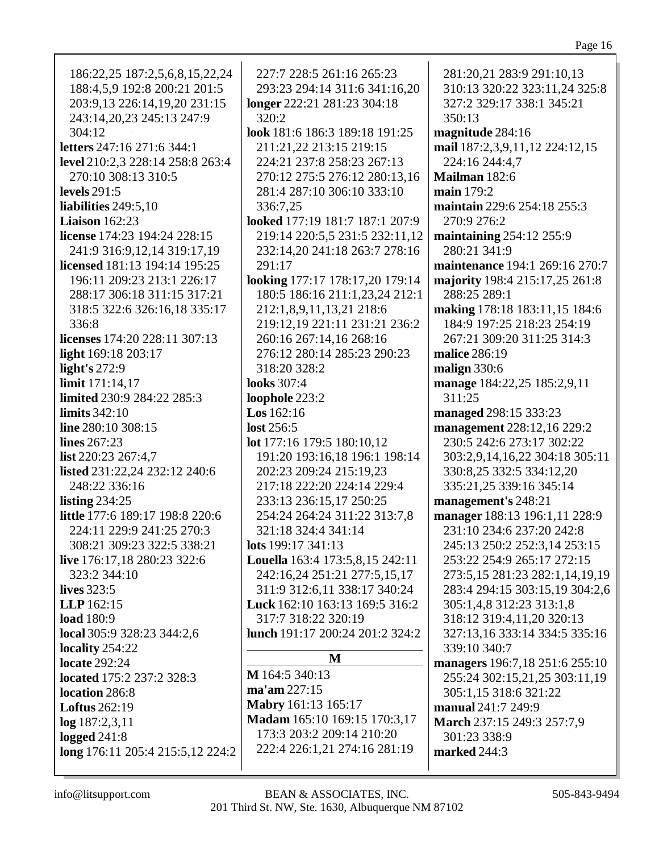186:22,25 187:2,5,6,8,15,22,24 188:4,5,9 192:8 200:21 201:5 203:9,13 226:14,19,20 231:15 243:14,20,23 245:13 247:9 304:12 **letters** 247:16 271:6 344:1 **level** 210:2,3 228:14 258:8 263:4 270:10 308:13 310:5 **levels** 291:5 **liabilities** 249:5,10 **Liaison** 162:23 **license** 174:23 194:24 228:15 241:9 316:9,12,14 319:17,19 **licensed** 181:13 194:14 195:25 196:11 209:23 213:1 226:17 288:17 306:18 311:15 317:21 318:5 322:6 326:16,18 335:17 336:8 **licenses** 174:20 228:11 307:13 **light** 169:18 203:17 **light's** 272:9 **limit** 171:14,17 **limited** 230:9 284:22 285:3 **limits** 342:10 **line** 280:10 308:15 **lines** 267:23 **list** 220:23 267:4,7 **listed** 231:22,24 232:12 240:6 248:22 336:16 **listing** 234:25 **little** 177:6 189:17 198:8 220:6 224:11 229:9 241:25 270:3 308:21 309:23 322:5 338:21 **live** 176:17,18 280:23 322:6 323:2 344:10 **lives** 323:5 **LLP** 162:15 **load** 180:9 **local** 305:9 328:23 344:2,6 **locality** 254:22 **locate** 292:24 **located** 175:2 237:2 328:3 **location** 286:8 **Loftus** 262:19 **log** 187:2,3,11 **logged** 241:8 **long** 176:11 205:4 215:5,12 224:2 227:7 228:5 261:16 265:23 293:23 294:14 311:6 341:16,20 **longer** 222:21 281:23 304:18 320:2 **look** 181:6 186:3 189:18 191:25 211:21,22 213:15 219:15 224:21 237:8 258:23 267:13 270:12 275:5 276:12 280:13,16 281:4 287:10 306:10 333:10 336:7,25 **looked** 177:19 181:7 187:1 207:9 219:14 220:5,5 231:5 232:11,12 232:14,20 241:18 263:7 278:16 291:17 **looking** 177:17 178:17,20 179:14 180:5 186:16 211:1,23,24 212:1 212:1,8,9,11,13,21 218:6 219:12,19 221:11 231:21 236:2 260:16 267:14,16 268:16 276:12 280:14 285:23 290:23 318:20 328:2 **looks** 307:4 **loophole** 223:2 **Los** 162:16 **lost** 256:5 **lot** 177:16 179:5 180:10,12 191:20 193:16,18 196:1 198:14 202:23 209:24 215:19,23 217:18 222:20 224:14 229:4 233:13 236:15,17 250:25 254:24 264:24 311:22 313:7,8 321:18 324:4 341:14 **lots** 199:17 341:13 **Louella** 163:4 173:5,8,15 242:11 242:16,24 251:21 277:5,15,17 311:9 312:6,11 338:17 340:24 **Luck** 162:10 163:13 169:5 316:2 317:7 318:22 320:19 **lunch** 191:17 200:24 201:2 324:2 **M M** 164:5 340:13 **ma'am** 227:15 **Mabry** 161:13 165:17 **Madam** 165:10 169:15 170:3,17 173:3 203:2 209:14 210:20 222:4 226:1,21 274:16 281:19

281:20,21 283:9 291:10,13 310:13 320:22 323:11,24 325:8 327:2 329:17 338:1 345:21 350:13 **magnitude** 284:16 **mail** 187:2,3,9,11,12 224:12,15 224:16 244:4,7 **Mailman** 182:6 **main** 179:2 **maintain** 229:6 254:18 255:3 270:9 276:2 **maintaining** 254:12 255:9 280:21 341:9 **maintenance** 194:1 269:16 270:7 **majority** 198:4 215:17,25 261:8 288:25 289:1 **making** 178:18 183:11,15 184:6 184:9 197:25 218:23 254:19 267:21 309:20 311:25 314:3 **malice** 286:19 **malign** 330:6 **manage** 184:22,25 185:2,9,11 311:25 **managed** 298:15 333:23 **management** 228:12,16 229:2 230:5 242:6 273:17 302:22 303:2,9,14,16,22 304:18 305:11 330:8,25 332:5 334:12,20 335:21,25 339:16 345:14 **management's** 248:21 **manager** 188:13 196:1,11 228:9 231:10 234:6 237:20 242:8 245:13 250:2 252:3,14 253:15 253:22 254:9 265:17 272:15 273:5,15 281:23 282:1,14,19,19 283:4 294:15 303:15,19 304:2,6 305:1,4,8 312:23 313:1,8 318:12 319:4,11,20 320:13 327:13,16 333:14 334:5 335:16 339:10 340:7 **managers** 196:7,18 251:6 255:10 255:24 302:15,21,25 303:11,19 305:1,15 318:6 321:22 **manual** 241:7 249:9 **March** 237:15 249:3 257:7,9 301:23 338:9 **marked** 244:3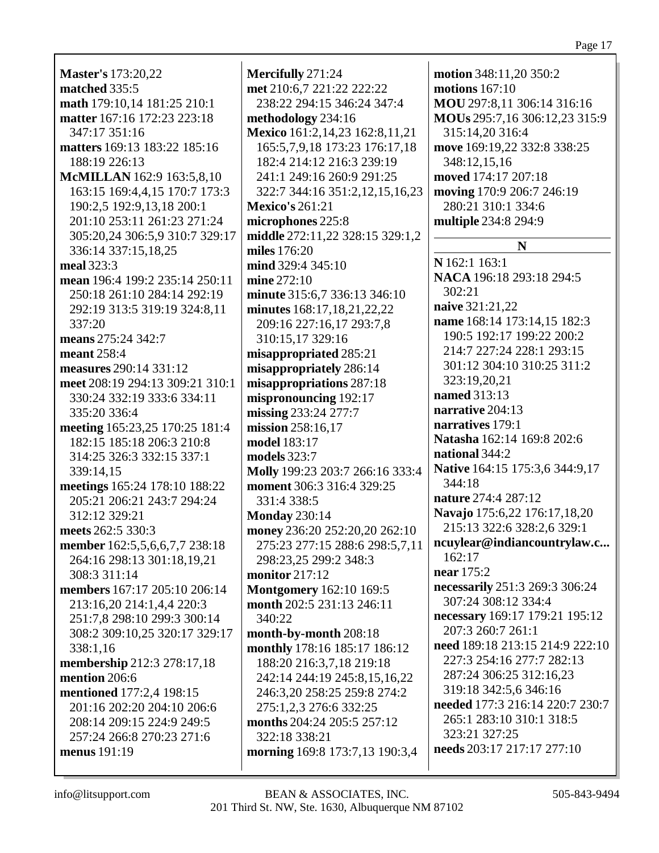**Master's 173:20.22** matched 335:5 math 179:10.14 181:25 210:1 matter 167:16 172:23 223:18 347:17 351:16 matters 169:13 183:22 185:16 188:19 226:13 McMILLAN 162:9 163:5,8,10 163:15 169:4,4,15 170:7 173:3 190:2,5 192:9,13,18 200:1 201:10 253:11 261:23 271:24 305:20,24 306:5,9 310:7 329:17 336:14 337:15,18,25 meal 323:3 mean 196:4 199:2 235:14 250:11 250:18 261:10 284:14 292:19 292:19 313:5 319:19 324:8.11 337:20 means 275:24 342:7 **meant** 258:4 measures 290:14 331:12 meet 208:19 294:13 309:21 310:1 330:24 332:19 333:6 334:11 335:20 336:4 meeting 165:23,25 170:25 181:4 182:15 185:18 206:3 210:8 314:25 326:3 332:15 337:1 339:14.15 meetings 165:24 178:10 188:22 205:21 206:21 243:7 294:24 312:12 329:21 meets 262:5 330:3 member 162:5,5,6,6,7,7 238:18 264:16 298:13 301:18,19,21 308:3 311:14 members 167:17 205:10 206:14 213:16,20 214:1,4,4 220:3 251:7,8 298:10 299:3 300:14 308:2 309:10,25 320:17 329:17 338:1.16 membership 212:3 278:17,18 mention 206:6 mentioned 177:2,4 198:15 201:16 202:20 204:10 206:6 208:14 209:15 224:9 249:5 257:24 266:8 270:23 271:6 menus 191:19

**Mercifully** 271:24 met 210:6,7 221:22 222:22 238:22 294:15 346:24 347:4 methodology 234:16 Mexico 161:2,14,23 162:8,11,21 165:5,7,9,18 173:23 176:17,18 182:4 214:12 216:3 239:19 241:1 249:16 260:9 291:25 322:7 344:16 351:2,12,15,16,23 **Mexico's 261:21** microphones 225:8 middle 272:11,22 328:15 329:1,2 miles  $176:20$ mind 329:4 345:10 mine  $272:10$ minute 315:6.7 336:13 346:10 minutes 168:17.18.21.22.22 209:16 227:16,17 293:7,8 310:15,17 329:16 misappropriated 285:21 misappropriately 286:14 misappropriations 287:18 mispronouncing 192:17 missing  $233:24$  277:7 mission 258:16,17 **model** 183:17 **models** 323:7 Molly 199:23 203:7 266:16 333:4 moment 306:3 316:4 329:25 331:4 338:5 **Monday 230:14** money 236:20 252:20,20 262:10 275:23 277:15 288:6 298:5,7,11 298:23,25 299:2 348:3 monitor 217:12 **Montgomery** 162:10 169:5 month 202:5 231:13 246:11 340:22 month-by-month 208:18 monthly 178:16 185:17 186:12 188:20 216:3,7,18 219:18 242:14 244:19 245:8,15,16,22 246:3,20 258:25 259:8 274:2 275:1.2.3 276:6 332:25 months 204:24 205:5 257:12 322:18 338:21 morning 169:8 173:7,13 190:3,4

**motion** 348:11,20 350:2 motions  $167:10$ MOU 297:8.11 306:14 316:16 MOUs 295:7,16 306:12,23 315:9 315:14,20 316:4 move 169:19,22 332:8 338:25 348:12.15.16 moved 174:17 207:18 moving 170:9 206:7 246:19 280:21 310:1 334:6 multiple 234:8 294:9

N

N 162:1 163:1 NACA 196:18 293:18 294:5  $302:21$ naive 321:21,22 name 168:14 173:14,15 182:3 190:5 192:17 199:22 200:2 214:7 227:24 228:1 293:15 301:12 304:10 310:25 311:2 323:19.20.21 **named** 313:13 narrative 204:13 narratives 179:1 Natasha 162:14 169:8 202:6 national 344:2 **Native** 164:15 175:3,6 344:9,17 344:18 nature 274:4 287:12 Navajo 175:6,22 176:17,18,20 215:13 322:6 328:2,6 329:1 ncuylear@indiancountrylaw.c...  $162:17$ near  $175:2$ necessarily 251:3 269:3 306:24 307:24 308:12 334:4 necessary 169:17 179:21 195:12 207:3 260:7 261:1 need 189:18 213:15 214:9 222:10 227:3 254:16 277:7 282:13 287:24 306:25 312:16,23 319:18 342:5,6 346:16 needed 177:3 216:14 220:7 230:7 265:1 283:10 310:1 318:5 323:21 327:25 needs 203:17 217:17 277:10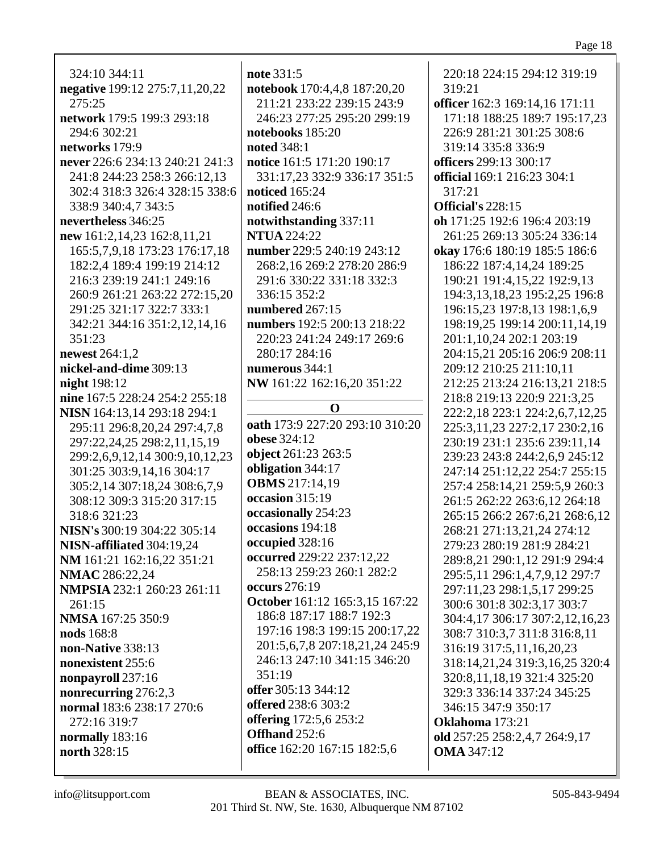### Page 18

220:18 224:15 294:12 319:19

319:21

324:10 344:11 negative 199:12 275:7,11,20,22  $275:25$ network 179:5 199:3 293:18 294:6 302:21 networks 179:9 never 226:6 234:13 240:21 241:3 241:8 244:23 258:3 266:12,13 302:4 318:3 326:4 328:15 338:6 338:9 340:4,7 343:5 nevertheless 346:25 new 161:2,14,23 162:8,11,21 165:5,7,9,18 173:23 176:17,18 182:2,4 189:4 199:19 214:12 216:3 239:19 241:1 249:16 260:9 261:21 263:22 272:15,20 291:25 321:17 322:7 333:1 342:21 344:16 351:2,12,14,16 351:23 newest 264:1.2 nickel-and-dime 309:13 night  $198:12$ nine 167:5 228:24 254:2 255:18 NISN 164:13,14 293:18 294:1 295:11 296:8,20,24 297:4,7,8 297:22,24,25 298:2,11,15,19 299:2,6,9,12,14 300:9,10,12,23 301:25 303:9,14,16 304:17 305:2,14 307:18,24 308:6,7,9 308:12 309:3 315:20 317:15 318:6 321:23 NISN's 300:19 304:22 305:14 NISN-affiliated 304:19,24 NM 161:21 162:16.22 351:21 **NMAC** 286:22,24 NMPSIA 232:1 260:23 261:11  $261:15$ NMSA 167:25 350:9 nods 168:8 non-Native 338:13 nonexistent 255:6 nonpayroll 237:16 nonrecurring 276:2,3 normal 183:6 238:17 270:6 272:16 319:7 normally 183:16 north 328:15

note 331:5 notebook 170:4,4,8 187:20,20 211:21 233:22 239:15 243:9 246:23 277:25 295:20 299:19 notebooks 185:20 **noted** 348:1 notice 161:5 171:20 190:17 331:17,23 332:9 336:17 351:5 **noticed** 165:24 notified 246:6 notwithstanding 337:11 **NTUA** 224:22 number 229:5 240:19 243:12 268:2,16 269:2 278:20 286:9 291:6 330:22 331:18 332:3 336:15 352:2 numbered 267:15 numbers 192:5 200:13 218:22 220:23 241:24 249:17 269:6 280:17 284:16 numerous 344:1 NW 161:22 162:16,20 351:22  $\mathbf 0$ oath 173:9 227:20 293:10 310:20 obese 324:12 object 261:23 263:5 obligation 344:17 **OBMS** 217:14.19 occasion 315:19 occasionally 254:23 occasions 194:18 occupied  $328:16$ occurred 229:22 237:12,22 258:13 259:23 260:1 282:2 **occurs** 276:19 October 161:12 165:3.15 167:22 186:8 187:17 188:7 192:3 197:16 198:3 199:15 200:17.22 201:5,6,7,8 207:18,21,24 245:9 246:13 247:10 341:15 346:20 351:19 offer 305:13 344:12 offered 238:6 303:2 **offering** 172:5,6 253:2

officer 162:3 169:14,16 171:11 171:18 188:25 189:7 195:17,23 226:9 281:21 301:25 308:6 319:14 335:8 336:9 officers 299:13 300:17 official 169:1 216:23 304:1  $317:21$ **Official's 228:15** oh 171:25 192:6 196:4 203:19 261:25 269:13 305:24 336:14 okay 176:6 180:19 185:5 186:6 186:22 187:4,14,24 189:25 190:21 191:4,15,22 192:9,13 194:3, 13, 18, 23 195: 2, 25 196: 8 196:15,23 197:8,13 198:1.6.9 198:19,25 199:14 200:11,14,19 201:1.10.24 202:1 203:19 204:15,21 205:16 206:9 208:11 209:12 210:25 211:10,11 212:25 213:24 216:13,21 218:5 218:8 219:13 220:9 221:3.25 222:2,18 223:1 224:2,6,7,12,25 225:3,11,23 227:2,17 230:2,16 230:19 231:1 235:6 239:11,14 239:23 243:8 244:2,6,9 245:12 247:14 251:12.22 254:7 255:15 257:4 258:14,21 259:5,9 260:3 261:5 262:22 263:6,12 264:18 265:15 266:2 267:6,21 268:6,12 268:21 271:13,21,24 274:12 279:23 280:19 281:9 284:21 289:8.21 290:1.12 291:9 294:4 295:5,11 296:1,4,7,9,12 297:7 297:11,23 298:1,5,17 299:25 300:6 301:8 302:3,17 303:7 304:4,17 306:17 307:2,12,16,23 308:7 310:3,7 311:8 316:8,11 316:19 317:5,11,16,20,23 318:14,21,24 319:3,16,25 320:4 320:8,11,18,19 321:4 325:20 329:3 336:14 337:24 345:25 346:15 347:9 350:17 Oklahoma 173:21 old 257:25 258:2,4,7 264:9,17 **OMA 347:12** 

office 162:20 167:15 182:5,6

**Offhand 252:6**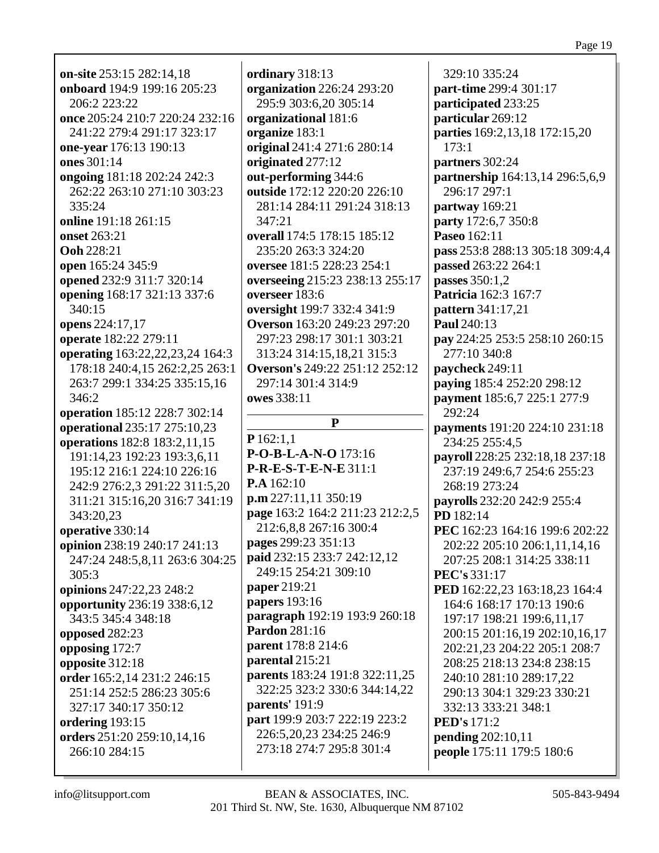**on-site** 253:15 282:14,18 **onboard** 194:9 199:16 205:23 206:2 223:22 **once** 205:24 210:7 220:24 232:16 241:22 279:4 291:17 323:17 **one-year** 176:13 190:13 **ones** 301:14 **ongoing** 181:18 202:24 242:3 262:22 263:10 271:10 303:23 335:24 **online** 191:18 261:15 **onset** 263:21 **Ooh** 228:21 **open** 165:24 345:9 **opened** 232:9 311:7 320:14 **opening** 168:17 321:13 337:6 340:15 **opens** 224:17,17 **operate** 182:22 279:11 **operating** 163:22,22,23,24 164:3 178:18 240:4,15 262:2,25 263:1 263:7 299:1 334:25 335:15,16 346:2 **operation** 185:12 228:7 302:14 **operational** 235:17 275:10,23 **operations** 182:8 183:2,11,15 191:14,23 192:23 193:3,6,11 195:12 216:1 224:10 226:16 242:9 276:2,3 291:22 311:5,20 311:21 315:16,20 316:7 341:19 343:20,23 **operative** 330:14 **opinion** 238:19 240:17 241:13 247:24 248:5,8,11 263:6 304:25 305:3 **opinions** 247:22,23 248:2 **opportunity** 236:19 338:6,12 343:5 345:4 348:18 **opposed** 282:23 **opposing** 172:7 **opposite** 312:18 **order** 165:2,14 231:2 246:15 251:14 252:5 286:23 305:6 327:17 340:17 350:12 **ordering** 193:15 **orders** 251:20 259:10,14,16 266:10 284:15

**ordinary** 318:13 **organization** 226:24 293:20 295:9 303:6,20 305:14 **organizational** 181:6 **organize** 183:1 **original** 241:4 271:6 280:14 **originated** 277:12 **out-performing** 344:6 **outside** 172:12 220:20 226:10 281:14 284:11 291:24 318:13 347:21 **overall** 174:5 178:15 185:12 235:20 263:3 324:20 **oversee** 181:5 228:23 254:1 **overseeing** 215:23 238:13 255:17 **overseer** 183:6 **oversight** 199:7 332:4 341:9 **Overson** 163:20 249:23 297:20 297:23 298:17 301:1 303:21 313:24 314:15,18,21 315:3 **Overson's** 249:22 251:12 252:12 297:14 301:4 314:9 **owes** 338:11 **P**

**P** 162:1,1 **P-O-B-L-A-N-O** 173:16 **P-R-E-S-T-E-N-E** 311:1 **P.A** 162:10 **p.m** 227:11,11 350:19 **page** 163:2 164:2 211:23 212:2,5 212:6,8,8 267:16 300:4 **pages** 299:23 351:13 **paid** 232:15 233:7 242:12,12 249:15 254:21 309:10 **paper** 219:21 **papers** 193:16 **paragraph** 192:19 193:9 260:18 **Pardon** 281:16 **parent** 178:8 214:6 **parental** 215:21 **parents** 183:24 191:8 322:11,25 322:25 323:2 330:6 344:14,22 **parents'** 191:9 **part** 199:9 203:7 222:19 223:2 226:5,20,23 234:25 246:9 273:18 274:7 295:8 301:4

329:10 335:24 **part-time** 299:4 301:17 **participated** 233:25 **particular** 269:12 **parties** 169:2,13,18 172:15,20 173:1 **partners** 302:24 **partnership** 164:13,14 296:5,6,9 296:17 297:1 **partway** 169:21 **party** 172:6,7 350:8 **Paseo** 162:11 **pass** 253:8 288:13 305:18 309:4,4 **passed** 263:22 264:1 **passes** 350:1,2 **Patricia** 162:3 167:7 **pattern** 341:17,21 **Paul** 240:13 **pay** 224:25 253:5 258:10 260:15 277:10 340:8 **paycheck** 249:11 **paying** 185:4 252:20 298:12 **payment** 185:6,7 225:1 277:9 292:24 **payments** 191:20 224:10 231:18 234:25 255:4,5 **payroll** 228:25 232:18,18 237:18 237:19 249:6,7 254:6 255:23 268:19 273:24 **payrolls** 232:20 242:9 255:4 **PD** 182:14 **PEC** 162:23 164:16 199:6 202:22 202:22 205:10 206:1,11,14,16 207:25 208:1 314:25 338:11 **PEC's** 331:17 **PED** 162:22,23 163:18,23 164:4 164:6 168:17 170:13 190:6 197:17 198:21 199:6,11,17 200:15 201:16,19 202:10,16,17 202:21,23 204:22 205:1 208:7 208:25 218:13 234:8 238:15 240:10 281:10 289:17,22 290:13 304:1 329:23 330:21 332:13 333:21 348:1 **PED's** 171:2 **pending** 202:10,11 **people** 175:11 179:5 180:6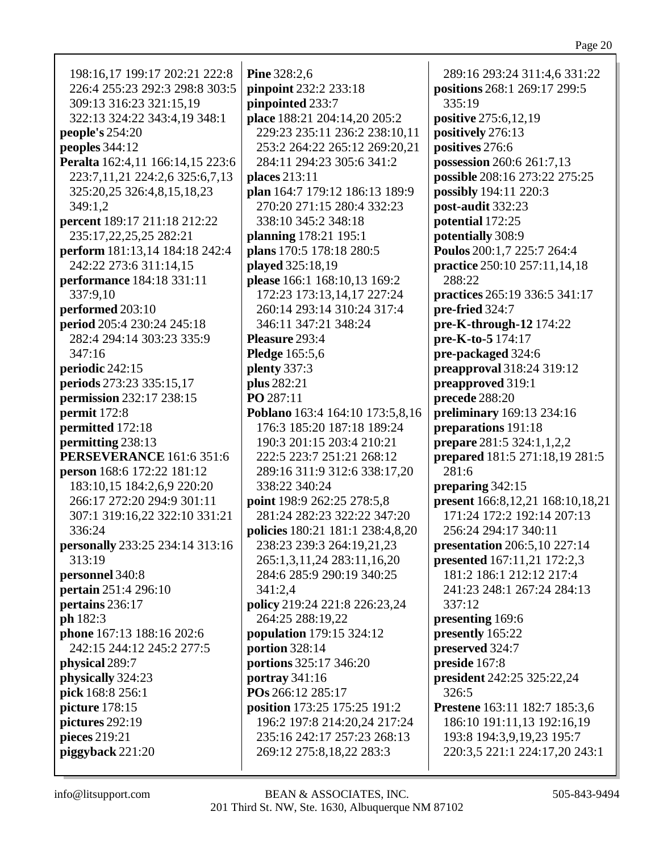| 198:16,17 199:17 202:21 222:8         | <b>Pine</b> 328:2,6              | 289:16 293:24 311:4,6 331:22        |
|---------------------------------------|----------------------------------|-------------------------------------|
| 226:4 255:23 292:3 298:8 303:5        |                                  |                                     |
|                                       | pinpoint 232:2 233:18            | positions 268:1 269:17 299:5        |
| 309:13 316:23 321:15,19               | pinpointed 233:7                 | 335:19                              |
| 322:13 324:22 343:4,19 348:1          | place 188:21 204:14,20 205:2     | positive 275:6,12,19                |
| people's 254:20                       | 229:23 235:11 236:2 238:10,11    | positively 276:13                   |
| peoples $344:12$                      | 253:2 264:22 265:12 269:20,21    | positives 276:6                     |
| Peralta 162:4,11 166:14,15 223:6      | 284:11 294:23 305:6 341:2        | possession 260:6 261:7,13           |
| 223:7,11,21 224:2,6 325:6,7,13        | places 213:11                    | possible 208:16 273:22 275:25       |
| 325:20,25 326:4,8,15,18,23            | plan 164:7 179:12 186:13 189:9   | possibly 194:11 220:3               |
| 349:1,2                               | 270:20 271:15 280:4 332:23       | post-audit 332:23                   |
| <b>percent</b> 189:17 211:18 212:22   | 338:10 345:2 348:18              | potential 172:25                    |
| 235:17,22,25,25 282:21                | planning 178:21 195:1            | potentially 308:9                   |
| <b>perform</b> 181:13,14 184:18 242:4 | plans 170:5 178:18 280:5         | Poulos 200:1,7 225:7 264:4          |
| 242:22 273:6 311:14,15                | played 325:18,19                 | practice 250:10 257:11,14,18        |
|                                       |                                  | 288:22                              |
| <b>performance</b> 184:18 331:11      | please 166:1 168:10,13 169:2     |                                     |
| 337:9,10                              | 172:23 173:13,14,17 227:24       | practices 265:19 336:5 341:17       |
| performed 203:10                      | 260:14 293:14 310:24 317:4       | pre-fried 324:7                     |
| period 205:4 230:24 245:18            | 346:11 347:21 348:24             | pre-K-through-12 174:22             |
| 282:4 294:14 303:23 335:9             | Pleasure 293:4                   | pre-K-to-5 174:17                   |
| 347:16                                | <b>Pledge</b> 165:5,6            | pre-packaged 324:6                  |
| <b>periodic</b> 242:15                | plenty 337:3                     | preapproval 318:24 319:12           |
| periods 273:23 335:15,17              | plus 282:21                      | preapproved 319:1                   |
| <b>permission</b> 232:17 238:15       | PO 287:11                        | precede 288:20                      |
| permit $172:8$                        | Poblano 163:4 164:10 173:5,8,16  | preliminary 169:13 234:16           |
| permitted 172:18                      | 176:3 185:20 187:18 189:24       | preparations 191:18                 |
| permitting 238:13                     | 190:3 201:15 203:4 210:21        | <b>prepare</b> 281:5 324:1,1,2,2    |
| <b>PERSEVERANCE 161:6 351:6</b>       | 222:5 223:7 251:21 268:12        | prepared 181:5 271:18,19 281:5      |
| <b>person</b> 168:6 172:22 181:12     | 289:16 311:9 312:6 338:17,20     | 281:6                               |
| 183:10,15 184:2,6,9 220:20            | 338:22 340:24                    | preparing 342:15                    |
| 266:17 272:20 294:9 301:11            | point 198:9 262:25 278:5,8       | present 166:8,12,21 168:10,18,21    |
|                                       | 281:24 282:23 322:22 347:20      | 171:24 172:2 192:14 207:13          |
| 307:1 319:16,22 322:10 331:21         |                                  |                                     |
| 336:24                                | policies 180:21 181:1 238:4,8,20 | 256:24 294:17 340:11                |
| personally 233:25 234:14 313:16       | 238:23 239:3 264:19,21,23        | <b>presentation</b> 206:5,10 227:14 |
| 313:19                                | 265:1,3,11,24 283:11,16,20       | presented 167:11,21 172:2,3         |
| personnel 340:8                       | 284:6 285:9 290:19 340:25        | 181:2 186:1 212:12 217:4            |
| <b>pertain</b> 251:4 296:10           | 341:2,4                          | 241:23 248:1 267:24 284:13          |
| pertains 236:17                       | policy 219:24 221:8 226:23,24    | 337:12                              |
| ph 182:3                              | 264:25 288:19,22                 | presenting 169:6                    |
| phone 167:13 188:16 202:6             | population 179:15 324:12         | presently 165:22                    |
| 242:15 244:12 245:2 277:5             | portion 328:14                   | preserved 324:7                     |
| physical 289:7                        | portions 325:17 346:20           | preside 167:8                       |
| physically 324:23                     | portray 341:16                   | president 242:25 325:22,24          |
| pick 168:8 256:1                      | POs 266:12 285:17                | 326:5                               |
| picture 178:15                        | position 173:25 175:25 191:2     | Prestene 163:11 182:7 185:3,6       |
| pictures 292:19                       | 196:2 197:8 214:20,24 217:24     | 186:10 191:11,13 192:16,19          |
| pieces 219:21                         | 235:16 242:17 257:23 268:13      | 193:8 194:3,9,19,23 195:7           |
| piggyback 221:20                      | 269:12 275:8,18,22 283:3         | 220:3,5 221:1 224:17,20 243:1       |
|                                       |                                  |                                     |
|                                       |                                  |                                     |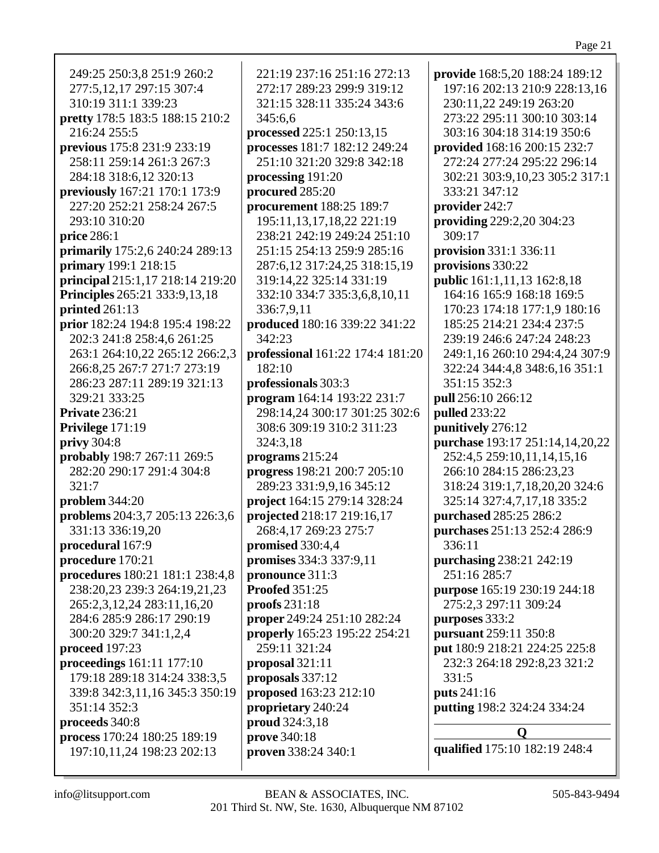| 249:25 250:3,8 251:9 260:2                                | 221:19 237:16 251:16 272:13                | provide 168:5,20 188:24 189:12  |
|-----------------------------------------------------------|--------------------------------------------|---------------------------------|
| 277:5,12,17 297:15 307:4                                  | 272:17 289:23 299:9 319:12                 | 197:16 202:13 210:9 228:13,16   |
| 310:19 311:1 339:23                                       | 321:15 328:11 335:24 343:6                 | 230:11,22 249:19 263:20         |
| pretty 178:5 183:5 188:15 210:2                           | 345:6,6                                    | 273:22 295:11 300:10 303:14     |
| 216:24 255:5                                              | processed 225:1 250:13,15                  | 303:16 304:18 314:19 350:6      |
| previous 175:8 231:9 233:19                               | processes 181:7 182:12 249:24              | provided 168:16 200:15 232:7    |
| 258:11 259:14 261:3 267:3                                 | 251:10 321:20 329:8 342:18                 | 272:24 277:24 295:22 296:14     |
| 284:18 318:6,12 320:13                                    | processing 191:20                          | 302:21 303:9,10,23 305:2 317:1  |
| previously 167:21 170:1 173:9                             | procured 285:20                            | 333:21 347:12                   |
| 227:20 252:21 258:24 267:5                                | procurement 188:25 189:7                   | provider 242:7                  |
| 293:10 310:20                                             | 195:11, 13, 17, 18, 22 221:19              | providing 229:2,20 304:23       |
| price 286:1                                               | 238:21 242:19 249:24 251:10                | 309:17                          |
| primarily 175:2,6 240:24 289:13                           | 251:15 254:13 259:9 285:16                 | provision 331:1 336:11          |
| primary 199:1 218:15                                      | 287:6,12 317:24,25 318:15,19               | provisions 330:22               |
| principal 215:1,17 218:14 219:20                          | 319:14,22 325:14 331:19                    | public 161:1,11,13 162:8,18     |
| <b>Principles</b> 265:21 333:9,13,18                      | 332:10 334:7 335:3,6,8,10,11               | 164:16 165:9 168:18 169:5       |
| printed $261:13$                                          | 336:7,9,11                                 | 170:23 174:18 177:1,9 180:16    |
| prior 182:24 194:8 195:4 198:22                           | produced 180:16 339:22 341:22              | 185:25 214:21 234:4 237:5       |
| 202:3 241:8 258:4,6 261:25                                | 342:23                                     | 239:19 246:6 247:24 248:23      |
| 263:1 264:10,22 265:12 266:2,3                            | professional 161:22 174:4 181:20           | 249:1,16 260:10 294:4,24 307:9  |
| 266:8,25 267:7 271:7 273:19                               | 182:10                                     | 322:24 344:4,8 348:6,16 351:1   |
| 286:23 287:11 289:19 321:13                               | professionals 303:3                        | 351:15 352:3                    |
| 329:21 333:25                                             | program 164:14 193:22 231:7                | pull 256:10 266:12              |
| <b>Private 236:21</b>                                     | 298:14,24 300:17 301:25 302:6              | <b>pulled</b> 233:22            |
| Privilege 171:19                                          | 308:6 309:19 310:2 311:23                  | punitively 276:12               |
| privy $304:8$                                             | 324:3,18                                   | purchase 193:17 251:14,14,20,22 |
| probably 198:7 267:11 269:5                               | programs 215:24                            | 252:4,5 259:10,11,14,15,16      |
| 282:20 290:17 291:4 304:8                                 | progress 198:21 200:7 205:10               | 266:10 284:15 286:23,23         |
| 321:7                                                     | 289:23 331:9,9,16 345:12                   | 318:24 319:1,7,18,20,20 324:6   |
| problem $344:20$                                          | project 164:15 279:14 328:24               | 325:14 327:4,7,17,18 335:2      |
| problems 204:3,7 205:13 226:3,6                           | projected 218:17 219:16,17                 | purchased 285:25 286:2          |
| 331:13 336:19,20                                          | 268:4,17 269:23 275:7                      | purchases 251:13 252:4 286:9    |
| procedural 167:9                                          | promised 330:4,4                           | 336:11                          |
| procedure 170:21                                          | promises 334:3 337:9,11                    | purchasing 238:21 242:19        |
| procedures 180:21 181:1 238:4,8                           | pronounce 311:3                            | 251:16 285:7                    |
| 238:20,23 239:3 264:19,21,23                              | <b>Proofed 351:25</b>                      | purpose 165:19 230:19 244:18    |
| 265:2,3,12,24 283:11,16,20                                | proofs $231:18$                            | 275:2,3 297:11 309:24           |
| 284:6 285:9 286:17 290:19                                 | proper 249:24 251:10 282:24                | purposes 333:2                  |
| 300:20 329:7 341:1,2,4                                    | properly 165:23 195:22 254:21              | pursuant 259:11 350:8           |
| proceed 197:23                                            | 259:11 321:24                              | put 180:9 218:21 224:25 225:8   |
| proceedings 161:11 177:10<br>179:18 289:18 314:24 338:3,5 | proposal $321:11$                          | 232:3 264:18 292:8,23 321:2     |
| 339:8 342:3,11,16 345:3 350:19                            | proposals 337:12<br>proposed 163:23 212:10 | 331:5<br>puts 241:16            |
| 351:14 352:3                                              |                                            |                                 |
| proceeds 340:8                                            | proprietary 240:24<br>proud 324:3,18       | putting 198:2 324:24 334:24     |
| process 170:24 180:25 189:19                              | prove 340:18                               | Q                               |
| 197:10,11,24 198:23 202:13                                | proven 338:24 340:1                        | qualified 175:10 182:19 248:4   |
|                                                           |                                            |                                 |
|                                                           |                                            |                                 |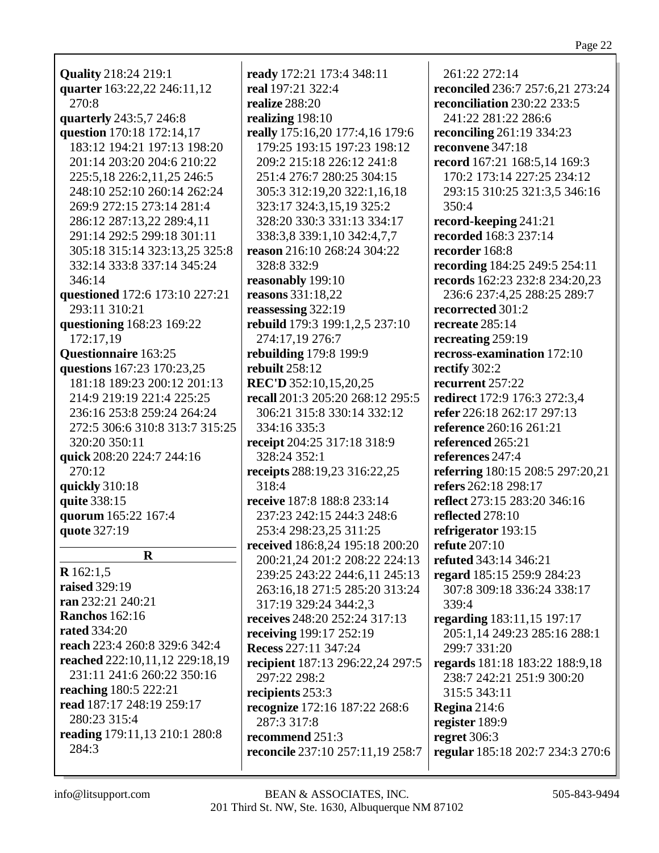| <b>Quality</b> 218:24 219:1    |
|--------------------------------|
| quarter 163:22,22 246:11,12    |
| 270:8                          |
| quarterly 243:5,7 246:8        |
| question 170:18 172:14,17      |
| 183:12 194:21 197:13 198:20    |
| 201:14 203:20 204:6 210:22     |
| 225:5,18 226:2,11,25 246:5     |
| 248:10 252:10 260:14 262:24    |
| 269:9 272:15 273:14 281:4      |
| 286:12 287:13,22 289:4,11      |
| 291:14 292:5 299:18 301:11     |
| 305:18 315:14 323:13,25 325:8  |
| 332:14 333:8 337:14 345:24     |
| 346:14                         |
| questioned 172:6 173:10 227:21 |
| 293:11 310:21                  |
| questioning 168:23 169:22      |
| 172:17,19                      |
| <b>Questionnaire</b> 163:25    |
| questions 167:23 170:23,25     |
| 181:18 189:23 200:12 201:13    |
| 214:9 219:19 221:4 225:25      |
| 236:16 253:8 259:24 264:24     |
| 272:5 306:6 310:8 313:7 315:25 |
| 320:20 350:11                  |
| quick 208:20 224:7 244:16      |
| 270:12                         |
| quickly 310:18                 |
| quite 338:15                   |
| quorum 165:22 167:4            |
| quote 327:19                   |
| $\overline{\textbf{R}}$        |
| R162:1,5                       |

**R** 162:1,5 **raised** 329:19 **ran** 232:21 240:21 **Ranchos** 162:16 **rated** 334:20 **reach** 223:4 260:8 329:6 342:4 **reached** 222:10,11,12 229:18,19 231:11 241:6 260:22 350:16 **reaching** 180:5 222:21 **read** 187:17 248:19 259:17 280:23 315:4 **reading** 179:11,13 210:1 280:8 284:3

**ready** 172:21 173:4 348:11 **real** 197:21 322:4 **realize** 288:20 **realizing** 198:10 **really** 175:16,20 177:4,16 179:6 179:25 193:15 197:23 198:12 209:2 215:18 226:12 241:8 251:4 276:7 280:25 304:15 305:3 312:19,20 322:1,16,18 323:17 324:3,15,19 325:2 328:20 330:3 331:13 334:17 338:3,8 339:1,10 342:4,7,7 **reason** 216:10 268:24 304:22 328:8 332:9 **reasonably** 199:10 **reasons** 331:18,22 **reassessing** 322:19 **rebuild** 179:3 199:1,2,5 237:10 274:17,19 276:7 **rebuilding** 179:8 199:9 **rebuilt** 258:12 **REC'D** 352:10,15,20,25 **recall** 201:3 205:20 268:12 295:5 306:21 315:8 330:14 332:12 334:16 335:3 **receipt** 204:25 317:18 318:9 328:24 352:1 **receipts** 288:19,23 316:22,25 318:4 **receive** 187:8 188:8 233:14 237:23 242:15 244:3 248:6 253:4 298:23,25 311:25 **received** 186:8,24 195:18 200:20 200:21,24 201:2 208:22 224:13 239:25 243:22 244:6,11 245:13 263:16,18 271:5 285:20 313:24 317:19 329:24 344:2,3 **receives** 248:20 252:24 317:13 **receiving** 199:17 252:19 **Recess** 227:11 347:24 **recipient** 187:13 296:22,24 297:5 297:22 298:2 **recipients** 253:3 **recognize** 172:16 187:22 268:6 287:3 317:8 **recommend** 251:3 **reconcile** 237:10 257:11,19 258:7

261:22 272:14 **reconciled** 236:7 257:6,21 273:24 **reconciliation** 230:22 233:5 241:22 281:22 286:6 **reconciling** 261:19 334:23 **reconvene** 347:18 **record** 167:21 168:5,14 169:3 170:2 173:14 227:25 234:12 293:15 310:25 321:3,5 346:16 350:4 **record-keeping** 241:21 **recorded** 168:3 237:14 **recorder** 168:8 **recording** 184:25 249:5 254:11 **records** 162:23 232:8 234:20,23 236:6 237:4,25 288:25 289:7 **recorrected** 301:2 **recreate** 285:14 **recreating** 259:19 **recross-examination** 172:10 **rectify** 302:2 **recurrent** 257:22 **redirect** 172:9 176:3 272:3,4 **refer** 226:18 262:17 297:13 **reference** 260:16 261:21 **referenced** 265:21 **references** 247:4 **referring** 180:15 208:5 297:20,21 **refers** 262:18 298:17 **reflect** 273:15 283:20 346:16 **reflected** 278:10 **refrigerator** 193:15 **refute** 207:10 **refuted** 343:14 346:21 **regard** 185:15 259:9 284:23 307:8 309:18 336:24 338:17 339:4 **regarding** 183:11,15 197:17 205:1,14 249:23 285:16 288:1 299:7 331:20 **regards** 181:18 183:22 188:9,18 238:7 242:21 251:9 300:20 315:5 343:11 **Regina** 214:6 **register** 189:9 **regret** 306:3 **regular** 185:18 202:7 234:3 270:6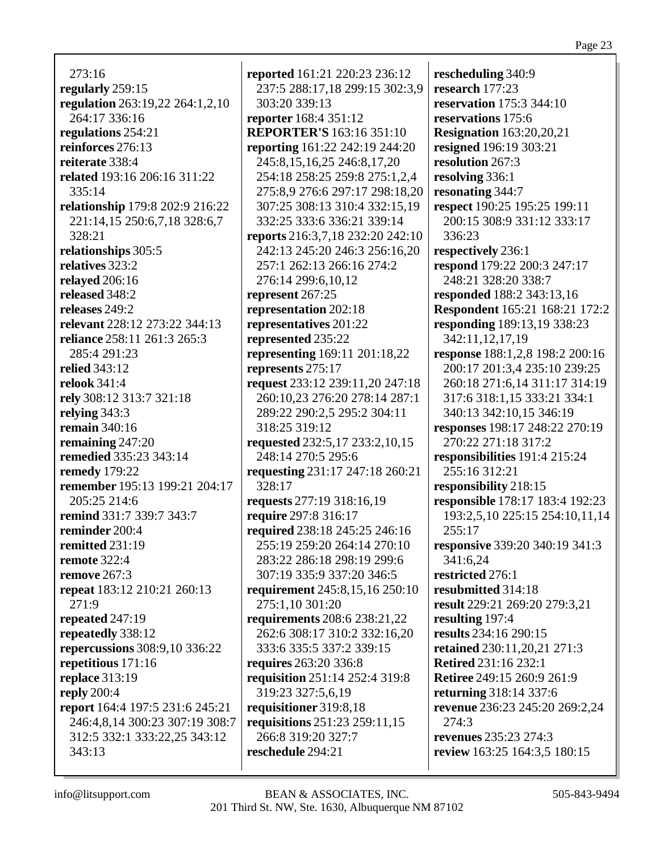273:16 **regularly** 259:15 **regulation** 263:19,22 264:1,2,10 264:17 336:16 **regulations** 254:21 **reinforces** 276:13 **reiterate** 338:4 **related** 193:16 206:16 311:22 335:14 **relationship** 179:8 202:9 216:22 221:14,15 250:6,7,18 328:6,7 328:21 **relationships** 305:5 **relatives** 323:2 **relayed** 206:16 **released** 348:2 **releases** 249:2 **relevant** 228:12 273:22 344:13 **reliance** 258:11 261:3 265:3 285:4 291:23 **relied** 343:12 **relook** 341:4 **rely** 308:12 313:7 321:18 **relying** 343:3 **remain** 340:16 **remaining** 247:20 **remedied** 335:23 343:14 **remedy** 179:22 **remember** 195:13 199:21 204:17 205:25 214:6 **remind** 331:7 339:7 343:7 **reminder** 200:4 **remitted** 231:19 **remote** 322:4 **remove** 267:3 **repeat** 183:12 210:21 260:13 271:9 **repeated** 247:19 **repeatedly** 338:12 **repercussions** 308:9,10 336:22 **repetitious** 171:16 **replace** 313:19 **reply** 200:4 **report** 164:4 197:5 231:6 245:21 246:4,8,14 300:23 307:19 308:7 312:5 332:1 333:22,25 343:12 343:13

**reported** 161:21 220:23 236:12 237:5 288:17,18 299:15 302:3,9 303:20 339:13 **reporter** 168:4 351:12 **REPORTER'S** 163:16 351:10 **reporting** 161:22 242:19 244:20 245:8,15,16,25 246:8,17,20 254:18 258:25 259:8 275:1,2,4 275:8,9 276:6 297:17 298:18,20 307:25 308:13 310:4 332:15,19 332:25 333:6 336:21 339:14 **reports** 216:3,7,18 232:20 242:10 242:13 245:20 246:3 256:16,20 257:1 262:13 266:16 274:2 276:14 299:6,10,12 **represent** 267:25 **representation** 202:18 **representatives** 201:22 **represented** 235:22 **representing** 169:11 201:18,22 **represents** 275:17 **request** 233:12 239:11,20 247:18 260:10,23 276:20 278:14 287:1 289:22 290:2,5 295:2 304:11 318:25 319:12 **requested** 232:5,17 233:2,10,15 248:14 270:5 295:6 **requesting** 231:17 247:18 260:21 328:17 **requests** 277:19 318:16,19 **require** 297:8 316:17 **required** 238:18 245:25 246:16 255:19 259:20 264:14 270:10 283:22 286:18 298:19 299:6 307:19 335:9 337:20 346:5 **requirement** 245:8,15,16 250:10 275:1,10 301:20 **requirements** 208:6 238:21,22 262:6 308:17 310:2 332:16,20 333:6 335:5 337:2 339:15 **requires** 263:20 336:8 **requisition** 251:14 252:4 319:8 319:23 327:5,6,19 **requisitioner** 319:8,18 **requisitions** 251:23 259:11,15 266:8 319:20 327:7 **reschedule** 294:21

**rescheduling** 340:9 **research** 177:23 **reservation** 175:3 344:10 **reservations** 175:6 **Resignation** 163:20,20,21 **resigned** 196:19 303:21 **resolution** 267:3 **resolving** 336:1 **resonating** 344:7 **respect** 190:25 195:25 199:11 200:15 308:9 331:12 333:17 336:23 **respectively** 236:1 **respond** 179:22 200:3 247:17 248:21 328:20 338:7 **responded** 188:2 343:13,16 **Respondent** 165:21 168:21 172:2 **responding** 189:13,19 338:23 342:11,12,17,19 **response** 188:1,2,8 198:2 200:16 200:17 201:3,4 235:10 239:25 260:18 271:6,14 311:17 314:19 317:6 318:1,15 333:21 334:1 340:13 342:10,15 346:19 **responses** 198:17 248:22 270:19 270:22 271:18 317:2 **responsibilities** 191:4 215:24 255:16 312:21 **responsibility** 218:15 **responsible** 178:17 183:4 192:23 193:2,5,10 225:15 254:10,11,14  $255:17$ **responsive** 339:20 340:19 341:3 341:6,24 **restricted** 276:1 **resubmitted** 314:18 **result** 229:21 269:20 279:3,21 **resulting** 197:4 **results** 234:16 290:15 **retained** 230:11,20,21 271:3 **Retired** 231:16 232:1 **Retiree** 249:15 260:9 261:9 **returning** 318:14 337:6 **revenue** 236:23 245:20 269:2,24 274:3 **revenues** 235:23 274:3 **review** 163:25 164:3,5 180:15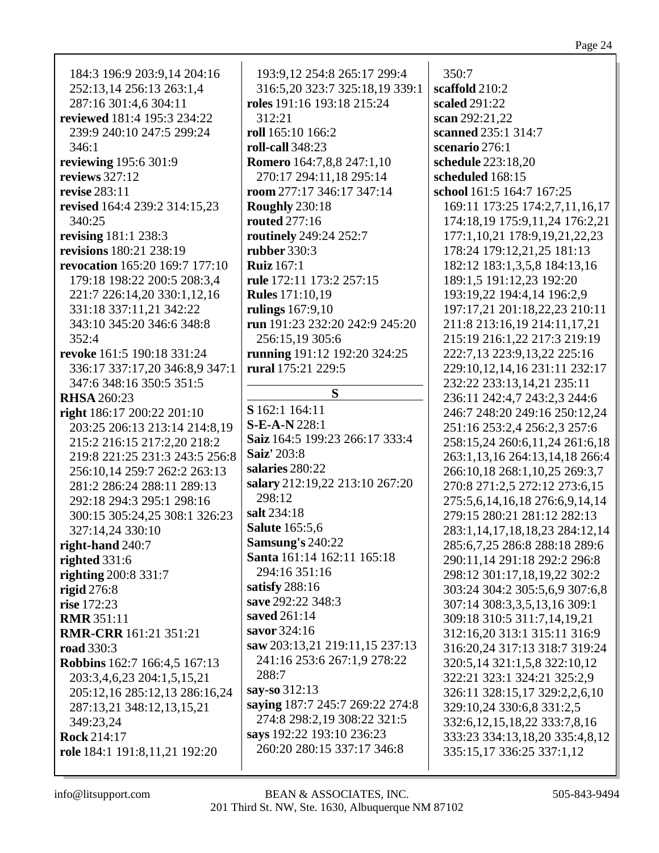184:3 196:9 203:9,14 204:16 252:13,14 256:13 263:1,4 287:16 301:4,6 304:11 **reviewed** 181:4 195:3 234:22 239:9 240:10 247:5 299:24 346:1 **reviewing** 195:6 301:9 **reviews** 327:12 **revise** 283:11 **revised** 164:4 239:2 314:15,23 340:25 **revising** 181:1 238:3 **revisions** 180:21 238:19 **revocation** 165:20 169:7 177:10 179:18 198:22 200:5 208:3,4 221:7 226:14,20 330:1,12,16 331:18 337:11,21 342:22 343:10 345:20 346:6 348:8 352:4 **revoke** 161:5 190:18 331:24 336:17 337:17,20 346:8,9 347:1 347:6 348:16 350:5 351:5 **RHSA** 260:23 **right** 186:17 200:22 201:10 203:25 206:13 213:14 214:8,19 215:2 216:15 217:2,20 218:2 219:8 221:25 231:3 243:5 256:8 256:10,14 259:7 262:2 263:13 281:2 286:24 288:11 289:13 292:18 294:3 295:1 298:16 300:15 305:24,25 308:1 326:23 327:14,24 330:10 **right-hand** 240:7 **righted** 331:6 **righting** 200:8 331:7 **rigid** 276:8 **rise** 172:23 **RMR** 351:11 **RMR-CRR** 161:21 351:21 **road** 330:3 **Robbins** 162:7 166:4,5 167:13 203:3,4,6,23 204:1,5,15,21 205:12,16 285:12,13 286:16,24 287:13,21 348:12,13,15,21 349:23,24 **Rock** 214:17 **role** 184:1 191:8,11,21 192:20

193:9,12 254:8 265:17 299:4 316:5,20 323:7 325:18,19 339:1 **roles** 191:16 193:18 215:24 312:21 **roll** 165:10 166:2 **roll-call** 348:23 **Romero** 164:7,8,8 247:1,10 270:17 294:11,18 295:14 **room** 277:17 346:17 347:14 **Roughly** 230:18 **routed** 277:16 **routinely** 249:24 252:7 **rubber** 330:3 **Ruiz** 167:1 **rule** 172:11 173:2 257:15 **Rules** 171:10,19 **rulings** 167:9,10 **run** 191:23 232:20 242:9 245:20 256:15,19 305:6 **running** 191:12 192:20 324:25 **rural** 175:21 229:5 **S S** 162:1 164:11 **S-E-A-N** 228:1 **Saiz** 164:5 199:23 266:17 333:4 **Saiz'** 203:8 **salaries** 280:22 **salary** 212:19,22 213:10 267:20 298:12 **salt** 234:18 **Salute** 165:5,6 **Samsung's** 240:22 **Santa** 161:14 162:11 165:18 294:16 351:16 **satisfy** 288:16 **save** 292:22 348:3 **saved** 261:14 **savor** 324:16 **saw** 203:13,21 219:11,15 237:13 241:16 253:6 267:1,9 278:22 288:7

**say-so** 312:13 **saying** 187:7 245:7 269:22 274:8 274:8 298:2,19 308:22 321:5 **says** 192:22 193:10 236:23 260:20 280:15 337:17 346:8

350:7 **scaffold** 210:2 **scaled** 291:22 **scan** 292:21,22 **scanned** 235:1 314:7 **scenario** 276:1 **schedule** 223:18,20 **scheduled** 168:15 **school** 161:5 164:7 167:25 169:11 173:25 174:2,7,11,16,17 174:18,19 175:9,11,24 176:2,21 177:1,10,21 178:9,19,21,22,23 178:24 179:12,21,25 181:13 182:12 183:1,3,5,8 184:13,16 189:1,5 191:12,23 192:20 193:19,22 194:4,14 196:2,9 197:17,21 201:18,22,23 210:11 211:8 213:16,19 214:11,17,21 215:19 216:1,22 217:3 219:19 222:7,13 223:9,13,22 225:16 229:10,12,14,16 231:11 232:17 232:22 233:13,14,21 235:11 236:11 242:4,7 243:2,3 244:6 246:7 248:20 249:16 250:12,24 251:16 253:2,4 256:2,3 257:6 258:15,24 260:6,11,24 261:6,18 263:1,13,16 264:13,14,18 266:4 266:10,18 268:1,10,25 269:3,7 270:8 271:2,5 272:12 273:6,15 275:5,6,14,16,18 276:6,9,14,14 279:15 280:21 281:12 282:13 283:1,14,17,18,18,23 284:12,14 285:6,7,25 286:8 288:18 289:6 290:11,14 291:18 292:2 296:8 298:12 301:17,18,19,22 302:2 303:24 304:2 305:5,6,9 307:6,8 307:14 308:3,3,5,13,16 309:1 309:18 310:5 311:7,14,19,21 312:16,20 313:1 315:11 316:9 316:20,24 317:13 318:7 319:24 320:5,14 321:1,5,8 322:10,12 322:21 323:1 324:21 325:2,9 326:11 328:15,17 329:2,2,6,10 329:10,24 330:6,8 331:2,5 332:6,12,15,18,22 333:7,8,16 333:23 334:13,18,20 335:4,8,12

335:15,17 336:25 337:1,12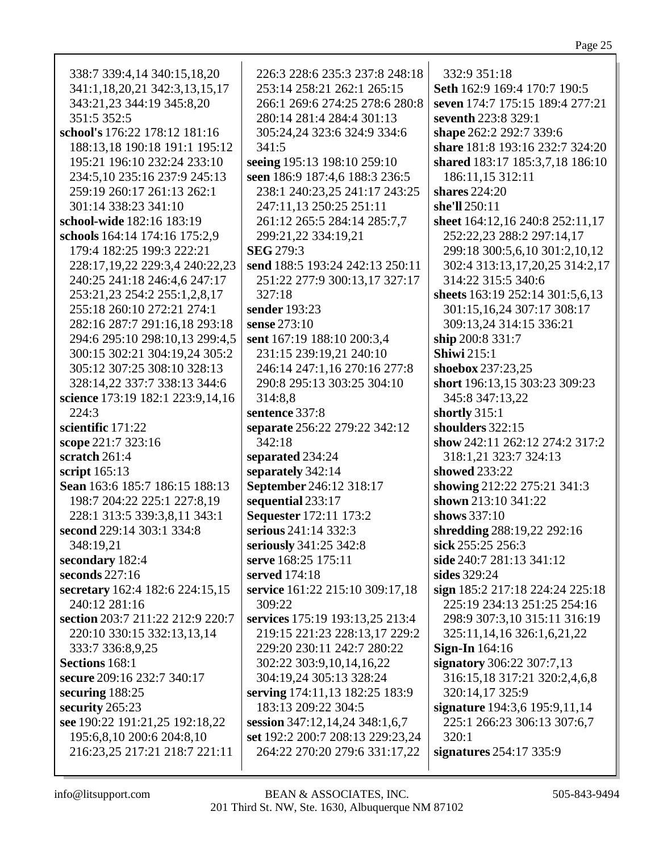| 338:7 339:4,14 340:15,18,20      | 226:3 228:6 235:3 237:8 248:18   | 332:9 351:18                    |
|----------------------------------|----------------------------------|---------------------------------|
| 341:1,18,20,21 342:3,13,15,17    | 253:14 258:21 262:1 265:15       | Seth 162:9 169:4 170:7 190:5    |
| 343:21,23 344:19 345:8,20        | 266:1 269:6 274:25 278:6 280:8   | seven 174:7 175:15 189:4 277:21 |
| 351:5 352:5                      | 280:14 281:4 284:4 301:13        | seventh 223:8 329:1             |
| school's 176:22 178:12 181:16    | 305:24,24 323:6 324:9 334:6      | shape 262:2 292:7 339:6         |
| 188:13,18 190:18 191:1 195:12    | 341:5                            | share 181:8 193:16 232:7 324:20 |
| 195:21 196:10 232:24 233:10      | seeing 195:13 198:10 259:10      | shared 183:17 185:3,7,18 186:10 |
| 234:5, 10 235: 16 237: 9 245: 13 | seen 186:9 187:4,6 188:3 236:5   | 186:11,15 312:11                |
| 259:19 260:17 261:13 262:1       | 238:1 240:23,25 241:17 243:25    | <b>shares</b> 224:20            |
| 301:14 338:23 341:10             | 247:11,13 250:25 251:11          | she'll 250:11                   |
| school-wide 182:16 183:19        | 261:12 265:5 284:14 285:7,7      | sheet 164:12,16 240:8 252:11,17 |
| schools 164:14 174:16 175:2,9    | 299:21,22 334:19,21              | 252:22,23 288:2 297:14,17       |
| 179:4 182:25 199:3 222:21        | <b>SEG 279:3</b>                 | 299:18 300:5,6,10 301:2,10,12   |
| 228:17,19,22 229:3,4 240:22,23   | send 188:5 193:24 242:13 250:11  | 302:4 313:13,17,20,25 314:2,17  |
| 240:25 241:18 246:4,6 247:17     | 251:22 277:9 300:13,17 327:17    | 314:22 315:5 340:6              |
| 253:21,23 254:2 255:1,2,8,17     | 327:18                           | sheets 163:19 252:14 301:5,6,13 |
| 255:18 260:10 272:21 274:1       | sender 193:23                    | 301:15,16,24 307:17 308:17      |
| 282:16 287:7 291:16,18 293:18    | sense 273:10                     | 309:13,24 314:15 336:21         |
| 294:6 295:10 298:10,13 299:4,5   | sent 167:19 188:10 200:3,4       | ship 200:8 331:7                |
| 300:15 302:21 304:19,24 305:2    | 231:15 239:19,21 240:10          | <b>Shiwi</b> 215:1              |
| 305:12 307:25 308:10 328:13      | 246:14 247:1,16 270:16 277:8     | shoebox 237:23,25               |
| 328:14,22 337:7 338:13 344:6     | 290:8 295:13 303:25 304:10       | short 196:13,15 303:23 309:23   |
| science 173:19 182:1 223:9,14,16 | 314:8,8                          | 345:8 347:13,22                 |
| 224:3                            | sentence 337:8                   | shortly 315:1                   |
| scientific 171:22                | separate 256:22 279:22 342:12    | shoulders 322:15                |
| scope 221:7 323:16               | 342:18                           | show 242:11 262:12 274:2 317:2  |
| scratch 261:4                    | separated 234:24                 | 318:1,21 323:7 324:13           |
| script $165:13$                  | separately 342:14                | showed 233:22                   |
| Sean 163:6 185:7 186:15 188:13   | September 246:12 318:17          | showing 212:22 275:21 341:3     |
| 198:7 204:22 225:1 227:8,19      | sequential 233:17                | shown 213:10 341:22             |
| 228:1 313:5 339:3,8,11 343:1     | <b>Sequester</b> 172:11 173:2    | shows 337:10                    |
| second 229:14 303:1 334:8        | serious 241:14 332:3             | shredding 288:19,22 292:16      |
| 348:19,21                        | seriously 341:25 342:8           | sick 255:25 256:3               |
| secondary 182:4                  | serve 168:25 175:11              | side 240:7 281:13 341:12        |
| seconds $227:16$                 | served 174:18                    | sides 329:24                    |
| secretary 162:4 182:6 224:15,15  | service 161:22 215:10 309:17,18  | sign 185:2 217:18 224:24 225:18 |
| 240:12 281:16                    | 309:22                           | 225:19 234:13 251:25 254:16     |
| section 203:7 211:22 212:9 220:7 | services 175:19 193:13,25 213:4  | 298:9 307:3,10 315:11 316:19    |
| 220:10 330:15 332:13,13,14       | 219:15 221:23 228:13,17 229:2    | 325:11, 14, 16 326:1, 6, 21, 22 |
| 333:7 336:8,9,25                 | 229:20 230:11 242:7 280:22       | <b>Sign-In</b> 164:16           |
| Sections 168:1                   | 302:22 303:9,10,14,16,22         | signatory 306:22 307:7,13       |
| secure 209:16 232:7 340:17       | 304:19,24 305:13 328:24          | 316:15,18 317:21 320:2,4,6,8    |
| securing $188:25$                | serving 174:11,13 182:25 183:9   | 320:14,17 325:9                 |
| security 265:23                  | 183:13 209:22 304:5              | signature 194:3,6 195:9,11,14   |
| see 190:22 191:21,25 192:18,22   | session 347:12,14,24 348:1,6,7   | 225:1 266:23 306:13 307:6,7     |
| 195:6,8,10 200:6 204:8,10        | set 192:2 200:7 208:13 229:23,24 | 320:1                           |
| 216:23,25 217:21 218:7 221:11    | 264:22 270:20 279:6 331:17,22    | signatures 254:17 335:9         |
|                                  |                                  |                                 |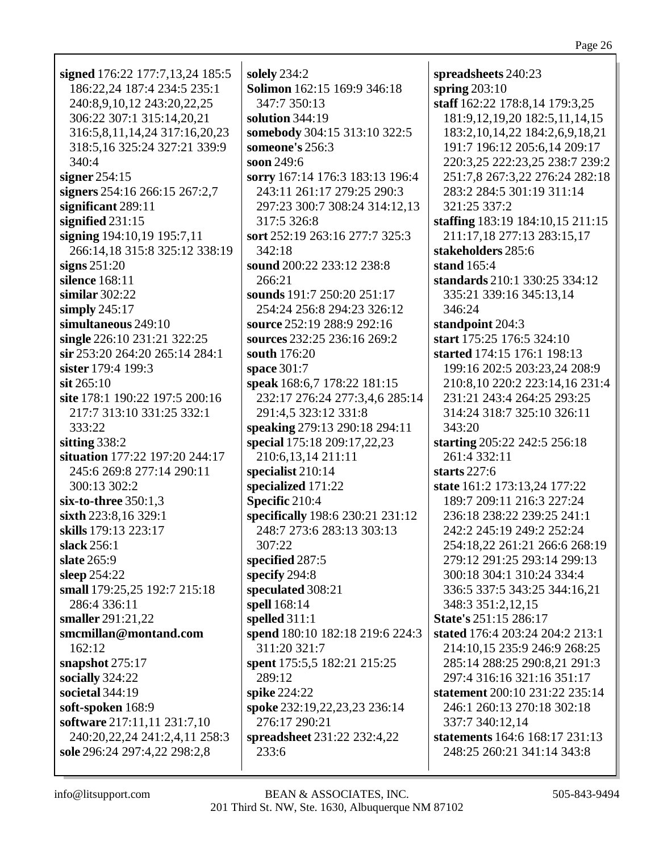| signed 176:22 177:7,13,24 185:5                               | solely 234:2                                              | spreadsheets 240:23                           |
|---------------------------------------------------------------|-----------------------------------------------------------|-----------------------------------------------|
| 186:22,24 187:4 234:5 235:1                                   | Solimon 162:15 169:9 346:18                               | spring $203:10$                               |
| 240:8,9,10,12 243:20,22,25                                    | 347:7 350:13                                              | staff 162:22 178:8,14 179:3,25                |
| 306:22 307:1 315:14,20,21                                     | solution 344:19                                           | 181:9, 12, 19, 20 182: 5, 11, 14, 15          |
| 316:5,8,11,14,24 317:16,20,23                                 | somebody 304:15 313:10 322:5                              | 183:2, 10, 14, 22 184: 2, 6, 9, 18, 21        |
| 318:5,16 325:24 327:21 339:9                                  | someone's 256:3                                           | 191:7 196:12 205:6,14 209:17                  |
| 340:4                                                         | soon 249:6                                                | 220:3,25 222:23,25 238:7 239:2                |
| signer $254:15$                                               | sorry 167:14 176:3 183:13 196:4                           | 251:7,8 267:3,22 276:24 282:18                |
| signers 254:16 266:15 267:2,7                                 | 243:11 261:17 279:25 290:3                                | 283:2 284:5 301:19 311:14                     |
| significant 289:11                                            | 297:23 300:7 308:24 314:12,13                             | 321:25 337:2                                  |
| signified $231:15$                                            | 317:5 326:8                                               | staffing 183:19 184:10,15 211:15              |
| signing 194:10,19 195:7,11                                    | sort 252:19 263:16 277:7 325:3                            | 211:17,18 277:13 283:15,17                    |
| 266:14,18 315:8 325:12 338:19                                 | 342:18                                                    | stakeholders 285:6                            |
| signs $251:20$                                                | sound 200:22 233:12 238:8                                 | stand $165:4$                                 |
| silence 168:11                                                | 266:21                                                    | standards 210:1 330:25 334:12                 |
| similar $302:22$                                              | sounds 191:7 250:20 251:17                                | 335:21 339:16 345:13,14                       |
| simply $245:17$                                               | 254:24 256:8 294:23 326:12                                | 346:24                                        |
| simultaneous 249:10                                           | source 252:19 288:9 292:16<br>sources 232:25 236:16 269:2 | standpoint 204:3<br>start 175:25 176:5 324:10 |
| single 226:10 231:21 322:25<br>sir 253:20 264:20 265:14 284:1 | south 176:20                                              | started 174:15 176:1 198:13                   |
| sister 179:4 199:3                                            | space 301:7                                               | 199:16 202:5 203:23,24 208:9                  |
| $\sin 265:10$                                                 | speak 168:6,7 178:22 181:15                               | 210:8,10 220:2 223:14,16 231:4                |
| site 178:1 190:22 197:5 200:16                                | 232:17 276:24 277:3,4,6 285:14                            | 231:21 243:4 264:25 293:25                    |
| 217:7 313:10 331:25 332:1                                     | 291:4,5 323:12 331:8                                      | 314:24 318:7 325:10 326:11                    |
| 333:22                                                        | speaking 279:13 290:18 294:11                             | 343:20                                        |
| sitting 338:2                                                 | special 175:18 209:17,22,23                               | starting 205:22 242:5 256:18                  |
| situation 177:22 197:20 244:17                                | 210:6,13,14 211:11                                        | 261:4 332:11                                  |
| 245:6 269:8 277:14 290:11                                     | specialist 210:14                                         | starts $227:6$                                |
| 300:13 302:2                                                  | specialized 171:22                                        | state 161:2 173:13,24 177:22                  |
| six-to-three 350:1,3                                          | Specific 210:4                                            | 189:7 209:11 216:3 227:24                     |
| sixth 223:8,16 329:1                                          | specifically 198:6 230:21 231:12                          | 236:18 238:22 239:25 241:1                    |
| skills 179:13 223:17                                          | 248:7 273:6 283:13 303:13                                 | 242:2 245:19 249:2 252:24                     |
| slack 256:1                                                   | 307:22                                                    | 254:18,22 261:21 266:6 268:19                 |
| slate 265:9                                                   | specified 287:5                                           | 279:12 291:25 293:14 299:13                   |
| sleep 254:22                                                  | specify 294:8                                             | 300:18 304:1 310:24 334:4                     |
| small 179:25,25 192:7 215:18                                  | speculated 308:21                                         | 336:5 337:5 343:25 344:16,21                  |
| 286:4 336:11                                                  | spell 168:14                                              | 348:3 351:2,12,15                             |
| smaller 291:21,22                                             | spelled 311:1                                             | State's 251:15 286:17                         |
| smcmillan@montand.com                                         | spend 180:10 182:18 219:6 224:3                           | stated 176:4 203:24 204:2 213:1               |
| 162:12                                                        | 311:20 321:7                                              | 214:10,15 235:9 246:9 268:25                  |
| snapshot $275:17$                                             | spent 175:5,5 182:21 215:25                               | 285:14 288:25 290:8,21 291:3                  |
| socially 324:22                                               | 289:12                                                    | 297:4 316:16 321:16 351:17                    |
| societal 344:19                                               | spike 224:22                                              | statement 200:10 231:22 235:14                |
| soft-spoken 168:9                                             | spoke 232:19,22,23,23 236:14                              | 246:1 260:13 270:18 302:18                    |
| software 217:11,11 231:7,10                                   | 276:17 290:21                                             | 337:7 340:12,14                               |
| 240:20, 22, 24 241:2, 4, 11 258:3                             | spreadsheet 231:22 232:4,22                               | statements 164:6 168:17 231:13                |
| sole 296:24 297:4,22 298:2,8                                  | 233:6                                                     | 248:25 260:21 341:14 343:8                    |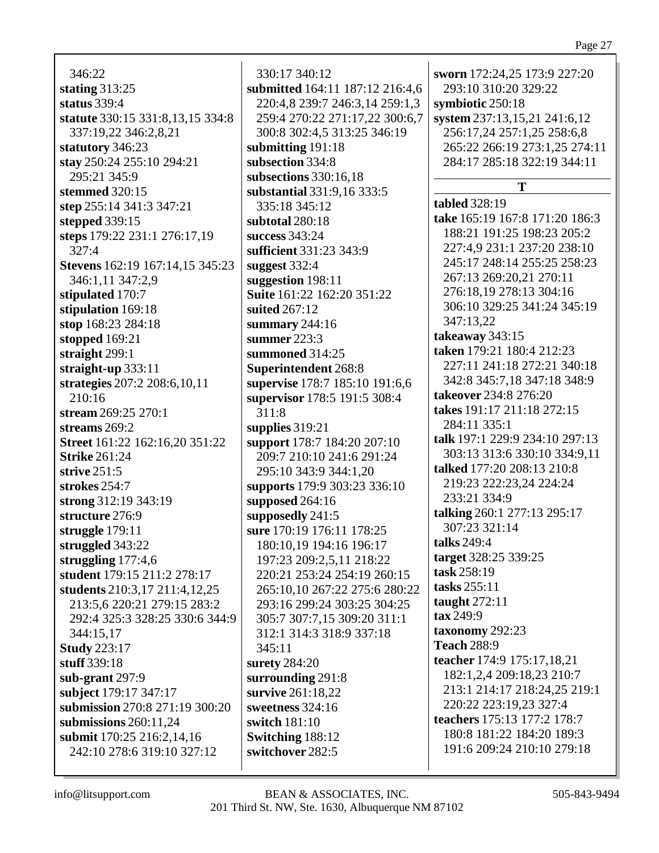346:22 **stating** 313:25 **status** 339:4 **statute** 330:15 331:8,13,15 334:8 337:19,22 346:2,8,21 **statutory** 346:23 **stay** 250:24 255:10 294:21 295:21 345:9 **stemmed** 320:15 **step** 255:14 341:3 347:21 **stepped** 339:15 **steps** 179:22 231:1 276:17,19 327:4 **Stevens** 162:19 167:14,15 345:23 346:1,11 347:2,9 **stipulated** 170:7 **stipulation** 169:18 **stop** 168:23 284:18 **stopped** 169:21 **straight** 299:1 **straight-up** 333:11 **strategies** 207:2 208:6,10,11 210:16 **stream** 269:25 270:1 **streams** 269:2 **Street** 161:22 162:16,20 351:22 **Strike** 261:24 **strive** 251:5 **strokes** 254:7 **strong** 312:19 343:19 **structure** 276:9 **struggle** 179:11 **struggled** 343:22 **struggling** 177:4,6 **student** 179:15 211:2 278:17 **students** 210:3,17 211:4,12,25 213:5,6 220:21 279:15 283:2 292:4 325:3 328:25 330:6 344:9 344:15,17 **Study** 223:17 **stuff** 339:18 **sub-grant** 297:9 **subject** 179:17 347:17 **submission** 270:8 271:19 300:20 **submissions** 260:11,24 **submit** 170:25 216:2,14,16 242:10 278:6 319:10 327:12

330:17 340:12 **submitted** 164:11 187:12 216:4,6 220:4,8 239:7 246:3,14 259:1,3 259:4 270:22 271:17,22 300:6,7 300:8 302:4,5 313:25 346:19 **submitting** 191:18 **subsection** 334:8 **subsections** 330:16,18 **substantial** 331:9,16 333:5 335:18 345:12 **subtotal** 280:18 **success** 343:24 **sufficient** 331:23 343:9 **suggest** 332:4 **suggestion** 198:11 **Suite** 161:22 162:20 351:22 **suited** 267:12 **summary** 244:16 **summer** 223:3 **summoned** 314:25 **Superintendent** 268:8 **supervise** 178:7 185:10 191:6,6 **supervisor** 178:5 191:5 308:4 311:8 **supplies** 319:21 **support** 178:7 184:20 207:10 209:7 210:10 241:6 291:24 295:10 343:9 344:1,20 **supports** 179:9 303:23 336:10 **supposed** 264:16 **supposedly** 241:5 **sure** 170:19 176:11 178:25 180:10,19 194:16 196:17 197:23 209:2,5,11 218:22 220:21 253:24 254:19 260:15 265:10,10 267:22 275:6 280:22 293:16 299:24 303:25 304:25 305:7 307:7,15 309:20 311:1 312:1 314:3 318:9 337:18 345:11 **surety** 284:20 **surrounding** 291:8 **survive** 261:18,22 **sweetness** 324:16 **switch** 181:10 **Switching** 188:12 **switchover** 282:5

**sworn** 172:24,25 173:9 227:20 293:10 310:20 329:22 **symbiotic** 250:18 **system** 237:13,15,21 241:6,12 256:17,24 257:1,25 258:6,8 265:22 266:19 273:1,25 274:11 284:17 285:18 322:19 344:11 **T tabled** 328:19 **take** 165:19 167:8 171:20 186:3 188:21 191:25 198:23 205:2 227:4,9 231:1 237:20 238:10 245:17 248:14 255:25 258:23 267:13 269:20,21 270:11 276:18,19 278:13 304:16 306:10 329:25 341:24 345:19 347:13,22 **takeaway** 343:15 **taken** 179:21 180:4 212:23 227:11 241:18 272:21 340:18 342:8 345:7,18 347:18 348:9 **takeover** 234:8 276:20 **takes** 191:17 211:18 272:15 284:11 335:1 **talk** 197:1 229:9 234:10 297:13 303:13 313:6 330:10 334:9,11 **talked** 177:20 208:13 210:8 219:23 222:23,24 224:24 233:21 334:9 **talking** 260:1 277:13 295:17 307:23 321:14 **talks** 249:4 **target** 328:25 339:25 **task** 258:19 **tasks** 255:11 **taught** 272:11 **tax** 249:9 **taxonomy** 292:23 **Teach** 288:9 **teacher** 174:9 175:17,18,21 182:1,2,4 209:18,23 210:7 213:1 214:17 218:24,25 219:1 220:22 223:19,23 327:4 **teachers** 175:13 177:2 178:7 180:8 181:22 184:20 189:3 191:6 209:24 210:10 279:18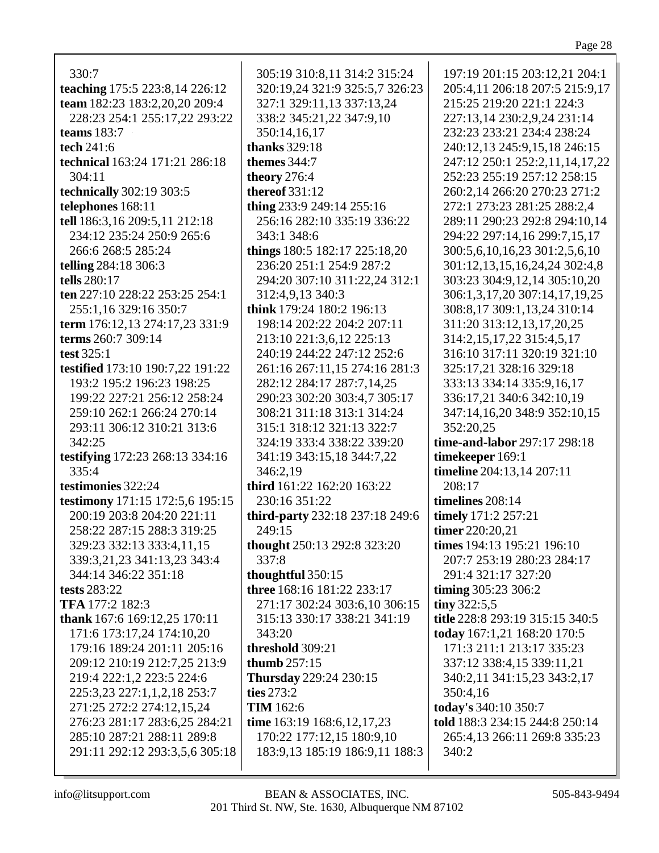| 330:7                            |
|----------------------------------|
| teaching 175:5 223:8,14 226:12   |
|                                  |
| team 182:23 183:2,20,20 209:4    |
| 228:23 254:1 255:17,22 293:22    |
| teams $183:7$                    |
| tech 241:6                       |
| technical 163:24 171:21 286:18   |
| 304:11                           |
| technically 302:19 303:5         |
|                                  |
| telephones 168:11                |
| tell 186:3,16 209:5,11 212:18    |
| 234:12 235:24 250:9 265:6        |
| 266:6 268:5 285:24               |
| telling 284:18 306:3             |
| tells 280:17                     |
| ten 227:10 228:22 253:25 254:1   |
|                                  |
| 255:1,16 329:16 350:7            |
| term 176:12,13 274:17,23 331:9   |
| terms 260:7 309:14               |
| test $325:1$                     |
| testified 173:10 190:7,22 191:22 |
| 193:2 195:2 196:23 198:25        |
| 199:22 227:21 256:12 258:24      |
| 259:10 262:1 266:24 270:14       |
|                                  |
| 293:11 306:12 310:21 313:6       |
| 342:25                           |
| testifying 172:23 268:13 334:16  |
| 335:4                            |
| testimonies 322:24               |
| testimony 171:15 172:5,6 195:15  |
| 200:19 203:8 204:20 221:11       |
|                                  |
| 258:22 287:15 288:3 319:25       |
| 329:23 332:13 333:4,11,15        |
| 339:3,21,23 341:13,23 343:4      |
| 344:14 346:22 351:18             |
| <b>tests</b> 283:22              |
| TFA 177:2 182:3                  |
| thank 167:6 169:12,25 170:11     |
|                                  |
| 171:6 173:17,24 174:10,20        |
| 179:16 189:24 201:11 205:16      |
| 209:12 210:19 212:7,25 213:9     |
| 219:4 222:1,2 223:5 224:6        |
| 225:3,23 227:1,1,2,18 253:7      |
| 271:25 272:2 274:12,15,24        |
| 276:23 281:17 283:6,25 284:21    |
|                                  |
| 285:10 287:21 288:11 289:8       |
| 291:11 292:12 293:3,5,6 305:18   |
|                                  |

305:19 310:8,11 314:2 315:24 320:19,24 321:9 325:5,7 326:23 327:1 329:11,13 337:13,24 338:2 345:21,22 347:9,10 350:14,16,17 **thanks** 329:18 **themes** 344:7 **theory** 276:4 **thereof** 331:12 **thing** 233:9 249:14 255:16 256:16 282:10 335:19 336:22 343:1 348:6 **things** 180:5 182:17 225:18,20 236:20 251:1 254:9 287:2 294:20 307:10 311:22,24 312:1 312:4,9,13 340:3 **think** 179:24 180:2 196:13 198:14 202:22 204:2 207:11 213:10 221:3,6,12 225:13 240:19 244:22 247:12 252:6 261:16 267:11,15 274:16 281:3 282:12 284:17 287:7,14,25 290:23 302:20 303:4,7 305:17 308:21 311:18 313:1 314:24 315:1 318:12 321:13 322:7 324:19 333:4 338:22 339:20 341:19 343:15,18 344:7,22 346:2,19 **third** 161:22 162:20 163:22 230:16 351:22 **third-party** 232:18 237:18 249:6 249:15 **thought** 250:13 292:8 323:20 337:8 **thoughtful** 350:15 **three** 168:16 181:22 233:17 271:17 302:24 303:6,10 306:15 315:13 330:17 338:21 341:19 343:20 **threshold** 309:21 **thumb** 257:15 **Thursday** 229:24 230:15 **ties** 273:2 **TIM** 162:6 **time** 163:19 168:6,12,17,23 170:22 177:12,15 180:9,10 183:9,13 185:19 186:9,11 188:3

197:19 201:15 203:12,21 204:1 205:4,11 206:18 207:5 215:9,17 215:25 219:20 221:1 224:3 227:13,14 230:2,9,24 231:14 232:23 233:21 234:4 238:24 240:12,13 245:9,15,18 246:15 247:12 250:1 252:2,11,14,17,22 252:23 255:19 257:12 258:15 260:2,14 266:20 270:23 271:2 272:1 273:23 281:25 288:2,4 289:11 290:23 292:8 294:10,14 294:22 297:14,16 299:7,15,17 300:5,6,10,16,23 301:2,5,6,10 301:12,13,15,16,24,24 302:4,8 303:23 304:9,12,14 305:10,20 306:1,3,17,20 307:14,17,19,25 308:8,17 309:1,13,24 310:14 311:20 313:12,13,17,20,25 314:2,15,17,22 315:4,5,17 316:10 317:11 320:19 321:10 325:17,21 328:16 329:18 333:13 334:14 335:9,16,17 336:17,21 340:6 342:10,19 347:14,16,20 348:9 352:10,15 352:20,25 **time-and-labor** 297:17 298:18 **timekeeper** 169:1 **timeline** 204:13,14 207:11 208:17 **timelines** 208:14 **timely** 171:2 257:21 **timer** 220:20,21 **times** 194:13 195:21 196:10 207:7 253:19 280:23 284:17 291:4 321:17 327:20 **timing** 305:23 306:2 **tiny** 322:5,5 **title** 228:8 293:19 315:15 340:5 **today** 167:1,21 168:20 170:5 171:3 211:1 213:17 335:23 337:12 338:4,15 339:11,21 340:2,11 341:15,23 343:2,17 350:4,16 **today's** 340:10 350:7 **told** 188:3 234:15 244:8 250:14 265:4,13 266:11 269:8 335:23 340:2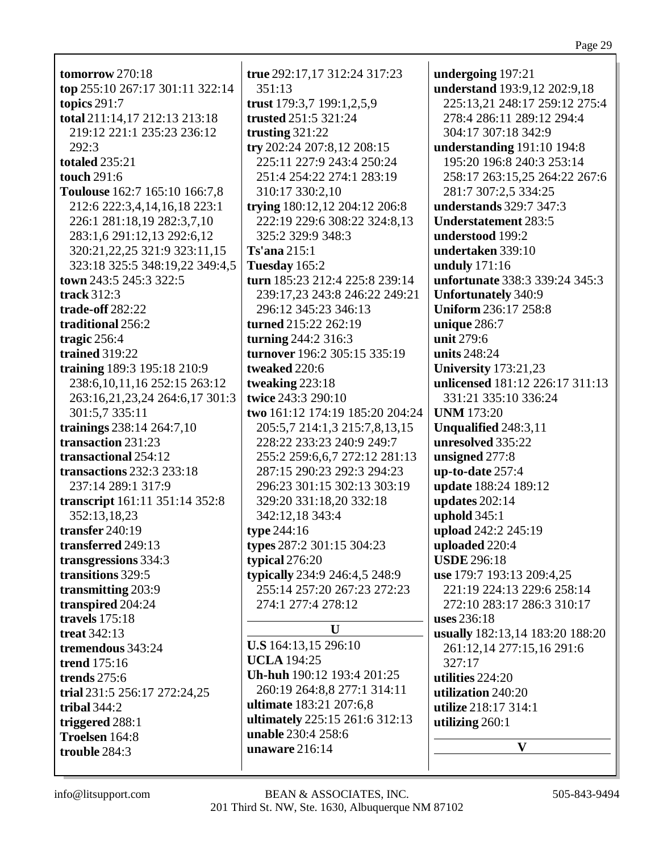**tomorrow** 270:18 **top** 255:10 267:17 301:11 322:14 **topics** 291:7 **total** 211:14,17 212:13 213:18 219:12 221:1 235:23 236:12 292:3 **totaled** 235:21 **touch** 291:6 **Toulouse** 162:7 165:10 166:7,8 212:6 222:3,4,14,16,18 223:1 226:1 281:18,19 282:3,7,10 283:1,6 291:12,13 292:6,12 320:21,22,25 321:9 323:11,15 323:18 325:5 348:19,22 349:4,5 **town** 243:5 245:3 322:5 **track** 312:3 **trade-off** 282:22 **traditional** 256:2 **tragic** 256:4 **trained** 319:22 **training** 189:3 195:18 210:9 238:6,10,11,16 252:15 263:12 263:16,21,23,24 264:6,17 301:3 301:5,7 335:11 **trainings** 238:14 264:7,10 **transaction** 231:23 **transactional** 254:12 **transactions** 232:3 233:18 237:14 289:1 317:9 **transcript** 161:11 351:14 352:8 352:13,18,23 **transfer** 240:19 **transferred** 249:13 **transgressions** 334:3 **transitions** 329:5 **transmitting** 203:9 **transpired** 204:24 **travels** 175:18 **treat** 342:13 **tremendous** 343:24 **trend** 175:16 **trends** 275:6 **trial** 231:5 256:17 272:24,25 **tribal** 344:2 **triggered** 288:1 **Troelsen** 164:8 **trouble** 284:3

**true** 292:17,17 312:24 317:23 351:13 **trust** 179:3,7 199:1,2,5,9 **trusted** 251:5 321:24 **trusting** 321:22 **try** 202:24 207:8,12 208:15 225:11 227:9 243:4 250:24 251:4 254:22 274:1 283:19 310:17 330:2,10 **trying** 180:12,12 204:12 206:8 222:19 229:6 308:22 324:8,13 325:2 329:9 348:3 **Ts'ana** 215:1 **Tuesday** 165:2 **turn** 185:23 212:4 225:8 239:14 239:17,23 243:8 246:22 249:21 296:12 345:23 346:13 **turned** 215:22 262:19 **turning** 244:2 316:3 **turnover** 196:2 305:15 335:19 **tweaked** 220:6 **tweaking** 223:18 **twice** 243:3 290:10 **two** 161:12 174:19 185:20 204:24 205:5,7 214:1,3 215:7,8,13,15 228:22 233:23 240:9 249:7 255:2 259:6,6,7 272:12 281:13 287:15 290:23 292:3 294:23 296:23 301:15 302:13 303:19 329:20 331:18,20 332:18 342:12,18 343:4 **type** 244:16 **types** 287:2 301:15 304:23 **typical** 276:20 **typically** 234:9 246:4,5 248:9 255:14 257:20 267:23 272:23 274:1 277:4 278:12 **U U.S** 164:13,15 296:10 **UCLA** 194:25 **Uh-huh** 190:12 193:4 201:25 260:19 264:8,8 277:1 314:11 **ultimate** 183:21 207:6,8 **ultimately** 225:15 261:6 312:13 **unable** 230:4 258:6 **unaware** 216:14

**undergoing** 197:21 **understand** 193:9,12 202:9,18 225:13,21 248:17 259:12 275:4 278:4 286:11 289:12 294:4 304:17 307:18 342:9 **understanding** 191:10 194:8 195:20 196:8 240:3 253:14 258:17 263:15,25 264:22 267:6 281:7 307:2,5 334:25 **understands** 329:7 347:3 **Understatement** 283:5 **understood** 199:2 **undertaken** 339:10 **unduly** 171:16 **unfortunate** 338:3 339:24 345:3 **Unfortunately** 340:9 **Uniform** 236:17 258:8 **unique** 286:7 **unit** 279:6 **units** 248:24 **University** 173:21,23 **unlicensed** 181:12 226:17 311:13 331:21 335:10 336:24 **UNM** 173:20 **Unqualified** 248:3,11 **unresolved** 335:22 **unsigned** 277:8 **up-to-date** 257:4 **update** 188:24 189:12 **updates** 202:14 **uphold** 345:1 **upload** 242:2 245:19 **uploaded** 220:4 **USDE** 296:18 **use** 179:7 193:13 209:4,25 221:19 224:13 229:6 258:14 272:10 283:17 286:3 310:17 **uses** 236:18 **usually** 182:13,14 183:20 188:20 261:12,14 277:15,16 291:6 327:17 **utilities** 224:20 **utilization** 240:20 **utilize** 218:17 314:1 **utilizing** 260:1 **V**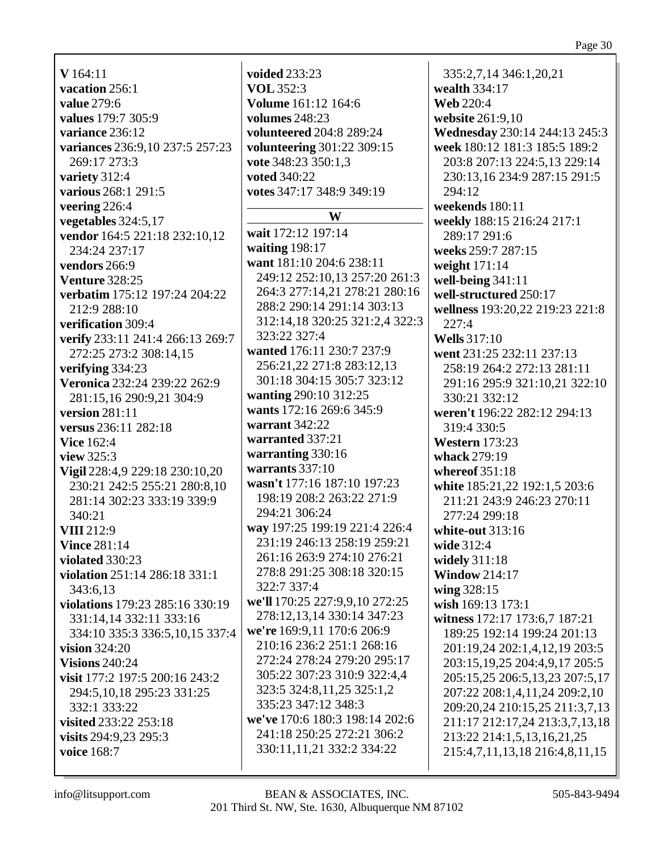**V** 164:11 **vacation** 256:1 **value** 279:6 **values** 179:7 305:9 **variance** 236:12 **variances** 236:9,10 237:5 257:23 269:17 273:3 **variety** 312:4 **various** 268:1 291:5 **veering** 226:4 **vegetables** 324:5,17 **vendor** 164:5 221:18 232:10,12 234:24 237:17 **vendors** 266:9 **Venture** 328:25 **verbatim** 175:12 197:24 204:22 212:9 288:10 **verification** 309:4 **verify** 233:11 241:4 266:13 269:7 272:25 273:2 308:14,15 **verifying** 334:23 **Veronica** 232:24 239:22 262:9 281:15,16 290:9,21 304:9 **version** 281:11 **versus** 236:11 282:18 **Vice** 162:4 **view** 325:3 **Vigil** 228:4,9 229:18 230:10,20 230:21 242:5 255:21 280:8,10 281:14 302:23 333:19 339:9 340:21 **VIII** 212:9 **Vince** 281:14 **violated** 330:23 **violation** 251:14 286:18 331:1 343:6,13 **violations** 179:23 285:16 330:19 331:14,14 332:11 333:16 334:10 335:3 336:5,10,15 337:4 **vision** 324:20 **Visions** 240:24 **visit** 177:2 197:5 200:16 243:2 294:5,10,18 295:23 331:25 332:1 333:22 **visited** 233:22 253:18 **visits** 294:9,23 295:3 **voice** 168:7

**VOL** 352:3 **Volume** 161:12 164:6 **volumes** 248:23 **volunteered** 204:8 289:24 **volunteering** 301:22 309:15 **vote** 348:23 350:1,3 **voted** 340:22 **votes** 347:17 348:9 349:19 **W wait** 172:12 197:14 **waiting** 198:17 **want** 181:10 204:6 238:11 249:12 252:10,13 257:20 261:3 264:3 277:14,21 278:21 280:16 288:2 290:14 291:14 303:13 312:14,18 320:25 321:2,4 322:3 323:22 327:4 **wanted** 176:11 230:7 237:9 256:21,22 271:8 283:12,13 301:18 304:15 305:7 323:12 **wanting** 290:10 312:25 **wants** 172:16 269:6 345:9 **warrant** 342:22 **warranted** 337:21 **warranting** 330:16 **warrants** 337:10 **wasn't** 177:16 187:10 197:23 198:19 208:2 263:22 271:9 294:21 306:24 **way** 197:25 199:19 221:4 226:4 231:19 246:13 258:19 259:21 261:16 263:9 274:10 276:21 278:8 291:25 308:18 320:15 322:7 337:4 **we'll** 170:25 227:9,9,10 272:25 278:12,13,14 330:14 347:23 **we're** 169:9,11 170:6 206:9 210:16 236:2 251:1 268:16 272:24 278:24 279:20 295:17 305:22 307:23 310:9 322:4,4 323:5 324:8,11,25 325:1,2 335:23 347:12 348:3 **we've** 170:6 180:3 198:14 202:6 241:18 250:25 272:21 306:2 330:11,11,21 332:2 334:22

**voided** 233:23

335:2,7,14 346:1,20,21 **wealth** 334:17 **Web** 220:4 **website** 261:9,10 **Wednesday** 230:14 244:13 245:3 **week** 180:12 181:3 185:5 189:2 203:8 207:13 224:5,13 229:14 230:13,16 234:9 287:15 291:5 294:12 **weekends** 180:11 **weekly** 188:15 216:24 217:1 289:17 291:6 **weeks** 259:7 287:15 **weight** 171:14 **well-being** 341:11 **well-structured** 250:17 **wellness** 193:20,22 219:23 221:8 227:4 **Wells** 317:10 **went** 231:25 232:11 237:13 258:19 264:2 272:13 281:11 291:16 295:9 321:10,21 322:10 330:21 332:12 **weren't** 196:22 282:12 294:13 319:4 330:5 **Western** 173:23 **whack** 279:19 **whereof** 351:18 **white** 185:21,22 192:1,5 203:6 211:21 243:9 246:23 270:11 277:24 299:18 **white-out** 313:16 **wide** 312:4 **widely** 311:18 **Window** 214:17 **wing** 328:15 **wish** 169:13 173:1 **witness** 172:17 173:6,7 187:21 189:25 192:14 199:24 201:13 201:19,24 202:1,4,12,19 203:5 203:15,19,25 204:4,9,17 205:5 205:15,25 206:5,13,23 207:5,17 207:22 208:1,4,11,24 209:2,10 209:20,24 210:15,25 211:3,7,13 211:17 212:17,24 213:3,7,13,18 213:22 214:1,5,13,16,21,25 215:4,7,11,13,18 216:4,8,11,15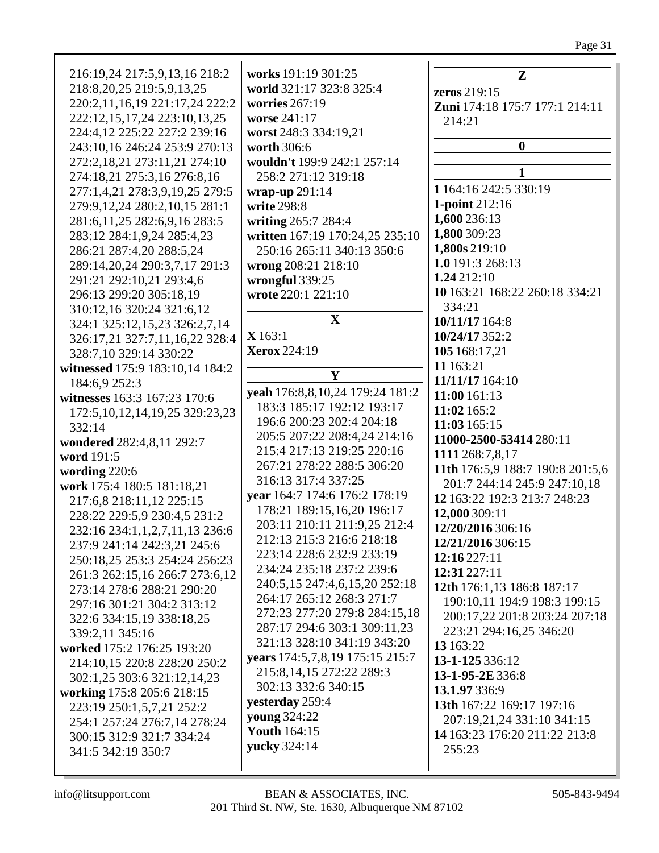## Page 31

| 216:19,24 217:5,9,13,16 218:2         | works 191:19 301:25             | ${\bf z}$                        |
|---------------------------------------|---------------------------------|----------------------------------|
| 218:8, 20, 25 219:5, 9, 13, 25        | world 321:17 323:8 325:4        | zeros 219:15                     |
| 220:2,11,16,19 221:17,24 222:2        | worries 267:19                  | Zuni 174:18 175:7 177:1 214:11   |
| 222:12,15,17,24 223:10,13,25          | worse 241:17                    | 214:21                           |
| 224:4,12 225:22 227:2 239:16          | worst 248:3 334:19,21           |                                  |
| 243:10,16 246:24 253:9 270:13         | worth 306:6                     | $\boldsymbol{0}$                 |
| 272:2,18,21 273:11,21 274:10          | wouldn't 199:9 242:1 257:14     |                                  |
|                                       | 258:2 271:12 319:18             | 1                                |
| 274:18,21 275:3,16 276:8,16           |                                 | 1 164:16 242:5 330:19            |
| 277:1,4,21 278:3,9,19,25 279:5        | wrap-up $291:14$                |                                  |
| 279:9,12,24 280:2,10,15 281:1         | write 298:8                     | 1-point 212:16                   |
| 281:6, 11, 25 282:6, 9, 16 283:5      | writing 265:7 284:4             | 1,600 236:13                     |
| 283:12 284:1,9,24 285:4,23            | written 167:19 170:24,25 235:10 | 1,800 309:23                     |
| 286:21 287:4,20 288:5,24              | 250:16 265:11 340:13 350:6      | 1,800s 219:10                    |
| 289:14,20,24 290:3,7,17 291:3         | wrong 208:21 218:10             | 1.0 191:3 268:13                 |
| 291:21 292:10,21 293:4,6              | wrongful 339:25                 | 1.24 212:10                      |
| 296:13 299:20 305:18,19               | wrote 220:1 221:10              | 10 163:21 168:22 260:18 334:21   |
| 310:12,16 320:24 321:6,12             |                                 | 334:21                           |
|                                       | $\mathbf{X}$                    | 10/11/17 164:8                   |
| 324:1 325:12,15,23 326:2,7,14         | X163:1                          | 10/24/17 352:2                   |
| 326:17,21 327:7,11,16,22 328:4        | <b>Xerox</b> 224:19             |                                  |
| 328:7,10 329:14 330:22                |                                 | 105 168:17,21                    |
| witnessed 175:9 183:10,14 184:2       | Y                               | 11 163:21                        |
| 184:6,9 252:3                         |                                 | 11/11/17 164:10                  |
| witnesses 163:3 167:23 170:6          | yeah 176:8,8,10,24 179:24 181:2 | 11:00 161:13                     |
| 172:5, 10, 12, 14, 19, 25 329: 23, 23 | 183:3 185:17 192:12 193:17      | 11:02 165:2                      |
| 332:14                                | 196:6 200:23 202:4 204:18       | 11:03 165:15                     |
| wondered 282:4,8,11 292:7             | 205:5 207:22 208:4,24 214:16    | 11000-2500-53414 280:11          |
| word 191:5                            | 215:4 217:13 219:25 220:16      | 1111 268:7,8,17                  |
| wording 220:6                         | 267:21 278:22 288:5 306:20      | 11th 176:5,9 188:7 190:8 201:5,6 |
|                                       | 316:13 317:4 337:25             | 201:7 244:14 245:9 247:10,18     |
| work 175:4 180:5 181:18,21            | year 164:7 174:6 176:2 178:19   | 12 163:22 192:3 213:7 248:23     |
| 217:6,8 218:11,12 225:15              | 178:21 189:15,16,20 196:17      |                                  |
| 228:22 229:5,9 230:4,5 231:2          | 203:11 210:11 211:9,25 212:4    | 12,000 309:11                    |
| 232:16 234:1,1,2,7,11,13 236:6        | 212:13 215:3 216:6 218:18       | 12/20/2016 306:16                |
| 237:9 241:14 242:3,21 245:6           |                                 | 12/21/2016 306:15                |
| 250:18,25 253:3 254:24 256:23         | 223:14 228:6 232:9 233:19       | 12:16 227:11                     |
| 261:3 262:15,16 266:7 273:6,12        | 234:24 235:18 237:2 239:6       | 12:31 227:11                     |
| 273:14 278:6 288:21 290:20            | 240:5,15 247:4,6,15,20 252:18   | 12th 176:1,13 186:8 187:17       |
| 297:16 301:21 304:2 313:12            | 264:17 265:12 268:3 271:7       | 190:10,11 194:9 198:3 199:15     |
| 322:6 334:15,19 338:18,25             | 272:23 277:20 279:8 284:15,18   | 200:17,22 201:8 203:24 207:18    |
| 339:2,11 345:16                       | 287:17 294:6 303:1 309:11,23    | 223:21 294:16,25 346:20          |
|                                       | 321:13 328:10 341:19 343:20     | 13 163:22                        |
| worked 175:2 176:25 193:20            | years 174:5,7,8,19 175:15 215:7 | 13-1-125 336:12                  |
| 214:10,15 220:8 228:20 250:2          | 215:8,14,15 272:22 289:3        |                                  |
| 302:1,25 303:6 321:12,14,23           | 302:13 332:6 340:15             | 13-1-95-2E 336:8                 |
| working 175:8 205:6 218:15            |                                 | 13.1.97 336:9                    |
| 223:19 250:1,5,7,21 252:2             | yesterday 259:4                 | 13th 167:22 169:17 197:16        |
| 254:1 257:24 276:7,14 278:24          | young 324:22                    | 207:19,21,24 331:10 341:15       |
| 300:15 312:9 321:7 334:24             | <b>Youth 164:15</b>             | 14 163:23 176:20 211:22 213:8    |
| 341:5 342:19 350:7                    | yucky 324:14                    | 255:23                           |
|                                       |                                 |                                  |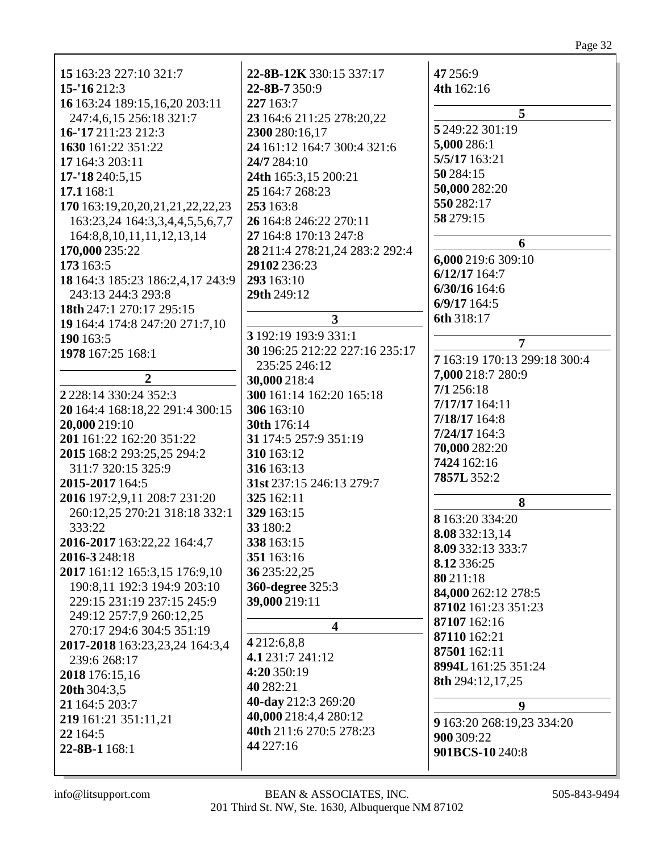## Page 32

| 15 163:23 227:10 321:7<br>15-'16 212:3<br>16 163:24 189:15,16,20 203:11<br>247:4,6,15 256:18 321:7<br>16-'17 211:23 212:3<br>1630 161:22 351:22<br>17 164:3 203:11<br>17-'18 240:5,15<br>17.1 168:1<br>170 163:19,20,20,21,21,22,22,23<br>163:23,24 164:3,3,4,4,5,5,6,7,7<br>164:8,8,10,11,11,12,13,14<br>170,000 235:22<br>173 163:5<br>18 164:3 185:23 186:2,4,17 243:9<br>243:13 244:3 293:8<br>18th 247:1 270:17 295:15<br>19 164:4 174:8 247:20 271:7,10<br>190 163:5<br>1978 167:25 168:1<br>$\overline{2}$<br>2 2 2 3 : 14 3 3 0 : 24 3 5 2 : 3<br>20 164:4 168:18,22 291:4 300:15<br>20,000 219:10<br>201 161:22 162:20 351:22<br>2015 168:2 293:25,25 294:2<br>311:7 320:15 325:9<br>2015-2017 164:5<br>2016 197:2,9,11 208:7 231:20<br>260:12,25 270:21 318:18 332:1<br>333:22<br>2016-2017 163:22,22 164:4,7<br>2016-3248:18<br>2017 161:12 165:3,15 176:9,10<br>190:8,11 192:3 194:9 203:10<br>229:15 231:19 237:15 245:9<br>249:12 257:7,9 260:12,25<br>270:17 294:6 304:5 351:19<br>2017-2018 163:23,23,24 164:3,4<br>239:6 268:17<br>2018 176:15,16<br>20th 304:3,5<br>21 164:5 203:7 | 22-8B-12K 330:15 337:17<br>22-8B-7350:9<br>227 163:7<br>23 164:6 211:25 278:20,22<br>2300 280:16,17<br>24 161:12 164:7 300:4 321:6<br>24/7 284:10<br>24th 165:3,15 200:21<br>25 164:7 268:23<br>253 163:8<br>26 164:8 246:22 270:11<br>27 164:8 170:13 247:8<br>28 211:4 278:21,24 283:2 292:4<br>29102 236:23<br>293 163:10<br>29th 249:12<br>$\overline{\mathbf{3}}$<br>3 192:19 193:9 331:1<br>30 196:25 212:22 227:16 235:17<br>235:25 246:12<br>30,000 218:4<br>300 161:14 162:20 165:18<br>306 163:10<br>30th 176:14<br>31 174:5 257:9 351:19<br>310 163:12<br>316 163:13<br>31st 237:15 246:13 279:7<br>325 162:11<br>329 163:15<br>33 180:2<br>338 163:15<br>351 163:16<br>36 235:22,25<br><b>360-degree</b> 325:3<br>39,000 219:11<br>$\overline{\mathbf{4}}$<br>4212:6,8,8<br>4.1 231:7 241:12<br>4:20 350:19<br>40 282:21<br>40-day 212:3 269:20<br>40,000 218:4,4 280:12 | 47 25 6:9<br>4th 162:16<br>5<br>5 249:22 301:19<br>5,000 286:1<br>5/5/17 163:21<br>50 284:15<br>50,000 282:20<br>550 282:17<br>58 279:15<br>6<br>6,000 219:6 309:10<br>$6/12/17$ 164:7<br>$6/30/16$ 164:6<br>$6/9/17$ 164:5<br>6th 318:17<br>$\overline{7}$<br>7 163:19 170:13 299:18 300:4<br>7,000 218:7 280:9<br>7/1256:18<br>$7/17/17$ 164:11<br>7/18/17 164:8<br>7/24/17 164:3<br>70,000 282:20<br>7424 162:16<br>7857L 352:2<br>8<br>8 163:20 334:20<br>8.08 332:13,14<br>8.09 332:13 333:7<br>8.12 336:25<br>80 211:18<br>84,000 262:12 278:5<br>87102 161:23 351:23<br>87107 162:16<br>87110 162:21<br>87501 162:11<br>8994L 161:25 351:24<br><b>8th</b> 294:12,17,25<br>9 |
|------------------------------------------------------------------------------------------------------------------------------------------------------------------------------------------------------------------------------------------------------------------------------------------------------------------------------------------------------------------------------------------------------------------------------------------------------------------------------------------------------------------------------------------------------------------------------------------------------------------------------------------------------------------------------------------------------------------------------------------------------------------------------------------------------------------------------------------------------------------------------------------------------------------------------------------------------------------------------------------------------------------------------------------------------------------------------------------------------|--------------------------------------------------------------------------------------------------------------------------------------------------------------------------------------------------------------------------------------------------------------------------------------------------------------------------------------------------------------------------------------------------------------------------------------------------------------------------------------------------------------------------------------------------------------------------------------------------------------------------------------------------------------------------------------------------------------------------------------------------------------------------------------------------------------------------------------------------------------------------------------|------------------------------------------------------------------------------------------------------------------------------------------------------------------------------------------------------------------------------------------------------------------------------------------------------------------------------------------------------------------------------------------------------------------------------------------------------------------------------------------------------------------------------------------------------------------------------------------------------------------------------------------------------------------------------------|
| 219 161:21 351:11,21<br>22 164:5                                                                                                                                                                                                                                                                                                                                                                                                                                                                                                                                                                                                                                                                                                                                                                                                                                                                                                                                                                                                                                                                     | 40th 211:6 270:5 278:23                                                                                                                                                                                                                                                                                                                                                                                                                                                                                                                                                                                                                                                                                                                                                                                                                                                              | 9 163:20 268:19,23 334:20<br>900 309:22                                                                                                                                                                                                                                                                                                                                                                                                                                                                                                                                                                                                                                            |
| 22-8B-1168:1                                                                                                                                                                                                                                                                                                                                                                                                                                                                                                                                                                                                                                                                                                                                                                                                                                                                                                                                                                                                                                                                                         | 44 227:16                                                                                                                                                                                                                                                                                                                                                                                                                                                                                                                                                                                                                                                                                                                                                                                                                                                                            | 901BCS-10 240:8                                                                                                                                                                                                                                                                                                                                                                                                                                                                                                                                                                                                                                                                    |